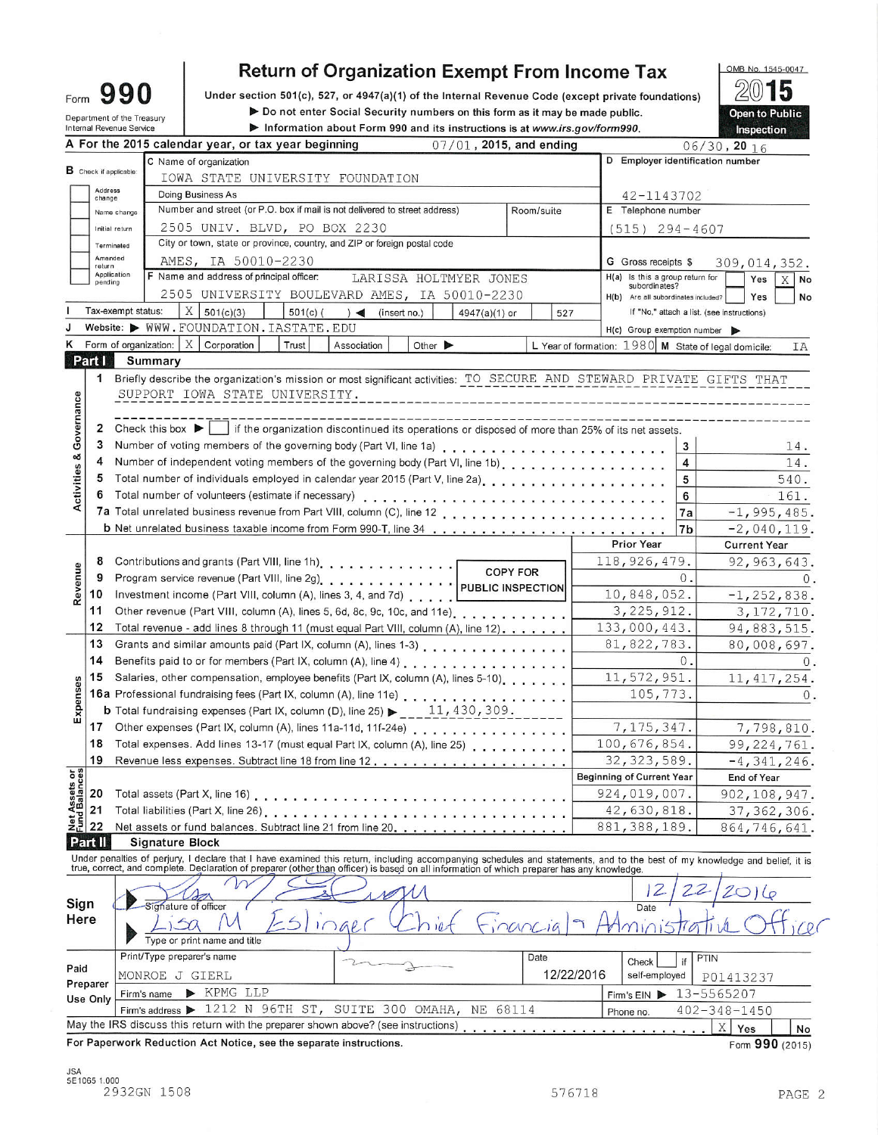## **Return of Organization Exempt From Income Tax**

Under section 501(c), 527, or 4947(a)(1) of the Internal Revenue Code (except private foundations) Do not enter Social Security numbers on this form as it may be made public. Information about Form 990 and its instructions is at www.irs.gov/form990

2015 Open to Public

OMB No. 1545-0047

|                                |                               |                    |             |                            | A For the 2015 calendar year, or tax year beginning       |  |            |                                                                                                                                                                        |                                                                                   | <b>Participation</b> about I bill <b>220 and its msuuctions</b> is at WWW.IIS.gov/form330.<br>$07/01$ , 2015, and ending                                                   |                 |            |     |                                     |               |               | $06/30$ , 20 16                                        | <b>Inspection</b>   |            |
|--------------------------------|-------------------------------|--------------------|-------------|----------------------------|-----------------------------------------------------------|--|------------|------------------------------------------------------------------------------------------------------------------------------------------------------------------------|-----------------------------------------------------------------------------------|----------------------------------------------------------------------------------------------------------------------------------------------------------------------------|-----------------|------------|-----|-------------------------------------|---------------|---------------|--------------------------------------------------------|---------------------|------------|
|                                |                               |                    |             |                            | C Name of organization                                    |  |            |                                                                                                                                                                        |                                                                                   |                                                                                                                                                                            |                 |            |     |                                     |               |               | D Employer identification number                       |                     |            |
|                                | <b>B</b> Check if applicable: |                    |             |                            |                                                           |  |            | IOWA STATE UNIVERSITY FOUNDATION                                                                                                                                       |                                                                                   |                                                                                                                                                                            |                 |            |     |                                     |               |               |                                                        |                     |            |
|                                | Address<br>change             |                    |             | Doing Business As          |                                                           |  |            |                                                                                                                                                                        |                                                                                   |                                                                                                                                                                            |                 |            |     |                                     | 42-1143702    |               |                                                        |                     |            |
|                                |                               | Name change        |             |                            |                                                           |  |            |                                                                                                                                                                        | Number and street (or P.O. box if mail is not delivered to street address)        |                                                                                                                                                                            |                 | Room/suite |     | E Telephone number                  |               |               |                                                        |                     |            |
|                                |                               | Initial return     |             |                            |                                                           |  |            | 2505 UNIV. BLVD, PO BOX 2230                                                                                                                                           |                                                                                   |                                                                                                                                                                            |                 |            |     | $(515)$ 294-4607                    |               |               |                                                        |                     |            |
|                                |                               | Terminated         |             |                            |                                                           |  |            |                                                                                                                                                                        | City or town, state or province, country, and ZIP or foreign postal code          |                                                                                                                                                                            |                 |            |     |                                     |               |               |                                                        |                     |            |
|                                | Amended<br>return             |                    |             |                            | AMES, IA 50010-2230                                       |  |            |                                                                                                                                                                        |                                                                                   |                                                                                                                                                                            |                 |            |     | G Gross receipts \$                 |               |               |                                                        | 309,014,352.        |            |
|                                | pending                       | Application        |             |                            | F Name and address of principal officer:                  |  |            |                                                                                                                                                                        |                                                                                   | LARISSA HOLTMYER JONES                                                                                                                                                     |                 |            |     | H(a) Is this a group return for     |               |               |                                                        | Yes                 | $X$ No     |
|                                |                               |                    |             |                            |                                                           |  |            |                                                                                                                                                                        |                                                                                   | 2505 UNIVERSITY BOULEVARD AMES, IA 50010-2230                                                                                                                              |                 |            |     | H(b) Are all subordinates included? | subordinates? |               |                                                        | Yes                 | No         |
|                                |                               | Tax-exempt status: |             |                            | $X \mid 501(c)(3)$                                        |  | $501(c)$ ( | $) \triangleleft$ (insert no.)                                                                                                                                         |                                                                                   | 4947(a)(1) or                                                                                                                                                              |                 |            | 527 |                                     |               |               | If "No," attach a list. (see instructions)             |                     |            |
|                                |                               |                    |             |                            | Website: $\blacktriangleright$ WWW.FOUNDATION.IASTATE.EDU |  |            |                                                                                                                                                                        |                                                                                   |                                                                                                                                                                            |                 |            |     |                                     |               |               | H(c) Group exemption number                            |                     |            |
| ĸ                              |                               |                    |             |                            | Form of organization: $X \mid$ Corporation                |  | Trust      | Association                                                                                                                                                            | Other $\blacktriangleright$                                                       |                                                                                                                                                                            |                 |            |     |                                     |               |               | L Year of formation: $1980$ M State of legal domicile: |                     | ΙA         |
|                                | Part I                        |                    | Summary     |                            |                                                           |  |            |                                                                                                                                                                        |                                                                                   |                                                                                                                                                                            |                 |            |     |                                     |               |               |                                                        |                     |            |
|                                | 1                             |                    |             |                            |                                                           |  |            |                                                                                                                                                                        |                                                                                   | Briefly describe the organization's mission or most significant activities: TO SECURE AND STEWARD PRIVATE GIFTS THAT                                                       |                 |            |     |                                     |               |               |                                                        |                     |            |
|                                |                               |                    |             |                            | SUPPORT IOWA STATE UNIVERSITY.                            |  |            |                                                                                                                                                                        |                                                                                   |                                                                                                                                                                            |                 |            |     |                                     |               |               |                                                        |                     |            |
|                                |                               |                    |             |                            |                                                           |  |            |                                                                                                                                                                        |                                                                                   |                                                                                                                                                                            |                 |            |     |                                     |               |               |                                                        |                     |            |
| Governance                     | 2                             |                    |             |                            |                                                           |  |            |                                                                                                                                                                        |                                                                                   | Check this box $\blacktriangleright$   if the organization discontinued its operations or disposed of more than 25% of its net assets.                                     |                 |            |     |                                     |               |               |                                                        |                     |            |
|                                | 3                             |                    |             |                            |                                                           |  |            |                                                                                                                                                                        |                                                                                   | Number of voting members of the governing body (Part VI, line 1a)                                                                                                          |                 |            |     |                                     |               | 3             |                                                        |                     | 14.        |
|                                | 4                             |                    |             |                            |                                                           |  |            |                                                                                                                                                                        |                                                                                   | Number of independent voting members of the governing body (Part VI, line 1b).                                                                                             |                 |            |     |                                     |               | 4             |                                                        |                     | 14.        |
| Activities &                   | 5                             |                    |             |                            |                                                           |  |            |                                                                                                                                                                        |                                                                                   |                                                                                                                                                                            |                 |            |     |                                     |               | 5             |                                                        |                     | 540.       |
|                                | 6                             |                    |             |                            | Total number of volunteers (estimate if necessary)        |  |            |                                                                                                                                                                        |                                                                                   |                                                                                                                                                                            |                 |            |     |                                     |               | 6             |                                                        |                     | 161.       |
|                                |                               |                    |             |                            |                                                           |  |            |                                                                                                                                                                        |                                                                                   |                                                                                                                                                                            |                 |            |     |                                     |               | 7a            |                                                        | $-1, 995, 485.$     |            |
|                                |                               |                    |             |                            |                                                           |  |            |                                                                                                                                                                        |                                                                                   |                                                                                                                                                                            |                 |            |     |                                     |               | 7b            |                                                        | $-2,040,119.$       |            |
|                                |                               |                    |             |                            |                                                           |  |            |                                                                                                                                                                        |                                                                                   |                                                                                                                                                                            |                 |            |     | <b>Prior Year</b>                   |               |               |                                                        | <b>Current Year</b> |            |
|                                | 8                             |                    |             |                            |                                                           |  |            |                                                                                                                                                                        | Contributions and grants (Part VIII, line 1h).                                    |                                                                                                                                                                            |                 |            |     | 118,926,479.                        |               |               |                                                        | 92, 963, 643.       |            |
|                                | 9                             |                    |             |                            |                                                           |  |            |                                                                                                                                                                        |                                                                                   | Program service revenue (Part VIII, line 2g).   PUBLIC INSPECTION                                                                                                          | <b>COPY FOR</b> |            |     |                                     |               | 0.            |                                                        |                     | $\Omega$ . |
| Revenue                        | 10                            |                    |             |                            |                                                           |  |            |                                                                                                                                                                        | Investment income (Part VIII, column (A), lines 3, 4, and 7d)                     |                                                                                                                                                                            |                 |            |     | 10,848,052.                         |               |               |                                                        | $-1, 252, 838.$     |            |
|                                | 11                            |                    |             |                            |                                                           |  |            |                                                                                                                                                                        |                                                                                   | Other revenue (Part VIII, column (A), lines 5, 6d, 8c, 9c, 10c, and 11e).                                                                                                  |                 |            |     | 3, 225, 912.                        |               |               |                                                        | 3, 172, 710.        |            |
|                                | 12                            |                    |             |                            |                                                           |  |            |                                                                                                                                                                        |                                                                                   | Total revenue - add lines 8 through 11 (must equal Part VIII, column (A), line 12).                                                                                        |                 |            |     | 133,000,443.                        |               |               |                                                        | 94,883,515.         |            |
|                                | 13                            |                    |             |                            |                                                           |  |            |                                                                                                                                                                        |                                                                                   | Grants and similar amounts paid (Part IX, column (A), lines 1-3)                                                                                                           |                 |            |     | 81,822,783.                         |               |               |                                                        | 80,008,697.         |            |
|                                | 14                            |                    |             |                            |                                                           |  |            |                                                                                                                                                                        |                                                                                   | Benefits paid to or for members (Part IX, column (A), line 4)                                                                                                              |                 |            |     |                                     |               | 0.            |                                                        |                     | 0.         |
|                                | 15                            |                    |             |                            |                                                           |  |            |                                                                                                                                                                        |                                                                                   | Salaries, other compensation, employee benefits (Part IX, column (A), lines 5-10).                                                                                         |                 |            |     | 11,572,951.                         |               |               |                                                        | 11, 417, 254.       |            |
| Expenses                       |                               |                    |             |                            |                                                           |  |            | 16a Professional fundraising fees (Part IX, column (A), line 11e)<br><b>b</b> Total fundraising expenses (Part IX, column (D), line 25) $\rightarrow$ __ 11, 430, 309. |                                                                                   |                                                                                                                                                                            |                 |            |     | 105,773.                            |               | 0.            |                                                        |                     |            |
|                                |                               |                    |             |                            |                                                           |  |            |                                                                                                                                                                        |                                                                                   |                                                                                                                                                                            |                 |            |     |                                     |               |               |                                                        |                     |            |
|                                | 17                            |                    |             |                            |                                                           |  |            |                                                                                                                                                                        |                                                                                   | Other expenses (Part IX, column (A), lines 11a-11d, 11f-24e)                                                                                                               |                 |            |     | 7, 175, 347.                        |               | 7,798,810.    |                                                        |                     |            |
|                                | 18                            |                    |             |                            |                                                           |  |            |                                                                                                                                                                        |                                                                                   | Total expenses. Add lines 13-17 (must equal Part IX, column (A), line 25)                                                                                                  |                 |            |     | 100,676,854.                        |               | 99, 224, 761. |                                                        |                     |            |
|                                | 19                            |                    |             |                            |                                                           |  |            |                                                                                                                                                                        |                                                                                   |                                                                                                                                                                            |                 |            |     | 32, 323, 589.                       |               |               |                                                        | $-4, 341, 246.$     |            |
| Net Assets or<br>Fund Balances |                               |                    |             |                            |                                                           |  |            |                                                                                                                                                                        |                                                                                   |                                                                                                                                                                            |                 |            |     | <b>Beginning of Current Year</b>    |               |               |                                                        | End of Year         |            |
|                                | 20                            |                    |             |                            | Total assets (Part X, line 16)                            |  |            | a complete a complete and                                                                                                                                              |                                                                                   |                                                                                                                                                                            |                 |            |     | 924,019,007.                        |               |               |                                                        | 902,108,947.        |            |
|                                | 21<br>22                      |                    |             |                            | Total liabilities (Part X, line 26).                      |  |            |                                                                                                                                                                        | Net assets or fund balances. Subtract line 21 from line 20, production of the     |                                                                                                                                                                            |                 |            |     | 42,630,818.<br>881, 388, 189.       |               |               |                                                        | 37, 362, 306.       |            |
|                                | <b>Part II</b>                |                    |             | <b>Signature Block</b>     |                                                           |  |            |                                                                                                                                                                        |                                                                                   |                                                                                                                                                                            |                 |            |     |                                     |               |               |                                                        | 864,746,641.        |            |
|                                |                               |                    |             |                            |                                                           |  |            |                                                                                                                                                                        |                                                                                   | Under penalties of perjury, I declare that I have examined this return, including accompanying schedules and statements, and to the best of my knowledge and belief, it is |                 |            |     |                                     |               |               |                                                        |                     |            |
|                                |                               |                    |             |                            |                                                           |  |            |                                                                                                                                                                        |                                                                                   | true, correct, and complete. Declaration of preparer (other than officer) is based on all information of which preparer has any knowledge.                                 |                 |            |     |                                     |               |               |                                                        |                     |            |
|                                |                               |                    |             |                            |                                                           |  |            |                                                                                                                                                                        |                                                                                   |                                                                                                                                                                            |                 |            |     |                                     |               |               |                                                        |                     |            |
| Sign                           |                               |                    |             | Signature of officer       |                                                           |  |            |                                                                                                                                                                        |                                                                                   |                                                                                                                                                                            |                 |            |     |                                     | Date          |               |                                                        |                     |            |
| Here                           |                               |                    |             |                            |                                                           |  |            |                                                                                                                                                                        |                                                                                   |                                                                                                                                                                            |                 |            |     |                                     |               |               |                                                        |                     |            |
|                                |                               |                    |             |                            | Type or print name and title                              |  |            |                                                                                                                                                                        |                                                                                   |                                                                                                                                                                            |                 |            |     |                                     |               |               |                                                        |                     |            |
|                                |                               |                    |             | Print/Type preparer's name |                                                           |  |            |                                                                                                                                                                        |                                                                                   |                                                                                                                                                                            |                 | Date       |     | Check                               |               | if            | PTIN                                                   |                     |            |
| Paid                           | 12/22/2016<br>MONROE J GIERL  |                    |             |                            |                                                           |  |            |                                                                                                                                                                        | self-employed                                                                     |                                                                                                                                                                            | P01413237       |            |     |                                     |               |               |                                                        |                     |            |
|                                | Preparer                      |                    | Firm's name |                            | > KPMG LLP                                                |  |            |                                                                                                                                                                        |                                                                                   |                                                                                                                                                                            |                 |            |     | Firm's EIN                          |               |               | 13-5565207                                             |                     |            |
|                                | Use Only                      |                    |             |                            |                                                           |  |            |                                                                                                                                                                        | Firm's address > 1212 N 96TH ST, SUITE 300 OMAHA,                                 |                                                                                                                                                                            | NE 68114        |            |     | Phone no.                           |               |               | $402 - 348 - 1450$                                     |                     |            |
|                                |                               |                    |             |                            |                                                           |  |            |                                                                                                                                                                        | May the IRS discuss this return with the preparer shown above? (see instructions) |                                                                                                                                                                            |                 |            |     |                                     |               |               | $\mathbf X$                                            | Yes                 | No         |
|                                |                               |                    |             |                            |                                                           |  |            | For Paperwork Reduction Act Notice, see the separate instructions.                                                                                                     |                                                                                   |                                                                                                                                                                            |                 |            |     |                                     |               |               |                                                        | Form 990 (2015)     |            |
|                                |                               |                    |             |                            |                                                           |  |            |                                                                                                                                                                        |                                                                                   |                                                                                                                                                                            |                 |            |     |                                     |               |               |                                                        |                     |            |

Form 990

Department of the Treasury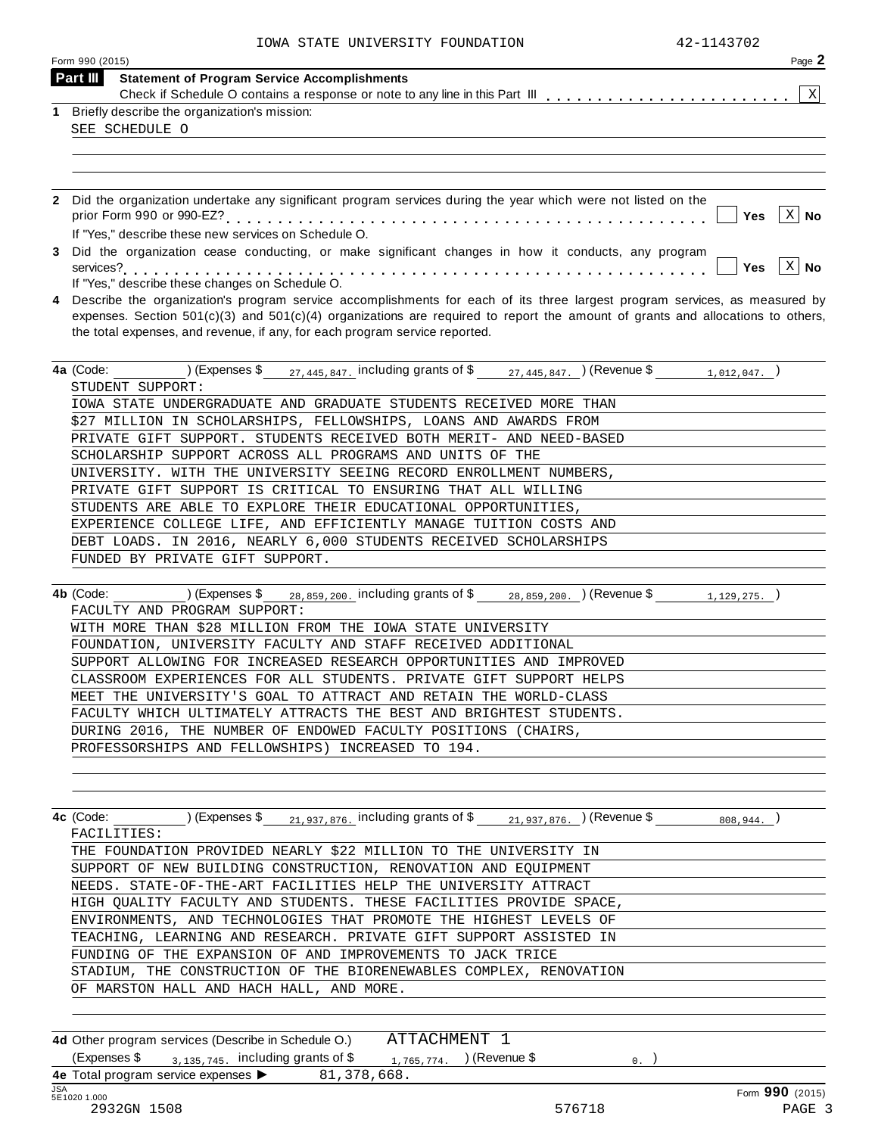|  | IOWA STATE UNIVERSITY FOUNDATION | 42-1143702 |
|--|----------------------------------|------------|

| Part III<br><b>Statement of Program Service Accomplishments</b><br>Briefly describe the organization's mission:<br>1.<br>SEE SCHEDULE O<br>2 Did the organization undertake any significant program services during the year which were not listed on the<br>$X \mid No$<br>Yes<br>If "Yes," describe these new services on Schedule O.<br>Did the organization cease conducting, or make significant changes in how it conducts, any program<br>3<br>$X \mid N$ o<br><b>Yes</b><br>If "Yes," describe these changes on Schedule O. |
|-------------------------------------------------------------------------------------------------------------------------------------------------------------------------------------------------------------------------------------------------------------------------------------------------------------------------------------------------------------------------------------------------------------------------------------------------------------------------------------------------------------------------------------|
|                                                                                                                                                                                                                                                                                                                                                                                                                                                                                                                                     |
|                                                                                                                                                                                                                                                                                                                                                                                                                                                                                                                                     |
|                                                                                                                                                                                                                                                                                                                                                                                                                                                                                                                                     |
|                                                                                                                                                                                                                                                                                                                                                                                                                                                                                                                                     |
|                                                                                                                                                                                                                                                                                                                                                                                                                                                                                                                                     |
|                                                                                                                                                                                                                                                                                                                                                                                                                                                                                                                                     |
|                                                                                                                                                                                                                                                                                                                                                                                                                                                                                                                                     |
|                                                                                                                                                                                                                                                                                                                                                                                                                                                                                                                                     |
|                                                                                                                                                                                                                                                                                                                                                                                                                                                                                                                                     |
|                                                                                                                                                                                                                                                                                                                                                                                                                                                                                                                                     |
|                                                                                                                                                                                                                                                                                                                                                                                                                                                                                                                                     |
|                                                                                                                                                                                                                                                                                                                                                                                                                                                                                                                                     |
| Describe the organization's program service accomplishments for each of its three largest program services, as measured by                                                                                                                                                                                                                                                                                                                                                                                                          |
| expenses. Section $501(c)(3)$ and $501(c)(4)$ organizations are required to report the amount of grants and allocations to others,                                                                                                                                                                                                                                                                                                                                                                                                  |
| the total expenses, and revenue, if any, for each program service reported.                                                                                                                                                                                                                                                                                                                                                                                                                                                         |
|                                                                                                                                                                                                                                                                                                                                                                                                                                                                                                                                     |
| 4a (Code:<br>$_{27,445,847}$ including grants of \$ $_{27,445,847}$ (Revenue \$ $_{1,012,047}$ )<br>) (Expenses \$                                                                                                                                                                                                                                                                                                                                                                                                                  |
| STUDENT SUPPORT:                                                                                                                                                                                                                                                                                                                                                                                                                                                                                                                    |
| IOWA STATE UNDERGRADUATE AND GRADUATE STUDENTS RECEIVED MORE THAN                                                                                                                                                                                                                                                                                                                                                                                                                                                                   |
| \$27 MILLION IN SCHOLARSHIPS, FELLOWSHIPS, LOANS AND AWARDS FROM                                                                                                                                                                                                                                                                                                                                                                                                                                                                    |
| PRIVATE GIFT SUPPORT. STUDENTS RECEIVED BOTH MERIT- AND NEED-BASED                                                                                                                                                                                                                                                                                                                                                                                                                                                                  |
| SCHOLARSHIP SUPPORT ACROSS ALL PROGRAMS AND UNITS OF THE<br>UNIVERSITY. WITH THE UNIVERSITY SEEING RECORD ENROLLMENT NUMBERS,                                                                                                                                                                                                                                                                                                                                                                                                       |
| PRIVATE GIFT SUPPORT IS CRITICAL TO ENSURING THAT ALL WILLING                                                                                                                                                                                                                                                                                                                                                                                                                                                                       |
| STUDENTS ARE ABLE TO EXPLORE THEIR EDUCATIONAL OPPORTUNITIES,                                                                                                                                                                                                                                                                                                                                                                                                                                                                       |
| EXPERIENCE COLLEGE LIFE, AND EFFICIENTLY MANAGE TUITION COSTS AND                                                                                                                                                                                                                                                                                                                                                                                                                                                                   |
| DEBT LOADS. IN 2016, NEARLY 6,000 STUDENTS RECEIVED SCHOLARSHIPS                                                                                                                                                                                                                                                                                                                                                                                                                                                                    |
| FUNDED BY PRIVATE GIFT SUPPORT.                                                                                                                                                                                                                                                                                                                                                                                                                                                                                                     |
|                                                                                                                                                                                                                                                                                                                                                                                                                                                                                                                                     |
| 4b (Code:<br>28,859,200. including grants of \$ $_{28,859,200}$ . (Revenue \$ $_{1,129,275}$ .)<br>) (Expenses \$                                                                                                                                                                                                                                                                                                                                                                                                                   |
| FACULTY AND PROGRAM SUPPORT:                                                                                                                                                                                                                                                                                                                                                                                                                                                                                                        |
| WITH MORE THAN \$28 MILLION FROM THE IOWA STATE UNIVERSITY                                                                                                                                                                                                                                                                                                                                                                                                                                                                          |
| FOUNDATION, UNIVERSITY FACULTY AND STAFF RECEIVED ADDITIONAL                                                                                                                                                                                                                                                                                                                                                                                                                                                                        |
| SUPPORT ALLOWING FOR INCREASED RESEARCH OPPORTUNITIES AND IMPROVED                                                                                                                                                                                                                                                                                                                                                                                                                                                                  |
| CLASSROOM EXPERIENCES FOR ALL STUDENTS. PRIVATE GIFT SUPPORT HELPS                                                                                                                                                                                                                                                                                                                                                                                                                                                                  |
| MEET THE UNIVERSITY'S GOAL TO ATTRACT AND RETAIN THE WORLD-CLASS                                                                                                                                                                                                                                                                                                                                                                                                                                                                    |
| FACULTY WHICH ULTIMATELY ATTRACTS THE BEST AND BRIGHTEST STUDENTS.                                                                                                                                                                                                                                                                                                                                                                                                                                                                  |
| DURING 2016, THE NUMBER OF ENDOWED FACULTY POSITIONS (CHAIRS,                                                                                                                                                                                                                                                                                                                                                                                                                                                                       |
| PROFESSORSHIPS AND FELLOWSHIPS) INCREASED TO 194.                                                                                                                                                                                                                                                                                                                                                                                                                                                                                   |
|                                                                                                                                                                                                                                                                                                                                                                                                                                                                                                                                     |
|                                                                                                                                                                                                                                                                                                                                                                                                                                                                                                                                     |
|                                                                                                                                                                                                                                                                                                                                                                                                                                                                                                                                     |
| 4c (Code: ) (Expenses \$ $_{21,937,876}$ including grants of \$ $_{21,937,876}$ ) (Revenue \$ $_{808,944}$ )<br>FACILITIES:                                                                                                                                                                                                                                                                                                                                                                                                         |
| THE FOUNDATION PROVIDED NEARLY \$22 MILLION TO THE UNIVERSITY IN                                                                                                                                                                                                                                                                                                                                                                                                                                                                    |
| SUPPORT OF NEW BUILDING CONSTRUCTION, RENOVATION AND EQUIPMENT                                                                                                                                                                                                                                                                                                                                                                                                                                                                      |
| NEEDS. STATE-OF-THE-ART FACILITIES HELP THE UNIVERSITY ATTRACT                                                                                                                                                                                                                                                                                                                                                                                                                                                                      |
| HIGH QUALITY FACULTY AND STUDENTS. THESE FACILITIES PROVIDE SPACE,                                                                                                                                                                                                                                                                                                                                                                                                                                                                  |
| ENVIRONMENTS, AND TECHNOLOGIES THAT PROMOTE THE HIGHEST LEVELS OF                                                                                                                                                                                                                                                                                                                                                                                                                                                                   |
| TEACHING, LEARNING AND RESEARCH. PRIVATE GIFT SUPPORT ASSISTED IN                                                                                                                                                                                                                                                                                                                                                                                                                                                                   |
| FUNDING OF THE EXPANSION OF AND IMPROVEMENTS TO JACK TRICE                                                                                                                                                                                                                                                                                                                                                                                                                                                                          |
| STADIUM, THE CONSTRUCTION OF THE BIORENEWABLES COMPLEX, RENOVATION                                                                                                                                                                                                                                                                                                                                                                                                                                                                  |
| OF MARSTON HALL AND HACH HALL, AND MORE.                                                                                                                                                                                                                                                                                                                                                                                                                                                                                            |
|                                                                                                                                                                                                                                                                                                                                                                                                                                                                                                                                     |
|                                                                                                                                                                                                                                                                                                                                                                                                                                                                                                                                     |
| 4d Other program services (Describe in Schedule O.) ATTACHMENT 1                                                                                                                                                                                                                                                                                                                                                                                                                                                                    |
|                                                                                                                                                                                                                                                                                                                                                                                                                                                                                                                                     |
| (Expenses \$ $_{3,135,745}$ including grants of \$ $_{1,765,774}$ ) (Revenue \$<br>$0.$ )<br>4e Total program service expenses > 81, 378, 668.                                                                                                                                                                                                                                                                                                                                                                                      |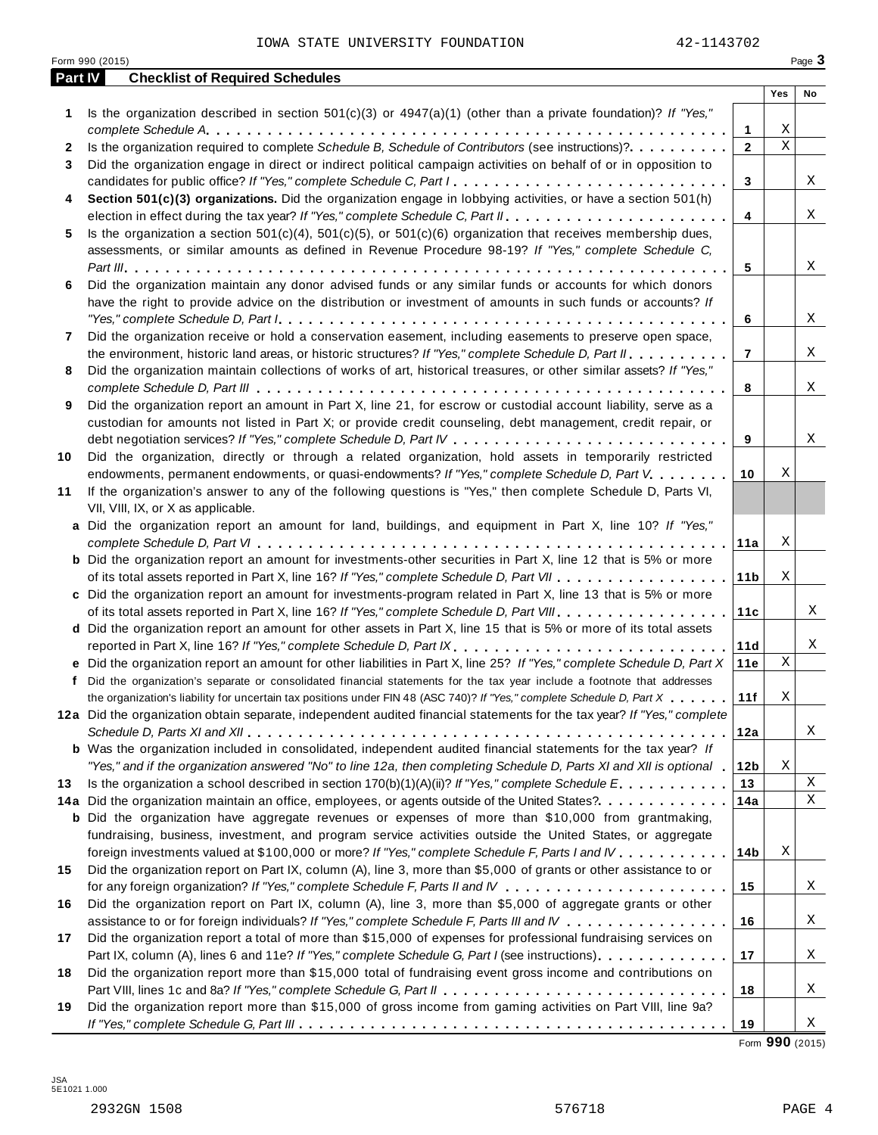| Part IV<br>No<br>Yes<br>Is the organization described in section $501(c)(3)$ or $4947(a)(1)$ (other than a private foundation)? If "Yes,"<br>1<br>Χ<br>1<br>$\mathbf X$<br>Is the organization required to complete Schedule B, Schedule of Contributors (see instructions)?.<br>$\overline{2}$<br>2<br>Did the organization engage in direct or indirect political campaign activities on behalf of or in opposition to<br>3<br>candidates for public office? If "Yes," complete Schedule C, Part I.<br>3<br>Χ<br>Section 501(c)(3) organizations. Did the organization engage in lobbying activities, or have a section 501(h)<br>4<br>X<br>4<br>Is the organization a section $501(c)(4)$ , $501(c)(5)$ , or $501(c)(6)$ organization that receives membership dues,<br>5<br>assessments, or similar amounts as defined in Revenue Procedure 98-19? If "Yes," complete Schedule C,<br>Χ<br>5<br>Did the organization maintain any donor advised funds or any similar funds or accounts for which donors<br>6<br>have the right to provide advice on the distribution or investment of amounts in such funds or accounts? If<br>Χ<br>6<br>Did the organization receive or hold a conservation easement, including easements to preserve open space,<br>7<br>$\overline{7}$<br>the environment, historic land areas, or historic structures? If "Yes," complete Schedule D, Part II.<br>X<br>Did the organization maintain collections of works of art, historical treasures, or other similar assets? If "Yes,"<br>8<br>X<br>8<br>Did the organization report an amount in Part X, line 21, for escrow or custodial account liability, serve as a<br>9<br>custodian for amounts not listed in Part X; or provide credit counseling, debt management, credit repair, or<br>9<br>Χ<br>Did the organization, directly or through a related organization, hold assets in temporarily restricted<br>10<br>Χ<br>endowments, permanent endowments, or quasi-endowments? If "Yes," complete Schedule D, Part V.<br>10<br>If the organization's answer to any of the following questions is "Yes," then complete Schedule D, Parts VI,<br>11<br>VII, VIII, IX, or X as applicable.<br>a Did the organization report an amount for land, buildings, and equipment in Part X, line 10? If "Yes,"<br>X<br><b>b</b> Did the organization report an amount for investments-other securities in Part X, line 12 that is 5% or more<br>Χ<br>11 <sub>b</sub><br>c Did the organization report an amount for investments-program related in Part X, line 13 that is 5% or more<br>of its total assets reported in Part X, line 16? If "Yes," complete Schedule D, Part VIII<br>11c<br>d Did the organization report an amount for other assets in Part X, line 15 that is 5% or more of its total assets<br>reported in Part X, line 16? If "Yes," complete Schedule D, Part IX.<br>11d<br>$\mathbf X$<br>e Did the organization report an amount for other liabilities in Part X, line 25? If "Yes," complete Schedule D, Part X<br>11e<br>f Did the organization's separate or consolidated financial statements for the tax year include a footnote that addresses<br>11f<br>$\mathbf X$<br>the organization's liability for uncertain tax positions under FIN 48 (ASC 740)? If "Yes," complete Schedule D, Part X<br>12a Did the organization obtain separate, independent audited financial statements for the tax year? If "Yes," complete<br>Χ<br>12a<br><b>b</b> Was the organization included in consolidated, independent audited financial statements for the tax year? If<br>X<br>"Yes," and if the organization answered "No" to line 12a, then completing Schedule D, Parts XI and XII is optional 1<br>12 <sub>b</sub><br>Χ<br>Is the organization a school described in section $170(b)(1)(A)(ii)?$ If "Yes," complete Schedule E.<br>13<br>13<br>14a Did the organization maintain an office, employees, or agents outside of the United States?.<br>14a<br><b>b</b> Did the organization have aggregate revenues or expenses of more than \$10,000 from grantmaking,<br>fundraising, business, investment, and program service activities outside the United States, or aggregate<br>X<br>foreign investments valued at \$100,000 or more? If "Yes," complete Schedule F, Parts I and IV<br>14b<br>Did the organization report on Part IX, column (A), line 3, more than \$5,000 of grants or other assistance to or<br>15<br>15<br>Did the organization report on Part IX, column (A), line 3, more than \$5,000 of aggregate grants or other<br>16<br>assistance to or for foreign individuals? If "Yes," complete Schedule F, Parts III and IV<br>16<br>Did the organization report a total of more than \$15,000 of expenses for professional fundraising services on<br>17<br>Part IX, column (A), lines 6 and 11e? If "Yes," complete Schedule G, Part I (see instructions)<br>17<br>Did the organization report more than \$15,000 total of fundraising event gross income and contributions on<br>18<br>18<br>Did the organization report more than \$15,000 of gross income from gaming activities on Part VIII, line 9a?<br>19 | Form 990 (2015)                        |    | Page 3 |
|--------------------------------------------------------------------------------------------------------------------------------------------------------------------------------------------------------------------------------------------------------------------------------------------------------------------------------------------------------------------------------------------------------------------------------------------------------------------------------------------------------------------------------------------------------------------------------------------------------------------------------------------------------------------------------------------------------------------------------------------------------------------------------------------------------------------------------------------------------------------------------------------------------------------------------------------------------------------------------------------------------------------------------------------------------------------------------------------------------------------------------------------------------------------------------------------------------------------------------------------------------------------------------------------------------------------------------------------------------------------------------------------------------------------------------------------------------------------------------------------------------------------------------------------------------------------------------------------------------------------------------------------------------------------------------------------------------------------------------------------------------------------------------------------------------------------------------------------------------------------------------------------------------------------------------------------------------------------------------------------------------------------------------------------------------------------------------------------------------------------------------------------------------------------------------------------------------------------------------------------------------------------------------------------------------------------------------------------------------------------------------------------------------------------------------------------------------------------------------------------------------------------------------------------------------------------------------------------------------------------------------------------------------------------------------------------------------------------------------------------------------------------------------------------------------------------------------------------------------------------------------------------------------------------------------------------------------------------------------------------------------------------------------------------------------------------------------------------------------------------------------------------------------------------------------------------------------------------------------------------------------------------------------------------------------------------------------------------------------------------------------------------------------------------------------------------------------------------------------------------------------------------------------------------------------------------------------------------------------------------------------------------------------------------------------------------------------------------------------------------------------------------------------------------------------------------------------------------------------------------------------------------------------------------------------------------------------------------------------------------------------------------------------------------------------------------------------------------------------------------------------------------------------------------------------------------------------------------------------------------------------------------------------------------------------------------------------------------------------------------------------------------------------------------------------------------------------------------------------------------------------------------------------------------------------------------------------------------------------------------------------------------------------------------------------------------------------------------------------------------------------------------------------------------------------------------------------------------------------------------------------------------------------------------------------------------------------------------------------------------------------------------------------------------------------------------------------------------------------------------------------------------|----------------------------------------|----|--------|
|                                                                                                                                                                                                                                                                                                                                                                                                                                                                                                                                                                                                                                                                                                                                                                                                                                                                                                                                                                                                                                                                                                                                                                                                                                                                                                                                                                                                                                                                                                                                                                                                                                                                                                                                                                                                                                                                                                                                                                                                                                                                                                                                                                                                                                                                                                                                                                                                                                                                                                                                                                                                                                                                                                                                                                                                                                                                                                                                                                                                                                                                                                                                                                                                                                                                                                                                                                                                                                                                                                                                                                                                                                                                                                                                                                                                                                                                                                                                                                                                                                                                                                                                                                                                                                                                                                                                                                                                                                                                                                                                                                                                                                                                                                                                                                                                                                                                                                                                                                                                                                                                                                                                            | <b>Checklist of Required Schedules</b> |    |        |
|                                                                                                                                                                                                                                                                                                                                                                                                                                                                                                                                                                                                                                                                                                                                                                                                                                                                                                                                                                                                                                                                                                                                                                                                                                                                                                                                                                                                                                                                                                                                                                                                                                                                                                                                                                                                                                                                                                                                                                                                                                                                                                                                                                                                                                                                                                                                                                                                                                                                                                                                                                                                                                                                                                                                                                                                                                                                                                                                                                                                                                                                                                                                                                                                                                                                                                                                                                                                                                                                                                                                                                                                                                                                                                                                                                                                                                                                                                                                                                                                                                                                                                                                                                                                                                                                                                                                                                                                                                                                                                                                                                                                                                                                                                                                                                                                                                                                                                                                                                                                                                                                                                                                            |                                        |    |        |
|                                                                                                                                                                                                                                                                                                                                                                                                                                                                                                                                                                                                                                                                                                                                                                                                                                                                                                                                                                                                                                                                                                                                                                                                                                                                                                                                                                                                                                                                                                                                                                                                                                                                                                                                                                                                                                                                                                                                                                                                                                                                                                                                                                                                                                                                                                                                                                                                                                                                                                                                                                                                                                                                                                                                                                                                                                                                                                                                                                                                                                                                                                                                                                                                                                                                                                                                                                                                                                                                                                                                                                                                                                                                                                                                                                                                                                                                                                                                                                                                                                                                                                                                                                                                                                                                                                                                                                                                                                                                                                                                                                                                                                                                                                                                                                                                                                                                                                                                                                                                                                                                                                                                            |                                        |    |        |
|                                                                                                                                                                                                                                                                                                                                                                                                                                                                                                                                                                                                                                                                                                                                                                                                                                                                                                                                                                                                                                                                                                                                                                                                                                                                                                                                                                                                                                                                                                                                                                                                                                                                                                                                                                                                                                                                                                                                                                                                                                                                                                                                                                                                                                                                                                                                                                                                                                                                                                                                                                                                                                                                                                                                                                                                                                                                                                                                                                                                                                                                                                                                                                                                                                                                                                                                                                                                                                                                                                                                                                                                                                                                                                                                                                                                                                                                                                                                                                                                                                                                                                                                                                                                                                                                                                                                                                                                                                                                                                                                                                                                                                                                                                                                                                                                                                                                                                                                                                                                                                                                                                                                            |                                        |    |        |
|                                                                                                                                                                                                                                                                                                                                                                                                                                                                                                                                                                                                                                                                                                                                                                                                                                                                                                                                                                                                                                                                                                                                                                                                                                                                                                                                                                                                                                                                                                                                                                                                                                                                                                                                                                                                                                                                                                                                                                                                                                                                                                                                                                                                                                                                                                                                                                                                                                                                                                                                                                                                                                                                                                                                                                                                                                                                                                                                                                                                                                                                                                                                                                                                                                                                                                                                                                                                                                                                                                                                                                                                                                                                                                                                                                                                                                                                                                                                                                                                                                                                                                                                                                                                                                                                                                                                                                                                                                                                                                                                                                                                                                                                                                                                                                                                                                                                                                                                                                                                                                                                                                                                            |                                        |    |        |
|                                                                                                                                                                                                                                                                                                                                                                                                                                                                                                                                                                                                                                                                                                                                                                                                                                                                                                                                                                                                                                                                                                                                                                                                                                                                                                                                                                                                                                                                                                                                                                                                                                                                                                                                                                                                                                                                                                                                                                                                                                                                                                                                                                                                                                                                                                                                                                                                                                                                                                                                                                                                                                                                                                                                                                                                                                                                                                                                                                                                                                                                                                                                                                                                                                                                                                                                                                                                                                                                                                                                                                                                                                                                                                                                                                                                                                                                                                                                                                                                                                                                                                                                                                                                                                                                                                                                                                                                                                                                                                                                                                                                                                                                                                                                                                                                                                                                                                                                                                                                                                                                                                                                            |                                        |    |        |
|                                                                                                                                                                                                                                                                                                                                                                                                                                                                                                                                                                                                                                                                                                                                                                                                                                                                                                                                                                                                                                                                                                                                                                                                                                                                                                                                                                                                                                                                                                                                                                                                                                                                                                                                                                                                                                                                                                                                                                                                                                                                                                                                                                                                                                                                                                                                                                                                                                                                                                                                                                                                                                                                                                                                                                                                                                                                                                                                                                                                                                                                                                                                                                                                                                                                                                                                                                                                                                                                                                                                                                                                                                                                                                                                                                                                                                                                                                                                                                                                                                                                                                                                                                                                                                                                                                                                                                                                                                                                                                                                                                                                                                                                                                                                                                                                                                                                                                                                                                                                                                                                                                                                            |                                        |    |        |
|                                                                                                                                                                                                                                                                                                                                                                                                                                                                                                                                                                                                                                                                                                                                                                                                                                                                                                                                                                                                                                                                                                                                                                                                                                                                                                                                                                                                                                                                                                                                                                                                                                                                                                                                                                                                                                                                                                                                                                                                                                                                                                                                                                                                                                                                                                                                                                                                                                                                                                                                                                                                                                                                                                                                                                                                                                                                                                                                                                                                                                                                                                                                                                                                                                                                                                                                                                                                                                                                                                                                                                                                                                                                                                                                                                                                                                                                                                                                                                                                                                                                                                                                                                                                                                                                                                                                                                                                                                                                                                                                                                                                                                                                                                                                                                                                                                                                                                                                                                                                                                                                                                                                            |                                        |    |        |
|                                                                                                                                                                                                                                                                                                                                                                                                                                                                                                                                                                                                                                                                                                                                                                                                                                                                                                                                                                                                                                                                                                                                                                                                                                                                                                                                                                                                                                                                                                                                                                                                                                                                                                                                                                                                                                                                                                                                                                                                                                                                                                                                                                                                                                                                                                                                                                                                                                                                                                                                                                                                                                                                                                                                                                                                                                                                                                                                                                                                                                                                                                                                                                                                                                                                                                                                                                                                                                                                                                                                                                                                                                                                                                                                                                                                                                                                                                                                                                                                                                                                                                                                                                                                                                                                                                                                                                                                                                                                                                                                                                                                                                                                                                                                                                                                                                                                                                                                                                                                                                                                                                                                            |                                        |    |        |
|                                                                                                                                                                                                                                                                                                                                                                                                                                                                                                                                                                                                                                                                                                                                                                                                                                                                                                                                                                                                                                                                                                                                                                                                                                                                                                                                                                                                                                                                                                                                                                                                                                                                                                                                                                                                                                                                                                                                                                                                                                                                                                                                                                                                                                                                                                                                                                                                                                                                                                                                                                                                                                                                                                                                                                                                                                                                                                                                                                                                                                                                                                                                                                                                                                                                                                                                                                                                                                                                                                                                                                                                                                                                                                                                                                                                                                                                                                                                                                                                                                                                                                                                                                                                                                                                                                                                                                                                                                                                                                                                                                                                                                                                                                                                                                                                                                                                                                                                                                                                                                                                                                                                            |                                        |    |        |
|                                                                                                                                                                                                                                                                                                                                                                                                                                                                                                                                                                                                                                                                                                                                                                                                                                                                                                                                                                                                                                                                                                                                                                                                                                                                                                                                                                                                                                                                                                                                                                                                                                                                                                                                                                                                                                                                                                                                                                                                                                                                                                                                                                                                                                                                                                                                                                                                                                                                                                                                                                                                                                                                                                                                                                                                                                                                                                                                                                                                                                                                                                                                                                                                                                                                                                                                                                                                                                                                                                                                                                                                                                                                                                                                                                                                                                                                                                                                                                                                                                                                                                                                                                                                                                                                                                                                                                                                                                                                                                                                                                                                                                                                                                                                                                                                                                                                                                                                                                                                                                                                                                                                            |                                        |    |        |
|                                                                                                                                                                                                                                                                                                                                                                                                                                                                                                                                                                                                                                                                                                                                                                                                                                                                                                                                                                                                                                                                                                                                                                                                                                                                                                                                                                                                                                                                                                                                                                                                                                                                                                                                                                                                                                                                                                                                                                                                                                                                                                                                                                                                                                                                                                                                                                                                                                                                                                                                                                                                                                                                                                                                                                                                                                                                                                                                                                                                                                                                                                                                                                                                                                                                                                                                                                                                                                                                                                                                                                                                                                                                                                                                                                                                                                                                                                                                                                                                                                                                                                                                                                                                                                                                                                                                                                                                                                                                                                                                                                                                                                                                                                                                                                                                                                                                                                                                                                                                                                                                                                                                            |                                        |    |        |
|                                                                                                                                                                                                                                                                                                                                                                                                                                                                                                                                                                                                                                                                                                                                                                                                                                                                                                                                                                                                                                                                                                                                                                                                                                                                                                                                                                                                                                                                                                                                                                                                                                                                                                                                                                                                                                                                                                                                                                                                                                                                                                                                                                                                                                                                                                                                                                                                                                                                                                                                                                                                                                                                                                                                                                                                                                                                                                                                                                                                                                                                                                                                                                                                                                                                                                                                                                                                                                                                                                                                                                                                                                                                                                                                                                                                                                                                                                                                                                                                                                                                                                                                                                                                                                                                                                                                                                                                                                                                                                                                                                                                                                                                                                                                                                                                                                                                                                                                                                                                                                                                                                                                            |                                        |    |        |
|                                                                                                                                                                                                                                                                                                                                                                                                                                                                                                                                                                                                                                                                                                                                                                                                                                                                                                                                                                                                                                                                                                                                                                                                                                                                                                                                                                                                                                                                                                                                                                                                                                                                                                                                                                                                                                                                                                                                                                                                                                                                                                                                                                                                                                                                                                                                                                                                                                                                                                                                                                                                                                                                                                                                                                                                                                                                                                                                                                                                                                                                                                                                                                                                                                                                                                                                                                                                                                                                                                                                                                                                                                                                                                                                                                                                                                                                                                                                                                                                                                                                                                                                                                                                                                                                                                                                                                                                                                                                                                                                                                                                                                                                                                                                                                                                                                                                                                                                                                                                                                                                                                                                            |                                        |    |        |
|                                                                                                                                                                                                                                                                                                                                                                                                                                                                                                                                                                                                                                                                                                                                                                                                                                                                                                                                                                                                                                                                                                                                                                                                                                                                                                                                                                                                                                                                                                                                                                                                                                                                                                                                                                                                                                                                                                                                                                                                                                                                                                                                                                                                                                                                                                                                                                                                                                                                                                                                                                                                                                                                                                                                                                                                                                                                                                                                                                                                                                                                                                                                                                                                                                                                                                                                                                                                                                                                                                                                                                                                                                                                                                                                                                                                                                                                                                                                                                                                                                                                                                                                                                                                                                                                                                                                                                                                                                                                                                                                                                                                                                                                                                                                                                                                                                                                                                                                                                                                                                                                                                                                            |                                        |    |        |
|                                                                                                                                                                                                                                                                                                                                                                                                                                                                                                                                                                                                                                                                                                                                                                                                                                                                                                                                                                                                                                                                                                                                                                                                                                                                                                                                                                                                                                                                                                                                                                                                                                                                                                                                                                                                                                                                                                                                                                                                                                                                                                                                                                                                                                                                                                                                                                                                                                                                                                                                                                                                                                                                                                                                                                                                                                                                                                                                                                                                                                                                                                                                                                                                                                                                                                                                                                                                                                                                                                                                                                                                                                                                                                                                                                                                                                                                                                                                                                                                                                                                                                                                                                                                                                                                                                                                                                                                                                                                                                                                                                                                                                                                                                                                                                                                                                                                                                                                                                                                                                                                                                                                            |                                        |    |        |
|                                                                                                                                                                                                                                                                                                                                                                                                                                                                                                                                                                                                                                                                                                                                                                                                                                                                                                                                                                                                                                                                                                                                                                                                                                                                                                                                                                                                                                                                                                                                                                                                                                                                                                                                                                                                                                                                                                                                                                                                                                                                                                                                                                                                                                                                                                                                                                                                                                                                                                                                                                                                                                                                                                                                                                                                                                                                                                                                                                                                                                                                                                                                                                                                                                                                                                                                                                                                                                                                                                                                                                                                                                                                                                                                                                                                                                                                                                                                                                                                                                                                                                                                                                                                                                                                                                                                                                                                                                                                                                                                                                                                                                                                                                                                                                                                                                                                                                                                                                                                                                                                                                                                            |                                        |    |        |
|                                                                                                                                                                                                                                                                                                                                                                                                                                                                                                                                                                                                                                                                                                                                                                                                                                                                                                                                                                                                                                                                                                                                                                                                                                                                                                                                                                                                                                                                                                                                                                                                                                                                                                                                                                                                                                                                                                                                                                                                                                                                                                                                                                                                                                                                                                                                                                                                                                                                                                                                                                                                                                                                                                                                                                                                                                                                                                                                                                                                                                                                                                                                                                                                                                                                                                                                                                                                                                                                                                                                                                                                                                                                                                                                                                                                                                                                                                                                                                                                                                                                                                                                                                                                                                                                                                                                                                                                                                                                                                                                                                                                                                                                                                                                                                                                                                                                                                                                                                                                                                                                                                                                            |                                        |    |        |
|                                                                                                                                                                                                                                                                                                                                                                                                                                                                                                                                                                                                                                                                                                                                                                                                                                                                                                                                                                                                                                                                                                                                                                                                                                                                                                                                                                                                                                                                                                                                                                                                                                                                                                                                                                                                                                                                                                                                                                                                                                                                                                                                                                                                                                                                                                                                                                                                                                                                                                                                                                                                                                                                                                                                                                                                                                                                                                                                                                                                                                                                                                                                                                                                                                                                                                                                                                                                                                                                                                                                                                                                                                                                                                                                                                                                                                                                                                                                                                                                                                                                                                                                                                                                                                                                                                                                                                                                                                                                                                                                                                                                                                                                                                                                                                                                                                                                                                                                                                                                                                                                                                                                            |                                        |    |        |
|                                                                                                                                                                                                                                                                                                                                                                                                                                                                                                                                                                                                                                                                                                                                                                                                                                                                                                                                                                                                                                                                                                                                                                                                                                                                                                                                                                                                                                                                                                                                                                                                                                                                                                                                                                                                                                                                                                                                                                                                                                                                                                                                                                                                                                                                                                                                                                                                                                                                                                                                                                                                                                                                                                                                                                                                                                                                                                                                                                                                                                                                                                                                                                                                                                                                                                                                                                                                                                                                                                                                                                                                                                                                                                                                                                                                                                                                                                                                                                                                                                                                                                                                                                                                                                                                                                                                                                                                                                                                                                                                                                                                                                                                                                                                                                                                                                                                                                                                                                                                                                                                                                                                            |                                        |    |        |
|                                                                                                                                                                                                                                                                                                                                                                                                                                                                                                                                                                                                                                                                                                                                                                                                                                                                                                                                                                                                                                                                                                                                                                                                                                                                                                                                                                                                                                                                                                                                                                                                                                                                                                                                                                                                                                                                                                                                                                                                                                                                                                                                                                                                                                                                                                                                                                                                                                                                                                                                                                                                                                                                                                                                                                                                                                                                                                                                                                                                                                                                                                                                                                                                                                                                                                                                                                                                                                                                                                                                                                                                                                                                                                                                                                                                                                                                                                                                                                                                                                                                                                                                                                                                                                                                                                                                                                                                                                                                                                                                                                                                                                                                                                                                                                                                                                                                                                                                                                                                                                                                                                                                            |                                        |    |        |
|                                                                                                                                                                                                                                                                                                                                                                                                                                                                                                                                                                                                                                                                                                                                                                                                                                                                                                                                                                                                                                                                                                                                                                                                                                                                                                                                                                                                                                                                                                                                                                                                                                                                                                                                                                                                                                                                                                                                                                                                                                                                                                                                                                                                                                                                                                                                                                                                                                                                                                                                                                                                                                                                                                                                                                                                                                                                                                                                                                                                                                                                                                                                                                                                                                                                                                                                                                                                                                                                                                                                                                                                                                                                                                                                                                                                                                                                                                                                                                                                                                                                                                                                                                                                                                                                                                                                                                                                                                                                                                                                                                                                                                                                                                                                                                                                                                                                                                                                                                                                                                                                                                                                            |                                        |    |        |
|                                                                                                                                                                                                                                                                                                                                                                                                                                                                                                                                                                                                                                                                                                                                                                                                                                                                                                                                                                                                                                                                                                                                                                                                                                                                                                                                                                                                                                                                                                                                                                                                                                                                                                                                                                                                                                                                                                                                                                                                                                                                                                                                                                                                                                                                                                                                                                                                                                                                                                                                                                                                                                                                                                                                                                                                                                                                                                                                                                                                                                                                                                                                                                                                                                                                                                                                                                                                                                                                                                                                                                                                                                                                                                                                                                                                                                                                                                                                                                                                                                                                                                                                                                                                                                                                                                                                                                                                                                                                                                                                                                                                                                                                                                                                                                                                                                                                                                                                                                                                                                                                                                                                            |                                        |    |        |
|                                                                                                                                                                                                                                                                                                                                                                                                                                                                                                                                                                                                                                                                                                                                                                                                                                                                                                                                                                                                                                                                                                                                                                                                                                                                                                                                                                                                                                                                                                                                                                                                                                                                                                                                                                                                                                                                                                                                                                                                                                                                                                                                                                                                                                                                                                                                                                                                                                                                                                                                                                                                                                                                                                                                                                                                                                                                                                                                                                                                                                                                                                                                                                                                                                                                                                                                                                                                                                                                                                                                                                                                                                                                                                                                                                                                                                                                                                                                                                                                                                                                                                                                                                                                                                                                                                                                                                                                                                                                                                                                                                                                                                                                                                                                                                                                                                                                                                                                                                                                                                                                                                                                            |                                        |    |        |
|                                                                                                                                                                                                                                                                                                                                                                                                                                                                                                                                                                                                                                                                                                                                                                                                                                                                                                                                                                                                                                                                                                                                                                                                                                                                                                                                                                                                                                                                                                                                                                                                                                                                                                                                                                                                                                                                                                                                                                                                                                                                                                                                                                                                                                                                                                                                                                                                                                                                                                                                                                                                                                                                                                                                                                                                                                                                                                                                                                                                                                                                                                                                                                                                                                                                                                                                                                                                                                                                                                                                                                                                                                                                                                                                                                                                                                                                                                                                                                                                                                                                                                                                                                                                                                                                                                                                                                                                                                                                                                                                                                                                                                                                                                                                                                                                                                                                                                                                                                                                                                                                                                                                            |                                        |    |        |
|                                                                                                                                                                                                                                                                                                                                                                                                                                                                                                                                                                                                                                                                                                                                                                                                                                                                                                                                                                                                                                                                                                                                                                                                                                                                                                                                                                                                                                                                                                                                                                                                                                                                                                                                                                                                                                                                                                                                                                                                                                                                                                                                                                                                                                                                                                                                                                                                                                                                                                                                                                                                                                                                                                                                                                                                                                                                                                                                                                                                                                                                                                                                                                                                                                                                                                                                                                                                                                                                                                                                                                                                                                                                                                                                                                                                                                                                                                                                                                                                                                                                                                                                                                                                                                                                                                                                                                                                                                                                                                                                                                                                                                                                                                                                                                                                                                                                                                                                                                                                                                                                                                                                            |                                        |    |        |
|                                                                                                                                                                                                                                                                                                                                                                                                                                                                                                                                                                                                                                                                                                                                                                                                                                                                                                                                                                                                                                                                                                                                                                                                                                                                                                                                                                                                                                                                                                                                                                                                                                                                                                                                                                                                                                                                                                                                                                                                                                                                                                                                                                                                                                                                                                                                                                                                                                                                                                                                                                                                                                                                                                                                                                                                                                                                                                                                                                                                                                                                                                                                                                                                                                                                                                                                                                                                                                                                                                                                                                                                                                                                                                                                                                                                                                                                                                                                                                                                                                                                                                                                                                                                                                                                                                                                                                                                                                                                                                                                                                                                                                                                                                                                                                                                                                                                                                                                                                                                                                                                                                                                            |                                        |    |        |
|                                                                                                                                                                                                                                                                                                                                                                                                                                                                                                                                                                                                                                                                                                                                                                                                                                                                                                                                                                                                                                                                                                                                                                                                                                                                                                                                                                                                                                                                                                                                                                                                                                                                                                                                                                                                                                                                                                                                                                                                                                                                                                                                                                                                                                                                                                                                                                                                                                                                                                                                                                                                                                                                                                                                                                                                                                                                                                                                                                                                                                                                                                                                                                                                                                                                                                                                                                                                                                                                                                                                                                                                                                                                                                                                                                                                                                                                                                                                                                                                                                                                                                                                                                                                                                                                                                                                                                                                                                                                                                                                                                                                                                                                                                                                                                                                                                                                                                                                                                                                                                                                                                                                            |                                        |    |        |
|                                                                                                                                                                                                                                                                                                                                                                                                                                                                                                                                                                                                                                                                                                                                                                                                                                                                                                                                                                                                                                                                                                                                                                                                                                                                                                                                                                                                                                                                                                                                                                                                                                                                                                                                                                                                                                                                                                                                                                                                                                                                                                                                                                                                                                                                                                                                                                                                                                                                                                                                                                                                                                                                                                                                                                                                                                                                                                                                                                                                                                                                                                                                                                                                                                                                                                                                                                                                                                                                                                                                                                                                                                                                                                                                                                                                                                                                                                                                                                                                                                                                                                                                                                                                                                                                                                                                                                                                                                                                                                                                                                                                                                                                                                                                                                                                                                                                                                                                                                                                                                                                                                                                            |                                        |    |        |
|                                                                                                                                                                                                                                                                                                                                                                                                                                                                                                                                                                                                                                                                                                                                                                                                                                                                                                                                                                                                                                                                                                                                                                                                                                                                                                                                                                                                                                                                                                                                                                                                                                                                                                                                                                                                                                                                                                                                                                                                                                                                                                                                                                                                                                                                                                                                                                                                                                                                                                                                                                                                                                                                                                                                                                                                                                                                                                                                                                                                                                                                                                                                                                                                                                                                                                                                                                                                                                                                                                                                                                                                                                                                                                                                                                                                                                                                                                                                                                                                                                                                                                                                                                                                                                                                                                                                                                                                                                                                                                                                                                                                                                                                                                                                                                                                                                                                                                                                                                                                                                                                                                                                            |                                        |    |        |
|                                                                                                                                                                                                                                                                                                                                                                                                                                                                                                                                                                                                                                                                                                                                                                                                                                                                                                                                                                                                                                                                                                                                                                                                                                                                                                                                                                                                                                                                                                                                                                                                                                                                                                                                                                                                                                                                                                                                                                                                                                                                                                                                                                                                                                                                                                                                                                                                                                                                                                                                                                                                                                                                                                                                                                                                                                                                                                                                                                                                                                                                                                                                                                                                                                                                                                                                                                                                                                                                                                                                                                                                                                                                                                                                                                                                                                                                                                                                                                                                                                                                                                                                                                                                                                                                                                                                                                                                                                                                                                                                                                                                                                                                                                                                                                                                                                                                                                                                                                                                                                                                                                                                            |                                        |    | X      |
|                                                                                                                                                                                                                                                                                                                                                                                                                                                                                                                                                                                                                                                                                                                                                                                                                                                                                                                                                                                                                                                                                                                                                                                                                                                                                                                                                                                                                                                                                                                                                                                                                                                                                                                                                                                                                                                                                                                                                                                                                                                                                                                                                                                                                                                                                                                                                                                                                                                                                                                                                                                                                                                                                                                                                                                                                                                                                                                                                                                                                                                                                                                                                                                                                                                                                                                                                                                                                                                                                                                                                                                                                                                                                                                                                                                                                                                                                                                                                                                                                                                                                                                                                                                                                                                                                                                                                                                                                                                                                                                                                                                                                                                                                                                                                                                                                                                                                                                                                                                                                                                                                                                                            |                                        |    |        |
|                                                                                                                                                                                                                                                                                                                                                                                                                                                                                                                                                                                                                                                                                                                                                                                                                                                                                                                                                                                                                                                                                                                                                                                                                                                                                                                                                                                                                                                                                                                                                                                                                                                                                                                                                                                                                                                                                                                                                                                                                                                                                                                                                                                                                                                                                                                                                                                                                                                                                                                                                                                                                                                                                                                                                                                                                                                                                                                                                                                                                                                                                                                                                                                                                                                                                                                                                                                                                                                                                                                                                                                                                                                                                                                                                                                                                                                                                                                                                                                                                                                                                                                                                                                                                                                                                                                                                                                                                                                                                                                                                                                                                                                                                                                                                                                                                                                                                                                                                                                                                                                                                                                                            |                                        |    | X      |
|                                                                                                                                                                                                                                                                                                                                                                                                                                                                                                                                                                                                                                                                                                                                                                                                                                                                                                                                                                                                                                                                                                                                                                                                                                                                                                                                                                                                                                                                                                                                                                                                                                                                                                                                                                                                                                                                                                                                                                                                                                                                                                                                                                                                                                                                                                                                                                                                                                                                                                                                                                                                                                                                                                                                                                                                                                                                                                                                                                                                                                                                                                                                                                                                                                                                                                                                                                                                                                                                                                                                                                                                                                                                                                                                                                                                                                                                                                                                                                                                                                                                                                                                                                                                                                                                                                                                                                                                                                                                                                                                                                                                                                                                                                                                                                                                                                                                                                                                                                                                                                                                                                                                            |                                        |    |        |
|                                                                                                                                                                                                                                                                                                                                                                                                                                                                                                                                                                                                                                                                                                                                                                                                                                                                                                                                                                                                                                                                                                                                                                                                                                                                                                                                                                                                                                                                                                                                                                                                                                                                                                                                                                                                                                                                                                                                                                                                                                                                                                                                                                                                                                                                                                                                                                                                                                                                                                                                                                                                                                                                                                                                                                                                                                                                                                                                                                                                                                                                                                                                                                                                                                                                                                                                                                                                                                                                                                                                                                                                                                                                                                                                                                                                                                                                                                                                                                                                                                                                                                                                                                                                                                                                                                                                                                                                                                                                                                                                                                                                                                                                                                                                                                                                                                                                                                                                                                                                                                                                                                                                            |                                        |    |        |
|                                                                                                                                                                                                                                                                                                                                                                                                                                                                                                                                                                                                                                                                                                                                                                                                                                                                                                                                                                                                                                                                                                                                                                                                                                                                                                                                                                                                                                                                                                                                                                                                                                                                                                                                                                                                                                                                                                                                                                                                                                                                                                                                                                                                                                                                                                                                                                                                                                                                                                                                                                                                                                                                                                                                                                                                                                                                                                                                                                                                                                                                                                                                                                                                                                                                                                                                                                                                                                                                                                                                                                                                                                                                                                                                                                                                                                                                                                                                                                                                                                                                                                                                                                                                                                                                                                                                                                                                                                                                                                                                                                                                                                                                                                                                                                                                                                                                                                                                                                                                                                                                                                                                            |                                        |    |        |
|                                                                                                                                                                                                                                                                                                                                                                                                                                                                                                                                                                                                                                                                                                                                                                                                                                                                                                                                                                                                                                                                                                                                                                                                                                                                                                                                                                                                                                                                                                                                                                                                                                                                                                                                                                                                                                                                                                                                                                                                                                                                                                                                                                                                                                                                                                                                                                                                                                                                                                                                                                                                                                                                                                                                                                                                                                                                                                                                                                                                                                                                                                                                                                                                                                                                                                                                                                                                                                                                                                                                                                                                                                                                                                                                                                                                                                                                                                                                                                                                                                                                                                                                                                                                                                                                                                                                                                                                                                                                                                                                                                                                                                                                                                                                                                                                                                                                                                                                                                                                                                                                                                                                            |                                        |    |        |
|                                                                                                                                                                                                                                                                                                                                                                                                                                                                                                                                                                                                                                                                                                                                                                                                                                                                                                                                                                                                                                                                                                                                                                                                                                                                                                                                                                                                                                                                                                                                                                                                                                                                                                                                                                                                                                                                                                                                                                                                                                                                                                                                                                                                                                                                                                                                                                                                                                                                                                                                                                                                                                                                                                                                                                                                                                                                                                                                                                                                                                                                                                                                                                                                                                                                                                                                                                                                                                                                                                                                                                                                                                                                                                                                                                                                                                                                                                                                                                                                                                                                                                                                                                                                                                                                                                                                                                                                                                                                                                                                                                                                                                                                                                                                                                                                                                                                                                                                                                                                                                                                                                                                            |                                        |    |        |
|                                                                                                                                                                                                                                                                                                                                                                                                                                                                                                                                                                                                                                                                                                                                                                                                                                                                                                                                                                                                                                                                                                                                                                                                                                                                                                                                                                                                                                                                                                                                                                                                                                                                                                                                                                                                                                                                                                                                                                                                                                                                                                                                                                                                                                                                                                                                                                                                                                                                                                                                                                                                                                                                                                                                                                                                                                                                                                                                                                                                                                                                                                                                                                                                                                                                                                                                                                                                                                                                                                                                                                                                                                                                                                                                                                                                                                                                                                                                                                                                                                                                                                                                                                                                                                                                                                                                                                                                                                                                                                                                                                                                                                                                                                                                                                                                                                                                                                                                                                                                                                                                                                                                            |                                        |    |        |
|                                                                                                                                                                                                                                                                                                                                                                                                                                                                                                                                                                                                                                                                                                                                                                                                                                                                                                                                                                                                                                                                                                                                                                                                                                                                                                                                                                                                                                                                                                                                                                                                                                                                                                                                                                                                                                                                                                                                                                                                                                                                                                                                                                                                                                                                                                                                                                                                                                                                                                                                                                                                                                                                                                                                                                                                                                                                                                                                                                                                                                                                                                                                                                                                                                                                                                                                                                                                                                                                                                                                                                                                                                                                                                                                                                                                                                                                                                                                                                                                                                                                                                                                                                                                                                                                                                                                                                                                                                                                                                                                                                                                                                                                                                                                                                                                                                                                                                                                                                                                                                                                                                                                            |                                        |    |        |
|                                                                                                                                                                                                                                                                                                                                                                                                                                                                                                                                                                                                                                                                                                                                                                                                                                                                                                                                                                                                                                                                                                                                                                                                                                                                                                                                                                                                                                                                                                                                                                                                                                                                                                                                                                                                                                                                                                                                                                                                                                                                                                                                                                                                                                                                                                                                                                                                                                                                                                                                                                                                                                                                                                                                                                                                                                                                                                                                                                                                                                                                                                                                                                                                                                                                                                                                                                                                                                                                                                                                                                                                                                                                                                                                                                                                                                                                                                                                                                                                                                                                                                                                                                                                                                                                                                                                                                                                                                                                                                                                                                                                                                                                                                                                                                                                                                                                                                                                                                                                                                                                                                                                            |                                        |    |        |
|                                                                                                                                                                                                                                                                                                                                                                                                                                                                                                                                                                                                                                                                                                                                                                                                                                                                                                                                                                                                                                                                                                                                                                                                                                                                                                                                                                                                                                                                                                                                                                                                                                                                                                                                                                                                                                                                                                                                                                                                                                                                                                                                                                                                                                                                                                                                                                                                                                                                                                                                                                                                                                                                                                                                                                                                                                                                                                                                                                                                                                                                                                                                                                                                                                                                                                                                                                                                                                                                                                                                                                                                                                                                                                                                                                                                                                                                                                                                                                                                                                                                                                                                                                                                                                                                                                                                                                                                                                                                                                                                                                                                                                                                                                                                                                                                                                                                                                                                                                                                                                                                                                                                            |                                        |    | Χ      |
|                                                                                                                                                                                                                                                                                                                                                                                                                                                                                                                                                                                                                                                                                                                                                                                                                                                                                                                                                                                                                                                                                                                                                                                                                                                                                                                                                                                                                                                                                                                                                                                                                                                                                                                                                                                                                                                                                                                                                                                                                                                                                                                                                                                                                                                                                                                                                                                                                                                                                                                                                                                                                                                                                                                                                                                                                                                                                                                                                                                                                                                                                                                                                                                                                                                                                                                                                                                                                                                                                                                                                                                                                                                                                                                                                                                                                                                                                                                                                                                                                                                                                                                                                                                                                                                                                                                                                                                                                                                                                                                                                                                                                                                                                                                                                                                                                                                                                                                                                                                                                                                                                                                                            |                                        |    |        |
|                                                                                                                                                                                                                                                                                                                                                                                                                                                                                                                                                                                                                                                                                                                                                                                                                                                                                                                                                                                                                                                                                                                                                                                                                                                                                                                                                                                                                                                                                                                                                                                                                                                                                                                                                                                                                                                                                                                                                                                                                                                                                                                                                                                                                                                                                                                                                                                                                                                                                                                                                                                                                                                                                                                                                                                                                                                                                                                                                                                                                                                                                                                                                                                                                                                                                                                                                                                                                                                                                                                                                                                                                                                                                                                                                                                                                                                                                                                                                                                                                                                                                                                                                                                                                                                                                                                                                                                                                                                                                                                                                                                                                                                                                                                                                                                                                                                                                                                                                                                                                                                                                                                                            |                                        |    |        |
|                                                                                                                                                                                                                                                                                                                                                                                                                                                                                                                                                                                                                                                                                                                                                                                                                                                                                                                                                                                                                                                                                                                                                                                                                                                                                                                                                                                                                                                                                                                                                                                                                                                                                                                                                                                                                                                                                                                                                                                                                                                                                                                                                                                                                                                                                                                                                                                                                                                                                                                                                                                                                                                                                                                                                                                                                                                                                                                                                                                                                                                                                                                                                                                                                                                                                                                                                                                                                                                                                                                                                                                                                                                                                                                                                                                                                                                                                                                                                                                                                                                                                                                                                                                                                                                                                                                                                                                                                                                                                                                                                                                                                                                                                                                                                                                                                                                                                                                                                                                                                                                                                                                                            |                                        |    |        |
|                                                                                                                                                                                                                                                                                                                                                                                                                                                                                                                                                                                                                                                                                                                                                                                                                                                                                                                                                                                                                                                                                                                                                                                                                                                                                                                                                                                                                                                                                                                                                                                                                                                                                                                                                                                                                                                                                                                                                                                                                                                                                                                                                                                                                                                                                                                                                                                                                                                                                                                                                                                                                                                                                                                                                                                                                                                                                                                                                                                                                                                                                                                                                                                                                                                                                                                                                                                                                                                                                                                                                                                                                                                                                                                                                                                                                                                                                                                                                                                                                                                                                                                                                                                                                                                                                                                                                                                                                                                                                                                                                                                                                                                                                                                                                                                                                                                                                                                                                                                                                                                                                                                                            |                                        |    |        |
|                                                                                                                                                                                                                                                                                                                                                                                                                                                                                                                                                                                                                                                                                                                                                                                                                                                                                                                                                                                                                                                                                                                                                                                                                                                                                                                                                                                                                                                                                                                                                                                                                                                                                                                                                                                                                                                                                                                                                                                                                                                                                                                                                                                                                                                                                                                                                                                                                                                                                                                                                                                                                                                                                                                                                                                                                                                                                                                                                                                                                                                                                                                                                                                                                                                                                                                                                                                                                                                                                                                                                                                                                                                                                                                                                                                                                                                                                                                                                                                                                                                                                                                                                                                                                                                                                                                                                                                                                                                                                                                                                                                                                                                                                                                                                                                                                                                                                                                                                                                                                                                                                                                                            |                                        |    | Χ      |
|                                                                                                                                                                                                                                                                                                                                                                                                                                                                                                                                                                                                                                                                                                                                                                                                                                                                                                                                                                                                                                                                                                                                                                                                                                                                                                                                                                                                                                                                                                                                                                                                                                                                                                                                                                                                                                                                                                                                                                                                                                                                                                                                                                                                                                                                                                                                                                                                                                                                                                                                                                                                                                                                                                                                                                                                                                                                                                                                                                                                                                                                                                                                                                                                                                                                                                                                                                                                                                                                                                                                                                                                                                                                                                                                                                                                                                                                                                                                                                                                                                                                                                                                                                                                                                                                                                                                                                                                                                                                                                                                                                                                                                                                                                                                                                                                                                                                                                                                                                                                                                                                                                                                            |                                        |    |        |
|                                                                                                                                                                                                                                                                                                                                                                                                                                                                                                                                                                                                                                                                                                                                                                                                                                                                                                                                                                                                                                                                                                                                                                                                                                                                                                                                                                                                                                                                                                                                                                                                                                                                                                                                                                                                                                                                                                                                                                                                                                                                                                                                                                                                                                                                                                                                                                                                                                                                                                                                                                                                                                                                                                                                                                                                                                                                                                                                                                                                                                                                                                                                                                                                                                                                                                                                                                                                                                                                                                                                                                                                                                                                                                                                                                                                                                                                                                                                                                                                                                                                                                                                                                                                                                                                                                                                                                                                                                                                                                                                                                                                                                                                                                                                                                                                                                                                                                                                                                                                                                                                                                                                            |                                        |    | Χ      |
|                                                                                                                                                                                                                                                                                                                                                                                                                                                                                                                                                                                                                                                                                                                                                                                                                                                                                                                                                                                                                                                                                                                                                                                                                                                                                                                                                                                                                                                                                                                                                                                                                                                                                                                                                                                                                                                                                                                                                                                                                                                                                                                                                                                                                                                                                                                                                                                                                                                                                                                                                                                                                                                                                                                                                                                                                                                                                                                                                                                                                                                                                                                                                                                                                                                                                                                                                                                                                                                                                                                                                                                                                                                                                                                                                                                                                                                                                                                                                                                                                                                                                                                                                                                                                                                                                                                                                                                                                                                                                                                                                                                                                                                                                                                                                                                                                                                                                                                                                                                                                                                                                                                                            |                                        |    |        |
|                                                                                                                                                                                                                                                                                                                                                                                                                                                                                                                                                                                                                                                                                                                                                                                                                                                                                                                                                                                                                                                                                                                                                                                                                                                                                                                                                                                                                                                                                                                                                                                                                                                                                                                                                                                                                                                                                                                                                                                                                                                                                                                                                                                                                                                                                                                                                                                                                                                                                                                                                                                                                                                                                                                                                                                                                                                                                                                                                                                                                                                                                                                                                                                                                                                                                                                                                                                                                                                                                                                                                                                                                                                                                                                                                                                                                                                                                                                                                                                                                                                                                                                                                                                                                                                                                                                                                                                                                                                                                                                                                                                                                                                                                                                                                                                                                                                                                                                                                                                                                                                                                                                                            |                                        |    | Χ      |
|                                                                                                                                                                                                                                                                                                                                                                                                                                                                                                                                                                                                                                                                                                                                                                                                                                                                                                                                                                                                                                                                                                                                                                                                                                                                                                                                                                                                                                                                                                                                                                                                                                                                                                                                                                                                                                                                                                                                                                                                                                                                                                                                                                                                                                                                                                                                                                                                                                                                                                                                                                                                                                                                                                                                                                                                                                                                                                                                                                                                                                                                                                                                                                                                                                                                                                                                                                                                                                                                                                                                                                                                                                                                                                                                                                                                                                                                                                                                                                                                                                                                                                                                                                                                                                                                                                                                                                                                                                                                                                                                                                                                                                                                                                                                                                                                                                                                                                                                                                                                                                                                                                                                            |                                        |    |        |
|                                                                                                                                                                                                                                                                                                                                                                                                                                                                                                                                                                                                                                                                                                                                                                                                                                                                                                                                                                                                                                                                                                                                                                                                                                                                                                                                                                                                                                                                                                                                                                                                                                                                                                                                                                                                                                                                                                                                                                                                                                                                                                                                                                                                                                                                                                                                                                                                                                                                                                                                                                                                                                                                                                                                                                                                                                                                                                                                                                                                                                                                                                                                                                                                                                                                                                                                                                                                                                                                                                                                                                                                                                                                                                                                                                                                                                                                                                                                                                                                                                                                                                                                                                                                                                                                                                                                                                                                                                                                                                                                                                                                                                                                                                                                                                                                                                                                                                                                                                                                                                                                                                                                            |                                        |    | Χ      |
|                                                                                                                                                                                                                                                                                                                                                                                                                                                                                                                                                                                                                                                                                                                                                                                                                                                                                                                                                                                                                                                                                                                                                                                                                                                                                                                                                                                                                                                                                                                                                                                                                                                                                                                                                                                                                                                                                                                                                                                                                                                                                                                                                                                                                                                                                                                                                                                                                                                                                                                                                                                                                                                                                                                                                                                                                                                                                                                                                                                                                                                                                                                                                                                                                                                                                                                                                                                                                                                                                                                                                                                                                                                                                                                                                                                                                                                                                                                                                                                                                                                                                                                                                                                                                                                                                                                                                                                                                                                                                                                                                                                                                                                                                                                                                                                                                                                                                                                                                                                                                                                                                                                                            |                                        |    |        |
|                                                                                                                                                                                                                                                                                                                                                                                                                                                                                                                                                                                                                                                                                                                                                                                                                                                                                                                                                                                                                                                                                                                                                                                                                                                                                                                                                                                                                                                                                                                                                                                                                                                                                                                                                                                                                                                                                                                                                                                                                                                                                                                                                                                                                                                                                                                                                                                                                                                                                                                                                                                                                                                                                                                                                                                                                                                                                                                                                                                                                                                                                                                                                                                                                                                                                                                                                                                                                                                                                                                                                                                                                                                                                                                                                                                                                                                                                                                                                                                                                                                                                                                                                                                                                                                                                                                                                                                                                                                                                                                                                                                                                                                                                                                                                                                                                                                                                                                                                                                                                                                                                                                                            |                                        | 19 | Χ      |

Form **990** (2015)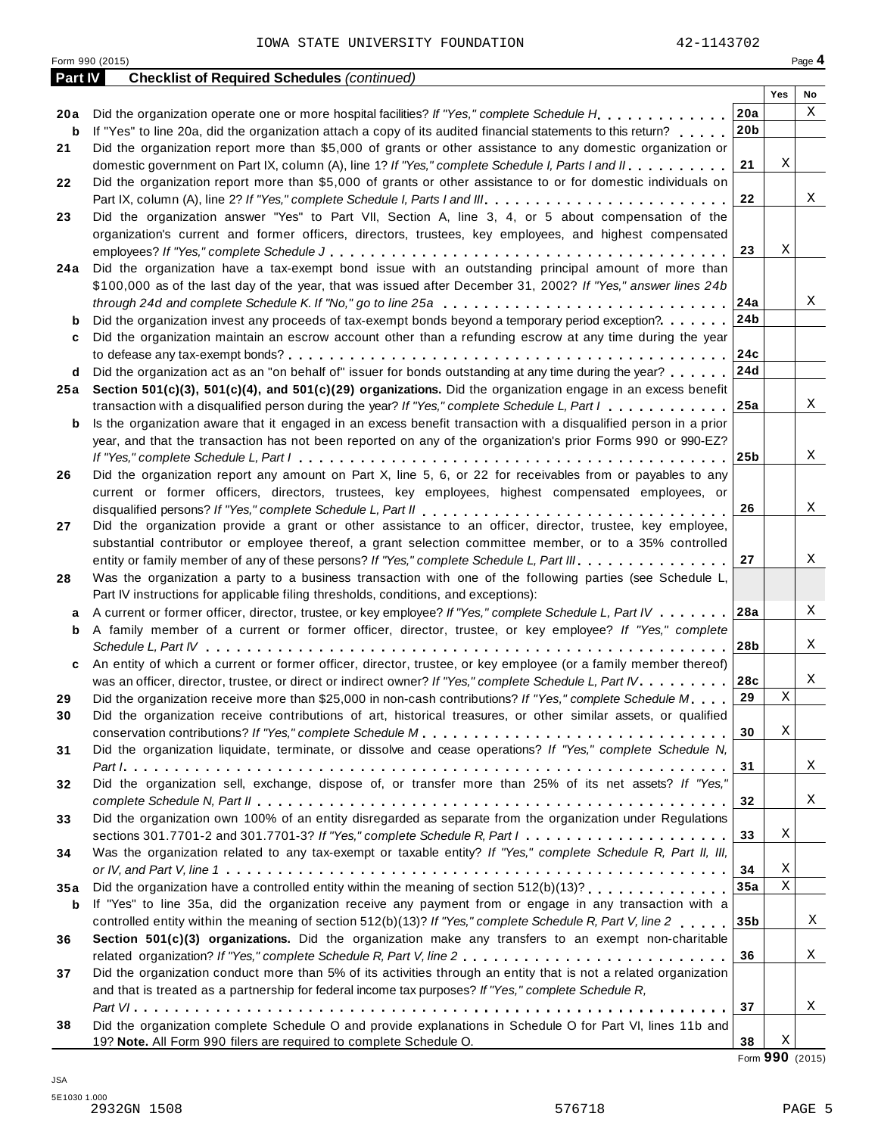#### IOWA STATE UNIVERSITY FOUNDATION 42-1143702

|         | Form 990 (2015)                                                                                                                        |                 |             | Page 4 |
|---------|----------------------------------------------------------------------------------------------------------------------------------------|-----------------|-------------|--------|
| Part IV | <b>Checklist of Required Schedules (continued)</b>                                                                                     |                 |             |        |
|         |                                                                                                                                        |                 | Yes         | No     |
| 20 a    | Did the organization operate one or more hospital facilities? If "Yes," complete Schedule H                                            | 20a             |             | X      |
| b       | If "Yes" to line 20a, did the organization attach a copy of its audited financial statements to this return?                           | 20 <sub>b</sub> |             |        |
| 21      | Did the organization report more than \$5,000 of grants or other assistance to any domestic organization or                            |                 |             |        |
|         | domestic government on Part IX, column (A), line 1? If "Yes," complete Schedule I, Parts I and II.                                     | 21              | Χ           |        |
| 22      | Did the organization report more than \$5,000 of grants or other assistance to or for domestic individuals on                          |                 |             |        |
|         |                                                                                                                                        | 22              |             | X      |
| 23      | Did the organization answer "Yes" to Part VII, Section A, line 3, 4, or 5 about compensation of the                                    |                 |             |        |
|         | organization's current and former officers, directors, trustees, key employees, and highest compensated                                |                 |             |        |
|         |                                                                                                                                        | 23              | Χ           |        |
| 24 a    | Did the organization have a tax-exempt bond issue with an outstanding principal amount of more than                                    |                 |             |        |
|         | \$100,000 as of the last day of the year, that was issued after December 31, 2002? If "Yes," answer lines 24b                          |                 |             |        |
|         | through 24d and complete Schedule K. If "No," go to line 25a $\dots \dots \dots \dots \dots \dots \dots \dots \dots \dots \dots \dots$ | 24a             |             | Χ      |
| b       | Did the organization invest any proceeds of tax-exempt bonds beyond a temporary period exception?                                      | 24b             |             |        |
| c       | Did the organization maintain an escrow account other than a refunding escrow at any time during the year                              |                 |             |        |
|         |                                                                                                                                        | 24с             |             |        |
| d       | Did the organization act as an "on behalf of" issuer for bonds outstanding at any time during the year?                                | 24d             |             |        |
|         | 25a Section 501(c)(3), 501(c)(4), and 501(c)(29) organizations. Did the organization engage in an excess benefit                       |                 |             | X      |
|         | transaction with a disqualified person during the year? If "Yes," complete Schedule L, Part I                                          | 25a             |             |        |
| b       | Is the organization aware that it engaged in an excess benefit transaction with a disqualified person in a prior                       |                 |             |        |
|         | year, and that the transaction has not been reported on any of the organization's prior Forms 990 or 990-EZ?                           | 25 <sub>b</sub> |             | X      |
|         | Did the organization report any amount on Part X, line 5, 6, or 22 for receivables from or payables to any                             |                 |             |        |
| 26      | current or former officers, directors, trustees, key employees, highest compensated employees, or                                      |                 |             |        |
|         |                                                                                                                                        | 26              |             | X      |
| 27      | Did the organization provide a grant or other assistance to an officer, director, trustee, key employee,                               |                 |             |        |
|         | substantial contributor or employee thereof, a grant selection committee member, or to a 35% controlled                                |                 |             |        |
|         | entity or family member of any of these persons? If "Yes," complete Schedule L, Part III.                                              | 27              |             | X      |
| 28      | Was the organization a party to a business transaction with one of the following parties (see Schedule L,                              |                 |             |        |
|         | Part IV instructions for applicable filing thresholds, conditions, and exceptions):                                                    |                 |             |        |
| a       | A current or former officer, director, trustee, or key employee? If "Yes," complete Schedule L, Part IV                                | 28a             |             | X      |
| b       | A family member of a current or former officer, director, trustee, or key employee? If "Yes," complete                                 |                 |             |        |
|         |                                                                                                                                        | 28b             |             | Χ      |
| c       | An entity of which a current or former officer, director, trustee, or key employee (or a family member thereof)                        |                 |             |        |
|         | was an officer, director, trustee, or direct or indirect owner? If "Yes," complete Schedule L, Part IV.                                | 28c             |             | X      |
| 29      | Did the organization receive more than \$25,000 in non-cash contributions? If "Yes," complete Schedule M.                              | 29              | $\mathbf X$ |        |
| 30      | Did the organization receive contributions of art, historical treasures, or other similar assets, or qualified                         |                 |             |        |
|         |                                                                                                                                        | 30              | Χ           |        |
| 31      | Did the organization liquidate, terminate, or dissolve and cease operations? If "Yes," complete Schedule N,                            |                 |             |        |
|         |                                                                                                                                        | 31              |             | X      |
| 32      | Did the organization sell, exchange, dispose of, or transfer more than 25% of its net assets? If "Yes,"                                |                 |             |        |
|         |                                                                                                                                        | 32              |             | Χ      |
| 33      | Did the organization own 100% of an entity disregarded as separate from the organization under Regulations                             |                 |             |        |
|         | sections 301.7701-2 and 301.7701-3? If "Yes," complete Schedule R, Part $1, \ldots, \ldots, \ldots, \ldots, \ldots, \ldots$            | 33              | Χ           |        |
| 34      | Was the organization related to any tax-exempt or taxable entity? If "Yes," complete Schedule R, Part II, III,                         |                 |             |        |
|         |                                                                                                                                        | 34              | Χ           |        |
| 35 a    |                                                                                                                                        | 35a             | Χ           |        |
| b       | If "Yes" to line 35a, did the organization receive any payment from or engage in any transaction with a                                |                 |             |        |
|         | controlled entity within the meaning of section 512(b)(13)? If "Yes," complete Schedule R, Part V, line 2                              | 35b             |             | Χ      |
| 36      | Section 501(c)(3) organizations. Did the organization make any transfers to an exempt non-charitable                                   |                 |             |        |
|         |                                                                                                                                        | 36              |             | Χ      |
| 37      | Did the organization conduct more than 5% of its activities through an entity that is not a related organization                       |                 |             |        |
|         | and that is treated as a partnership for federal income tax purposes? If "Yes," complete Schedule R,                                   |                 |             |        |
|         |                                                                                                                                        | 37              |             | Χ      |
| 38      | Did the organization complete Schedule O and provide explanations in Schedule O for Part VI, lines 11b and                             |                 |             |        |
|         | 19? Note. All Form 990 filers are required to complete Schedule O.                                                                     | 38              | $\mathbf X$ |        |

Form **990** (2015)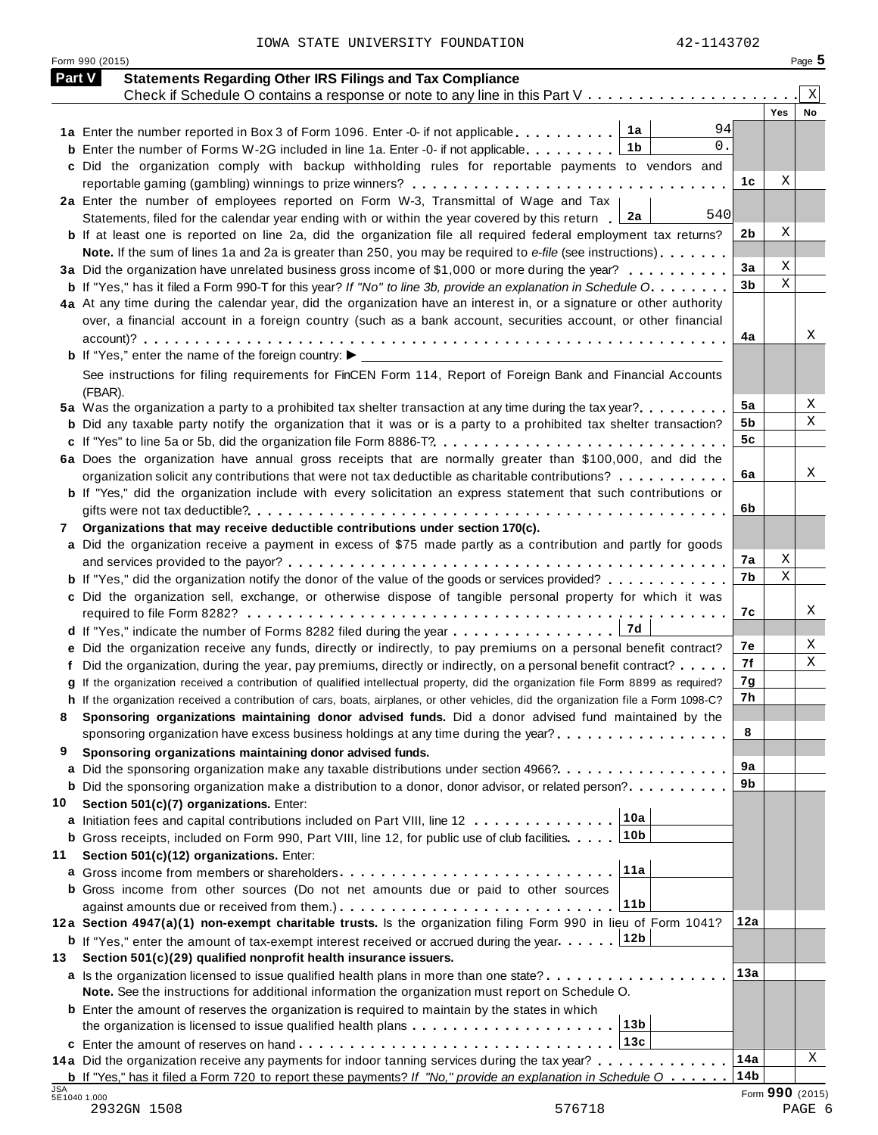IOWA STATE UNIVERSITY FOUNDATION 42-1143702

Form <sup>990</sup> (2015) Page **5**

| <b>Part V</b> | <b>Statements Regarding Other IRS Filings and Tax Compliance</b>                                                                                                                                                                      |                 |     |                 |
|---------------|---------------------------------------------------------------------------------------------------------------------------------------------------------------------------------------------------------------------------------------|-----------------|-----|-----------------|
|               | Check if Schedule O contains a response or note to any line in this Part V                                                                                                                                                            |                 |     | Χ               |
|               | 94                                                                                                                                                                                                                                    |                 | Yes | No              |
|               | 1а<br>1a Enter the number reported in Box 3 of Form 1096. Enter -0- if not applicable<br>0.<br>1b                                                                                                                                     |                 |     |                 |
|               | <b>b</b> Enter the number of Forms W-2G included in line 1a. Enter -0- if not applicable<br>c Did the organization comply with backup withholding rules for reportable payments to vendors and                                        |                 |     |                 |
|               |                                                                                                                                                                                                                                       | 1с              | Χ   |                 |
|               | 2a Enter the number of employees reported on Form W-3, Transmittal of Wage and Tax                                                                                                                                                    |                 |     |                 |
|               | 540<br>2a<br>Statements, filed for the calendar year ending with or within the year covered by this return                                                                                                                            |                 |     |                 |
|               | <b>b</b> If at least one is reported on line 2a, did the organization file all required federal employment tax returns?                                                                                                               | 2b              | Χ   |                 |
|               | Note. If the sum of lines 1a and 2a is greater than 250, you may be required to e-file (see instructions)                                                                                                                             |                 |     |                 |
|               | 3a Did the organization have unrelated business gross income of \$1,000 or more during the year?                                                                                                                                      | 3a              | Χ   |                 |
|               | <b>b</b> If "Yes," has it filed a Form 990-T for this year? If "No" to line 3b, provide an explanation in Schedule O.                                                                                                                 | 3 <sub>b</sub>  | Χ   |                 |
|               | 4a At any time during the calendar year, did the organization have an interest in, or a signature or other authority                                                                                                                  |                 |     |                 |
|               | over, a financial account in a foreign country (such as a bank account, securities account, or other financial                                                                                                                        |                 |     |                 |
|               |                                                                                                                                                                                                                                       | 4a              |     | Χ               |
|               | <b>b</b> If "Yes," enter the name of the foreign country: ▶ ________                                                                                                                                                                  |                 |     |                 |
|               | See instructions for filing requirements for FinCEN Form 114, Report of Foreign Bank and Financial Accounts                                                                                                                           |                 |     |                 |
|               | (FBAR).                                                                                                                                                                                                                               | 5a              |     | Χ               |
|               | 5a Was the organization a party to a prohibited tax shelter transaction at any time during the tax year?<br><b>b</b> Did any taxable party notify the organization that it was or is a party to a prohibited tax shelter transaction? | 5b              |     | Χ               |
|               |                                                                                                                                                                                                                                       | 5c              |     |                 |
|               | 6a Does the organization have annual gross receipts that are normally greater than \$100,000, and did the                                                                                                                             |                 |     |                 |
|               | organization solicit any contributions that were not tax deductible as charitable contributions?                                                                                                                                      | 6a              |     | Χ               |
|               | <b>b</b> If "Yes," did the organization include with every solicitation an express statement that such contributions or                                                                                                               |                 |     |                 |
|               |                                                                                                                                                                                                                                       | 6b              |     |                 |
| 7             | Organizations that may receive deductible contributions under section 170(c).                                                                                                                                                         |                 |     |                 |
|               | a Did the organization receive a payment in excess of \$75 made partly as a contribution and partly for goods                                                                                                                         |                 |     |                 |
|               |                                                                                                                                                                                                                                       | 7а              | Χ   |                 |
|               | <b>b</b> If "Yes," did the organization notify the donor of the value of the goods or services provided?                                                                                                                              | 7b              | Χ   |                 |
|               | c Did the organization sell, exchange, or otherwise dispose of tangible personal property for which it was                                                                                                                            |                 |     | Χ               |
|               | 7d                                                                                                                                                                                                                                    | 7c              |     |                 |
|               | e Did the organization receive any funds, directly or indirectly, to pay premiums on a personal benefit contract?                                                                                                                     | 7е              |     | Χ               |
|               | f Did the organization, during the year, pay premiums, directly or indirectly, on a personal benefit contract?                                                                                                                        | 7f              |     | Χ               |
|               | g If the organization received a contribution of qualified intellectual property, did the organization file Form 8899 as required?                                                                                                    | 7g              |     |                 |
|               | h If the organization received a contribution of cars, boats, airplanes, or other vehicles, did the organization file a Form 1098-C?                                                                                                  | 7h              |     |                 |
|               | Sponsoring organizations maintaining donor advised funds. Did a donor advised fund maintained by the                                                                                                                                  |                 |     |                 |
|               | sponsoring organization have excess business holdings at any time during the year?                                                                                                                                                    | 8               |     |                 |
| 9             | Sponsoring organizations maintaining donor advised funds.                                                                                                                                                                             |                 |     |                 |
|               | a Did the sponsoring organization make any taxable distributions under section 4966?                                                                                                                                                  | 9a              |     |                 |
|               | <b>b</b> Did the sponsoring organization make a distribution to a donor, donor advisor, or related person?                                                                                                                            | 9b              |     |                 |
| 10            | Section 501(c)(7) organizations. Enter:                                                                                                                                                                                               |                 |     |                 |
|               | 10a<br>a Initiation fees and capital contributions included on Part VIII, line 12<br>10 <sub>b</sub>                                                                                                                                  |                 |     |                 |
| 11            | <b>b</b> Gross receipts, included on Form 990, Part VIII, line 12, for public use of club facilities<br>Section 501(c)(12) organizations. Enter:                                                                                      |                 |     |                 |
|               | 11a                                                                                                                                                                                                                                   |                 |     |                 |
|               | <b>b</b> Gross income from other sources (Do not net amounts due or paid to other sources                                                                                                                                             |                 |     |                 |
|               | 11b                                                                                                                                                                                                                                   |                 |     |                 |
|               | 12a Section 4947(a)(1) non-exempt charitable trusts. Is the organization filing Form 990 in lieu of Form 1041?                                                                                                                        | 12a             |     |                 |
|               | 12b<br><b>b</b> If "Yes," enter the amount of tax-exempt interest received or accrued during the year                                                                                                                                 |                 |     |                 |
| 13            | Section 501(c)(29) qualified nonprofit health insurance issuers.                                                                                                                                                                      |                 |     |                 |
|               | a Is the organization licensed to issue qualified health plans in more than one state?<br>Note. See the instructions for additional information the organization must report on Schedule O.                                           | 13a             |     |                 |
|               | <b>b</b> Enter the amount of reserves the organization is required to maintain by the states in which<br>13 <sub>b</sub>                                                                                                              |                 |     |                 |
|               | 13c                                                                                                                                                                                                                                   |                 |     |                 |
|               | 14a Did the organization receive any payments for indoor tanning services during the tax year?                                                                                                                                        | 14a             |     | Χ               |
| JSA           | <b>b</b> If "Yes," has it filed a Form 720 to report these payments? If "No," provide an explanation in Schedule $0 \ldots \ldots$                                                                                                    | 14 <sub>b</sub> |     |                 |
|               | 5E1040 1.000                                                                                                                                                                                                                          |                 |     | Form 990 (2015) |
|               | 2932GN 1508<br>576718                                                                                                                                                                                                                 |                 |     | PAGE 6          |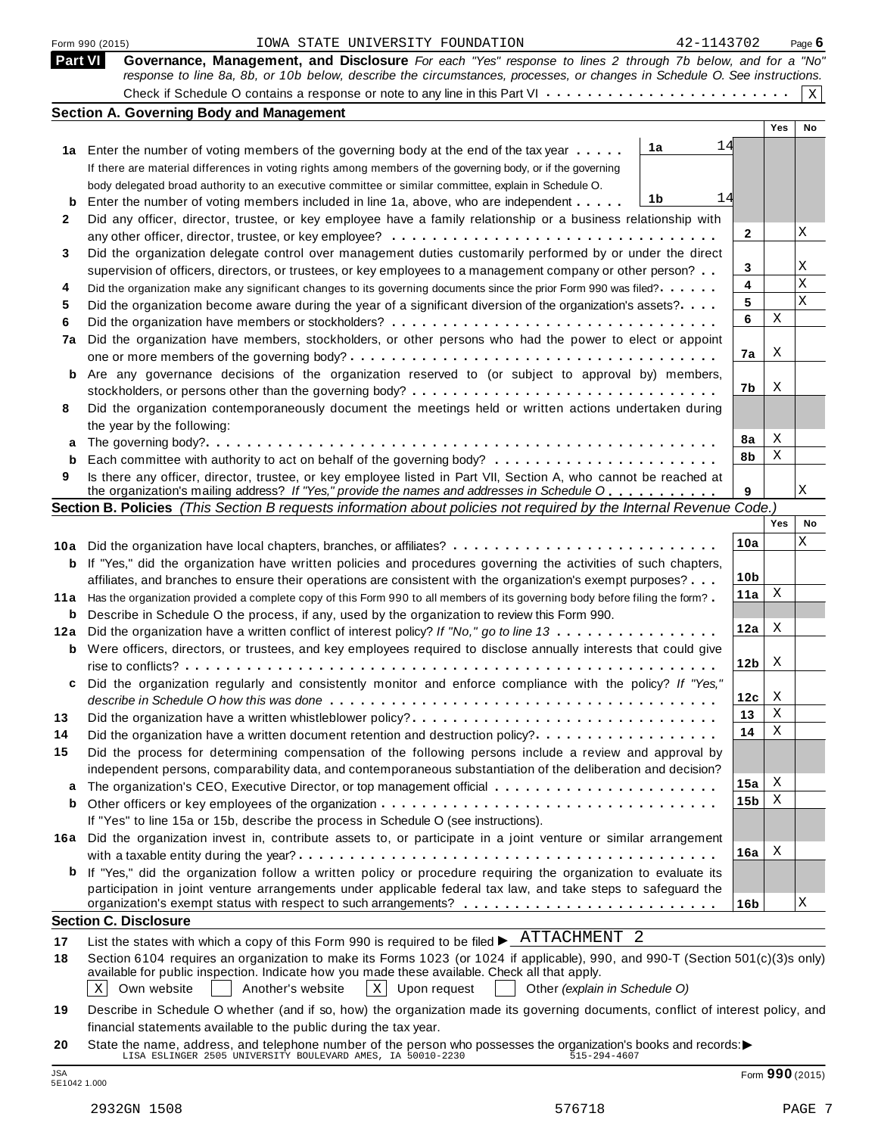|      | 42-1143702<br>Form 990 (2015)<br>IOWA STATE UNIVERSITY FOUNDATION                                                                                                                                                                                         |                 |     | Page $6$    |
|------|-----------------------------------------------------------------------------------------------------------------------------------------------------------------------------------------------------------------------------------------------------------|-----------------|-----|-------------|
|      | <b>Part VI</b><br>Governance, Management, and Disclosure For each "Yes" response to lines 2 through 7b below, and for a "No"<br>response to line 8a, 8b, or 10b below, describe the circumstances, processes, or changes in Schedule O. See instructions. |                 |     |             |
|      |                                                                                                                                                                                                                                                           |                 |     | $\mathbf X$ |
|      | <b>Section A. Governing Body and Management</b>                                                                                                                                                                                                           |                 |     |             |
|      |                                                                                                                                                                                                                                                           |                 | Yes | No          |
|      | 1a<br>1a Enter the number of voting members of the governing body at the end of the tax year                                                                                                                                                              | 14              |     |             |
|      | If there are material differences in voting rights among members of the governing body, or if the governing                                                                                                                                               |                 |     |             |
|      | body delegated broad authority to an executive committee or similar committee, explain in Schedule O.                                                                                                                                                     |                 |     |             |
| b    | 1b<br>Enter the number of voting members included in line 1a, above, who are independent                                                                                                                                                                  | 14              |     |             |
|      | Did any officer, director, trustee, or key employee have a family relationship or a business relationship with                                                                                                                                            |                 |     |             |
|      |                                                                                                                                                                                                                                                           | 2               |     | Χ           |
| 3    | Did the organization delegate control over management duties customarily performed by or under the direct                                                                                                                                                 |                 |     |             |
|      | supervision of officers, directors, or trustees, or key employees to a management company or other person?                                                                                                                                                | 3               |     | Χ           |
|      | Did the organization make any significant changes to its governing documents since the prior Form 990 was filed?                                                                                                                                          | 4               |     | Х           |
|      | Did the organization become aware during the year of a significant diversion of the organization's assets?                                                                                                                                                | 5               |     | Χ           |
|      |                                                                                                                                                                                                                                                           | 6               | Χ   |             |
| 7a   | Did the organization have members, stockholders, or other persons who had the power to elect or appoint                                                                                                                                                   |                 |     |             |
|      |                                                                                                                                                                                                                                                           | 7a              | Χ   |             |
| b    | Are any governance decisions of the organization reserved to (or subject to approval by) members,                                                                                                                                                         |                 |     |             |
|      |                                                                                                                                                                                                                                                           | 7b              | X   |             |
| 8    | Did the organization contemporaneously document the meetings held or written actions undertaken during                                                                                                                                                    |                 |     |             |
|      | the year by the following:                                                                                                                                                                                                                                |                 |     |             |
| a    |                                                                                                                                                                                                                                                           | 8а              | Χ   |             |
| b    |                                                                                                                                                                                                                                                           | 8b              | Χ   |             |
| 9    | Is there any officer, director, trustee, or key employee listed in Part VII, Section A, who cannot be reached at<br>the organization's mailing address? If "Yes," provide the names and addresses in Schedule O                                           | 9               |     | Χ           |
|      | Section B. Policies (This Section B requests information about policies not required by the Internal Revenue Code.)                                                                                                                                       |                 |     |             |
|      |                                                                                                                                                                                                                                                           |                 | Yes | No          |
| 10a  |                                                                                                                                                                                                                                                           | 10a             |     | Χ           |
| b    | If "Yes," did the organization have written policies and procedures governing the activities of such chapters,                                                                                                                                            |                 |     |             |
|      | affiliates, and branches to ensure their operations are consistent with the organization's exempt purposes?                                                                                                                                               | 10 <sub>b</sub> |     |             |
| 11 a | Has the organization provided a complete copy of this Form 990 to all members of its governing body before filing the form?                                                                                                                               | 11a             | X   |             |
| b    | Describe in Schedule O the process, if any, used by the organization to review this Form 990.                                                                                                                                                             |                 |     |             |
| 12a  | Did the organization have a written conflict of interest policy? If "No," go to line 13                                                                                                                                                                   | 12a             | Χ   |             |
| b    | Were officers, directors, or trustees, and key employees required to disclose annually interests that could give                                                                                                                                          |                 |     |             |
|      |                                                                                                                                                                                                                                                           | 12 <sub>b</sub> | X   |             |
|      | Did the organization regularly and consistently monitor and enforce compliance with the policy? If "Yes,                                                                                                                                                  |                 |     |             |
|      |                                                                                                                                                                                                                                                           | 12c             | X   |             |
|      | Did the organization have a written whistleblower policy?                                                                                                                                                                                                 | 13              | Χ   |             |
|      | Did the organization have a written document retention and destruction policy?                                                                                                                                                                            | 14              | Χ   |             |
| 15   | Did the process for determining compensation of the following persons include a review and approval by                                                                                                                                                    |                 |     |             |
|      | independent persons, comparability data, and contemporaneous substantiation of the deliberation and decision?                                                                                                                                             |                 |     |             |
| а    |                                                                                                                                                                                                                                                           | 15a             | X   |             |
| b    |                                                                                                                                                                                                                                                           | 15b             | X   |             |
|      | If "Yes" to line 15a or 15b, describe the process in Schedule O (see instructions).                                                                                                                                                                       |                 |     |             |
|      | 16a Did the organization invest in, contribute assets to, or participate in a joint venture or similar arrangement                                                                                                                                        |                 |     |             |
|      |                                                                                                                                                                                                                                                           | 16a             | X   |             |
|      | b If "Yes," did the organization follow a written policy or procedure requiring the organization to evaluate its                                                                                                                                          |                 |     |             |
|      | participation in joint venture arrangements under applicable federal tax law, and take steps to safeguard the                                                                                                                                             |                 |     |             |
|      |                                                                                                                                                                                                                                                           | 16b             |     | Χ           |
|      | <b>Section C. Disclosure</b>                                                                                                                                                                                                                              |                 |     |             |
|      | List the states with which a copy of this Form 990 is required to be filed $\blacktriangleright$ $\frac{\text{ATTACHMENT}}{\text{ATTACHMENT}}$ 2                                                                                                          |                 |     |             |
|      | Section 6104 requires an organization to make its Forms 1023 (or 1024 if applicable), 990, and 990-T (Section 501(c)(3)s only)                                                                                                                            |                 |     |             |
| 18   | available for public inspection. Indicate how you made these available. Check all that apply.                                                                                                                                                             |                 |     |             |
|      | $\vert x \vert$<br>Own website<br>Another's website<br>Upon request<br>X<br>Other (explain in Schedule O)                                                                                                                                                 |                 |     |             |
|      | Describe in Schedule O whether (and if so, how) the organization made its governing documents, conflict of interest policy, and                                                                                                                           |                 |     |             |
|      | financial statements available to the public during the tax year.                                                                                                                                                                                         |                 |     |             |
|      | the name, address and telephone number of the person who personses the ergenization's books and recepter                                                                                                                                                  |                 |     |             |

| mandal statements available to the public during the tax year.                                                     |              |
|--------------------------------------------------------------------------------------------------------------------|--------------|
| 20 State the name, address, and telephone number of the person who possesses the organization's books and records: |              |
| LISA ESLINGER 2505 UNIVERSITY BOULEVARD AMES, IA 50010-2230                                                        | 515-294-4607 |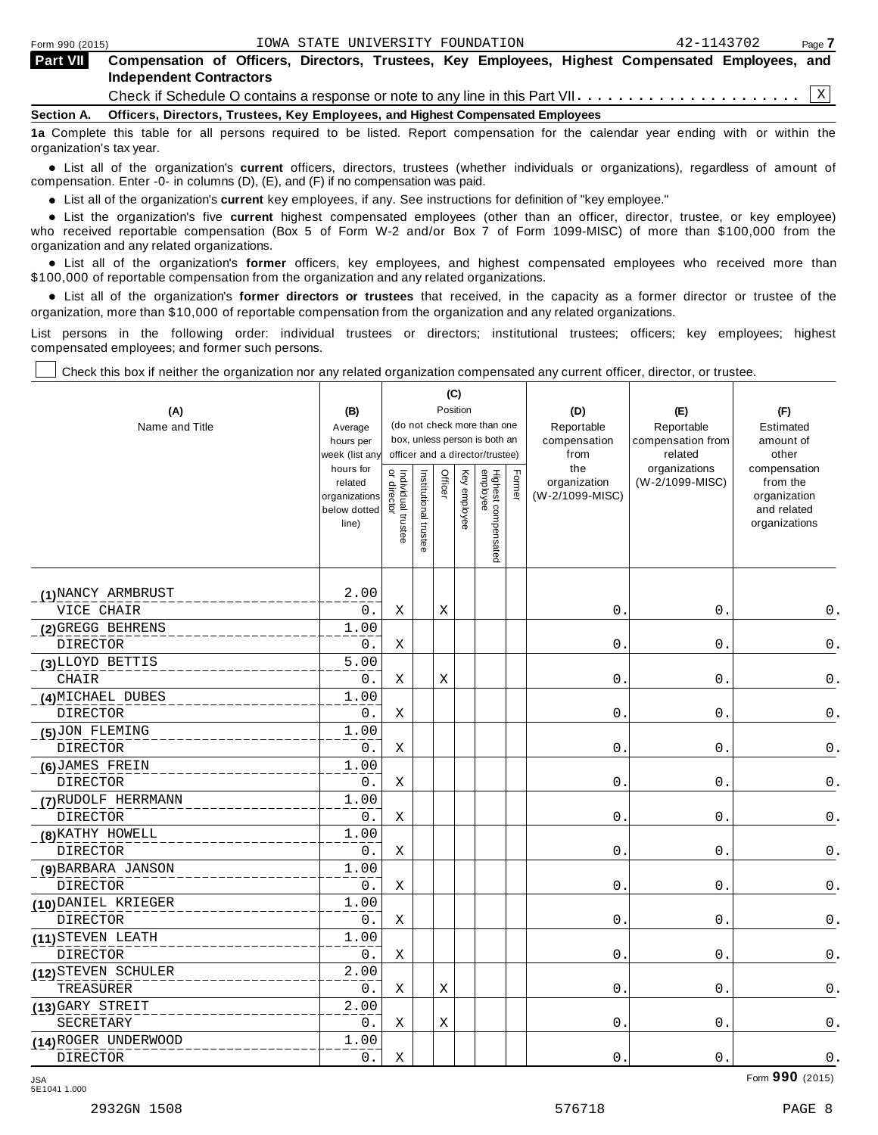| <b>Part VII</b>   | Compensation of Officers, Directors, Trustees, Key Employees, Highest Compensated Employees, and<br><b>Independent Contractors</b> |  |  |  |  |  |  |  |  |  |  |  |
|-------------------|------------------------------------------------------------------------------------------------------------------------------------|--|--|--|--|--|--|--|--|--|--|--|
|                   | Check if Schedule O contains a response or note to any line in this Part VII $\ldots \ldots \ldots \ldots \ldots \ldots \ldots$    |  |  |  |  |  |  |  |  |  |  |  |
| <b>Section A.</b> | Officers, Directors, Trustees, Key Employees, and Highest Compensated Employees                                                    |  |  |  |  |  |  |  |  |  |  |  |
|                   | 10 Complete this table for all persons required to be listed. Penert compensation for the colondar wear anding with as within the  |  |  |  |  |  |  |  |  |  |  |  |

Jomplete this table for all persons required to be listed. Report compensation for the calendar year ending with or organization's tax year.

anization's lax year.<br>● List all of the organization's **current** officers, directors, trustees (whether individuals or organizations), regardless of amount of<br>nnensation Enter -0- in columns (D) (E) and (E) if no compensa compensation. Enter -0- in columns (D), (E), and (F) if no compensation was paid.

• List all of the organization's **current** key employees, if any. See instructions for definition of "key employee."<br>● List the experientials five expect highest expressed explores (other than an efficer director of

**Example in the organization's current** key employees, if any. See instructions for definition of key employee.<br>• List the organization's five **current** highest compensated employees (other than an officer, director, trust who received reportable compensation (Box 5 of Form W-2 and/or Box 7 of Form 1099-MISC) of more than \$100,000 from the

organization and any related organizations.<br>• List all of the organization's **former** officers, key employees, and highest compensated employees who received more than<br>\$1.00.000 of reportable componention from the erganiza \$100,000 of reportable compensation from the organization and any related organizations.

% List all of the organization's **former directors or trustees** that received, in the capacity as a former director or trustee of the organization, more than \$10,000 of reportable compensation from the organization and any related organizations.

List persons in the following order: individual trustees or directors; institutional trustees; officers; key employees; highest compensated employees; and former such persons.

Check this box if neither the organization nor any related organization compensated any current officer, director, or trustee.

| (A)<br>Name and Title | (B)<br>Average<br>hours per<br>week (list any<br>hours for<br>related<br>organizations | or directo         | Officer               | (C)<br>Position<br>Key employee | (do not check more than one<br>box, unless person is both an<br>officer and a director/trustee) | Former                          | (D)<br>Reportable<br>compensation<br>from<br>the<br>organization<br>(W-2/1099-MISC) | (E)<br>Reportable<br>compensation from<br>related<br>organizations<br>(W-2/1099-MISC) | (F)<br>Estimated<br>amount of<br>other<br>compensation<br>from the<br>organization |                              |
|-----------------------|----------------------------------------------------------------------------------------|--------------------|-----------------------|---------------------------------|-------------------------------------------------------------------------------------------------|---------------------------------|-------------------------------------------------------------------------------------|---------------------------------------------------------------------------------------|------------------------------------------------------------------------------------|------------------------------|
|                       | below dotted<br>line)                                                                  | Individual trustee | Institutional trustee |                                 |                                                                                                 | Highest compensated<br>employee |                                                                                     |                                                                                       |                                                                                    | and related<br>organizations |
| (1) NANCY ARMBRUST    | 2.00                                                                                   |                    |                       |                                 |                                                                                                 |                                 |                                                                                     |                                                                                       |                                                                                    |                              |
| VICE CHAIR            | $0$ .                                                                                  | Χ                  |                       | X                               |                                                                                                 |                                 |                                                                                     | $0$ .                                                                                 | $0$ .                                                                              | 0.                           |
| (2) GREGG BEHRENS     | 1.00                                                                                   |                    |                       |                                 |                                                                                                 |                                 |                                                                                     |                                                                                       |                                                                                    |                              |
| <b>DIRECTOR</b>       | 0.                                                                                     | Χ                  |                       |                                 |                                                                                                 |                                 |                                                                                     | 0.                                                                                    | 0.                                                                                 | 0.                           |
| (3) LLOYD BETTIS      | 5.00                                                                                   |                    |                       |                                 |                                                                                                 |                                 |                                                                                     |                                                                                       |                                                                                    |                              |
| <b>CHAIR</b>          | 0.                                                                                     | Χ                  |                       | Х                               |                                                                                                 |                                 |                                                                                     | $0$ .                                                                                 | $\mathsf 0$ .                                                                      | $\mathsf 0$ .                |
| (4) MICHAEL DUBES     | 1.00                                                                                   |                    |                       |                                 |                                                                                                 |                                 |                                                                                     |                                                                                       |                                                                                    |                              |
| <b>DIRECTOR</b>       | 0.                                                                                     | Χ                  |                       |                                 |                                                                                                 |                                 |                                                                                     | $0$ .                                                                                 | $0$ .                                                                              | $\mathsf 0$ .                |
| (5) JON FLEMING       | 1.00                                                                                   |                    |                       |                                 |                                                                                                 |                                 |                                                                                     |                                                                                       |                                                                                    |                              |
| DIRECTOR              | 0.                                                                                     | Х                  |                       |                                 |                                                                                                 |                                 |                                                                                     | 0.                                                                                    | $0$ .                                                                              | $\boldsymbol{0}$ .           |
| (6) JAMES FREIN       | 1.00                                                                                   |                    |                       |                                 |                                                                                                 |                                 |                                                                                     |                                                                                       |                                                                                    |                              |
| DIRECTOR              | 0.                                                                                     | Χ                  |                       |                                 |                                                                                                 |                                 |                                                                                     | 0.                                                                                    | 0.                                                                                 | 0.                           |
| (7) RUDOLF HERRMANN   | 1.00                                                                                   |                    |                       |                                 |                                                                                                 |                                 |                                                                                     |                                                                                       |                                                                                    |                              |
| <b>DIRECTOR</b>       | 0.                                                                                     | Χ                  |                       |                                 |                                                                                                 |                                 |                                                                                     | 0.                                                                                    | 0.                                                                                 | $\mathsf 0$ .                |
| (8) KATHY HOWELL      | 1.00                                                                                   |                    |                       |                                 |                                                                                                 |                                 |                                                                                     |                                                                                       |                                                                                    |                              |
| DIRECTOR              | 0.                                                                                     | Χ                  |                       |                                 |                                                                                                 |                                 |                                                                                     | $\mathsf{O}$ .                                                                        | 0.                                                                                 | $\mathsf 0$ .                |
| (9) BARBARA JANSON    | 1.00                                                                                   |                    |                       |                                 |                                                                                                 |                                 |                                                                                     |                                                                                       |                                                                                    |                              |
| DIRECTOR              | 0.                                                                                     | Χ                  |                       |                                 |                                                                                                 |                                 |                                                                                     | $\mathsf{O}$ .                                                                        | 0.                                                                                 | 0.                           |
| (10) DANIEL KRIEGER   | 1.00                                                                                   |                    |                       |                                 |                                                                                                 |                                 |                                                                                     |                                                                                       |                                                                                    |                              |
| DIRECTOR              | 0.                                                                                     | Χ                  |                       |                                 |                                                                                                 |                                 |                                                                                     | 0.                                                                                    | 0.                                                                                 | 0.                           |
| (11) STEVEN LEATH     | 1.00                                                                                   |                    |                       |                                 |                                                                                                 |                                 |                                                                                     |                                                                                       |                                                                                    |                              |
| <b>DIRECTOR</b>       | 0.                                                                                     | Χ                  |                       |                                 |                                                                                                 |                                 |                                                                                     | 0.                                                                                    | 0.                                                                                 | 0.                           |
| (12) STEVEN SCHULER   | 2.00                                                                                   |                    |                       |                                 |                                                                                                 |                                 |                                                                                     |                                                                                       |                                                                                    |                              |
| TREASURER             | 0.                                                                                     | Χ                  |                       | X                               |                                                                                                 |                                 |                                                                                     | 0.                                                                                    | 0.                                                                                 | 0.                           |
| (13) GARY STREIT      | 2.00                                                                                   |                    |                       |                                 |                                                                                                 |                                 |                                                                                     |                                                                                       |                                                                                    |                              |
| SECRETARY             | $0$ .                                                                                  | Χ                  |                       | Χ                               |                                                                                                 |                                 |                                                                                     | 0.                                                                                    | $0$ .                                                                              | 0.                           |
| (14) ROGER UNDERWOOD  | 1.00                                                                                   |                    |                       |                                 |                                                                                                 |                                 |                                                                                     |                                                                                       |                                                                                    |                              |
| DIRECTOR              | 0.                                                                                     | X                  |                       |                                 |                                                                                                 |                                 |                                                                                     | 0.                                                                                    | 0.                                                                                 | $0$ .                        |

Form **990** (2015) JSA 5E1041 1.000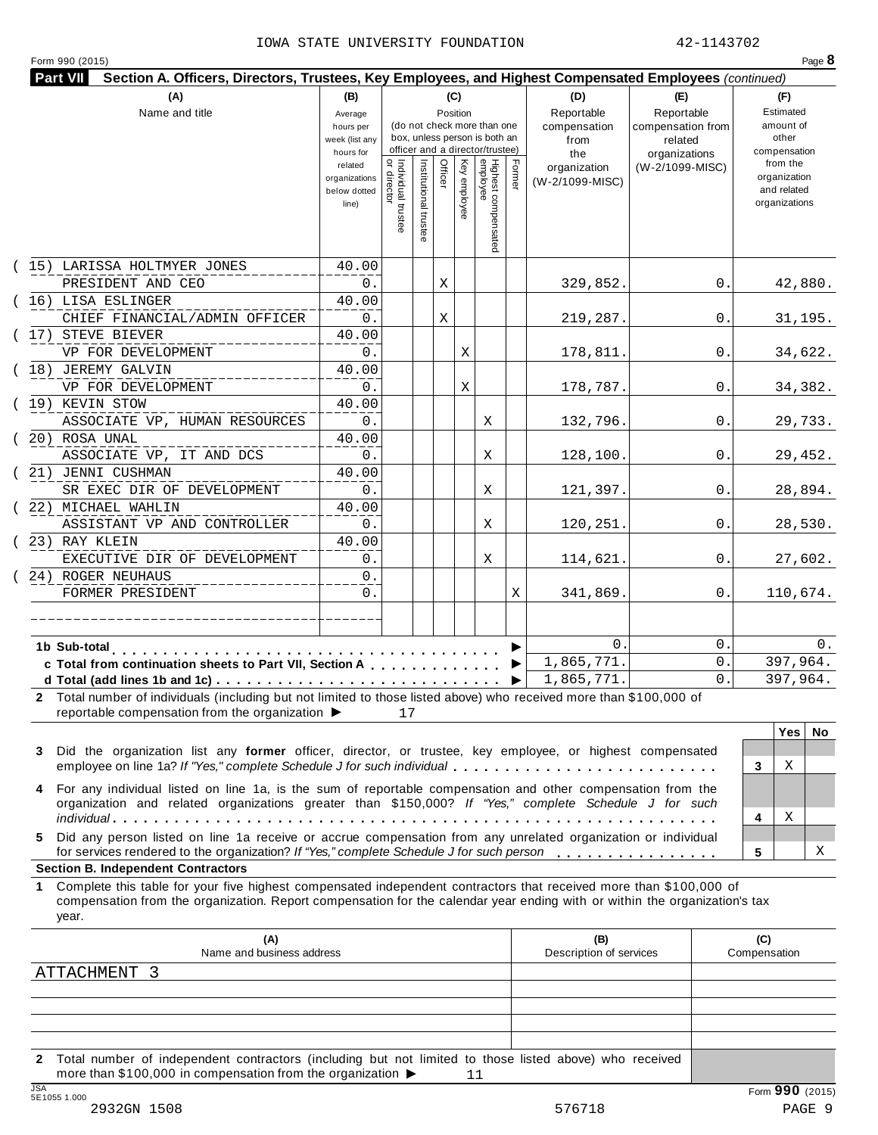| (A)                                                                                                                                                                                                                                                             | (B)                                                 |                                     |                       | (C)                     |                                                                                                 |        | (D)                                       | (E)                                                         | (F)                                                      |
|-----------------------------------------------------------------------------------------------------------------------------------------------------------------------------------------------------------------------------------------------------------------|-----------------------------------------------------|-------------------------------------|-----------------------|-------------------------|-------------------------------------------------------------------------------------------------|--------|-------------------------------------------|-------------------------------------------------------------|----------------------------------------------------------|
| Name and title                                                                                                                                                                                                                                                  | Average<br>hours per<br>week (list any<br>hours for |                                     |                       | Position                | (do not check more than one<br>box, unless person is both an<br>officer and a director/trustee) |        | Reportable<br>compensation<br>from<br>the | Reportable<br>compensation from<br>related<br>organizations | Estimated<br>amount of<br>other<br>compensation          |
|                                                                                                                                                                                                                                                                 | related<br>organizations<br>below dotted<br>line)   | Individual trustee<br>  or director | Institutional trustee | Officer<br>Key employee | Highest compensated<br>employee                                                                 | Former | organization<br>(W-2/1099-MISC)           | (W-2/1099-MISC)                                             | from the<br>organization<br>and related<br>organizations |
| (15) LARISSA HOLTMYER JONES                                                                                                                                                                                                                                     | 40.00                                               |                                     |                       |                         |                                                                                                 |        |                                           |                                                             |                                                          |
| PRESIDENT AND CEO<br>(16) LISA ESLINGER                                                                                                                                                                                                                         | 0.<br>40.00                                         |                                     |                       | Χ                       |                                                                                                 |        | 329,852.                                  | 0.                                                          | 42,880.                                                  |
| CHIEF FINANCIAL/ADMIN OFFICER                                                                                                                                                                                                                                   | 0.                                                  |                                     |                       | Χ                       |                                                                                                 |        | 219,287.                                  | 0.                                                          | 31, 195.                                                 |
| (17) STEVE BIEVER                                                                                                                                                                                                                                               | 40.00                                               |                                     |                       |                         |                                                                                                 |        |                                           |                                                             |                                                          |
| VP FOR DEVELOPMENT                                                                                                                                                                                                                                              | 0.                                                  |                                     |                       | Χ                       |                                                                                                 |        | 178,811.                                  | 0.                                                          | 34,622.                                                  |
| (18) JEREMY GALVIN                                                                                                                                                                                                                                              | 40.00                                               |                                     |                       |                         |                                                                                                 |        |                                           |                                                             |                                                          |
| VP FOR DEVELOPMENT                                                                                                                                                                                                                                              | 0.                                                  |                                     |                       | Χ                       |                                                                                                 |        | 178,787.                                  | 0.                                                          | 34,382.                                                  |
| (19) KEVIN STOW<br>ASSOCIATE VP, HUMAN RESOURCES                                                                                                                                                                                                                | 40.00<br>0.                                         |                                     |                       |                         | Χ                                                                                               |        | 132,796.                                  | 0.                                                          | 29,733.                                                  |
| (20) ROSA UNAL                                                                                                                                                                                                                                                  | 40.00                                               |                                     |                       |                         |                                                                                                 |        |                                           |                                                             |                                                          |
| ASSOCIATE VP, IT AND DCS                                                                                                                                                                                                                                        | 0.                                                  |                                     |                       |                         | Χ                                                                                               |        | 128,100.                                  | 0.                                                          | 29,452.                                                  |
| (21) JENNI CUSHMAN                                                                                                                                                                                                                                              | 40.00                                               |                                     |                       |                         |                                                                                                 |        |                                           |                                                             |                                                          |
| SR EXEC DIR OF DEVELOPMENT                                                                                                                                                                                                                                      | 0.                                                  |                                     |                       |                         | Χ                                                                                               |        | 121,397.                                  | 0.                                                          | 28,894.                                                  |
| (22) MICHAEL WAHLIN                                                                                                                                                                                                                                             | 40.00                                               |                                     |                       |                         |                                                                                                 |        |                                           |                                                             |                                                          |
| ASSISTANT VP AND CONTROLLER<br>(23) RAY KLEIN                                                                                                                                                                                                                   | 0.                                                  |                                     |                       |                         | Χ                                                                                               |        | 120,251.                                  | 0.                                                          | 28,530.                                                  |
| EXECUTIVE DIR OF DEVELOPMENT                                                                                                                                                                                                                                    | 40.00<br>0.                                         |                                     |                       |                         | Χ                                                                                               |        | 114,621.                                  | 0.                                                          | 27,602.                                                  |
| (24) ROGER NEUHAUS                                                                                                                                                                                                                                              | 0.                                                  |                                     |                       |                         |                                                                                                 |        |                                           |                                                             |                                                          |
| FORMER PRESIDENT                                                                                                                                                                                                                                                | 0.                                                  |                                     |                       |                         |                                                                                                 | Χ      | 341,869.                                  | 0.                                                          | 110,674.                                                 |
|                                                                                                                                                                                                                                                                 |                                                     |                                     |                       |                         |                                                                                                 |        |                                           |                                                             |                                                          |
|                                                                                                                                                                                                                                                                 |                                                     |                                     |                       |                         |                                                                                                 |        |                                           |                                                             |                                                          |
| c Total from continuation sheets to Part VII, Section A                                                                                                                                                                                                         |                                                     |                                     |                       |                         |                                                                                                 |        | 0.<br>1,865,771.                          | $\mathsf{0}$ .<br>0.                                        | 0.<br>397,964.                                           |
|                                                                                                                                                                                                                                                                 |                                                     |                                     |                       |                         |                                                                                                 | ▶      | 1,865,771.                                | 0.                                                          | 397,964.                                                 |
| 2 Total number of individuals (including but not limited to those listed above) who received more than \$100,000 of<br>reportable compensation from the organization ▶                                                                                          |                                                     | 17                                  |                       |                         |                                                                                                 |        |                                           |                                                             |                                                          |
|                                                                                                                                                                                                                                                                 |                                                     |                                     |                       |                         |                                                                                                 |        |                                           |                                                             | <b>Yes</b><br><b>No</b>                                  |
| Did the organization list any former officer, director, or trustee, key employee, or highest compensated<br>3<br>employee on line 1a? If "Yes," complete Schedule J for such individual                                                                         |                                                     |                                     |                       |                         |                                                                                                 |        |                                           |                                                             | Χ<br>3                                                   |
| For any individual listed on line 1a, is the sum of reportable compensation and other compensation from the<br>4<br>organization and related organizations greater than \$150,000? If "Yes," complete Schedule J for such                                       |                                                     |                                     |                       |                         |                                                                                                 |        |                                           |                                                             | Χ<br>4                                                   |
| Did any person listed on line 1a receive or accrue compensation from any unrelated organization or individual<br>5.<br>for services rendered to the organization? If "Yes," complete Schedule J for such person                                                 |                                                     |                                     |                       |                         |                                                                                                 |        |                                           |                                                             | 5<br>Χ                                                   |
| <b>Section B. Independent Contractors</b>                                                                                                                                                                                                                       |                                                     |                                     |                       |                         |                                                                                                 |        |                                           |                                                             |                                                          |
| Complete this table for your five highest compensated independent contractors that received more than \$100,000 of<br>1.<br>compensation from the organization. Report compensation for the calendar year ending with or within the organization's tax<br>year. |                                                     |                                     |                       |                         |                                                                                                 |        |                                           |                                                             |                                                          |
| (A)                                                                                                                                                                                                                                                             |                                                     |                                     |                       |                         |                                                                                                 |        | (B)<br>Description of services            |                                                             | (C)<br>Compensation                                      |
| Name and business address                                                                                                                                                                                                                                       |                                                     |                                     |                       |                         |                                                                                                 |        |                                           |                                                             |                                                          |
| ATTACHMENT 3                                                                                                                                                                                                                                                    |                                                     |                                     |                       |                         |                                                                                                 |        |                                           |                                                             |                                                          |
|                                                                                                                                                                                                                                                                 |                                                     |                                     |                       |                         |                                                                                                 |        |                                           |                                                             |                                                          |

**2** Total number of independent contractors (including but not limited to those listed above) who received<br>more than \$100,000 in compensation from the organization  $\rightarrow$  11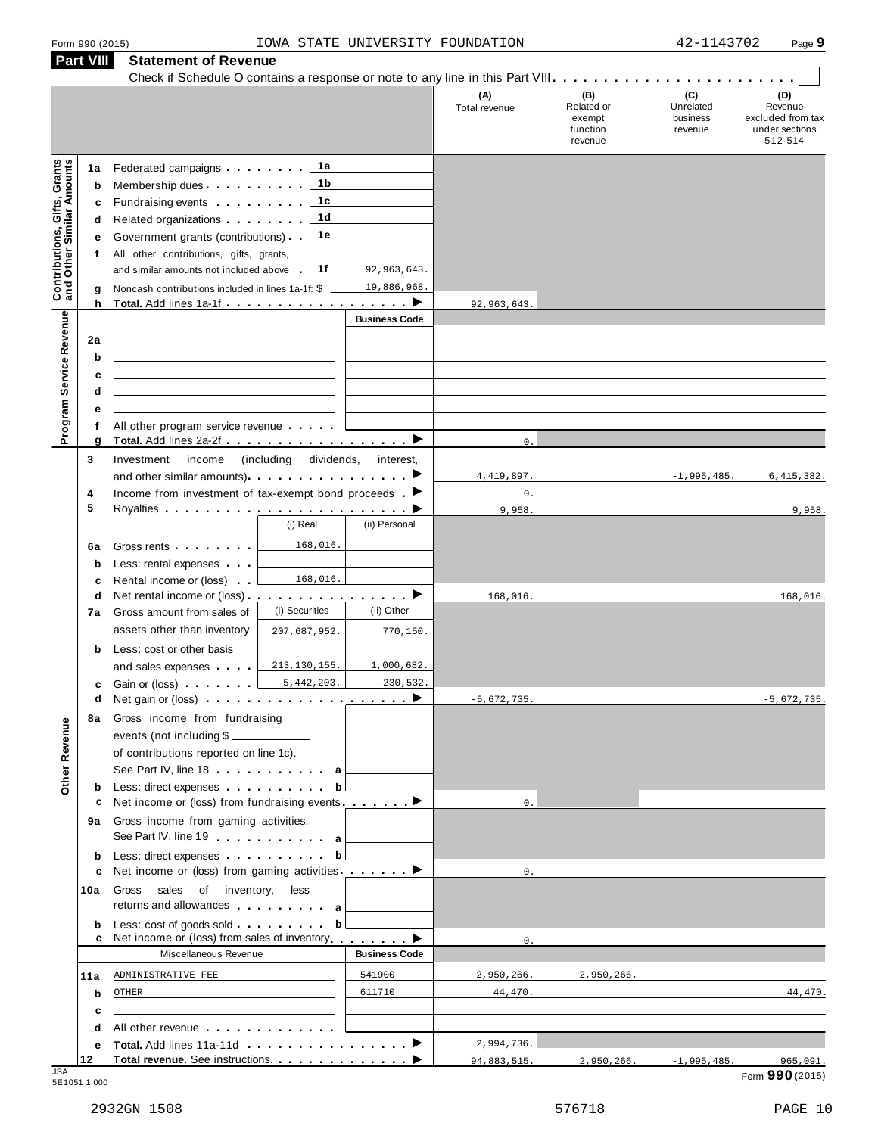|                                                                  | <b>Part VIII</b>            | <b>Statement of Revenue</b>                                                                                                                                                                                                                                                                                                                                                                                                                       |                                              |                           |                             |                                                    |                                         |                                                                  |
|------------------------------------------------------------------|-----------------------------|---------------------------------------------------------------------------------------------------------------------------------------------------------------------------------------------------------------------------------------------------------------------------------------------------------------------------------------------------------------------------------------------------------------------------------------------------|----------------------------------------------|---------------------------|-----------------------------|----------------------------------------------------|-----------------------------------------|------------------------------------------------------------------|
|                                                                  |                             |                                                                                                                                                                                                                                                                                                                                                                                                                                                   |                                              |                           | (A)<br>Total revenue        | (B)<br>Related or<br>exempt<br>function<br>revenue | (C)<br>Unrelated<br>business<br>revenue | (D)<br>Revenue<br>excluded from tax<br>under sections<br>512-514 |
| <b>Contributions, Gifts, Grants</b><br>and Other Similar Amounts | 1a<br>b<br>c<br>d<br>е<br>f | Federated campaigns<br>Membership dues<br>Fundraising events <b>Fundraising</b><br>Related organizations <b>and the set of the set of the set of the set of the set of the set of the set of the set of the set of the set of the set of the set of the set of the set of the set of the set of the set of the set </b><br>Government grants (contributions)<br>All other contributions, gifts, grants,<br>and similar amounts not included above | 1a<br>1b<br>1c<br>1d<br>1е<br>1f             | 92, 963, 643.             |                             |                                                    |                                         |                                                                  |
|                                                                  | g<br>h                      | Noncash contributions included in lines 1a-1f: \$                                                                                                                                                                                                                                                                                                                                                                                                 |                                              | 19,886,968.               | 92, 963, 643.               |                                                    |                                         |                                                                  |
| Program Service Revenue                                          | 2a<br>b<br>c<br>d           |                                                                                                                                                                                                                                                                                                                                                                                                                                                   |                                              | <b>Business Code</b>      |                             |                                                    |                                         |                                                                  |
|                                                                  | е<br>f                      | All other program service revenue                                                                                                                                                                                                                                                                                                                                                                                                                 |                                              |                           |                             |                                                    |                                         |                                                                  |
|                                                                  | g                           |                                                                                                                                                                                                                                                                                                                                                                                                                                                   |                                              |                           | $\mathbf{0}$ .              |                                                    |                                         |                                                                  |
|                                                                  | 3<br>4                      | Investment<br>income<br>Income from investment of tax-exempt bond proceeds $\blacktriangleright$                                                                                                                                                                                                                                                                                                                                                  | (including dividends, interest,              |                           | 4,419,897.<br>$\mathbb O$ . |                                                    | $-1,995,485.$                           | 6, 415, 382.                                                     |
|                                                                  | 5                           | Gross rents <b>Container and Container</b>                                                                                                                                                                                                                                                                                                                                                                                                        | (i) Real<br>168,016.                         | (ii) Personal             | 9,958                       |                                                    |                                         | 9,958.                                                           |
|                                                                  | 6a<br>$\mathbf b$<br>c      | Less: rental expenses<br>Rental income or (loss)                                                                                                                                                                                                                                                                                                                                                                                                  | 168,016.                                     |                           |                             |                                                    |                                         |                                                                  |
|                                                                  | d<br>7a                     | Net rental income or (loss).<br>Gross amount from sales of<br>assets other than inventory                                                                                                                                                                                                                                                                                                                                                         | <u>.</u> ><br>(i) Securities<br>207,687,952. | (ii) Other<br>770,150.    | 168,016                     |                                                    |                                         | 168,016.                                                         |
|                                                                  | b<br>c                      | Less: cost or other basis<br>and sales expenses<br>Gain or (loss)                                                                                                                                                                                                                                                                                                                                                                                 | 213, 130, 155.<br>$-5,442,203.$              | 1,000,682.<br>$-230,532.$ |                             |                                                    |                                         |                                                                  |
| Other Revenue                                                    | d<br>8a                     | Net gain or (loss) $\cdots$ $\cdots$ $\cdots$ $\cdots$ $\cdots$ $\cdots$<br>Gross income from fundraising<br>events (not including \$<br>of contributions reported on line 1c).                                                                                                                                                                                                                                                                   |                                              |                           | $-5,672,735.$               |                                                    |                                         | $-5,672,735.$                                                    |
|                                                                  | b<br>с                      | See Part IV, line 18 a<br>Less: direct expenses<br>Net income or (loss) from fundraising events _________                                                                                                                                                                                                                                                                                                                                         | b                                            |                           | $\mathbf{0}$ .              |                                                    |                                         |                                                                  |
|                                                                  | 9а                          | Gross income from gaming activities.<br>See Part IV, line 19 and the set of the set of the set of the set of the set of the set of the set of the set of the set of the set of the set of the set of the set of the set of the set of the set of the set of the set of                                                                                                                                                                            |                                              |                           |                             |                                                    |                                         |                                                                  |
|                                                                  | b                           | Less: direct expenses<br>Net income or (loss) from gaming activities ________                                                                                                                                                                                                                                                                                                                                                                     | b                                            |                           | $\mathbf{0}$ .              |                                                    |                                         |                                                                  |
|                                                                  | c<br>10a                    | Gross sales of inventory, less<br>returns and allowances a                                                                                                                                                                                                                                                                                                                                                                                        |                                              |                           |                             |                                                    |                                         |                                                                  |
|                                                                  | b                           | Less: cost of goods sold<br>Net income or (loss) from sales of inventory                                                                                                                                                                                                                                                                                                                                                                          | b                                            |                           | $\mathbf{0}$ .              |                                                    |                                         |                                                                  |
|                                                                  |                             | Miscellaneous Revenue                                                                                                                                                                                                                                                                                                                                                                                                                             |                                              | <b>Business Code</b>      |                             |                                                    |                                         |                                                                  |
|                                                                  | 11a<br>b                    | ADMINISTRATIVE FEE<br>OTHER                                                                                                                                                                                                                                                                                                                                                                                                                       |                                              | 541900<br>611710          | 2,950,266.<br>44,470.       | 2,950,266.                                         |                                         | 44,470.                                                          |
|                                                                  | с                           |                                                                                                                                                                                                                                                                                                                                                                                                                                                   |                                              |                           |                             |                                                    |                                         |                                                                  |
|                                                                  | d<br>е                      | All other revenue                                                                                                                                                                                                                                                                                                                                                                                                                                 |                                              |                           | 2,994,736.                  |                                                    |                                         |                                                                  |
|                                                                  | 12                          |                                                                                                                                                                                                                                                                                                                                                                                                                                                   |                                              |                           | 94,883,515.                 | 2,950,266.                                         | $-1,995,485.$                           | 965,091.                                                         |
| .ISA                                                             |                             |                                                                                                                                                                                                                                                                                                                                                                                                                                                   |                                              |                           |                             |                                                    |                                         |                                                                  |

JSA Form **990** (2015) 5E1051 1.000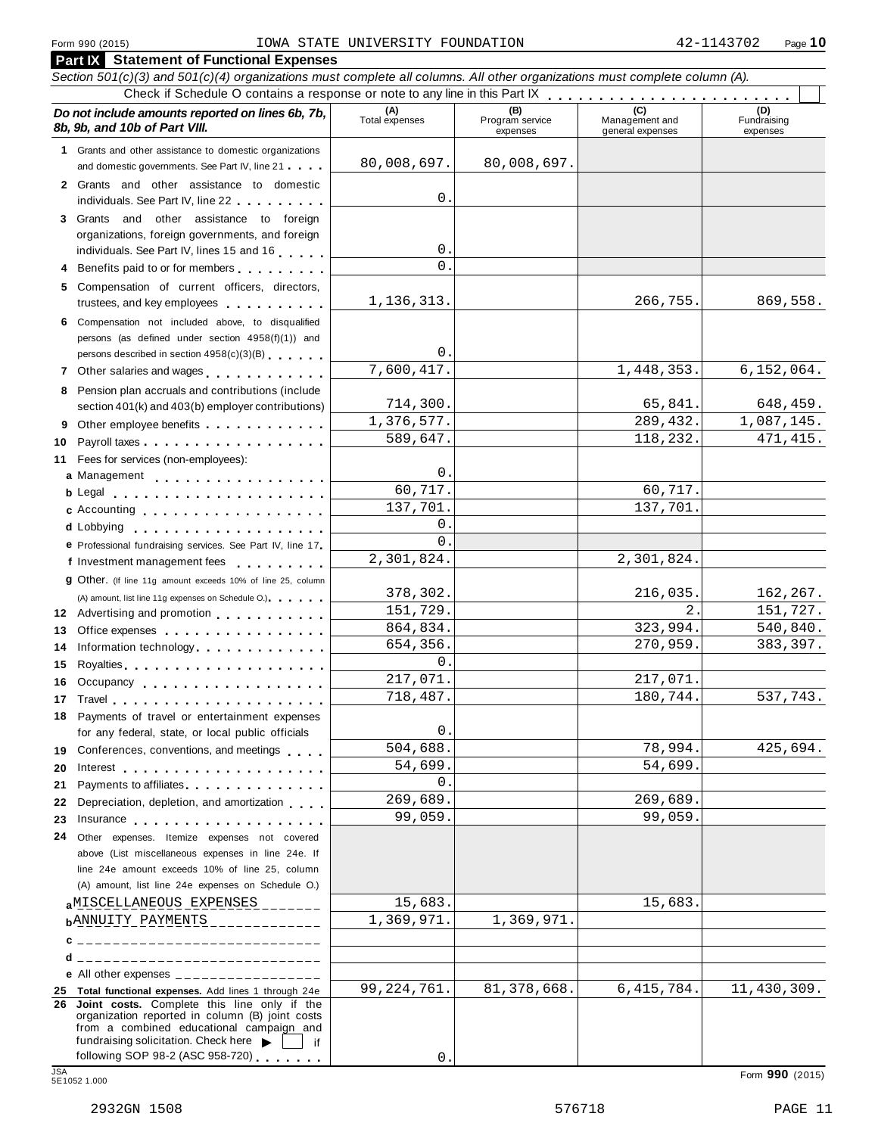#### Form <sup>990</sup> (2015) Page **10** IOWA STATE UNIVERSITY FOUNDATION 42-1143702

|            | <b>Part IX</b> Statement of Functional Expenses                                                                                                                                                                                |                       |                                    |                                           |                                |  |  |  |  |
|------------|--------------------------------------------------------------------------------------------------------------------------------------------------------------------------------------------------------------------------------|-----------------------|------------------------------------|-------------------------------------------|--------------------------------|--|--|--|--|
|            | Section 501(c)(3) and 501(c)(4) organizations must complete all columns. All other organizations must complete column (A).                                                                                                     |                       |                                    |                                           |                                |  |  |  |  |
|            |                                                                                                                                                                                                                                |                       |                                    |                                           |                                |  |  |  |  |
|            | Do not include amounts reported on lines 6b, 7b,<br>8b, 9b, and 10b of Part VIII.                                                                                                                                              | (A)<br>Total expenses | (B)<br>Program service<br>expenses | (C)<br>Management and<br>general expenses | (D)<br>Fundraising<br>expenses |  |  |  |  |
|            | 1 Grants and other assistance to domestic organizations                                                                                                                                                                        |                       |                                    |                                           |                                |  |  |  |  |
|            | and domestic governments. See Part IV, line 21                                                                                                                                                                                 | 80,008,697.           | 80,008,697.                        |                                           |                                |  |  |  |  |
|            | 2 Grants and other assistance to domestic<br>individuals. See Part IV, line 22                                                                                                                                                 | 0.                    |                                    |                                           |                                |  |  |  |  |
|            | 3 Grants and other assistance to foreign                                                                                                                                                                                       |                       |                                    |                                           |                                |  |  |  |  |
|            | organizations, foreign governments, and foreign                                                                                                                                                                                |                       |                                    |                                           |                                |  |  |  |  |
|            | individuals. See Part IV, lines 15 and 16                                                                                                                                                                                      | $\mathbf 0$ .         |                                    |                                           |                                |  |  |  |  |
|            | 4 Benefits paid to or for members                                                                                                                                                                                              | 0.                    |                                    |                                           |                                |  |  |  |  |
|            | 5 Compensation of current officers, directors,<br>trustees, and key employees expressed and the state of                                                                                                                       | 1,136,313.            |                                    | 266,755.                                  | 869,558.                       |  |  |  |  |
|            | 6 Compensation not included above, to disqualified                                                                                                                                                                             |                       |                                    |                                           |                                |  |  |  |  |
|            | persons (as defined under section 4958(f)(1)) and<br>persons described in section 4958(c)(3)(B)                                                                                                                                | 0.                    |                                    |                                           |                                |  |  |  |  |
|            | 7 Other salaries and wages                                                                                                                                                                                                     | 7,600,417.            |                                    | 1,448,353.                                | 6, 152, 064.                   |  |  |  |  |
|            | 8 Pension plan accruals and contributions (include                                                                                                                                                                             |                       |                                    |                                           |                                |  |  |  |  |
|            | section 401(k) and 403(b) employer contributions)                                                                                                                                                                              | 714,300.              |                                    | 65,841.                                   | 648,459.                       |  |  |  |  |
|            |                                                                                                                                                                                                                                | 1,376,577.            |                                    | 289,432.                                  | 1,087,145.                     |  |  |  |  |
|            | 9 Other employee benefits                                                                                                                                                                                                      | 589,647.              |                                    | 118,232.                                  | 471,415.                       |  |  |  |  |
| 10         |                                                                                                                                                                                                                                |                       |                                    |                                           |                                |  |  |  |  |
| 11         | Fees for services (non-employees):                                                                                                                                                                                             | 0.                    |                                    |                                           |                                |  |  |  |  |
|            | a Management                                                                                                                                                                                                                   | 60,717.               |                                    | 60,717.                                   |                                |  |  |  |  |
|            | <b>b</b> Legal <b>contained contained contained contained contained  contained  contained  contained  contained  contained  contained  contained  contained  contained  contained  contained  contain</b>                      | 137,701.              |                                    | 137,701.                                  |                                |  |  |  |  |
|            | c Accounting                                                                                                                                                                                                                   | 0.                    |                                    |                                           |                                |  |  |  |  |
|            | d Lobbying                                                                                                                                                                                                                     | 0.                    |                                    |                                           |                                |  |  |  |  |
|            | e Professional fundraising services. See Part IV, line 17                                                                                                                                                                      | 2,301,824.            |                                    | 2,301,824.                                |                                |  |  |  |  |
|            | f Investment management fees                                                                                                                                                                                                   |                       |                                    |                                           |                                |  |  |  |  |
|            | 9 Other. (If line 11g amount exceeds 10% of line 25, column                                                                                                                                                                    | 378,302.              |                                    | 216,035.                                  | 162,267.                       |  |  |  |  |
|            | (A) amount, list line 11g expenses on Schedule O.).                                                                                                                                                                            | 151,729.              |                                    | 2.                                        | 151,727.                       |  |  |  |  |
|            | 12 Advertising and promotion                                                                                                                                                                                                   | 864,834.              |                                    | 323,994.                                  |                                |  |  |  |  |
| 13         | Office expenses                                                                                                                                                                                                                |                       |                                    |                                           | 540,840.<br>383,397.           |  |  |  |  |
| 14         | Information technology experience and the state of the state of the state of the state of the state of the state of the state of the state of the state of the state of the state of the state of the state of the state of th | 654,356.<br>0.        |                                    | 270,959.                                  |                                |  |  |  |  |
| 15         |                                                                                                                                                                                                                                | 217,071.              |                                    | 217,071.                                  |                                |  |  |  |  |
|            | 16 Occupancy                                                                                                                                                                                                                   | 718,487.              |                                    | 180,744.                                  | 537,743.                       |  |  |  |  |
|            |                                                                                                                                                                                                                                |                       |                                    |                                           |                                |  |  |  |  |
|            | 18 Payments of travel or entertainment expenses<br>for any federal, state, or local public officials                                                                                                                           | 0.                    |                                    |                                           |                                |  |  |  |  |
|            |                                                                                                                                                                                                                                | 504,688.              |                                    | 78,994.                                   | 425,694.                       |  |  |  |  |
|            | 19 Conferences, conventions, and meetings                                                                                                                                                                                      | 54,699.               |                                    | 54,699.                                   |                                |  |  |  |  |
| 20         |                                                                                                                                                                                                                                | 0.                    |                                    |                                           |                                |  |  |  |  |
| 21         | Payments to affiliates <b>Exercise 2.1 Fig. 1.1 Fig. 1.1</b>                                                                                                                                                                   | 269,689.              |                                    | 269,689.                                  |                                |  |  |  |  |
| 22         | Depreciation, depletion, and amortization                                                                                                                                                                                      | 99,059.               |                                    | 99,059.                                   |                                |  |  |  |  |
| 23         | Insurance                                                                                                                                                                                                                      |                       |                                    |                                           |                                |  |  |  |  |
| 24         | Other expenses. Itemize expenses not covered                                                                                                                                                                                   |                       |                                    |                                           |                                |  |  |  |  |
|            | above (List miscellaneous expenses in line 24e. If                                                                                                                                                                             |                       |                                    |                                           |                                |  |  |  |  |
|            | line 24e amount exceeds 10% of line 25, column<br>(A) amount, list line 24e expenses on Schedule O.)                                                                                                                           |                       |                                    |                                           |                                |  |  |  |  |
|            |                                                                                                                                                                                                                                |                       |                                    |                                           |                                |  |  |  |  |
|            | aMISCELLANEOUS EXPENSES                                                                                                                                                                                                        | 15,683.               |                                    | 15,683.                                   |                                |  |  |  |  |
|            | $b$ ANNUITY PAYMENTS _____________                                                                                                                                                                                             | 1,369,971.            | 1,369,971.                         |                                           |                                |  |  |  |  |
|            | _____________________________                                                                                                                                                                                                  |                       |                                    |                                           |                                |  |  |  |  |
|            | d ______________________________                                                                                                                                                                                               |                       |                                    |                                           |                                |  |  |  |  |
|            | e All other expenses $\frac{1}{1}$                                                                                                                                                                                             |                       |                                    |                                           |                                |  |  |  |  |
|            | 25 Total functional expenses. Add lines 1 through 24e<br>26 Joint costs. Complete this line only if the                                                                                                                        | 99, 224, 761.         | 81,378,668.                        | 6, 415, 784.                              | 11,430,309.                    |  |  |  |  |
|            | organization reported in column (B) joint costs                                                                                                                                                                                |                       |                                    |                                           |                                |  |  |  |  |
|            | from a combined educational campaign and                                                                                                                                                                                       |                       |                                    |                                           |                                |  |  |  |  |
|            | fundraising solicitation. Check here $\blacktriangleright$  <br>if.<br>following SOP 98-2 (ASC 958-720)                                                                                                                        |                       |                                    |                                           |                                |  |  |  |  |
| <b>JSA</b> |                                                                                                                                                                                                                                | 0                     |                                    |                                           |                                |  |  |  |  |
|            | 5E1052 1.000                                                                                                                                                                                                                   |                       |                                    |                                           | Form 990 (2015)                |  |  |  |  |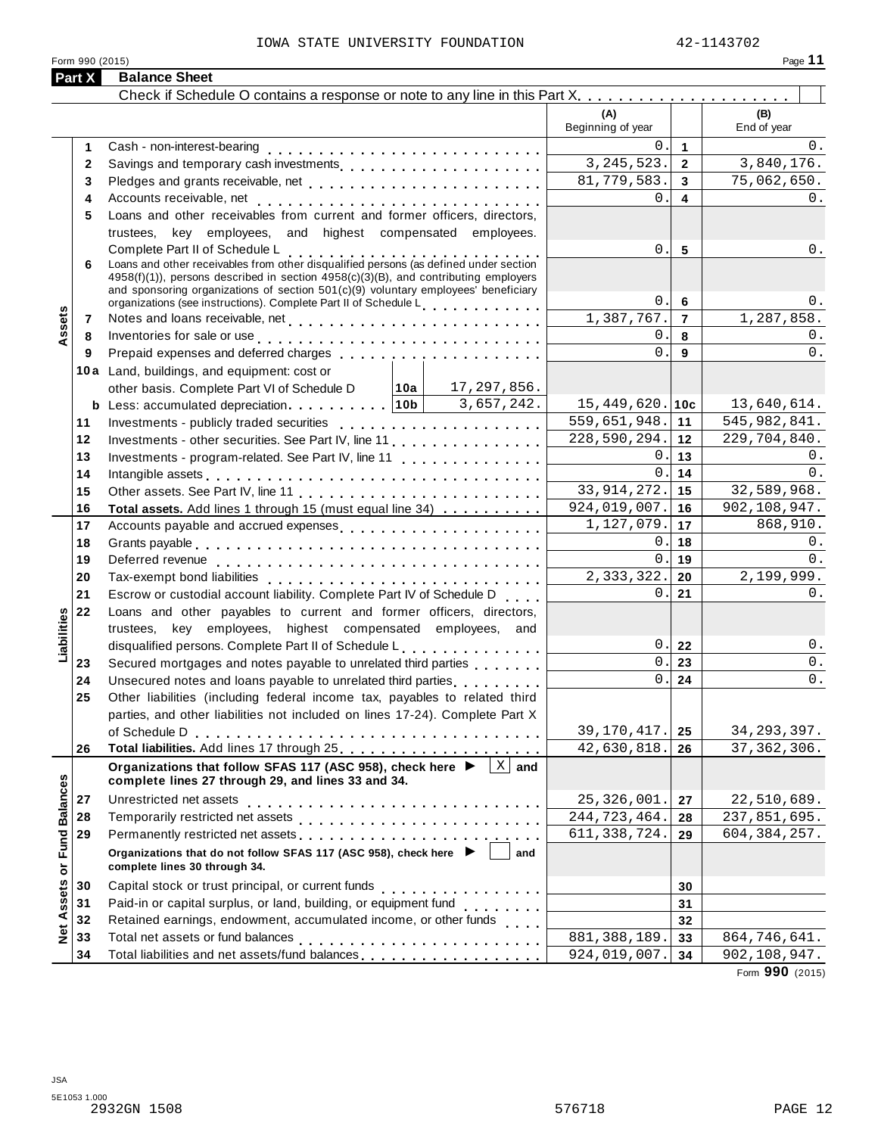#### IOWA STATE UNIVERSITY FOUNDATION 42-1143702

|                  | Part X       | <b>Balance Sheet</b>                                                                                                                                                                                                                                                                                        |                            |                |                    |
|------------------|--------------|-------------------------------------------------------------------------------------------------------------------------------------------------------------------------------------------------------------------------------------------------------------------------------------------------------------|----------------------------|----------------|--------------------|
|                  |              |                                                                                                                                                                                                                                                                                                             |                            |                |                    |
|                  |              |                                                                                                                                                                                                                                                                                                             | (A)<br>Beginning of year   |                | (B)<br>End of year |
|                  | 1            | Cash - non-interest-bearing                                                                                                                                                                                                                                                                                 | 0.                         | $\mathbf{1}$   | 0.                 |
|                  | $\mathbf{2}$ |                                                                                                                                                                                                                                                                                                             | 3, 245, 523.               | $\overline{2}$ | 3,840,176.         |
|                  | 3            |                                                                                                                                                                                                                                                                                                             | 81,779,583.                | 3              | 75,062,650.        |
|                  | 4            |                                                                                                                                                                                                                                                                                                             | $0$ .                      | 4              | 0.                 |
|                  | 5            | Loans and other receivables from current and former officers, directors,                                                                                                                                                                                                                                    |                            |                |                    |
|                  |              | trustees, key employees, and highest compensated employees.                                                                                                                                                                                                                                                 |                            |                |                    |
|                  | 6            | Complete Part II of Schedule L<br>Loans and other receivables from other disqualified persons (as defined under section<br>$4958(f)(1)$ , persons described in section $4958(c)(3)(B)$ , and contributing employers<br>and sponsoring organizations of section $501(c)(9)$ voluntary employees' beneficiary | 0.                         | 5              | $0$ .              |
|                  |              | organizations (see instructions). Complete Part II of Schedule L.                                                                                                                                                                                                                                           | $0$ .                      | 6              | $0$ .              |
| Assets           | 7            |                                                                                                                                                                                                                                                                                                             | 1,387,767.                 | $\overline{7}$ | 1,287,858.         |
|                  | 8            | Inventories for sale or use                                                                                                                                                                                                                                                                                 | 0.                         | 8              | 0.                 |
|                  | 9            |                                                                                                                                                                                                                                                                                                             | $\Omega$ .                 | 9              | 0.                 |
|                  |              | 10a Land, buildings, and equipment: cost or                                                                                                                                                                                                                                                                 |                            |                |                    |
|                  |              | 17,297,856.<br>other basis. Complete Part VI of Schedule D<br> 10a                                                                                                                                                                                                                                          |                            |                |                    |
|                  |              | 3,657,242.<br><b>b</b> Less: accumulated depreciation $\ldots$ ,    10b                                                                                                                                                                                                                                     | $15,449,620.$ 10c          |                | 13,640,614.        |
|                  | 11           | Investments - publicly traded securities                                                                                                                                                                                                                                                                    | 559,651,948.               | 11             | 545, 982, 841.     |
|                  | 12           | Investments - other securities. See Part IV, line 11                                                                                                                                                                                                                                                        | $228,590,294.$ 12          |                | 229,704,840.       |
|                  | 13           | Investments - program-related. See Part IV, line 11                                                                                                                                                                                                                                                         | 0.                         | 13             | 0.                 |
|                  | 14           | Intangible assets experience in the contract of the contract of the contract of the contract of the contract of the contract of the contract of the contract of the contract of the contract of the contract of the contract o                                                                              | 0.                         | 14             | 0.                 |
|                  | 15           |                                                                                                                                                                                                                                                                                                             | 33, 914, 272.              | 15             | 32,589,968.        |
|                  | 16           | Total assets. Add lines 1 through 15 (must equal line 34)                                                                                                                                                                                                                                                   | 924,019,007.               | 16             | 902,108,947.       |
|                  | 17           | Accounts payable and accrued expenses                                                                                                                                                                                                                                                                       | $\overline{1}$ , 127, 079. | 17             | 868,910.           |
|                  | 18           |                                                                                                                                                                                                                                                                                                             | 0.<br>0.1                  | 18<br>19       | 0.<br>0.           |
|                  | 19<br>20     |                                                                                                                                                                                                                                                                                                             | 2,333,322.                 | 20             | 2,199,999.         |
|                  | 21           | Escrow or custodial account liability. Complete Part IV of Schedule D                                                                                                                                                                                                                                       | 0.                         | 21             | 0.                 |
|                  | 22           | Loans and other payables to current and former officers, directors,                                                                                                                                                                                                                                         |                            |                |                    |
| Liabilities      |              | trustees, key employees, highest compensated employees, and                                                                                                                                                                                                                                                 |                            |                |                    |
|                  |              | disqualified persons. Complete Part II of Schedule L.                                                                                                                                                                                                                                                       |                            | 0.122          | $0$ .              |
|                  | 23           | Secured mortgages and notes payable to unrelated third parties                                                                                                                                                                                                                                              | 0.1                        | 23             | $0$ .              |
|                  | 24           |                                                                                                                                                                                                                                                                                                             | 0.                         | 24             | $0$ .              |
|                  | 25           | Other liabilities (including federal income tax, payables to related third                                                                                                                                                                                                                                  |                            |                |                    |
|                  |              | parties, and other liabilities not included on lines 17-24). Complete Part X                                                                                                                                                                                                                                |                            |                |                    |
|                  |              |                                                                                                                                                                                                                                                                                                             | 39, 170, 417.              | 25             | 34, 293, 397.      |
|                  | 26           |                                                                                                                                                                                                                                                                                                             | 42,630,818.                | 26             | 37, 362, 306.      |
|                  |              | $\overline{X}$ and<br>Organizations that follow SFAS 117 (ASC 958), check here ▶<br>complete lines 27 through 29, and lines 33 and 34.                                                                                                                                                                      |                            |                |                    |
|                  | 27           | Unrestricted net assets                                                                                                                                                                                                                                                                                     | 25, 326, 001.              | 27             | 22,510,689.        |
|                  | 28           |                                                                                                                                                                                                                                                                                                             | 244, 723, 464.             | 28             | 237,851,695.       |
|                  | 29           | Permanently restricted net assets entering the set of the set of the set of the set of the set of the set of the set of the set of the set of the set of the set of the set of the set of the set of the set of the set of the                                                                              | 611, 338, 724.             | 29             | 604, 384, 257.     |
| or Fund Balances |              | Organizations that do not follow SFAS 117 (ASC 958), check here ▶<br>and<br>complete lines 30 through 34.                                                                                                                                                                                                   |                            |                |                    |
|                  | 30           | Capital stock or trust principal, or current funds<br>. <b>.</b>                                                                                                                                                                                                                                            |                            | 30             |                    |
| ssets            | 31           | Paid-in or capital surplus, or land, building, or equipment fund<br>                                                                                                                                                                                                                                        |                            | 31             |                    |
| څ                | 32           | Retained earnings, endowment, accumulated income, or other funds                                                                                                                                                                                                                                            |                            | 32             |                    |
| Net              | 33           |                                                                                                                                                                                                                                                                                                             | 881, 388, 189.             | 33             | 864,746,641.       |
|                  | 34           | Total liabilities and net assets/fund balances [1] [1] [1] Total liabilities and net assets/fund balances                                                                                                                                                                                                   | 924,019,007.               | 34             | 902,108,947.       |

Form **990** (2015)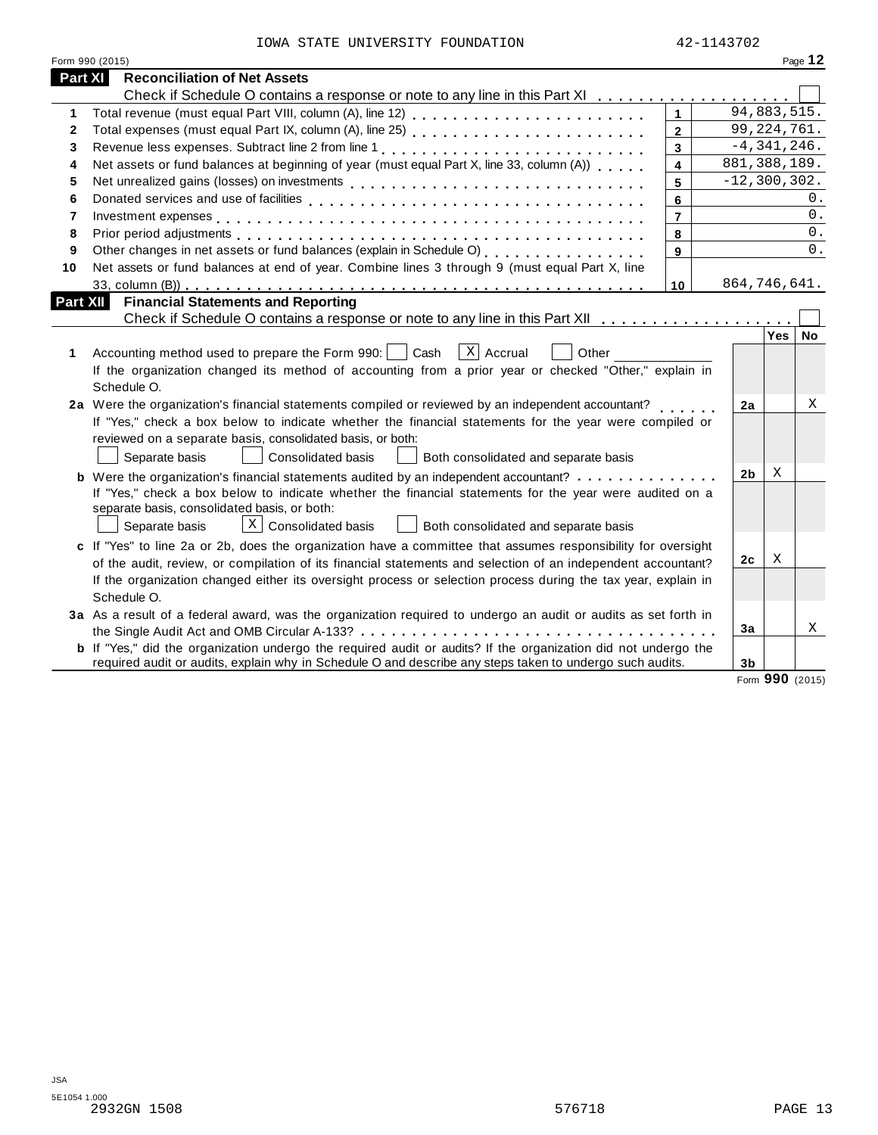| IOWA STATE UNIVERSITY FOUNDATION |  |  |  |
|----------------------------------|--|--|--|
|----------------------------------|--|--|--|

| Form 990 (2015) |                                                                                                                       |                |  |                |               | Page 12          |  |
|-----------------|-----------------------------------------------------------------------------------------------------------------------|----------------|--|----------------|---------------|------------------|--|
| <b>Part XI</b>  | <b>Reconciliation of Net Assets</b>                                                                                   |                |  |                |               |                  |  |
|                 |                                                                                                                       |                |  | 94,883,515.    |               |                  |  |
| 1               | $\mathbf{1}$                                                                                                          |                |  |                |               |                  |  |
| 2               |                                                                                                                       | $\overline{2}$ |  | 99, 224, 761.  |               |                  |  |
| 3               | Revenue less expenses. Subtract line 2 from line 1<br>$\overline{\mathbf{3}}$                                         |                |  |                | $-4,341,246.$ |                  |  |
| 4               | Net assets or fund balances at beginning of year (must equal Part X, line 33, column (A))                             | $\overline{4}$ |  | 881, 388, 189. |               |                  |  |
| 5               | 5                                                                                                                     |                |  |                |               | $-12, 300, 302.$ |  |
| 6               |                                                                                                                       | 6              |  |                |               | 0.               |  |
| 7               |                                                                                                                       | $\overline{7}$ |  |                |               | $0$ .            |  |
| 8               |                                                                                                                       | 8              |  |                |               | 0.               |  |
| 9               |                                                                                                                       | 9              |  |                |               | 0.               |  |
| 10              | Net assets or fund balances at end of year. Combine lines 3 through 9 (must equal Part X, line                        |                |  |                |               |                  |  |
|                 |                                                                                                                       | 10             |  | 864,746,641.   |               |                  |  |
| <b>Part XII</b> | <b>Financial Statements and Reporting</b>                                                                             |                |  |                |               |                  |  |
|                 |                                                                                                                       |                |  |                |               |                  |  |
|                 |                                                                                                                       |                |  |                | Yes   No      |                  |  |
| 1               | X   Accrual<br>Accounting method used to prepare the Form 990:     Cash<br>Other                                      |                |  |                |               |                  |  |
|                 | If the organization changed its method of accounting from a prior year or checked "Other," explain in                 |                |  |                |               |                  |  |
|                 | Schedule O.                                                                                                           |                |  |                |               |                  |  |
|                 | 2a Were the organization's financial statements compiled or reviewed by an independent accountant?                    |                |  | 2a             |               | Χ                |  |
|                 | If "Yes," check a box below to indicate whether the financial statements for the year were compiled or                |                |  |                |               |                  |  |
|                 | reviewed on a separate basis, consolidated basis, or both:                                                            |                |  |                |               |                  |  |
|                 | Separate basis<br>Consolidated basis<br>Both consolidated and separate basis                                          |                |  |                |               |                  |  |
|                 | <b>b</b> Were the organization's financial statements audited by an independent accountant?                           |                |  | 2b             | Χ             |                  |  |
|                 | If "Yes," check a box below to indicate whether the financial statements for the year were audited on a               |                |  |                |               |                  |  |
|                 | separate basis, consolidated basis, or both:                                                                          |                |  |                |               |                  |  |
|                 | $X$ Consolidated basis<br>Separate basis<br>Both consolidated and separate basis                                      |                |  |                |               |                  |  |
|                 | c If "Yes" to line 2a or 2b, does the organization have a committee that assumes responsibility for oversight         |                |  |                |               |                  |  |
|                 | of the audit, review, or compilation of its financial statements and selection of an independent accountant?          |                |  | 2c             | X             |                  |  |
|                 | If the organization changed either its oversight process or selection process during the tax year, explain in         |                |  |                |               |                  |  |
|                 | Schedule O.                                                                                                           |                |  |                |               |                  |  |
|                 | 3a As a result of a federal award, was the organization required to undergo an audit or audits as set forth in        |                |  |                |               |                  |  |
|                 |                                                                                                                       |                |  | 3a             |               | Χ                |  |
|                 | <b>b</b> If "Yes," did the organization undergo the required audit or audits? If the organization did not undergo the |                |  |                |               |                  |  |
|                 | required audit or audits, explain why in Schedule O and describe any steps taken to undergo such audits.              |                |  | 3b             |               |                  |  |

Form **990** (2015)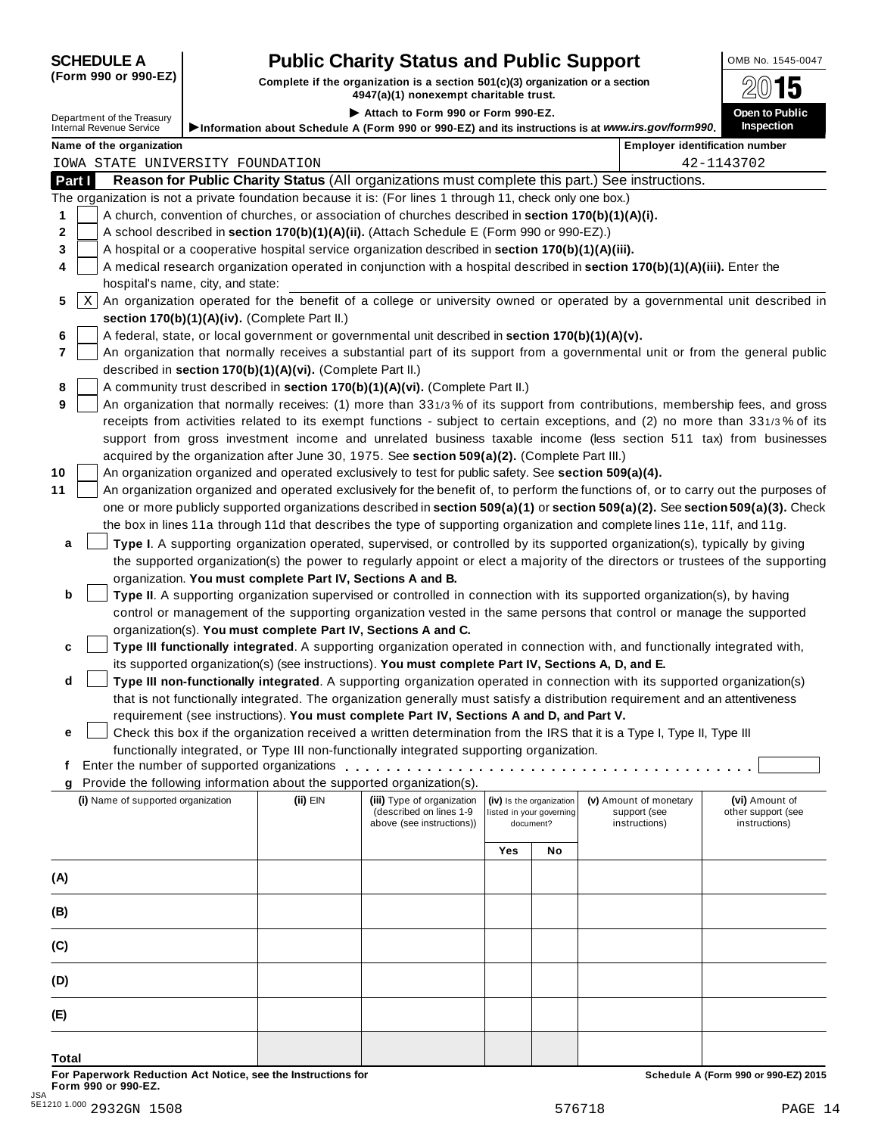# **SCHEDULE A Pub** OMB No. 1545-0047 **lic Charity Status and Public Support**

(Form 990 or 990-EZ) Complete if the organization is a section 501(c)(3) organization or a section  $4947(a)(1)$  nonexempt charitable trust.

|                |                                                               |                                                            | 4947 (a)(1) NONEXEMPL CHANICADIE TIUST.                                                                   |     |                                                      |                                                                                                                              | — ت                                                                                                                                 |
|----------------|---------------------------------------------------------------|------------------------------------------------------------|-----------------------------------------------------------------------------------------------------------|-----|------------------------------------------------------|------------------------------------------------------------------------------------------------------------------------------|-------------------------------------------------------------------------------------------------------------------------------------|
|                | Department of the Treasury<br><b>Internal Revenue Service</b> |                                                            | Attach to Form 990 or Form 990-EZ.                                                                        |     |                                                      | Information about Schedule A (Form 990 or 990-EZ) and its instructions is at www.irs.gov/form990.                            | Open to Public<br><b>Inspection</b>                                                                                                 |
|                |                                                               |                                                            |                                                                                                           |     |                                                      |                                                                                                                              |                                                                                                                                     |
|                | Name of the organization                                      |                                                            |                                                                                                           |     |                                                      |                                                                                                                              | <b>Employer identification number</b>                                                                                               |
|                | IOWA STATE UNIVERSITY FOUNDATION                              |                                                            |                                                                                                           |     |                                                      | Reason for Public Charity Status (All organizations must complete this part.) See instructions.                              | 42-1143702                                                                                                                          |
| Part I         |                                                               |                                                            | The organization is not a private foundation because it is: (For lines 1 through 11, check only one box.) |     |                                                      |                                                                                                                              |                                                                                                                                     |
| 1              |                                                               |                                                            | A church, convention of churches, or association of churches described in section 170(b)(1)(A)(i).        |     |                                                      |                                                                                                                              |                                                                                                                                     |
| 2              |                                                               |                                                            | A school described in section 170(b)(1)(A)(ii). (Attach Schedule E (Form 990 or 990-EZ).)                 |     |                                                      |                                                                                                                              |                                                                                                                                     |
| 3              |                                                               |                                                            | A hospital or a cooperative hospital service organization described in section 170(b)(1)(A)(iii).         |     |                                                      |                                                                                                                              |                                                                                                                                     |
| 4              |                                                               |                                                            |                                                                                                           |     |                                                      | A medical research organization operated in conjunction with a hospital described in section 170(b)(1)(A)(iii). Enter the    |                                                                                                                                     |
|                | hospital's name, city, and state:                             |                                                            |                                                                                                           |     |                                                      |                                                                                                                              |                                                                                                                                     |
| 5              | $\mathbf X$                                                   |                                                            |                                                                                                           |     |                                                      |                                                                                                                              | An organization operated for the benefit of a college or university owned or operated by a governmental unit described in           |
|                |                                                               | section 170(b)(1)(A)(iv). (Complete Part II.)              |                                                                                                           |     |                                                      |                                                                                                                              |                                                                                                                                     |
| 6              |                                                               |                                                            | A federal, state, or local government or governmental unit described in section 170(b)(1)(A)(v).          |     |                                                      |                                                                                                                              |                                                                                                                                     |
| $\overline{7}$ |                                                               |                                                            |                                                                                                           |     |                                                      |                                                                                                                              | An organization that normally receives a substantial part of its support from a governmental unit or from the general public        |
|                |                                                               | described in section 170(b)(1)(A)(vi). (Complete Part II.) |                                                                                                           |     |                                                      |                                                                                                                              |                                                                                                                                     |
| 8              |                                                               |                                                            | A community trust described in section 170(b)(1)(A)(vi). (Complete Part II.)                              |     |                                                      |                                                                                                                              |                                                                                                                                     |
| 9              |                                                               |                                                            |                                                                                                           |     |                                                      |                                                                                                                              | An organization that normally receives: (1) more than 331/3% of its support from contributions, membership fees, and gross          |
|                |                                                               |                                                            |                                                                                                           |     |                                                      |                                                                                                                              | receipts from activities related to its exempt functions - subject to certain exceptions, and (2) no more than 331/3% of its        |
|                |                                                               |                                                            |                                                                                                           |     |                                                      |                                                                                                                              | support from gross investment income and unrelated business taxable income (less section 511 tax) from businesses                   |
|                |                                                               |                                                            | acquired by the organization after June 30, 1975. See section 509(a)(2). (Complete Part III.)             |     |                                                      |                                                                                                                              |                                                                                                                                     |
| 10             |                                                               |                                                            | An organization organized and operated exclusively to test for public safety. See section 509(a)(4).      |     |                                                      |                                                                                                                              |                                                                                                                                     |
| 11             |                                                               |                                                            |                                                                                                           |     |                                                      |                                                                                                                              | An organization organized and operated exclusively for the benefit of, to perform the functions of, or to carry out the purposes of |
|                |                                                               |                                                            |                                                                                                           |     |                                                      |                                                                                                                              | one or more publicly supported organizations described in section 509(a)(1) or section 509(a)(2). See section 509(a)(3). Check      |
|                |                                                               |                                                            |                                                                                                           |     |                                                      | the box in lines 11a through 11d that describes the type of supporting organization and complete lines 11e, 11f, and 11g.    |                                                                                                                                     |
| a              |                                                               |                                                            |                                                                                                           |     |                                                      | Type I. A supporting organization operated, supervised, or controlled by its supported organization(s), typically by giving  |                                                                                                                                     |
|                |                                                               | organization. You must complete Part IV, Sections A and B. |                                                                                                           |     |                                                      |                                                                                                                              | the supported organization(s) the power to regularly appoint or elect a majority of the directors or trustees of the supporting     |
| b              |                                                               |                                                            |                                                                                                           |     |                                                      | Type II. A supporting organization supervised or controlled in connection with its supported organization(s), by having      |                                                                                                                                     |
|                |                                                               |                                                            |                                                                                                           |     |                                                      | control or management of the supporting organization vested in the same persons that control or manage the supported         |                                                                                                                                     |
|                |                                                               |                                                            | organization(s). You must complete Part IV, Sections A and C.                                             |     |                                                      |                                                                                                                              |                                                                                                                                     |
| c              |                                                               |                                                            |                                                                                                           |     |                                                      | Type III functionally integrated. A supporting organization operated in connection with, and functionally integrated with,   |                                                                                                                                     |
|                |                                                               |                                                            | its supported organization(s) (see instructions). You must complete Part IV, Sections A, D, and E.        |     |                                                      |                                                                                                                              |                                                                                                                                     |
| d              |                                                               |                                                            |                                                                                                           |     |                                                      | Type III non-functionally integrated. A supporting organization operated in connection with its supported organization(s)    |                                                                                                                                     |
|                |                                                               |                                                            |                                                                                                           |     |                                                      | that is not functionally integrated. The organization generally must satisfy a distribution requirement and an attentiveness |                                                                                                                                     |
|                |                                                               |                                                            | requirement (see instructions). You must complete Part IV, Sections A and D, and Part V.                  |     |                                                      |                                                                                                                              |                                                                                                                                     |
| е              |                                                               |                                                            |                                                                                                           |     |                                                      | Check this box if the organization received a written determination from the IRS that it is a Type I, Type II, Type III      |                                                                                                                                     |
|                |                                                               |                                                            | functionally integrated, or Type III non-functionally integrated supporting organization.                 |     |                                                      |                                                                                                                              |                                                                                                                                     |
| Ť.             |                                                               |                                                            |                                                                                                           |     |                                                      |                                                                                                                              |                                                                                                                                     |
| q              | (i) Name of supported organization                            |                                                            | Provide the following information about the supported organization(s).                                    |     |                                                      |                                                                                                                              |                                                                                                                                     |
|                |                                                               | $(ii)$ EIN                                                 | (iii) Type of organization<br>(described on lines 1-9                                                     |     | (iv) Is the organization<br>listed in your governing | (v) Amount of monetary<br>support (see                                                                                       | (vi) Amount of<br>other support (see                                                                                                |
|                |                                                               |                                                            | above (see instructions))                                                                                 |     | document?                                            | instructions)                                                                                                                | instructions)                                                                                                                       |
|                |                                                               |                                                            |                                                                                                           | Yes | No                                                   |                                                                                                                              |                                                                                                                                     |
|                |                                                               |                                                            |                                                                                                           |     |                                                      |                                                                                                                              |                                                                                                                                     |
| (A)            |                                                               |                                                            |                                                                                                           |     |                                                      |                                                                                                                              |                                                                                                                                     |
| (B)            |                                                               |                                                            |                                                                                                           |     |                                                      |                                                                                                                              |                                                                                                                                     |
| (C)            |                                                               |                                                            |                                                                                                           |     |                                                      |                                                                                                                              |                                                                                                                                     |
| (D)            |                                                               |                                                            |                                                                                                           |     |                                                      |                                                                                                                              |                                                                                                                                     |
| (E)            |                                                               |                                                            |                                                                                                           |     |                                                      |                                                                                                                              |                                                                                                                                     |
| <b>Total</b>   |                                                               |                                                            |                                                                                                           |     |                                                      |                                                                                                                              |                                                                                                                                     |

For Paperwork Reduction Act Notice, see the Instructions for the controlled and the controlled a Schedule A (Form 990 or 990-EZ) 2015<br>Form 990 or 990-EZ.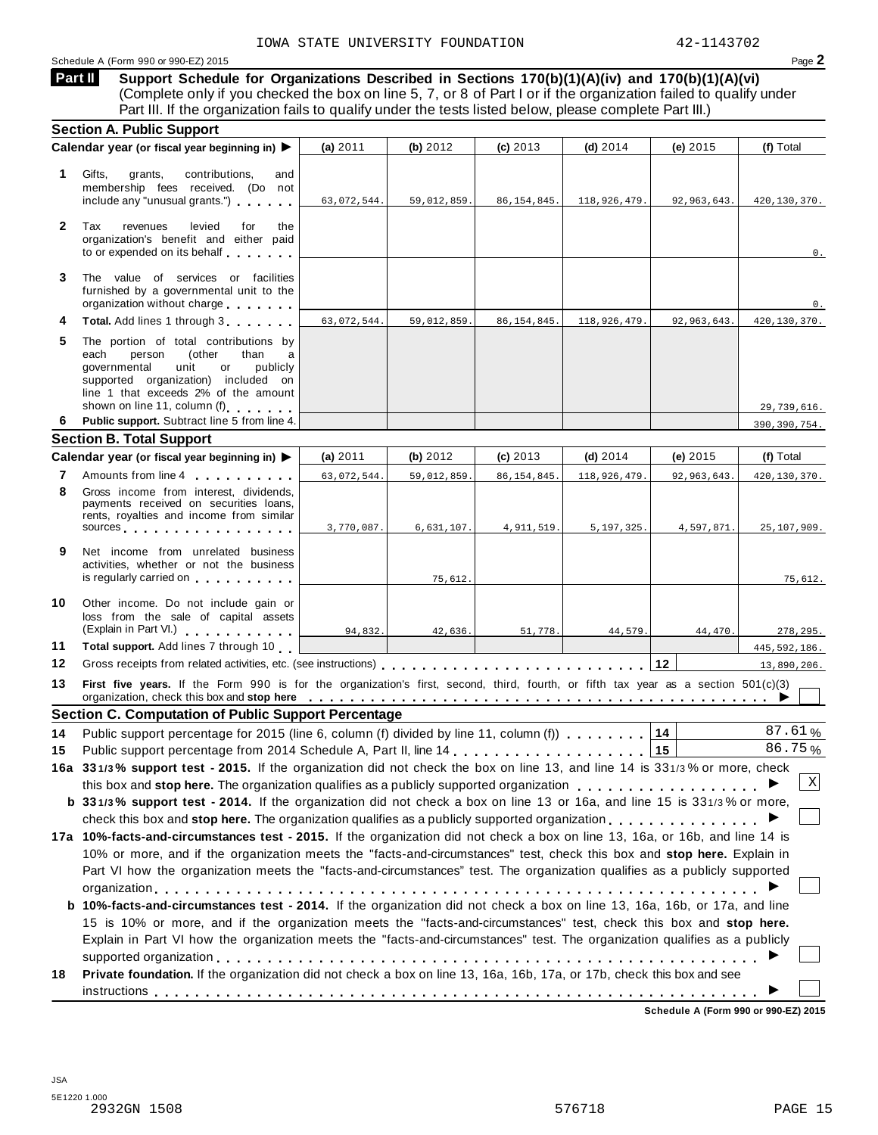## Schedule <sup>A</sup> (Form <sup>990</sup> or 990-EZ) <sup>2015</sup> Page **2**

**Support Schedule for Organizations Described in Sections 170(b)(1)(A)(iv) and 170(b)(1)(A)(vi)** (Complete only if you checked the box on line 5, 7, or 8 of Part I or if the organization failed to qualify under Part III. If the organization fails to qualify under the tests listed below, please complete Part III.) **Part II**

|              | <b>Section A. Public Support</b>                                                                                                                                                                                                                                                                                                                              |             |             |               |              |               |                |
|--------------|---------------------------------------------------------------------------------------------------------------------------------------------------------------------------------------------------------------------------------------------------------------------------------------------------------------------------------------------------------------|-------------|-------------|---------------|--------------|---------------|----------------|
|              | Calendar year (or fiscal year beginning in) ▶                                                                                                                                                                                                                                                                                                                 | (a) $2011$  | (b) 2012    | $(c)$ 2013    | (d) $2014$   | (e) 2015      | (f) Total      |
| 1            | Gifts,<br>contributions,<br>grants,<br>and<br>membership fees received. (Do not<br>include any "unusual grants.")                                                                                                                                                                                                                                             | 63,072,544. | 59,012,859. | 86, 154, 845. | 118,926,479. | 92, 963, 643. | 420,130,370.   |
| $\mathbf{2}$ | Tax<br>revenues<br>levied<br>for<br>the<br>organization's benefit and either paid<br>to or expended on its behalf                                                                                                                                                                                                                                             |             |             |               |              |               | 0.             |
| 3            | The value of services or facilities<br>furnished by a governmental unit to the<br>organization without charge                                                                                                                                                                                                                                                 |             |             |               |              |               | 0.             |
| 4            | Total. Add lines 1 through 3                                                                                                                                                                                                                                                                                                                                  | 63,072,544. | 59,012,859. | 86, 154, 845. | 118,926,479. | 92, 963, 643. | 420, 130, 370. |
| 5            | The portion of total contributions by<br>each<br>person<br>(other<br>than<br>a<br>governmental<br>unit<br>publicly<br>or<br>supported organization) included on<br>line 1 that exceeds 2% of the amount                                                                                                                                                       |             |             |               |              |               |                |
| 6.           | shown on line 11, column (f)<br>Public support. Subtract line 5 from line 4.                                                                                                                                                                                                                                                                                  |             |             |               |              |               | 29,739,616.    |
|              | <b>Section B. Total Support</b>                                                                                                                                                                                                                                                                                                                               |             |             |               |              |               | 390, 390, 754. |
|              | Calendar year (or fiscal year beginning in) ▶                                                                                                                                                                                                                                                                                                                 | (a) $2011$  | (b) 2012    | $(c)$ 2013    | (d) $2014$   | (e) $2015$    | (f) Total      |
| 7            | Amounts from line 4                                                                                                                                                                                                                                                                                                                                           | 63,072,544. | 59,012,859. | 86, 154, 845. | 118,926,479  | 92, 963, 643. | 420,130,370.   |
| 8            | Gross income from interest, dividends,<br>payments received on securities loans,<br>rents, royalties and income from similar<br>sources experiences and the set of the set of the set of the set of the set of the set of the set of the set of the set of the set of the set of the set of the set of the set of the set of the set of the set of the set of | 3,770,087.  | 6,631,107.  | 4,911,519.    | 5,197,325.   | 4,597,871.    | 25,107,909.    |
| 9            | Net income from unrelated business<br>activities, whether or not the business<br>is regularly carried on the control of the control of the control of the control of the control of the control o                                                                                                                                                             |             | 75,612.     |               |              |               | 75,612.        |
| 10           | Other income. Do not include gain or<br>loss from the sale of capital assets<br>(Explain in Part VI.)                                                                                                                                                                                                                                                         | 94,832.     | 42,636.     | 51,778.       | 44,579.      | 44,470.       | 278,295.       |
| 11           | Total support. Add lines 7 through 10                                                                                                                                                                                                                                                                                                                         |             |             |               |              |               | 445,592,186.   |
| 12           |                                                                                                                                                                                                                                                                                                                                                               |             |             |               |              | $ 12\rangle$  | 13,890,206.    |
| 13           | First five years. If the Form 990 is for the organization's first, second, third, fourth, or fifth tax year as a section 501(c)(3)                                                                                                                                                                                                                            |             |             |               |              |               |                |
|              | <b>Section C. Computation of Public Support Percentage</b>                                                                                                                                                                                                                                                                                                    |             |             |               |              |               |                |
| 14           | Public support percentage for 2015 (line 6, column (f) divided by line 11, column (f)                                                                                                                                                                                                                                                                         |             |             |               |              | 14            | 87.61%         |
| 15           |                                                                                                                                                                                                                                                                                                                                                               |             |             |               |              | 15            | 86.75%         |
|              | 16a 331/3% support test - 2015. If the organization did not check the box on line 13, and line 14 is 331/3% or more, check                                                                                                                                                                                                                                    |             |             |               |              |               |                |
|              | this box and stop here. The organization qualifies as a publicly supported organization                                                                                                                                                                                                                                                                       |             |             |               |              |               | X              |
|              | b 331/3% support test - 2014. If the organization did not check a box on line 13 or 16a, and line 15 is 331/3% or more,                                                                                                                                                                                                                                       |             |             |               |              |               |                |
|              | check this box and stop here. The organization qualifies as a publicly supported organization $\dots \dots \dots \dots$                                                                                                                                                                                                                                       |             |             |               |              |               |                |
|              | 17a 10%-facts-and-circumstances test - 2015. If the organization did not check a box on line 13, 16a, or 16b, and line 14 is                                                                                                                                                                                                                                  |             |             |               |              |               |                |
|              | 10% or more, and if the organization meets the "facts-and-circumstances" test, check this box and stop here. Explain in                                                                                                                                                                                                                                       |             |             |               |              |               |                |
|              | Part VI how the organization meets the "facts-and-circumstances" test. The organization qualifies as a publicly supported                                                                                                                                                                                                                                     |             |             |               |              |               |                |
|              | b 10%-facts-and-circumstances test - 2014. If the organization did not check a box on line 13, 16a, 16b, or 17a, and line<br>15 is 10% or more, and if the organization meets the "facts-and-circumstances" test, check this box and stop here.                                                                                                               |             |             |               |              |               |                |
|              | Explain in Part VI how the organization meets the "facts-and-circumstances" test. The organization qualifies as a publicly                                                                                                                                                                                                                                    |             |             |               |              |               |                |
| 18           | Private foundation. If the organization did not check a box on line 13, 16a, 16b, 17a, or 17b, check this box and see                                                                                                                                                                                                                                         |             |             |               |              |               |                |
|              |                                                                                                                                                                                                                                                                                                                                                               |             |             |               |              |               |                |
|              |                                                                                                                                                                                                                                                                                                                                                               |             |             |               |              |               |                |

**Schedule A (Form 990 or 990-EZ) 2015**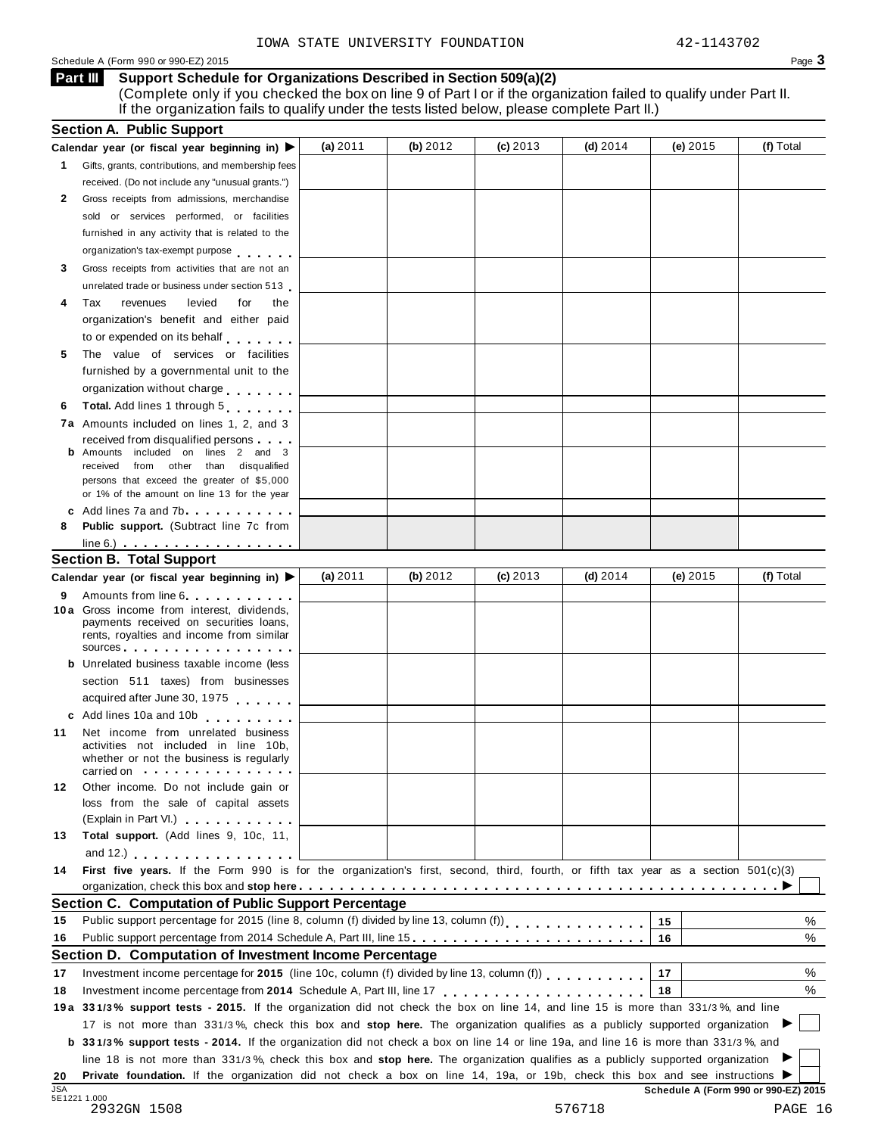#### Schedule <sup>A</sup> (Form <sup>990</sup> or 990-EZ) <sup>2015</sup> Page **3**

**Part III**

**Support Schedule for Organizations Described in Section 509(a)(2)** (Complete only if you checked the box on line 9 of Part I or if the organization failed to qualify under Part II. If the organization fails to qualify under the tests listed below, please complete Part II.)

|            | <b>Section A. Public Support</b>                                                                                                                                                                                               |          |          |            |            |                                      |           |
|------------|--------------------------------------------------------------------------------------------------------------------------------------------------------------------------------------------------------------------------------|----------|----------|------------|------------|--------------------------------------|-----------|
|            | Calendar year (or fiscal year beginning in) $\blacktriangleright$                                                                                                                                                              | (a) 2011 | (b) 2012 | $(c)$ 2013 | $(d)$ 2014 | (e) $2015$                           | (f) Total |
| 1          | Gifts, grants, contributions, and membership fees                                                                                                                                                                              |          |          |            |            |                                      |           |
|            | received. (Do not include any "unusual grants.")                                                                                                                                                                               |          |          |            |            |                                      |           |
| 2          | Gross receipts from admissions, merchandise                                                                                                                                                                                    |          |          |            |            |                                      |           |
|            | sold or services performed, or facilities                                                                                                                                                                                      |          |          |            |            |                                      |           |
|            | furnished in any activity that is related to the                                                                                                                                                                               |          |          |            |            |                                      |           |
|            | organization's tax-exempt purpose                                                                                                                                                                                              |          |          |            |            |                                      |           |
| 3          | Gross receipts from activities that are not an                                                                                                                                                                                 |          |          |            |            |                                      |           |
|            | unrelated trade or business under section 513                                                                                                                                                                                  |          |          |            |            |                                      |           |
| 4          | Tax<br>revenues<br>levied<br>for<br>the                                                                                                                                                                                        |          |          |            |            |                                      |           |
|            | organization's benefit and either paid                                                                                                                                                                                         |          |          |            |            |                                      |           |
|            | to or expended on its behalf                                                                                                                                                                                                   |          |          |            |            |                                      |           |
| 5          | The value of services or facilities                                                                                                                                                                                            |          |          |            |            |                                      |           |
|            | furnished by a governmental unit to the                                                                                                                                                                                        |          |          |            |            |                                      |           |
|            |                                                                                                                                                                                                                                |          |          |            |            |                                      |           |
|            | organization without charge                                                                                                                                                                                                    |          |          |            |            |                                      |           |
| 6          | Total. Add lines 1 through 5                                                                                                                                                                                                   |          |          |            |            |                                      |           |
|            | <b>7a</b> Amounts included on lines 1, 2, and 3                                                                                                                                                                                |          |          |            |            |                                      |           |
|            | received from disqualified persons<br>Amounts included on lines 2 and 3                                                                                                                                                        |          |          |            |            |                                      |           |
|            | from other than disqualified<br>received                                                                                                                                                                                       |          |          |            |            |                                      |           |
|            | persons that exceed the greater of \$5,000                                                                                                                                                                                     |          |          |            |            |                                      |           |
|            | or 1% of the amount on line 13 for the year                                                                                                                                                                                    |          |          |            |            |                                      |           |
|            | c Add lines 7a and 7b                                                                                                                                                                                                          |          |          |            |            |                                      |           |
| 8          | <b>Public support.</b> (Subtract line 7c from                                                                                                                                                                                  |          |          |            |            |                                      |           |
|            | $line 6.)$                                                                                                                                                                                                                     |          |          |            |            |                                      |           |
|            | <b>Section B. Total Support</b>                                                                                                                                                                                                |          |          |            |            |                                      |           |
|            | Calendar year (or fiscal year beginning in) ▶                                                                                                                                                                                  | (a) 2011 | (b) 2012 | $(c)$ 2013 | (d) $2014$ | (e) $2015$                           | (f) Total |
| 9          | Amounts from line 6. The state of the state of the state of the state of the state of the state of the state of the state of the state of the state of the state of the state of the state of the state of the state of the st |          |          |            |            |                                      |           |
|            | 10 a Gross income from interest, dividends,                                                                                                                                                                                    |          |          |            |            |                                      |           |
|            | payments received on securities loans,<br>rents, royalties and income from similar                                                                                                                                             |          |          |            |            |                                      |           |
|            | sources and the set of the set of the set of the set of the set of the set of the set of the set of the set of the set of the set of the set of the set of the set of the set of the set of the set of the set of the set of t |          |          |            |            |                                      |           |
|            | <b>b</b> Unrelated business taxable income (less                                                                                                                                                                               |          |          |            |            |                                      |           |
|            | section 511 taxes) from businesses                                                                                                                                                                                             |          |          |            |            |                                      |           |
|            | acquired after June 30, 1975                                                                                                                                                                                                   |          |          |            |            |                                      |           |
|            | c Add lines 10a and 10b                                                                                                                                                                                                        |          |          |            |            |                                      |           |
| 11         | Net income from unrelated business                                                                                                                                                                                             |          |          |            |            |                                      |           |
|            | activities not included in line 10b,                                                                                                                                                                                           |          |          |            |            |                                      |           |
|            | whether or not the business is regularly                                                                                                                                                                                       |          |          |            |            |                                      |           |
|            | carried on with the state of the state of the state of the state of the state of the state of the state of the                                                                                                                 |          |          |            |            |                                      |           |
| 12         | Other income. Do not include gain or                                                                                                                                                                                           |          |          |            |            |                                      |           |
|            | loss from the sale of capital assets                                                                                                                                                                                           |          |          |            |            |                                      |           |
|            | (Explain in Part VI.) <b>All Accords</b>                                                                                                                                                                                       |          |          |            |            |                                      |           |
| 13         | Total support. (Add lines 9, 10c, 11,                                                                                                                                                                                          |          |          |            |            |                                      |           |
|            | and $12$ .) $\ldots$ $\ldots$ $\ldots$ $\ldots$ $\ldots$                                                                                                                                                                       |          |          |            |            |                                      |           |
| 14         | First five years. If the Form 990 is for the organization's first, second, third, fourth, or fifth tax year as a section 501(c)(3)                                                                                             |          |          |            |            |                                      |           |
|            |                                                                                                                                                                                                                                |          |          |            |            |                                      |           |
|            | Section C. Computation of Public Support Percentage                                                                                                                                                                            |          |          |            |            |                                      |           |
| 15         |                                                                                                                                                                                                                                |          |          |            |            | 15                                   | ℅         |
| 16         | Public support percentage from 2014 Schedule A, Part III, line 15                                                                                                                                                              |          |          |            |            | 16                                   | %         |
|            | Section D. Computation of Investment Income Percentage                                                                                                                                                                         |          |          |            |            |                                      |           |
| 17         | Investment income percentage for 2015 (line 10c, column (f) divided by line 13, column (f))                                                                                                                                    |          |          |            |            | 17                                   | %         |
| 18         |                                                                                                                                                                                                                                |          |          |            |            | 18                                   | %         |
|            | 19a 331/3% support tests - 2015. If the organization did not check the box on line 14, and line 15 is more than 331/3%, and line                                                                                               |          |          |            |            |                                      |           |
|            | 17 is not more than 331/3%, check this box and stop here. The organization qualifies as a publicly supported organization                                                                                                      |          |          |            |            |                                      |           |
|            | <b>b</b> 331/3% support tests - 2014. If the organization did not check a box on line 14 or line 19a, and line 16 is more than 331/3%, and                                                                                     |          |          |            |            |                                      |           |
|            | line 18 is not more than 331/3%, check this box and stop here. The organization qualifies as a publicly supported organization                                                                                                 |          |          |            |            |                                      |           |
| 20         | Private foundation. If the organization did not check a box on line 14, 19a, or 19b, check this box and see instructions ▶                                                                                                     |          |          |            |            |                                      |           |
| <b>JSA</b> |                                                                                                                                                                                                                                |          |          |            |            | Schedule A (Form 990 or 990-EZ) 2015 |           |
|            | 5E1221 1.000<br>2932GN 1508                                                                                                                                                                                                    |          |          |            | 576718     |                                      | PAGE 16   |
|            |                                                                                                                                                                                                                                |          |          |            |            |                                      |           |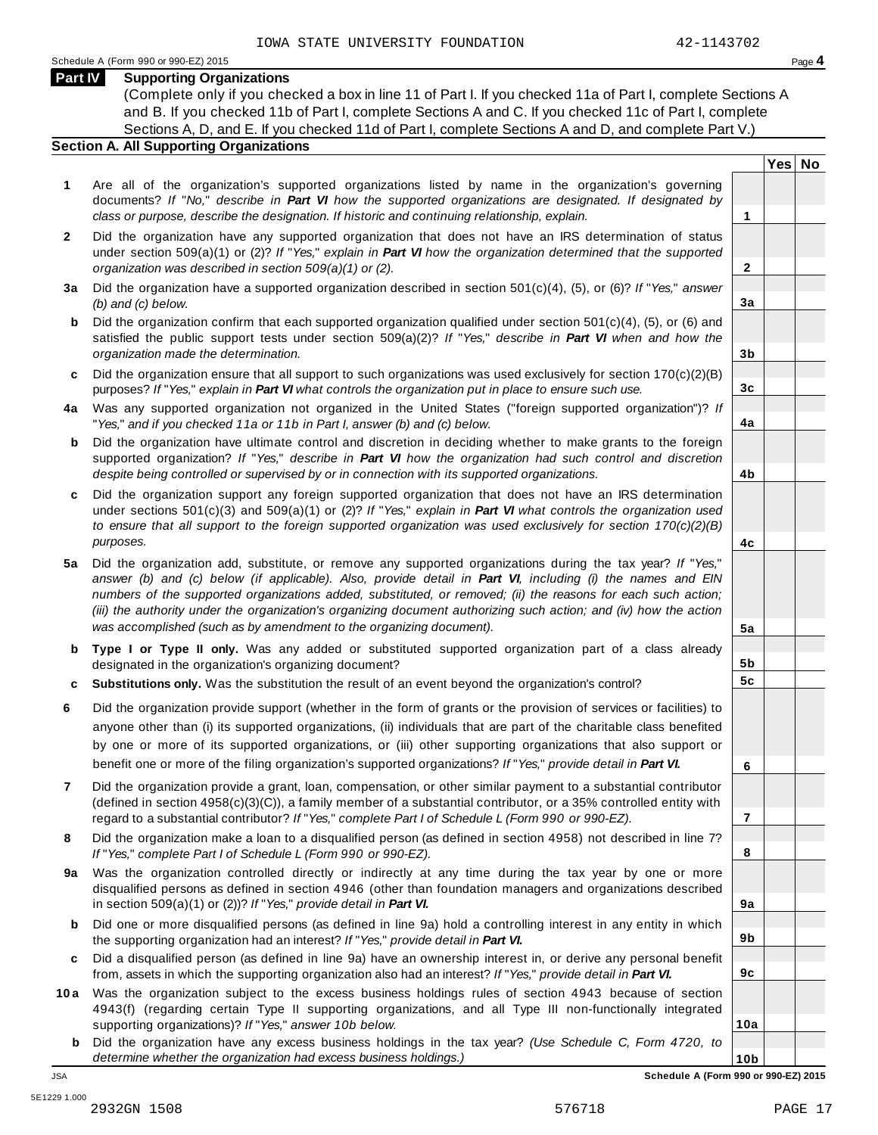**Yes No**

**2**

**3a**

**3b**

**3c**

**4a**

**4b**

**4c**

**5a**

**5b 5c**

**6**

**7**

**8**

**9a**

**9b**

**9c**

**10a**

#### **Part IV Supporting Organizations**

(Complete only if you checked a box in line 11 of Part I. If you checked 11a of Part I, complete Sections A and B. If you checked 11b of Part I, complete Sections A and C. If you checked 11c of Part I, complete Sections A, D, and E. If you checked 11d of Part I, complete Sections A and D, and complete Part V.)

### **Section A. All Supporting Organizations**

- **1** Are all of the organization's supported organizations listed by name in the organization's governing documents? *If* "*No,*" *describe in Part VI how the supported organizations are designated. If designated by class or purpose, describe the designation. If historic and continuing relationship, explain.* **1**
- **2** Did the organization have any supported organization that does not have an IRS determination of status under section 509(a)(1) or (2)? *If*"*Yes,*" *explain in Part VI how the organization determined that the supported organization was described in section 509(a)(1) or (2).*
- **3 a** Did the organization have a supported organization described in section 501(c)(4), (5), or (6)? *If* "*Yes,*" *answer (b) and (c) below.*
- **b** Did the organization confirm that each supported organization qualified under section 501(c)(4), (5), or (6) and | satisfied the public support tests under section 509(a)(2)? *If* "*Yes,*" *describe in Part VI when and how the organization made the determination.*
- **c** Did the organization ensure that all support to such organizations was used exclusively for section 170(c)(2)(B) purposes? *If*"*Yes,*" *explain in Part VI what controls the organization put in place to ensure such use.*
- **4 a** Was any supported organization not organized in the United States ("foreign supported organization")? *If* "*Yes,*" *and if you checked 11a or 11b in Part I, answer (b) and (c) below.*
- **b** Did the organization have ultimate control and discretion in deciding whether to make grants to the foreign | supported organization? *If* "*Yes,*" *describe in Part VI how the organization had such control and discretion despite being controlled or supervised by or in connection with its supported organizations.*
- **c** Did the organization support any foreign supported organization that does not have an IRS determination | under sections 501(c)(3) and 509(a)(1) or (2)? *If* "*Yes,*" *explain in Part VI what controls the organization used to ensure that all support to the foreign supported organization was used exclusively for section 170(c)(2)(B) purposes.*
- **5 a** Did the organization add, substitute, or remove any supported organizations during the tax year? *If* "*Yes,*" answer (b) and (c) below (if applicable). Also, provide detail in **Part VI**, including (i) the names and EIN *numbers of the supported organizations added, substituted, or removed; (ii) the reasons for each such action;* (iii) the authority under the organization's organizing document authorizing such action; and (iv) how the action *was accomplished (such as by amendment to the organizing document).*
- **b** Type I or Type II only. Was any added or substituted supported organization part of a class already | designated in the organization's organizing document?
- **c Substitutions only.** Was the substitution the result of an event beyond the organization's control?
- **6** Did the organization provide support (whether in the form of grants or the provision of services or facilities) to anyone other than (i) its supported organizations, (ii) individuals that are part of the charitable class benefited by one or more of its supported organizations, or (iii) other supporting organizations that also support or benefit one or more of the filing organization's supported organizations? *If*"*Yes,*" *provide detail in Part VI.*
- **7** Did the organization provide a grant, loan, compensation, or other similar payment to a substantial contributor (defined in section 4958(c)(3)(C)), a family member of a substantial contributor, or a 35% controlled entity with regard to a substantial contributor? *If*"*Yes,*" *complete Part I of Schedule L (Form 990 or 990-EZ).*
- **8** Did the organization make a loan to a disqualified person (as defined in section 4958) not described in line 7? *If* "*Yes,*" *complete Part I of Schedule L (Form 990 or 990-EZ).*
- **a** Was the organization controlled directly or indirectly at any time during the tax year by one or more | **9** disqualified persons as defined in section 4946 (other than foundation managers and organizations described in section 509(a)(1) or (2))? *If*"*Yes,*" *provide detail in Part VI.*
- **b** Did one or more disqualified persons (as defined in line 9a) hold a controlling interest in any entity in which | the supporting organization had an interest? *If*"*Yes,*" *provide detail in Part VI.*
- **c** Did a disqualified person (as defined in line 9a) have an ownership interest in, or derive any personal benefit from, assets in which the supporting organization also had an interest? *If*"*Yes,*" *provide detail in Part VI.*
- **10a** Was the organization subject to the excess business holdings rules of section 4943 because of section | 4943(f) (regarding certain Type II supporting organizations, and all Type III non-functionally integrated supporting organizations)? *If*"*Yes,*" *answer 10b below.*
	- **b** Did the organization have any excess business holdings in the tax year? *(Use Schedule C, Form 4720, to determine whether the organization had excess business holdings.)*

**10b** JSA **Schedule A (Form 990 or 990-EZ) 2015**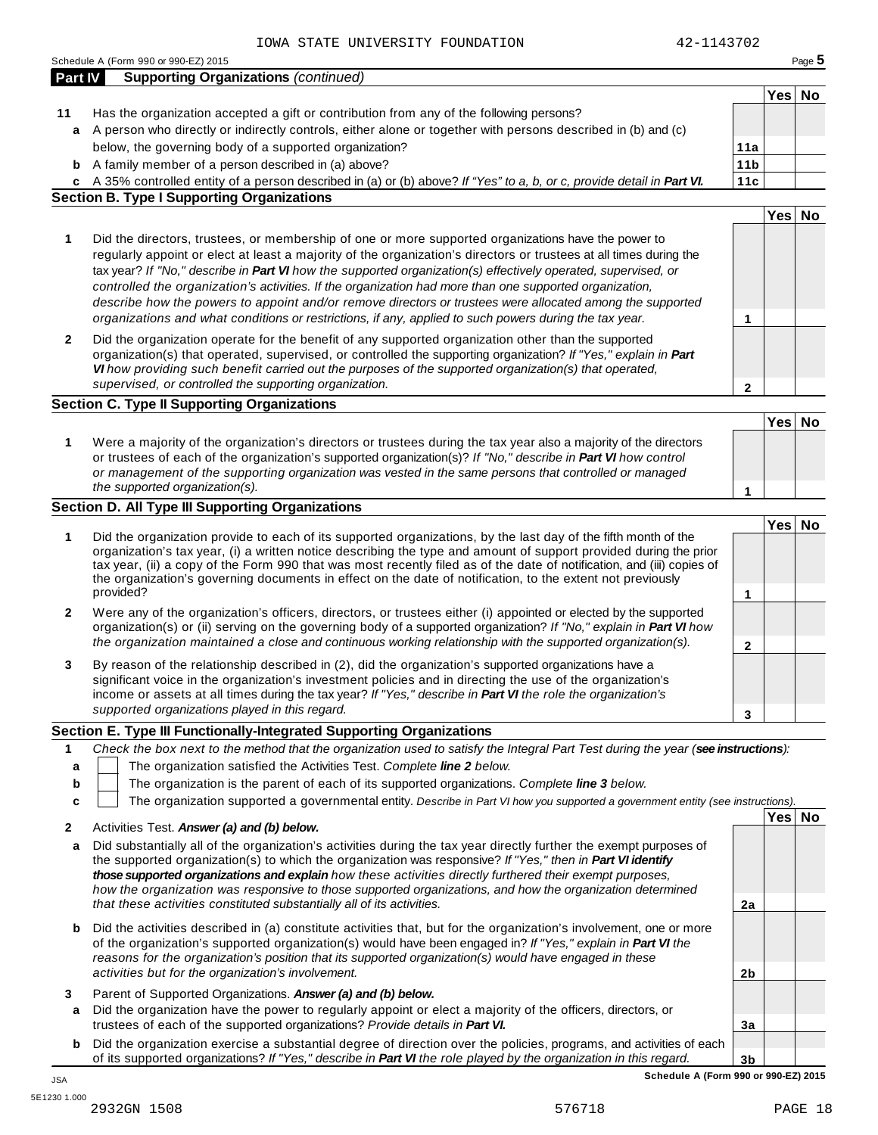|                | 42-1143702<br>IOWA STATE UNIVERSITY FOUNDATION                                                                                                                                                                                       |                 |        |        |
|----------------|--------------------------------------------------------------------------------------------------------------------------------------------------------------------------------------------------------------------------------------|-----------------|--------|--------|
| <b>Part IV</b> | Schedule A (Form 990 or 990-EZ) 2015<br><b>Supporting Organizations (continued)</b>                                                                                                                                                  |                 |        | Page 5 |
|                |                                                                                                                                                                                                                                      |                 | Yes No |        |
| 11             | Has the organization accepted a gift or contribution from any of the following persons?                                                                                                                                              |                 |        |        |
| a              | A person who directly or indirectly controls, either alone or together with persons described in (b) and (c)                                                                                                                         |                 |        |        |
|                | below, the governing body of a supported organization?                                                                                                                                                                               | 11a             |        |        |
|                | <b>b</b> A family member of a person described in (a) above?                                                                                                                                                                         | 11 <sub>b</sub> |        |        |
| c              | A 35% controlled entity of a person described in (a) or (b) above? If "Yes" to a, b, or c, provide detail in Part VI.                                                                                                                | 11c             |        |        |
|                | <b>Section B. Type I Supporting Organizations</b>                                                                                                                                                                                    |                 |        |        |
|                |                                                                                                                                                                                                                                      |                 | Yes No |        |
| 1              | Did the directors, trustees, or membership of one or more supported organizations have the power to                                                                                                                                  |                 |        |        |
|                | regularly appoint or elect at least a majority of the organization's directors or trustees at all times during the                                                                                                                   |                 |        |        |
|                | tax year? If "No," describe in Part VI how the supported organization(s) effectively operated, supervised, or                                                                                                                        |                 |        |        |
|                | controlled the organization's activities. If the organization had more than one supported organization,                                                                                                                              |                 |        |        |
|                | describe how the powers to appoint and/or remove directors or trustees were allocated among the supported<br>organizations and what conditions or restrictions, if any, applied to such powers during the tax year.                  | 1               |        |        |
| 2              | Did the organization operate for the benefit of any supported organization other than the supported                                                                                                                                  |                 |        |        |
|                | organization(s) that operated, supervised, or controlled the supporting organization? If "Yes," explain in Part                                                                                                                      |                 |        |        |
|                | VI how providing such benefit carried out the purposes of the supported organization(s) that operated,                                                                                                                               |                 |        |        |
|                | supervised, or controlled the supporting organization.                                                                                                                                                                               | 2               |        |        |
|                | <b>Section C. Type II Supporting Organizations</b>                                                                                                                                                                                   |                 | Yes No |        |
|                |                                                                                                                                                                                                                                      |                 |        |        |
| 1              | Were a majority of the organization's directors or trustees during the tax year also a majority of the directors<br>or trustees of each of the organization's supported organization(s)? If "No," describe in Part VI how control    |                 |        |        |
|                | or management of the supporting organization was vested in the same persons that controlled or managed                                                                                                                               |                 |        |        |
|                | the supported organization(s).                                                                                                                                                                                                       | 1               |        |        |
|                | <b>Section D. All Type III Supporting Organizations</b>                                                                                                                                                                              |                 |        |        |
|                |                                                                                                                                                                                                                                      |                 | Yes No |        |
| 1              | Did the organization provide to each of its supported organizations, by the last day of the fifth month of the                                                                                                                       |                 |        |        |
|                | organization's tax year, (i) a written notice describing the type and amount of support provided during the prior                                                                                                                    |                 |        |        |
|                | tax year, (ii) a copy of the Form 990 that was most recently filed as of the date of notification, and (iii) copies of<br>the organization's governing documents in effect on the date of notification, to the extent not previously |                 |        |        |
|                | provided?                                                                                                                                                                                                                            | 1               |        |        |
| 2              | Were any of the organization's officers, directors, or trustees either (i) appointed or elected by the supported                                                                                                                     |                 |        |        |
|                | organization(s) or (ii) serving on the governing body of a supported organization? If "No," explain in Part VI how                                                                                                                   |                 |        |        |
|                | the organization maintained a close and continuous working relationship with the supported organization(s).                                                                                                                          | 2               |        |        |
|                | By reason of the relationship described in (2), did the organization's supported organizations have a                                                                                                                                |                 |        |        |
|                | significant voice in the organization's investment policies and in directing the use of the organization's                                                                                                                           |                 |        |        |
|                | income or assets at all times during the tax year? If "Yes," describe in Part VI the role the organization's                                                                                                                         |                 |        |        |
|                | supported organizations played in this regard.                                                                                                                                                                                       | 3               |        |        |
|                | Section E. Type III Functionally-Integrated Supporting Organizations                                                                                                                                                                 |                 |        |        |
| 1              | Check the box next to the method that the organization used to satisfy the Integral Part Test during the year (see instructions):                                                                                                    |                 |        |        |
| a              | The organization satisfied the Activities Test. Complete line 2 below.                                                                                                                                                               |                 |        |        |
| b              | The organization is the parent of each of its supported organizations. Complete line 3 below.                                                                                                                                        |                 |        |        |
| c              | The organization supported a governmental entity. Describe in Part VI how you supported a government entity (see instructions).                                                                                                      |                 |        |        |
| 2              | Activities Test. Answer (a) and (b) below.                                                                                                                                                                                           |                 | Yes No |        |
| а              | Did substantially all of the organization's activities during the tax year directly further the exempt purposes of                                                                                                                   |                 |        |        |
|                | the supported organization(s) to which the organization was responsive? If "Yes," then in Part VI identify                                                                                                                           |                 |        |        |
|                | those supported organizations and explain how these activities directly furthered their exempt purposes,                                                                                                                             |                 |        |        |
|                | how the organization was responsive to those supported organizations, and how the organization determined                                                                                                                            |                 |        |        |
|                | that these activities constituted substantially all of its activities.                                                                                                                                                               | 2a              |        |        |
| b              | Did the activities described in (a) constitute activities that, but for the organization's involvement, one or more                                                                                                                  |                 |        |        |
|                | of the organization's supported organization(s) would have been engaged in? If "Yes," explain in Part VI the<br>reasons for the organization's position that its supported organization(s) would have engaged in these               |                 |        |        |

**3** Parent of Supported Organizations. *Answer (a) and (b) below.*

*activities but for the organization's involvement.*

- **a** Did the organization have the power to regularly appoint or elect a majority of the officers, directors, or trustees of each of the supported organizations? *Provide details in Part VI.*
- **b** Did the organization exercise a substantial degree of direction over the policies, programs, and activities of each of its supported organizations? *If"Yes," describe in Part VI the role played by the organization in this regard.*

**3b Schedule A (Form 990 or 990-EZ) 2015**

**2b**

**3a**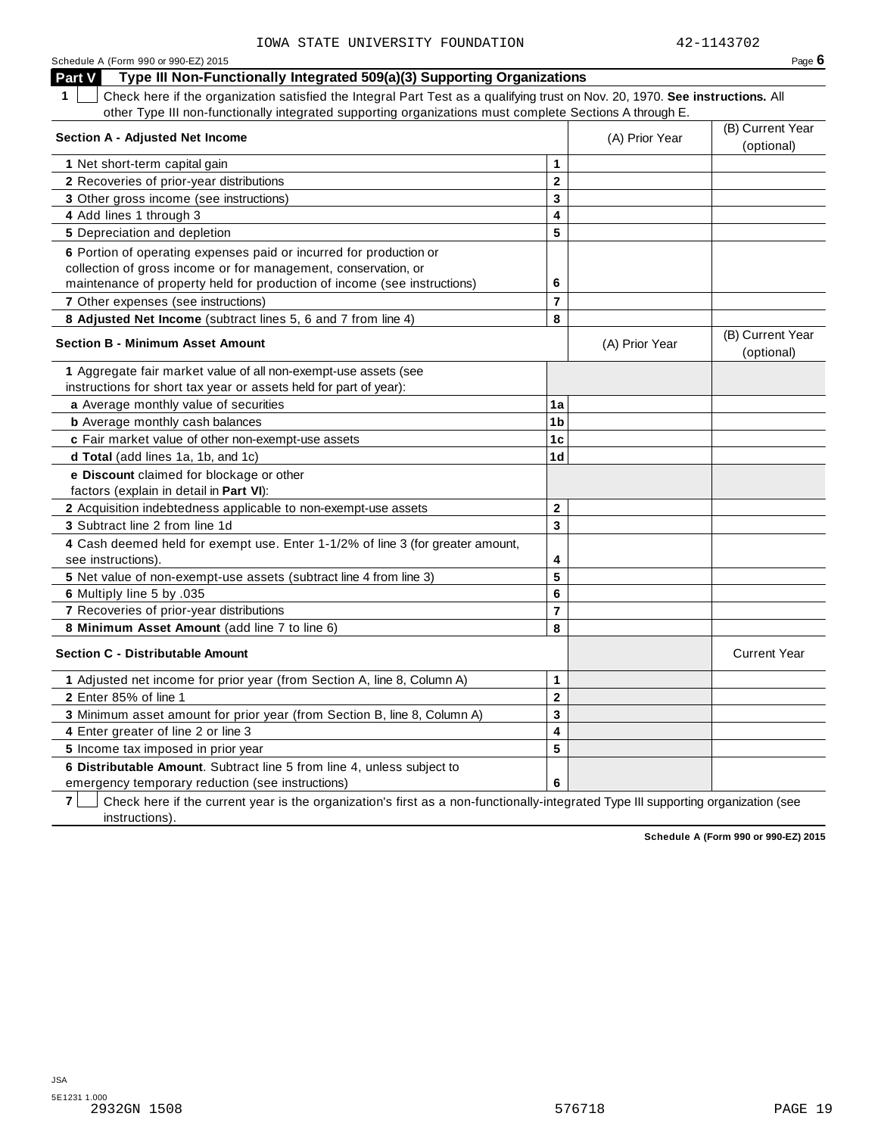| Schedule A (Form 990 or 990-EZ) 2015                                                                                               |                |                | Page $6$                       |
|------------------------------------------------------------------------------------------------------------------------------------|----------------|----------------|--------------------------------|
| Type III Non-Functionally Integrated 509(a)(3) Supporting Organizations<br><b>Part V</b>                                           |                |                |                                |
| 1<br>Check here if the organization satisfied the Integral Part Test as a qualifying trust on Nov. 20, 1970. See instructions. All |                |                |                                |
| other Type III non-functionally integrated supporting organizations must complete Sections A through E.                            |                |                |                                |
| <b>Section A - Adjusted Net Income</b>                                                                                             |                | (A) Prior Year | (B) Current Year               |
|                                                                                                                                    |                |                | (optional)                     |
| 1 Net short-term capital gain                                                                                                      | $\mathbf{1}$   |                |                                |
| 2 Recoveries of prior-year distributions                                                                                           | $\mathbf{2}$   |                |                                |
| 3 Other gross income (see instructions)                                                                                            | 3              |                |                                |
| 4 Add lines 1 through 3                                                                                                            | 4              |                |                                |
| 5 Depreciation and depletion                                                                                                       | 5              |                |                                |
| 6 Portion of operating expenses paid or incurred for production or                                                                 |                |                |                                |
| collection of gross income or for management, conservation, or                                                                     |                |                |                                |
| maintenance of property held for production of income (see instructions)                                                           | 6              |                |                                |
| 7 Other expenses (see instructions)                                                                                                | $\overline{7}$ |                |                                |
| 8 Adjusted Net Income (subtract lines 5, 6 and 7 from line 4)                                                                      | 8              |                |                                |
| <b>Section B - Minimum Asset Amount</b>                                                                                            |                | (A) Prior Year | (B) Current Year<br>(optional) |
| 1 Aggregate fair market value of all non-exempt-use assets (see                                                                    |                |                |                                |
| instructions for short tax year or assets held for part of year):                                                                  |                |                |                                |
| a Average monthly value of securities                                                                                              | 1a             |                |                                |
| <b>b</b> Average monthly cash balances                                                                                             | 1 <sub>b</sub> |                |                                |
| c Fair market value of other non-exempt-use assets                                                                                 | 1 <sub>c</sub> |                |                                |
| d Total (add lines 1a, 1b, and 1c)                                                                                                 | 1 <sub>d</sub> |                |                                |
| e Discount claimed for blockage or other<br>factors (explain in detail in Part VI):                                                |                |                |                                |
| <b>2</b> Acquisition indebtedness applicable to non-exempt-use assets                                                              | $\mathbf{2}$   |                |                                |
| 3 Subtract line 2 from line 1d                                                                                                     | 3              |                |                                |
| 4 Cash deemed held for exempt use. Enter 1-1/2% of line 3 (for greater amount,<br>see instructions).                               | 4              |                |                                |
| 5 Net value of non-exempt-use assets (subtract line 4 from line 3)                                                                 | 5              |                |                                |
| 6 Multiply line 5 by .035                                                                                                          | 6              |                |                                |
| 7 Recoveries of prior-year distributions                                                                                           | $\overline{7}$ |                |                                |
| 8 Minimum Asset Amount (add line 7 to line 6)                                                                                      | 8              |                |                                |
| <b>Section C - Distributable Amount</b>                                                                                            |                |                | <b>Current Year</b>            |
| 1 Adjusted net income for prior year (from Section A, line 8, Column A)                                                            | 1              |                |                                |
| 2 Enter 85% of line 1                                                                                                              | $\mathbf{2}$   |                |                                |
| 3 Minimum asset amount for prior year (from Section B, line 8, Column A)                                                           | 3              |                |                                |
| 4 Enter greater of line 2 or line 3                                                                                                | 4              |                |                                |
| 5 Income tax imposed in prior year                                                                                                 | 5              |                |                                |
| 6 Distributable Amount. Subtract line 5 from line 4, unless subject to                                                             |                |                |                                |
| emergency temporary reduction (see instructions)                                                                                   | 6              |                |                                |

**7** | Check here if the current year is the organization's first as a non-functionally-integrated Type III supporting organization (see instructions).

**Schedule A (Form 990 or 990-EZ) 2015**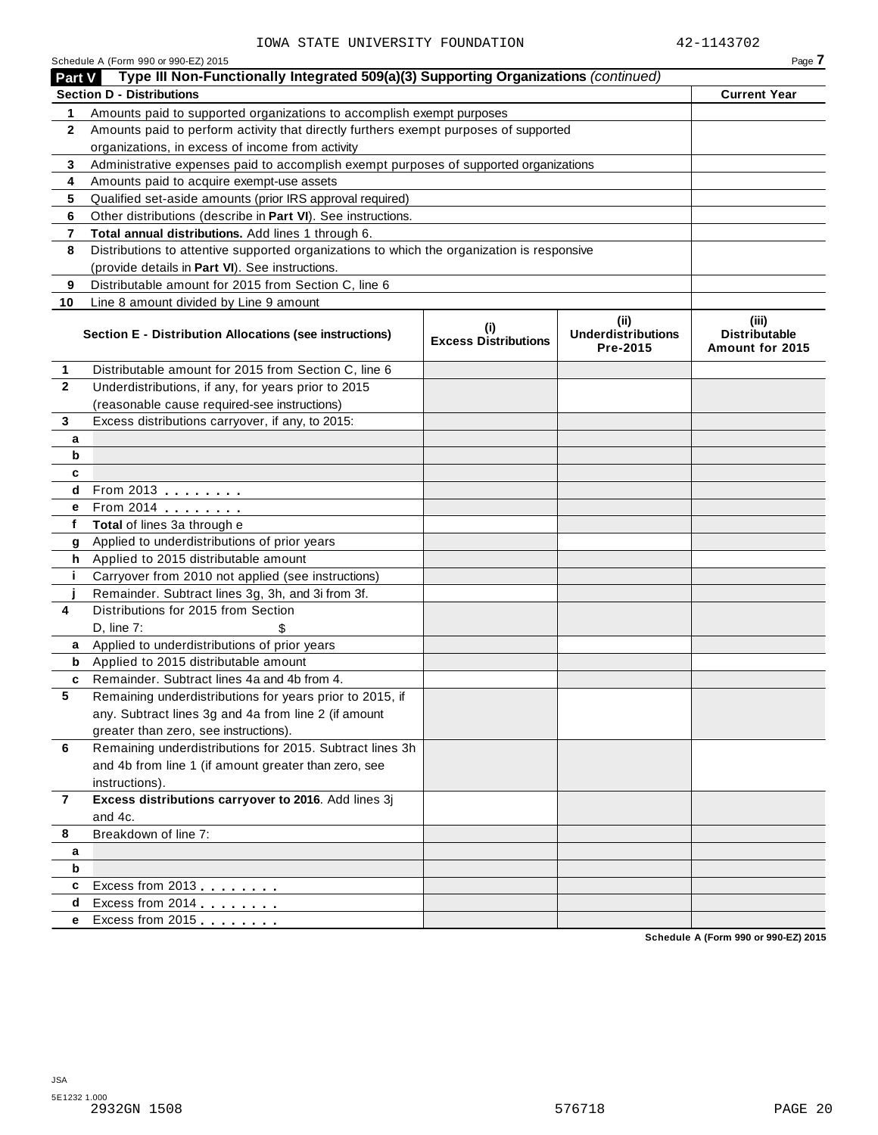|                | Schedule A (Form 990 or 990-EZ) 2015                                                       |                                    |                                               | Page 7                                           |
|----------------|--------------------------------------------------------------------------------------------|------------------------------------|-----------------------------------------------|--------------------------------------------------|
| <b>Part V</b>  | Type III Non-Functionally Integrated 509(a)(3) Supporting Organizations (continued)        |                                    |                                               |                                                  |
|                | <b>Section D - Distributions</b>                                                           |                                    |                                               | <b>Current Year</b>                              |
| 1              | Amounts paid to supported organizations to accomplish exempt purposes                      |                                    |                                               |                                                  |
| 2              | Amounts paid to perform activity that directly furthers exempt purposes of supported       |                                    |                                               |                                                  |
|                | organizations, in excess of income from activity                                           |                                    |                                               |                                                  |
| 3              | Administrative expenses paid to accomplish exempt purposes of supported organizations      |                                    |                                               |                                                  |
| 4              | Amounts paid to acquire exempt-use assets                                                  |                                    |                                               |                                                  |
| 5              | Qualified set-aside amounts (prior IRS approval required)                                  |                                    |                                               |                                                  |
| 6              | Other distributions (describe in Part VI). See instructions.                               |                                    |                                               |                                                  |
| 7              | Total annual distributions. Add lines 1 through 6.                                         |                                    |                                               |                                                  |
| 8              | Distributions to attentive supported organizations to which the organization is responsive |                                    |                                               |                                                  |
|                | (provide details in Part VI). See instructions.                                            |                                    |                                               |                                                  |
| 9              | Distributable amount for 2015 from Section C, line 6                                       |                                    |                                               |                                                  |
| 10             | Line 8 amount divided by Line 9 amount                                                     |                                    |                                               |                                                  |
|                | Section E - Distribution Allocations (see instructions)                                    | (i)<br><b>Excess Distributions</b> | (ii)<br><b>Underdistributions</b><br>Pre-2015 | (iii)<br><b>Distributable</b><br>Amount for 2015 |
| 1              | Distributable amount for 2015 from Section C, line 6                                       |                                    |                                               |                                                  |
| $\mathbf{2}$   | Underdistributions, if any, for years prior to 2015                                        |                                    |                                               |                                                  |
|                | (reasonable cause required-see instructions)                                               |                                    |                                               |                                                  |
| 3              | Excess distributions carryover, if any, to 2015:                                           |                                    |                                               |                                                  |
| а              |                                                                                            |                                    |                                               |                                                  |
| b              |                                                                                            |                                    |                                               |                                                  |
| c              |                                                                                            |                                    |                                               |                                                  |
| d              | From 2013                                                                                  |                                    |                                               |                                                  |
| е              | From 2014 <b>Figure 1.1 Figure 1.1</b>                                                     |                                    |                                               |                                                  |
| f              | Total of lines 3a through e                                                                |                                    |                                               |                                                  |
| g              | Applied to underdistributions of prior years                                               |                                    |                                               |                                                  |
| h              | Applied to 2015 distributable amount                                                       |                                    |                                               |                                                  |
| j.             | Carryover from 2010 not applied (see instructions)                                         |                                    |                                               |                                                  |
|                | Remainder. Subtract lines 3g, 3h, and 3i from 3f.                                          |                                    |                                               |                                                  |
| 4              | Distributions for 2015 from Section                                                        |                                    |                                               |                                                  |
|                | $D$ , line $7$ :<br>\$                                                                     |                                    |                                               |                                                  |
| a              | Applied to underdistributions of prior years                                               |                                    |                                               |                                                  |
| b              | Applied to 2015 distributable amount                                                       |                                    |                                               |                                                  |
| c              | Remainder. Subtract lines 4a and 4b from 4.                                                |                                    |                                               |                                                  |
| 5.             | Remaining underdistributions for years prior to 2015, if                                   |                                    |                                               |                                                  |
|                | any. Subtract lines 3g and 4a from line 2 (if amount                                       |                                    |                                               |                                                  |
|                | greater than zero, see instructions).                                                      |                                    |                                               |                                                  |
| 6              | Remaining underdistributions for 2015. Subtract lines 3h                                   |                                    |                                               |                                                  |
|                | and 4b from line 1 (if amount greater than zero, see                                       |                                    |                                               |                                                  |
|                | instructions).                                                                             |                                    |                                               |                                                  |
| $\overline{7}$ | Excess distributions carryover to 2016. Add lines 3j                                       |                                    |                                               |                                                  |
|                | and 4c.                                                                                    |                                    |                                               |                                                  |
| 8              | Breakdown of line 7:                                                                       |                                    |                                               |                                                  |
| a              |                                                                                            |                                    |                                               |                                                  |
| b              |                                                                                            |                                    |                                               |                                                  |
| c              | Excess from 2013                                                                           |                                    |                                               |                                                  |
| d              | Excess from 2014                                                                           |                                    |                                               |                                                  |
| е              | Excess from 2015                                                                           |                                    |                                               |                                                  |
|                |                                                                                            |                                    |                                               |                                                  |

**Schedule A (Form 990 or 990-EZ) 2015**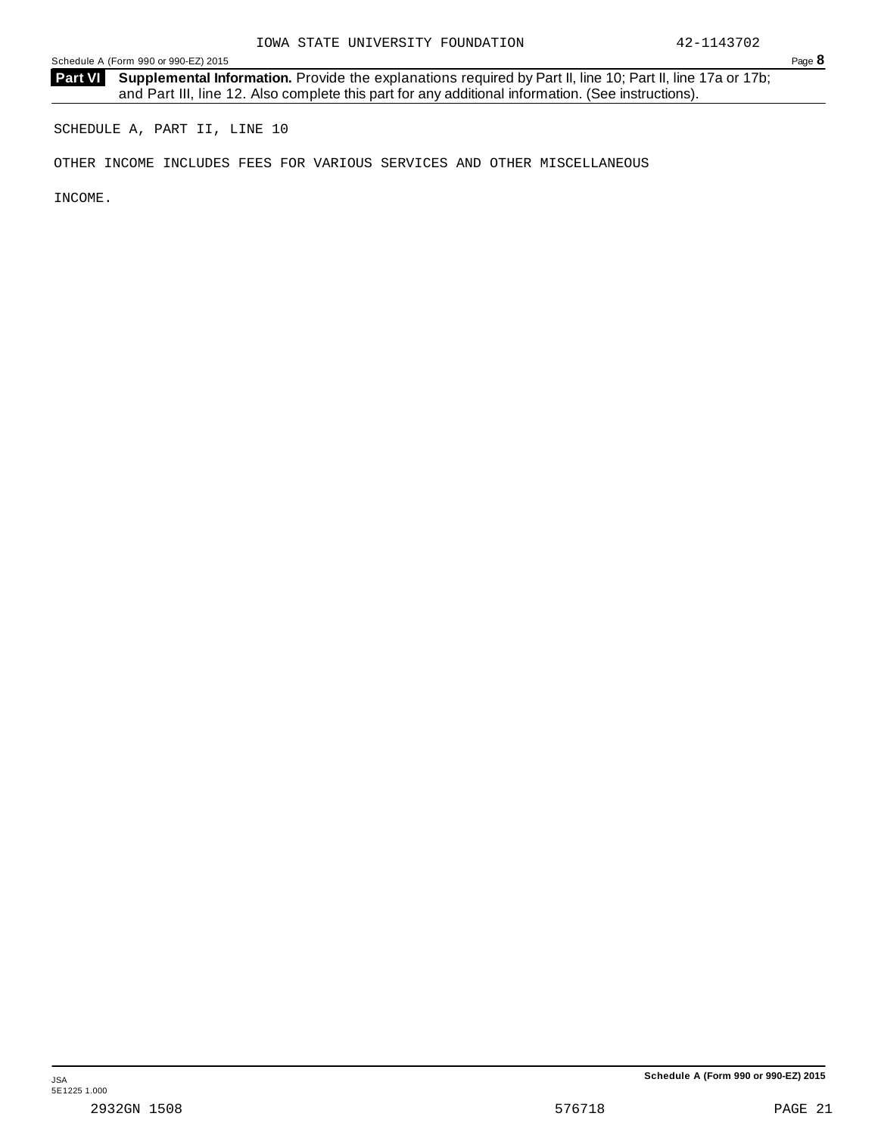Schedule <sup>A</sup> (Form <sup>990</sup> or 990-EZ) <sup>2015</sup> Page **8**

Part VI Supplemental Information. Provide the explanations required by Part II, line 10; Part II, line 17a or 17b; and Part III, line 12. Also complete this part for any additional information. (See instructions).

SCHEDULE A, PART II, LINE 10

OTHER INCOME INCLUDES FEES FOR VARIOUS SERVICES AND OTHER MISCELLANEOUS

INCOME.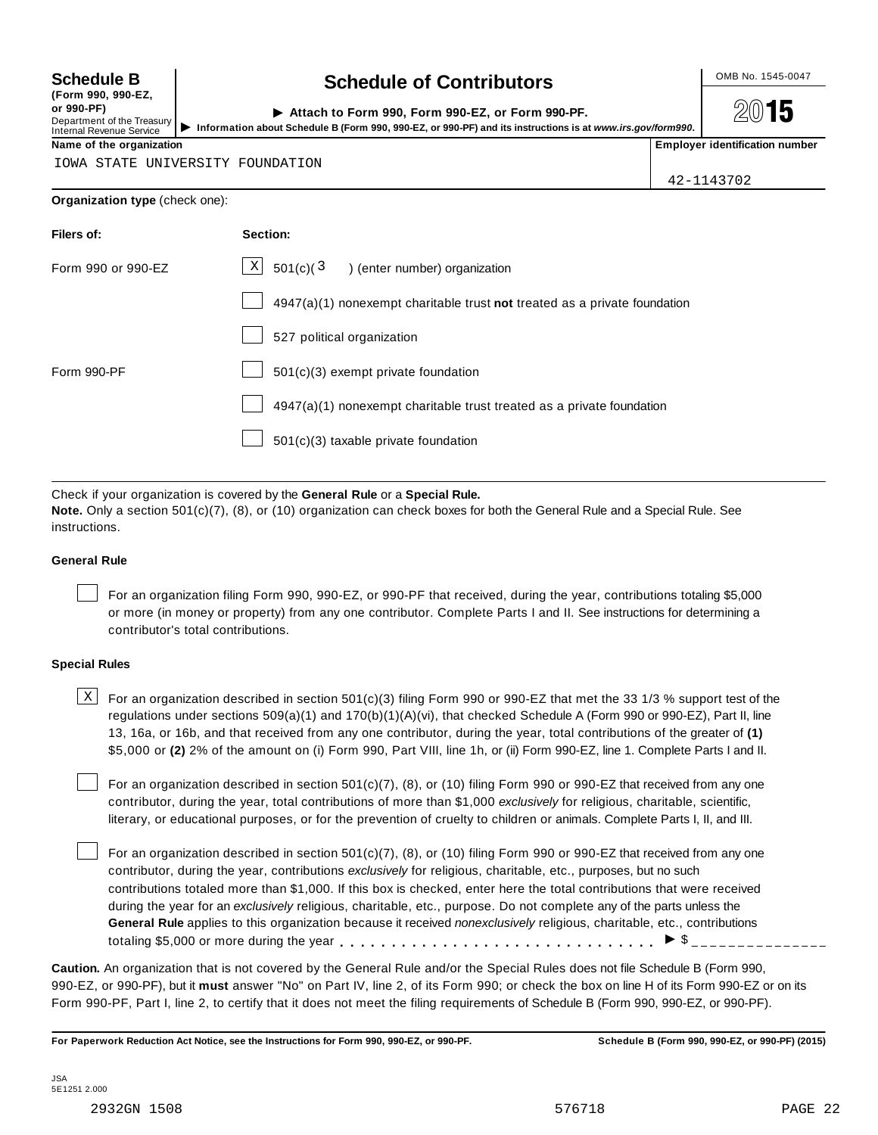**(Form 990, 990-EZ, or 990-PF)** Department of the Treasury **Department of the Treasury Department** Information and

## **Schedule B chedule of Contributors**

| ( FUI III  990, 990 EL,<br>or 990-PF).<br>Department of the Treasury  <br>Internal Revenue Service | Attach to Form 990, Form 990-EZ, or Form 990-PF.<br>Information about Schedule B (Form 990, 990-EZ, or 990-PF) and its instructions is at www.irs.gov/form990. |  | 2015 |  |  |
|----------------------------------------------------------------------------------------------------|----------------------------------------------------------------------------------------------------------------------------------------------------------------|--|------|--|--|
| Name of the organization<br>l Emplover identification number                                       |                                                                                                                                                                |  |      |  |  |

IOWA STATE UNIVERSITY FOUNDATION

#### **Organization type** (check one):

| Filers of:         | Section:                                                                  |
|--------------------|---------------------------------------------------------------------------|
| Form 990 or 990-EZ | $X$ 501(c)(3) (enter number) organization                                 |
|                    | 4947(a)(1) nonexempt charitable trust not treated as a private foundation |
|                    | 527 political organization                                                |
| Form 990-PF        | 501(c)(3) exempt private foundation                                       |
|                    | 4947(a)(1) nonexempt charitable trust treated as a private foundation     |
|                    | 501(c)(3) taxable private foundation                                      |
|                    |                                                                           |

Check if your organization is covered by the **General Rule** or a **Special Rule.**

**Note.** Only a section 501(c)(7), (8), or (10) organization can check boxes for both the General Rule and a Special Rule. See instructions.

#### **General Rule**

For an organization filing Form 990, 990-EZ, or 990-PF that received, during the year, contributions totaling \$5,000 or more (in money or property) from any one contributor. Complete Parts I and II. See instructions for determining a contributor's total contributions.

#### **Special Rules**

 $\text{X}$  For an organization described in section 501(c)(3) filing Form 990 or 990-EZ that met the 33 1/3 % support test of the regulations under sections 509(a)(1) and 170(b)(1)(A)(vi), that checked Schedule A (Form 990 or 990-EZ), Part II, line 13, 16a, or 16b, and that received from any one contributor, during the year, total contributions of the greater of **(1)** \$5,000 or **(2)** 2% of the amount on (i) Form 990, Part VIII, line 1h, or (ii) Form 990-EZ, line 1. Complete Parts I and II.

For an organization described in section 501(c)(7), (8), or (10) filing Form 990 or 990-EZ that received from any one contributor, during the year, total contributions of more than \$1,000 *exclusively* for religious, charitable, scientific, literary, or educational purposes, or for the prevention of cruelty to children or animals. Complete Parts I, II, and III.

For an organization described in section 501(c)(7), (8), or (10) filing Form 990 or 990-EZ that received from any one contributor, during the year, contributions *exclusively* for religious, charitable, etc., purposes, but no such contributions totaled more than \$1,000. If this box is checked, enter here the total contributions that were received during the year for an *exclusively* religious, charitable, etc., purpose. Do not complete any of the parts unless the **General Rule** applies to this organization because it received *nonexclusively* religious, charitable, etc., contributions totaling \$5,000 or more during the year m m m m m m m m m m m m m m m m m m m m m m m m m m m m m m m I \$

**Caution.** An organization that is not covered by the General Rule and/or the Special Rules does not file Schedule B (Form 990, 990-EZ, or 990-PF), but it **must** answer "No" on Part IV, line 2, of its Form 990; or check the box on line H of its Form 990-EZ or on its Form 990-PF, Part I, line 2, to certify that it does not meet the filing requirements of Schedule B (Form 990, 990-EZ, or 990-PF).

For Paperwork Reduction Act Notice, see the Instructions for Form 990, 990-EZ, or 990-PF. Schedule B (Form 990, 990-EZ, or 990-PF) (2015)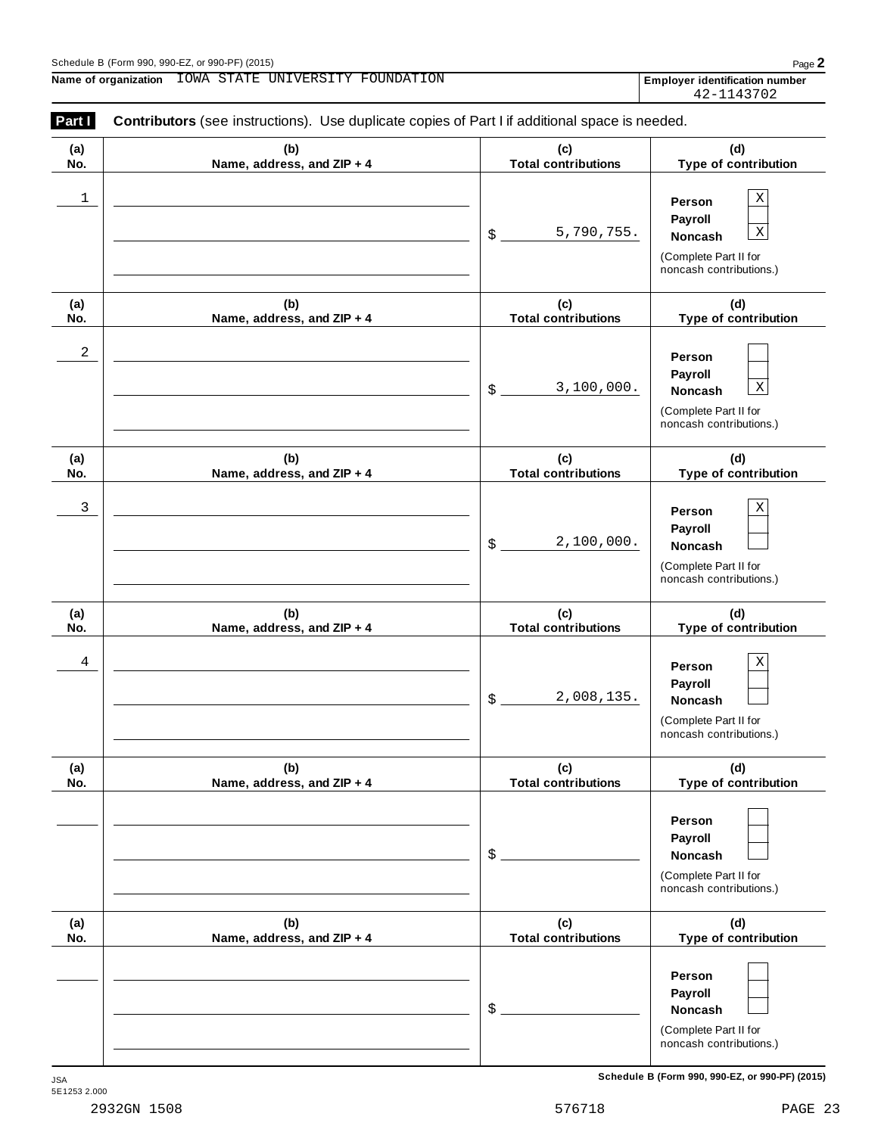**Name of organization Employer identification number** IOWA STATE UNIVERSITY FOUNDATION

42-1143702

| Part I     | <b>Contributors</b> (see instructions). Use duplicate copies of Part I if additional space is needed. |                                   |                                                                                                                |
|------------|-------------------------------------------------------------------------------------------------------|-----------------------------------|----------------------------------------------------------------------------------------------------------------|
| (a)<br>No. | (b)<br>Name, address, and ZIP + 4                                                                     | (c)<br><b>Total contributions</b> | (d)<br>Type of contribution                                                                                    |
| 1          |                                                                                                       | 5,790,755.<br>\$                  | $\mathbf X$<br>Person<br>Payroll<br>$\mathbf X$<br>Noncash<br>(Complete Part II for<br>noncash contributions.) |
| (a)<br>No. | (b)<br>Name, address, and ZIP + 4                                                                     | (c)<br><b>Total contributions</b> | (d)<br>Type of contribution                                                                                    |
| 2          |                                                                                                       | 3,100,000.<br>\$                  | Person<br>Payroll<br>$\mathbf X$<br><b>Noncash</b><br>(Complete Part II for<br>noncash contributions.)         |
| (a)<br>No. | (b)<br>Name, address, and ZIP + 4                                                                     | (c)<br><b>Total contributions</b> | (d)<br>Type of contribution                                                                                    |
| 3          |                                                                                                       | 2,100,000.<br>\$                  | Χ<br>Person<br>Payroll<br>Noncash<br>(Complete Part II for<br>noncash contributions.)                          |
| (a)<br>No. | (b)<br>Name, address, and ZIP + 4                                                                     | (c)<br><b>Total contributions</b> | (d)<br>Type of contribution                                                                                    |
| 4          |                                                                                                       | 2,008,135.<br>\$                  | $\mathbf X$<br>Person<br>Payroll<br><b>Noncash</b><br>(Complete Part II for<br>noncash contributions.)         |
| (a)<br>No. | (b)<br>Name, address, and ZIP + 4                                                                     | (c)<br><b>Total contributions</b> | (d)<br>Type of contribution                                                                                    |
|            |                                                                                                       | \$                                | Person<br>Payroll<br>Noncash<br>(Complete Part II for<br>noncash contributions.)                               |
| (a)<br>No. | (b)<br>Name, address, and ZIP + 4                                                                     | (c)<br><b>Total contributions</b> | (d)<br>Type of contribution                                                                                    |
|            |                                                                                                       | \$                                | Person<br>Payroll<br>Noncash<br>(Complete Part II for<br>noncash contributions.)                               |

 $S$ chedule B (Form 990, 990-EZ, or 990-PF) (2015)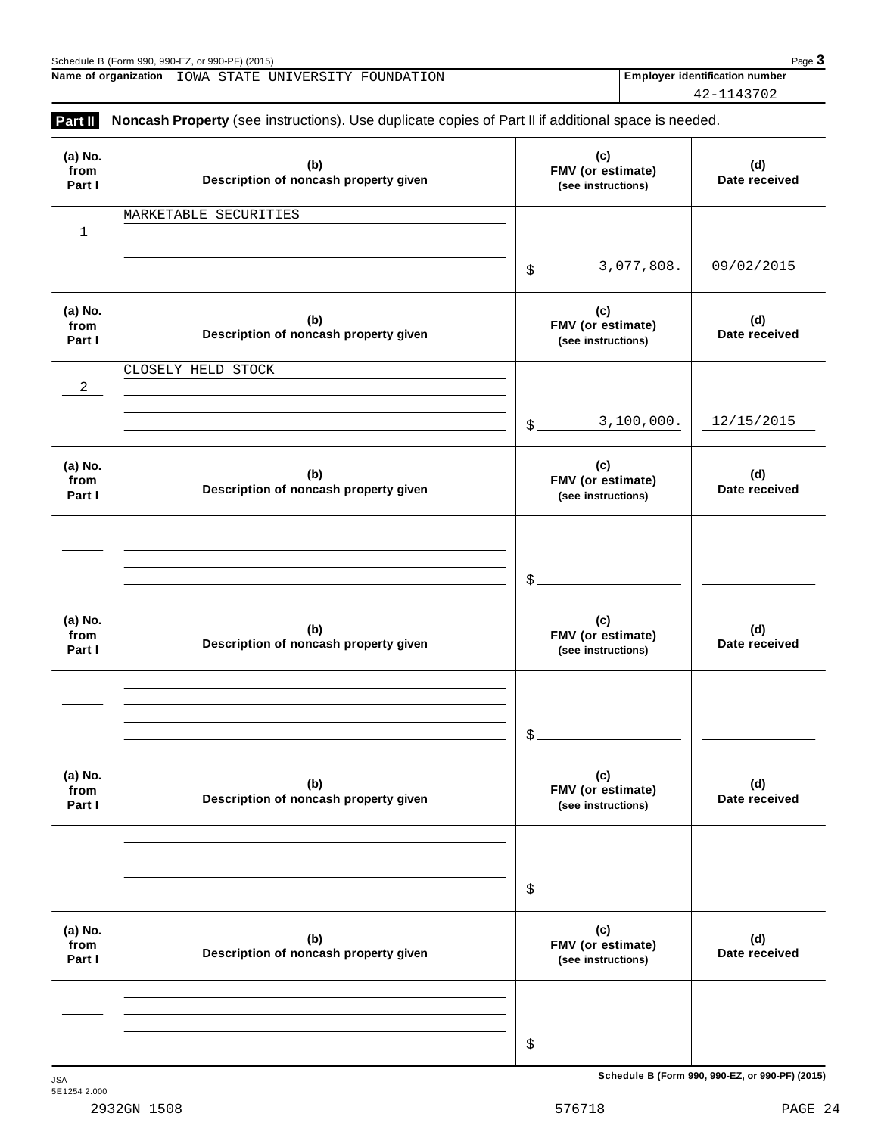Schedule B (Form 990, 990-EZ, or 990-PF) (2015)<br> **Name of organization**  $\overline{LOWA}$  STATE UNIVERSITY FOUNDATION **Page 3 Page 3 Page 3 Name of organization Employer identification number** IOWA STATE UNIVERSITY FOUNDATION

**Part II** Noncash Property (see instructions). Use duplicate copies of Part II if additional space is needed.

| (a) No.<br>from<br>Part I | (b)<br>Description of noncash property given | (c)<br>FMV (or estimate)<br>(see instructions) | (d)<br>Date received                            |
|---------------------------|----------------------------------------------|------------------------------------------------|-------------------------------------------------|
|                           | MARKETABLE SECURITIES                        |                                                |                                                 |
| $\mathbf{1}$              |                                              |                                                |                                                 |
|                           |                                              | 3,077,808.<br>$\mathbb{S}$ .                   | 09/02/2015                                      |
| (a) No.<br>from<br>Part I | (b)<br>Description of noncash property given | (c)<br>FMV (or estimate)<br>(see instructions) | (d)<br>Date received                            |
|                           | CLOSELY HELD STOCK                           |                                                |                                                 |
| $\mathbf{2}$              |                                              |                                                |                                                 |
|                           |                                              | 3,100,000.<br>\$.                              | 12/15/2015                                      |
| (a) No.<br>from<br>Part I | (b)<br>Description of noncash property given | (c)<br>FMV (or estimate)<br>(see instructions) | (d)<br>Date received                            |
|                           |                                              |                                                |                                                 |
|                           |                                              |                                                |                                                 |
|                           |                                              | $$^{\circ}$                                    |                                                 |
| (a) No.<br>from<br>Part I | (b)<br>Description of noncash property given | (c)<br>FMV (or estimate)<br>(see instructions) | (d)<br>Date received                            |
|                           |                                              |                                                |                                                 |
|                           |                                              |                                                |                                                 |
|                           |                                              | \$.                                            |                                                 |
| (a) No.<br>from<br>Part I | (b)<br>Description of noncash property given | (c)<br>FMV (or estimate)<br>(see instructions) | (d)<br>Date received                            |
|                           |                                              |                                                |                                                 |
|                           |                                              | $\frac{1}{2}$                                  |                                                 |
| (a) No.<br>from<br>Part I | (b)<br>Description of noncash property given | (c)<br>FMV (or estimate)<br>(see instructions) | (d)<br>Date received                            |
|                           |                                              |                                                |                                                 |
|                           |                                              |                                                |                                                 |
|                           |                                              | $\mathcal{S}_{-}$                              |                                                 |
| <b>JSA</b>                |                                              |                                                | Schedule B (Form 990, 990-EZ, or 990-PF) (2015) |

42-1143702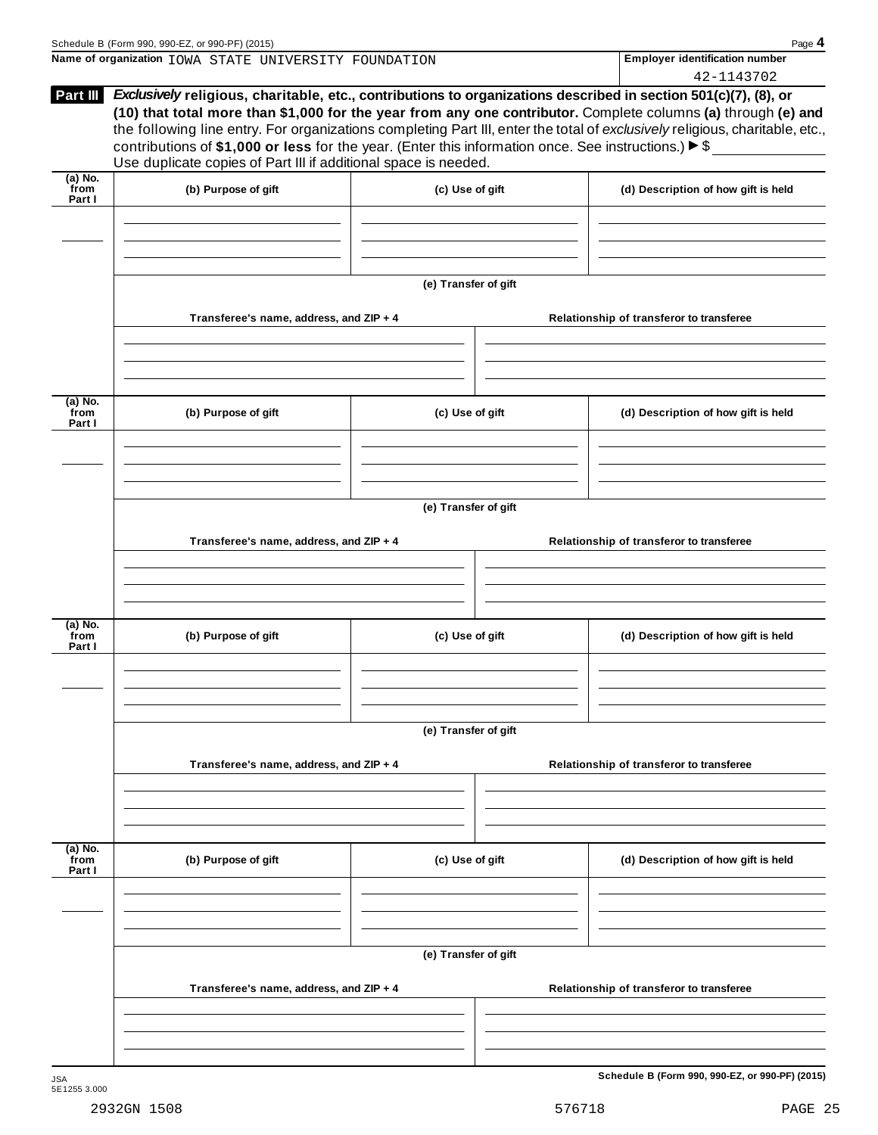|                             |                                                                                                                                                                                                                                                                                                                                                                                                                                                                                         |                      |                                          | 42-1143702                               |  |
|-----------------------------|-----------------------------------------------------------------------------------------------------------------------------------------------------------------------------------------------------------------------------------------------------------------------------------------------------------------------------------------------------------------------------------------------------------------------------------------------------------------------------------------|----------------------|------------------------------------------|------------------------------------------|--|
| Part III                    | Exclusively religious, charitable, etc., contributions to organizations described in section 501(c)(7), (8), or<br>(10) that total more than \$1,000 for the year from any one contributor. Complete columns (a) through (e) and<br>the following line entry. For organizations completing Part III, enter the total of exclusively religious, charitable, etc.,<br>contributions of \$1,000 or less for the year. (Enter this information once. See instructions.) $\triangleright$ \$ |                      |                                          |                                          |  |
|                             | Use duplicate copies of Part III if additional space is needed.                                                                                                                                                                                                                                                                                                                                                                                                                         |                      |                                          |                                          |  |
| $(a)$ No.<br>from<br>Part I | (b) Purpose of gift                                                                                                                                                                                                                                                                                                                                                                                                                                                                     | (c) Use of gift      |                                          | (d) Description of how gift is held      |  |
|                             |                                                                                                                                                                                                                                                                                                                                                                                                                                                                                         |                      |                                          |                                          |  |
|                             |                                                                                                                                                                                                                                                                                                                                                                                                                                                                                         | (e) Transfer of gift |                                          |                                          |  |
|                             | Transferee's name, address, and ZIP + 4                                                                                                                                                                                                                                                                                                                                                                                                                                                 |                      |                                          | Relationship of transferor to transferee |  |
|                             |                                                                                                                                                                                                                                                                                                                                                                                                                                                                                         |                      |                                          |                                          |  |
| (a) No.<br>from<br>Part I   | (b) Purpose of gift                                                                                                                                                                                                                                                                                                                                                                                                                                                                     | (c) Use of gift      |                                          | (d) Description of how gift is held      |  |
|                             |                                                                                                                                                                                                                                                                                                                                                                                                                                                                                         |                      |                                          |                                          |  |
|                             |                                                                                                                                                                                                                                                                                                                                                                                                                                                                                         | (e) Transfer of gift |                                          |                                          |  |
|                             | Transferee's name, address, and ZIP + 4                                                                                                                                                                                                                                                                                                                                                                                                                                                 |                      |                                          | Relationship of transferor to transferee |  |
|                             |                                                                                                                                                                                                                                                                                                                                                                                                                                                                                         |                      |                                          |                                          |  |
|                             |                                                                                                                                                                                                                                                                                                                                                                                                                                                                                         |                      |                                          |                                          |  |
| (a) No.<br>from<br>Part I   | (b) Purpose of gift                                                                                                                                                                                                                                                                                                                                                                                                                                                                     | (c) Use of gift      |                                          | (d) Description of how gift is held      |  |
|                             |                                                                                                                                                                                                                                                                                                                                                                                                                                                                                         |                      |                                          |                                          |  |
|                             |                                                                                                                                                                                                                                                                                                                                                                                                                                                                                         | (e) Transfer of gift |                                          |                                          |  |
|                             | Transferee's name, address, and ZIP + 4                                                                                                                                                                                                                                                                                                                                                                                                                                                 |                      |                                          | Relationship of transferor to transferee |  |
|                             |                                                                                                                                                                                                                                                                                                                                                                                                                                                                                         |                      |                                          |                                          |  |
| $(a)$ No.                   |                                                                                                                                                                                                                                                                                                                                                                                                                                                                                         |                      |                                          |                                          |  |
| from<br>Part I              | (b) Purpose of gift                                                                                                                                                                                                                                                                                                                                                                                                                                                                     | (c) Use of gift      |                                          | (d) Description of how gift is held      |  |
|                             |                                                                                                                                                                                                                                                                                                                                                                                                                                                                                         |                      |                                          |                                          |  |
|                             |                                                                                                                                                                                                                                                                                                                                                                                                                                                                                         | (e) Transfer of gift |                                          |                                          |  |
|                             | Transferee's name, address, and ZIP + 4                                                                                                                                                                                                                                                                                                                                                                                                                                                 |                      | Relationship of transferor to transferee |                                          |  |
|                             |                                                                                                                                                                                                                                                                                                                                                                                                                                                                                         |                      |                                          |                                          |  |
|                             |                                                                                                                                                                                                                                                                                                                                                                                                                                                                                         |                      |                                          |                                          |  |

 $S$ chedule B (Form 990, 990-EZ, or 990-PF) (2015)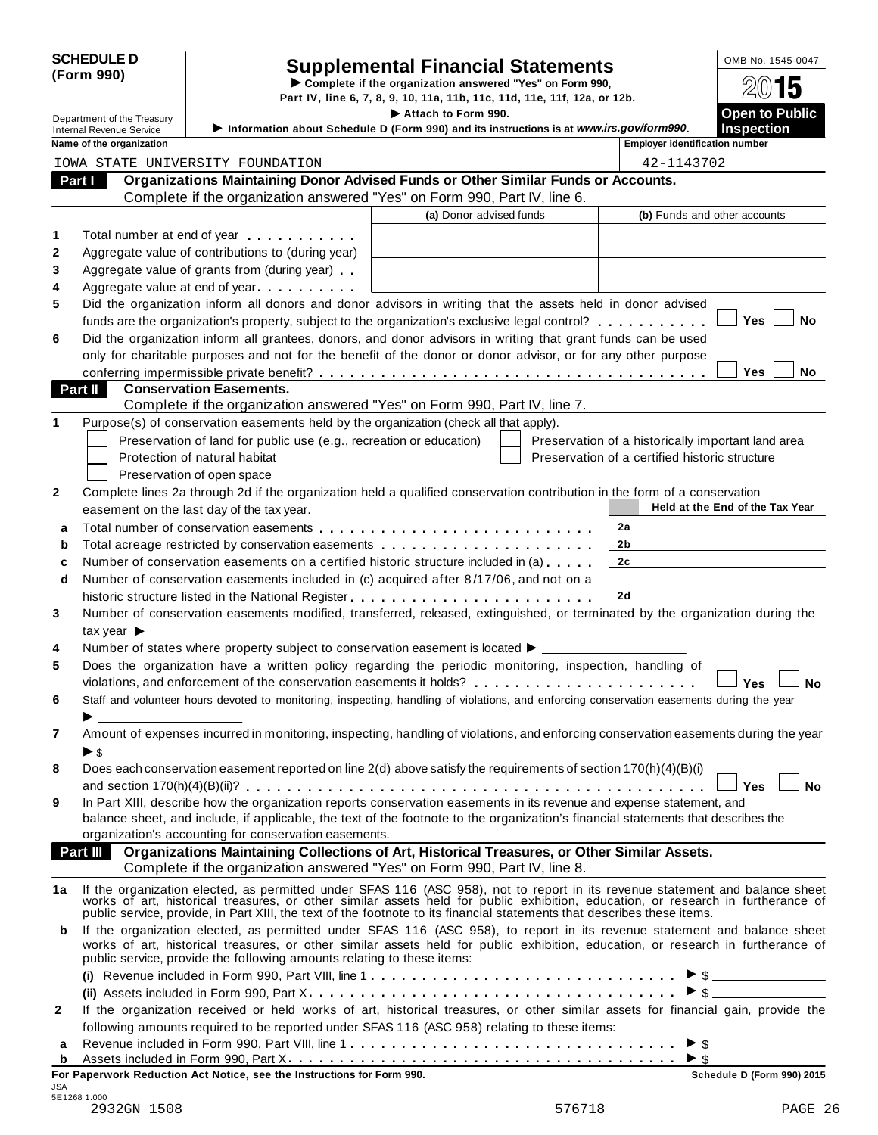| <b>SCHEDULE D</b> |  |
|-------------------|--|
| (Form 990)        |  |

# Supplemental Financial Statements<br>  $\triangleright$  Complete if the organization answered "Yes" on Form 990,<br>
Part IV, line 6, 7, 8, 9, 10, 11a, 11b, 11c, 11d, 11e, 11f, 12a, or 12b.<br>  $\triangleright$  Attach to Form 990.

**Department of the Treasury** I **Attach Part IV, line 6, 7, 8, 9, 10, 11a, 11b, 11c, 11d, 11e, 11f, 12a, or 12b.**<br>■ **Attach to Form 990.** 

|              | Department of the Treasury                                  |                                                                                                                                                                                                                                                             | Attach to Form 990.                                                                     |                                                    | <b>Open to Public</b>           |
|--------------|-------------------------------------------------------------|-------------------------------------------------------------------------------------------------------------------------------------------------------------------------------------------------------------------------------------------------------------|-----------------------------------------------------------------------------------------|----------------------------------------------------|---------------------------------|
|              | <b>Internal Revenue Service</b><br>Name of the organization |                                                                                                                                                                                                                                                             | Information about Schedule D (Form 990) and its instructions is at www.irs.gov/form990. | <b>Employer identification number</b>              | <b>Inspection</b>               |
|              |                                                             |                                                                                                                                                                                                                                                             |                                                                                         |                                                    |                                 |
|              | Part I                                                      | IOWA STATE UNIVERSITY FOUNDATION<br>Organizations Maintaining Donor Advised Funds or Other Similar Funds or Accounts.                                                                                                                                       |                                                                                         | 42-1143702                                         |                                 |
|              |                                                             | Complete if the organization answered "Yes" on Form 990, Part IV, line 6.                                                                                                                                                                                   |                                                                                         |                                                    |                                 |
|              |                                                             |                                                                                                                                                                                                                                                             | (a) Donor advised funds                                                                 |                                                    | (b) Funds and other accounts    |
|              |                                                             |                                                                                                                                                                                                                                                             |                                                                                         |                                                    |                                 |
|              |                                                             | Total number at end of year example.                                                                                                                                                                                                                        |                                                                                         |                                                    |                                 |
|              |                                                             | Aggregate value of contributions to (during year)                                                                                                                                                                                                           |                                                                                         |                                                    |                                 |
|              |                                                             | Aggregate value of grants from (during year)                                                                                                                                                                                                                |                                                                                         |                                                    |                                 |
|              |                                                             | Aggregate value at end of year example and a set of the set of the set of the set of the set of the set of the<br>Did the organization inform all donors and donor advisors in writing that the assets held in donor advised                                |                                                                                         |                                                    |                                 |
|              |                                                             | funds are the organization's property, subject to the organization's exclusive legal control?                                                                                                                                                               |                                                                                         |                                                    | Yes<br>No                       |
|              |                                                             | Did the organization inform all grantees, donors, and donor advisors in writing that grant funds can be used                                                                                                                                                |                                                                                         |                                                    |                                 |
|              |                                                             | only for charitable purposes and not for the benefit of the donor or donor advisor, or for any other purpose                                                                                                                                                |                                                                                         |                                                    |                                 |
|              |                                                             |                                                                                                                                                                                                                                                             |                                                                                         |                                                    | Yes<br>No                       |
|              | Part II                                                     | <b>Conservation Easements.</b>                                                                                                                                                                                                                              |                                                                                         |                                                    |                                 |
|              |                                                             | Complete if the organization answered "Yes" on Form 990, Part IV, line 7.                                                                                                                                                                                   |                                                                                         |                                                    |                                 |
|              |                                                             | Purpose(s) of conservation easements held by the organization (check all that apply).                                                                                                                                                                       |                                                                                         |                                                    |                                 |
|              |                                                             | Preservation of land for public use (e.g., recreation or education)                                                                                                                                                                                         |                                                                                         | Preservation of a historically important land area |                                 |
|              |                                                             | Protection of natural habitat                                                                                                                                                                                                                               |                                                                                         | Preservation of a certified historic structure     |                                 |
|              |                                                             | Preservation of open space                                                                                                                                                                                                                                  |                                                                                         |                                                    |                                 |
|              |                                                             | Complete lines 2a through 2d if the organization held a qualified conservation contribution in the form of a conservation                                                                                                                                   |                                                                                         |                                                    |                                 |
|              |                                                             | easement on the last day of the tax year.                                                                                                                                                                                                                   |                                                                                         |                                                    | Held at the End of the Tax Year |
| a            |                                                             |                                                                                                                                                                                                                                                             |                                                                                         | 2a                                                 |                                 |
| b            |                                                             | Total acreage restricted by conservation easements                                                                                                                                                                                                          |                                                                                         | 2 <sub>b</sub>                                     |                                 |
| c            |                                                             | Number of conservation easements on a certified historic structure included in (a)                                                                                                                                                                          |                                                                                         | 2c                                                 |                                 |
| d            |                                                             | Number of conservation easements included in (c) acquired after 8/17/06, and not on a                                                                                                                                                                       |                                                                                         |                                                    |                                 |
|              |                                                             |                                                                                                                                                                                                                                                             |                                                                                         | 2d                                                 |                                 |
|              |                                                             | Number of conservation easements modified, transferred, released, extinguished, or terminated by the organization during the                                                                                                                                |                                                                                         |                                                    |                                 |
|              |                                                             |                                                                                                                                                                                                                                                             |                                                                                         |                                                    |                                 |
|              |                                                             | Number of states where property subject to conservation easement is located $\blacktriangleright$ _________                                                                                                                                                 |                                                                                         |                                                    |                                 |
|              |                                                             | Does the organization have a written policy regarding the periodic monitoring, inspection, handling of                                                                                                                                                      |                                                                                         |                                                    |                                 |
|              |                                                             | violations, and enforcement of the conservation easements it holds?                                                                                                                                                                                         |                                                                                         |                                                    | <b>No</b><br><b>Yes</b>         |
|              |                                                             | Staff and volunteer hours devoted to monitoring, inspecting, handling of violations, and enforcing conservation easements during the year                                                                                                                   |                                                                                         |                                                    |                                 |
|              |                                                             |                                                                                                                                                                                                                                                             |                                                                                         |                                                    |                                 |
|              |                                                             | Amount of expenses incurred in monitoring, inspecting, handling of violations, and enforcing conservation easements during the year                                                                                                                         |                                                                                         |                                                    |                                 |
|              | ▶\$                                                         |                                                                                                                                                                                                                                                             |                                                                                         |                                                    |                                 |
|              |                                                             | Does each conservation easement reported on line 2(d) above satisfy the requirements of section 170(h)(4)(B)(i)                                                                                                                                             |                                                                                         |                                                    |                                 |
|              |                                                             |                                                                                                                                                                                                                                                             |                                                                                         |                                                    | <b>No</b><br>Yes l              |
|              |                                                             | In Part XIII, describe how the organization reports conservation easements in its revenue and expense statement, and                                                                                                                                        |                                                                                         |                                                    |                                 |
|              |                                                             | balance sheet, and include, if applicable, the text of the footnote to the organization's financial statements that describes the                                                                                                                           |                                                                                         |                                                    |                                 |
|              |                                                             | organization's accounting for conservation easements.                                                                                                                                                                                                       |                                                                                         |                                                    |                                 |
|              | Part III                                                    | Organizations Maintaining Collections of Art, Historical Treasures, or Other Similar Assets.                                                                                                                                                                |                                                                                         |                                                    |                                 |
|              |                                                             | Complete if the organization answered "Yes" on Form 990, Part IV, line 8.                                                                                                                                                                                   |                                                                                         |                                                    |                                 |
| 1a           |                                                             | If the organization elected, as permitted under SFAS 116 (ASC 958), not to report in its revenue statement and balance sheet                                                                                                                                |                                                                                         |                                                    |                                 |
|              |                                                             | works of art, historical treasures, or other similar assets held for public exhibition, education, or research in furtherance of<br>public service, provide, in Part XIII, the text of the footnote to its financial statements that describes these items. |                                                                                         |                                                    |                                 |
| b            |                                                             | If the organization elected, as permitted under SFAS 116 (ASC 958), to report in its revenue statement and balance sheet                                                                                                                                    |                                                                                         |                                                    |                                 |
|              |                                                             | works of art, historical treasures, or other similar assets held for public exhibition, education, or research in furtherance of                                                                                                                            |                                                                                         |                                                    |                                 |
|              |                                                             | public service, provide the following amounts relating to these items:                                                                                                                                                                                      |                                                                                         |                                                    |                                 |
|              |                                                             |                                                                                                                                                                                                                                                             |                                                                                         |                                                    |                                 |
|              |                                                             |                                                                                                                                                                                                                                                             |                                                                                         |                                                    |                                 |
| $\mathbf{2}$ |                                                             | If the organization received or held works of art, historical treasures, or other similar assets for financial gain, provide the                                                                                                                            |                                                                                         |                                                    |                                 |
|              |                                                             | following amounts required to be reported under SFAS 116 (ASC 958) relating to these items:                                                                                                                                                                 |                                                                                         |                                                    |                                 |
| а            |                                                             |                                                                                                                                                                                                                                                             |                                                                                         |                                                    |                                 |
| b            |                                                             |                                                                                                                                                                                                                                                             |                                                                                         |                                                    |                                 |
|              |                                                             | For Paperwork Reduction Act Notice, see the Instructions for Form 990.                                                                                                                                                                                      |                                                                                         |                                                    | Schedule D (Form 990) 2015      |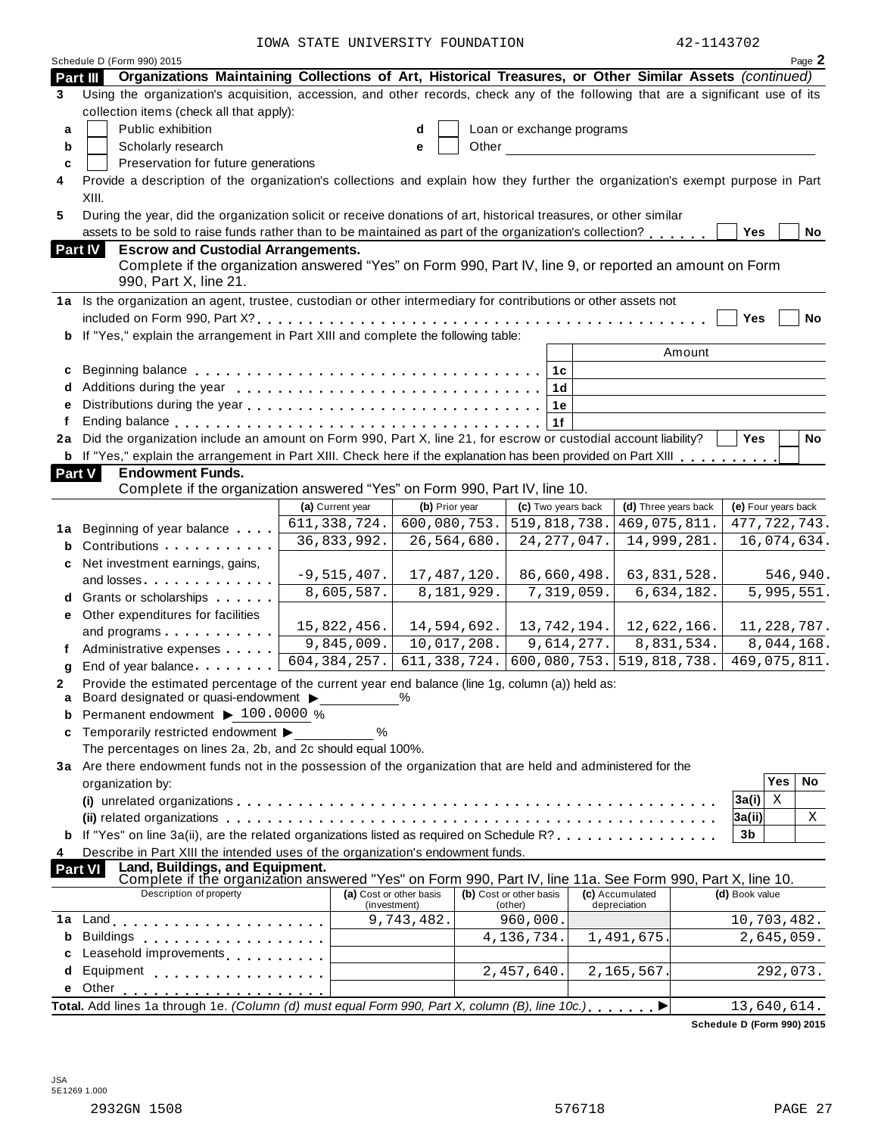IOWA STATE UNIVERSITY FOUNDATION 42-1143702

| Organizations Maintaining Collections of Art, Historical Treasures, or Other Similar Assets (continued)<br>Using the organization's acquisition, accession, and other records, check any of the following that are a significant use of its<br>3<br>collection items (check all that apply):<br>Public exhibition<br>Loan or exchange programs<br>a<br>d<br>Other<br>Scholarly research<br>b<br>e<br>Preservation for future generations<br>c<br>Provide a description of the organization's collections and explain how they further the organization's exempt purpose in Part<br>4<br>XIII.<br>5<br>During the year, did the organization solicit or receive donations of art, historical treasures, or other similar<br>assets to be sold to raise funds rather than to be maintained as part of the organization's collection?<br>Yes<br>No<br><b>Part IV</b><br><b>Escrow and Custodial Arrangements.</b><br>Complete if the organization answered "Yes" on Form 990, Part IV, line 9, or reported an amount on Form<br>990, Part X, line 21.<br>1a Is the organization an agent, trustee, custodian or other intermediary for contributions or other assets not<br>No<br>Yes<br><b>b</b> If "Yes," explain the arrangement in Part XIII and complete the following table:<br>Amount<br>1 <sub>c</sub><br>c<br>1 <sub>d</sub><br>1e<br>Ending balance enterprise and the series of the series are series and the series of the series of the series o<br>1f<br>2a Did the organization include an amount on Form 990, Part X, line 21, for escrow or custodial account liability?<br><b>Yes</b><br>No<br><b>b</b> If "Yes," explain the arrangement in Part XIII. Check here if the explanation has been provided on Part XIII<br><b>Endowment Funds.</b><br><b>Part V</b><br>Complete if the organization answered "Yes" on Form 990, Part IV, line 10.<br>(c) Two years back<br>(d) Three years back<br>(e) Four years back<br>(a) Current year<br>(b) Prior year<br>611, 338, 724.<br>600,080,753.<br>519,818,738.<br>469,075,811.<br>477, 722, 743.<br>Beginning of year balance<br>1a<br>36,833,992.<br>26,564,680.<br>24, 277, 047.<br>14,999,281.<br>16,074,634.<br>Contributions <b>Contributions</b><br>b<br>Net investment earnings, gains,<br>$-9,515,407.$<br>17,487,120.<br>86,660,498.<br>63,831,528.<br>546,940.<br>and losses<br>8,605,587.<br>8,181,929.<br>7,319,059.<br>6,634,182.<br>5,995,551.<br>Grants or scholarships<br>Other expenditures for facilities<br>е<br>15,822,456.<br>14,594,692.<br>13,742,194.<br>12,622,166.<br>11,228,787.<br>and programs<br>9,845,009.<br>10,017,208.<br>9,614,277.<br>8,831,534.<br>8,044,168.<br>Administrative expenses<br>604, 384, 257.<br>611, 338, 724.<br>600,080,753. 519,818,738.<br>469,075,811.<br>End of year balance<br>q<br>Provide the estimated percentage of the current year end balance (line 1g, column (a)) held as:<br>2<br>Board designated or quasi-endowment ><br>a<br>Permanent endowment > 100.0000 %<br>b<br>Temporarily restricted endowment ▶<br>%<br>c<br>The percentages on lines 2a, 2b, and 2c should equal 100%.<br>3a Are there endowment funds not in the possession of the organization that are held and administered for the<br>Yes<br>No<br>organization by:<br>3a(i)<br>Χ<br>3a(ii)<br>Χ<br>(ii) related organizations enterpresent respectively in the contract of the contract of the contract or contract $\mathbf{u}$<br><b>b</b> If "Yes" on line 3a(ii), are the related organizations listed as required on Schedule R?<br>3b<br>Describe in Part XIII the intended uses of the organization's endowment funds.<br>4<br>Land, Buildings, and Equipment.<br><b>Part VI</b><br>Complete if the organization answered "Yes" on Form 990, Part IV, line 11a. See Form 990, Part X, line 10.<br>Description of property<br>(a) Cost or other basis<br>(b) Cost or other basis<br>(c) Accumulated<br>(d) Book value<br>(investment)<br>depreciation<br>(other)<br>1a<br>9,743,482.<br>960,000.<br>10,703,482.<br><b>Buildings</b><br>4, 136, 734.<br>b<br>1,491,675.<br>2,645,059.<br>.<br>Leasehold improvements experiences<br>c<br>Equipment<br>2,457,640.<br>d<br>2,165,567.<br>292,073.<br>. | Part III | Schedule D (Form 990) 2015 |  |  |  |  |  |  |  |  | Page 2 |
|--------------------------------------------------------------------------------------------------------------------------------------------------------------------------------------------------------------------------------------------------------------------------------------------------------------------------------------------------------------------------------------------------------------------------------------------------------------------------------------------------------------------------------------------------------------------------------------------------------------------------------------------------------------------------------------------------------------------------------------------------------------------------------------------------------------------------------------------------------------------------------------------------------------------------------------------------------------------------------------------------------------------------------------------------------------------------------------------------------------------------------------------------------------------------------------------------------------------------------------------------------------------------------------------------------------------------------------------------------------------------------------------------------------------------------------------------------------------------------------------------------------------------------------------------------------------------------------------------------------------------------------------------------------------------------------------------------------------------------------------------------------------------------------------------------------------------------------------------------------------------------------------------------------------------------------------------------------------------------------------------------------------------------------------------------------------------------------------------------------------------------------------------------------------------------------------------------------------------------------------------------------------------------------------------------------------------------------------------------------------------------------------------------------------------------------------------------------------------------------------------------------------------------------------------------------------------------------------------------------------------------------------------------------------------------------------------------------------------------------------------------------------------------------------------------------------------------------------------------------------------------------------------------------------------------------------------------------------------------------------------------------------------------------------------------------------------------------------------------------------------------------------------------------------------------------------------------------------------------------------------------------------------------------------------------------------------------------------------------------------------------------------------------------------------------------------------------------------------------------------------------------------------------------------------------------------------------------------------------------------------------------------------------------------------------------------------------------------------------------------------------------------------------------------------------------------------------------------------------------------------------------------------------------------------------------------------------------------------------------------------------------------------------------------------------------------------------------------------------------------------------------------------------------------------------------------------------------|----------|----------------------------|--|--|--|--|--|--|--|--|--------|
|                                                                                                                                                                                                                                                                                                                                                                                                                                                                                                                                                                                                                                                                                                                                                                                                                                                                                                                                                                                                                                                                                                                                                                                                                                                                                                                                                                                                                                                                                                                                                                                                                                                                                                                                                                                                                                                                                                                                                                                                                                                                                                                                                                                                                                                                                                                                                                                                                                                                                                                                                                                                                                                                                                                                                                                                                                                                                                                                                                                                                                                                                                                                                                                                                                                                                                                                                                                                                                                                                                                                                                                                                                                                                                                                                                                                                                                                                                                                                                                                                                                                                                                                                                                                              |          |                            |  |  |  |  |  |  |  |  |        |
|                                                                                                                                                                                                                                                                                                                                                                                                                                                                                                                                                                                                                                                                                                                                                                                                                                                                                                                                                                                                                                                                                                                                                                                                                                                                                                                                                                                                                                                                                                                                                                                                                                                                                                                                                                                                                                                                                                                                                                                                                                                                                                                                                                                                                                                                                                                                                                                                                                                                                                                                                                                                                                                                                                                                                                                                                                                                                                                                                                                                                                                                                                                                                                                                                                                                                                                                                                                                                                                                                                                                                                                                                                                                                                                                                                                                                                                                                                                                                                                                                                                                                                                                                                                                              |          |                            |  |  |  |  |  |  |  |  |        |
|                                                                                                                                                                                                                                                                                                                                                                                                                                                                                                                                                                                                                                                                                                                                                                                                                                                                                                                                                                                                                                                                                                                                                                                                                                                                                                                                                                                                                                                                                                                                                                                                                                                                                                                                                                                                                                                                                                                                                                                                                                                                                                                                                                                                                                                                                                                                                                                                                                                                                                                                                                                                                                                                                                                                                                                                                                                                                                                                                                                                                                                                                                                                                                                                                                                                                                                                                                                                                                                                                                                                                                                                                                                                                                                                                                                                                                                                                                                                                                                                                                                                                                                                                                                                              |          |                            |  |  |  |  |  |  |  |  |        |
|                                                                                                                                                                                                                                                                                                                                                                                                                                                                                                                                                                                                                                                                                                                                                                                                                                                                                                                                                                                                                                                                                                                                                                                                                                                                                                                                                                                                                                                                                                                                                                                                                                                                                                                                                                                                                                                                                                                                                                                                                                                                                                                                                                                                                                                                                                                                                                                                                                                                                                                                                                                                                                                                                                                                                                                                                                                                                                                                                                                                                                                                                                                                                                                                                                                                                                                                                                                                                                                                                                                                                                                                                                                                                                                                                                                                                                                                                                                                                                                                                                                                                                                                                                                                              |          |                            |  |  |  |  |  |  |  |  |        |
|                                                                                                                                                                                                                                                                                                                                                                                                                                                                                                                                                                                                                                                                                                                                                                                                                                                                                                                                                                                                                                                                                                                                                                                                                                                                                                                                                                                                                                                                                                                                                                                                                                                                                                                                                                                                                                                                                                                                                                                                                                                                                                                                                                                                                                                                                                                                                                                                                                                                                                                                                                                                                                                                                                                                                                                                                                                                                                                                                                                                                                                                                                                                                                                                                                                                                                                                                                                                                                                                                                                                                                                                                                                                                                                                                                                                                                                                                                                                                                                                                                                                                                                                                                                                              |          |                            |  |  |  |  |  |  |  |  |        |
|                                                                                                                                                                                                                                                                                                                                                                                                                                                                                                                                                                                                                                                                                                                                                                                                                                                                                                                                                                                                                                                                                                                                                                                                                                                                                                                                                                                                                                                                                                                                                                                                                                                                                                                                                                                                                                                                                                                                                                                                                                                                                                                                                                                                                                                                                                                                                                                                                                                                                                                                                                                                                                                                                                                                                                                                                                                                                                                                                                                                                                                                                                                                                                                                                                                                                                                                                                                                                                                                                                                                                                                                                                                                                                                                                                                                                                                                                                                                                                                                                                                                                                                                                                                                              |          |                            |  |  |  |  |  |  |  |  |        |
|                                                                                                                                                                                                                                                                                                                                                                                                                                                                                                                                                                                                                                                                                                                                                                                                                                                                                                                                                                                                                                                                                                                                                                                                                                                                                                                                                                                                                                                                                                                                                                                                                                                                                                                                                                                                                                                                                                                                                                                                                                                                                                                                                                                                                                                                                                                                                                                                                                                                                                                                                                                                                                                                                                                                                                                                                                                                                                                                                                                                                                                                                                                                                                                                                                                                                                                                                                                                                                                                                                                                                                                                                                                                                                                                                                                                                                                                                                                                                                                                                                                                                                                                                                                                              |          |                            |  |  |  |  |  |  |  |  |        |
|                                                                                                                                                                                                                                                                                                                                                                                                                                                                                                                                                                                                                                                                                                                                                                                                                                                                                                                                                                                                                                                                                                                                                                                                                                                                                                                                                                                                                                                                                                                                                                                                                                                                                                                                                                                                                                                                                                                                                                                                                                                                                                                                                                                                                                                                                                                                                                                                                                                                                                                                                                                                                                                                                                                                                                                                                                                                                                                                                                                                                                                                                                                                                                                                                                                                                                                                                                                                                                                                                                                                                                                                                                                                                                                                                                                                                                                                                                                                                                                                                                                                                                                                                                                                              |          |                            |  |  |  |  |  |  |  |  |        |
|                                                                                                                                                                                                                                                                                                                                                                                                                                                                                                                                                                                                                                                                                                                                                                                                                                                                                                                                                                                                                                                                                                                                                                                                                                                                                                                                                                                                                                                                                                                                                                                                                                                                                                                                                                                                                                                                                                                                                                                                                                                                                                                                                                                                                                                                                                                                                                                                                                                                                                                                                                                                                                                                                                                                                                                                                                                                                                                                                                                                                                                                                                                                                                                                                                                                                                                                                                                                                                                                                                                                                                                                                                                                                                                                                                                                                                                                                                                                                                                                                                                                                                                                                                                                              |          |                            |  |  |  |  |  |  |  |  |        |
|                                                                                                                                                                                                                                                                                                                                                                                                                                                                                                                                                                                                                                                                                                                                                                                                                                                                                                                                                                                                                                                                                                                                                                                                                                                                                                                                                                                                                                                                                                                                                                                                                                                                                                                                                                                                                                                                                                                                                                                                                                                                                                                                                                                                                                                                                                                                                                                                                                                                                                                                                                                                                                                                                                                                                                                                                                                                                                                                                                                                                                                                                                                                                                                                                                                                                                                                                                                                                                                                                                                                                                                                                                                                                                                                                                                                                                                                                                                                                                                                                                                                                                                                                                                                              |          |                            |  |  |  |  |  |  |  |  |        |
|                                                                                                                                                                                                                                                                                                                                                                                                                                                                                                                                                                                                                                                                                                                                                                                                                                                                                                                                                                                                                                                                                                                                                                                                                                                                                                                                                                                                                                                                                                                                                                                                                                                                                                                                                                                                                                                                                                                                                                                                                                                                                                                                                                                                                                                                                                                                                                                                                                                                                                                                                                                                                                                                                                                                                                                                                                                                                                                                                                                                                                                                                                                                                                                                                                                                                                                                                                                                                                                                                                                                                                                                                                                                                                                                                                                                                                                                                                                                                                                                                                                                                                                                                                                                              |          |                            |  |  |  |  |  |  |  |  |        |
|                                                                                                                                                                                                                                                                                                                                                                                                                                                                                                                                                                                                                                                                                                                                                                                                                                                                                                                                                                                                                                                                                                                                                                                                                                                                                                                                                                                                                                                                                                                                                                                                                                                                                                                                                                                                                                                                                                                                                                                                                                                                                                                                                                                                                                                                                                                                                                                                                                                                                                                                                                                                                                                                                                                                                                                                                                                                                                                                                                                                                                                                                                                                                                                                                                                                                                                                                                                                                                                                                                                                                                                                                                                                                                                                                                                                                                                                                                                                                                                                                                                                                                                                                                                                              |          |                            |  |  |  |  |  |  |  |  |        |
|                                                                                                                                                                                                                                                                                                                                                                                                                                                                                                                                                                                                                                                                                                                                                                                                                                                                                                                                                                                                                                                                                                                                                                                                                                                                                                                                                                                                                                                                                                                                                                                                                                                                                                                                                                                                                                                                                                                                                                                                                                                                                                                                                                                                                                                                                                                                                                                                                                                                                                                                                                                                                                                                                                                                                                                                                                                                                                                                                                                                                                                                                                                                                                                                                                                                                                                                                                                                                                                                                                                                                                                                                                                                                                                                                                                                                                                                                                                                                                                                                                                                                                                                                                                                              |          |                            |  |  |  |  |  |  |  |  |        |
|                                                                                                                                                                                                                                                                                                                                                                                                                                                                                                                                                                                                                                                                                                                                                                                                                                                                                                                                                                                                                                                                                                                                                                                                                                                                                                                                                                                                                                                                                                                                                                                                                                                                                                                                                                                                                                                                                                                                                                                                                                                                                                                                                                                                                                                                                                                                                                                                                                                                                                                                                                                                                                                                                                                                                                                                                                                                                                                                                                                                                                                                                                                                                                                                                                                                                                                                                                                                                                                                                                                                                                                                                                                                                                                                                                                                                                                                                                                                                                                                                                                                                                                                                                                                              |          |                            |  |  |  |  |  |  |  |  |        |
|                                                                                                                                                                                                                                                                                                                                                                                                                                                                                                                                                                                                                                                                                                                                                                                                                                                                                                                                                                                                                                                                                                                                                                                                                                                                                                                                                                                                                                                                                                                                                                                                                                                                                                                                                                                                                                                                                                                                                                                                                                                                                                                                                                                                                                                                                                                                                                                                                                                                                                                                                                                                                                                                                                                                                                                                                                                                                                                                                                                                                                                                                                                                                                                                                                                                                                                                                                                                                                                                                                                                                                                                                                                                                                                                                                                                                                                                                                                                                                                                                                                                                                                                                                                                              |          |                            |  |  |  |  |  |  |  |  |        |
|                                                                                                                                                                                                                                                                                                                                                                                                                                                                                                                                                                                                                                                                                                                                                                                                                                                                                                                                                                                                                                                                                                                                                                                                                                                                                                                                                                                                                                                                                                                                                                                                                                                                                                                                                                                                                                                                                                                                                                                                                                                                                                                                                                                                                                                                                                                                                                                                                                                                                                                                                                                                                                                                                                                                                                                                                                                                                                                                                                                                                                                                                                                                                                                                                                                                                                                                                                                                                                                                                                                                                                                                                                                                                                                                                                                                                                                                                                                                                                                                                                                                                                                                                                                                              |          |                            |  |  |  |  |  |  |  |  |        |
|                                                                                                                                                                                                                                                                                                                                                                                                                                                                                                                                                                                                                                                                                                                                                                                                                                                                                                                                                                                                                                                                                                                                                                                                                                                                                                                                                                                                                                                                                                                                                                                                                                                                                                                                                                                                                                                                                                                                                                                                                                                                                                                                                                                                                                                                                                                                                                                                                                                                                                                                                                                                                                                                                                                                                                                                                                                                                                                                                                                                                                                                                                                                                                                                                                                                                                                                                                                                                                                                                                                                                                                                                                                                                                                                                                                                                                                                                                                                                                                                                                                                                                                                                                                                              |          |                            |  |  |  |  |  |  |  |  |        |
|                                                                                                                                                                                                                                                                                                                                                                                                                                                                                                                                                                                                                                                                                                                                                                                                                                                                                                                                                                                                                                                                                                                                                                                                                                                                                                                                                                                                                                                                                                                                                                                                                                                                                                                                                                                                                                                                                                                                                                                                                                                                                                                                                                                                                                                                                                                                                                                                                                                                                                                                                                                                                                                                                                                                                                                                                                                                                                                                                                                                                                                                                                                                                                                                                                                                                                                                                                                                                                                                                                                                                                                                                                                                                                                                                                                                                                                                                                                                                                                                                                                                                                                                                                                                              |          |                            |  |  |  |  |  |  |  |  |        |
|                                                                                                                                                                                                                                                                                                                                                                                                                                                                                                                                                                                                                                                                                                                                                                                                                                                                                                                                                                                                                                                                                                                                                                                                                                                                                                                                                                                                                                                                                                                                                                                                                                                                                                                                                                                                                                                                                                                                                                                                                                                                                                                                                                                                                                                                                                                                                                                                                                                                                                                                                                                                                                                                                                                                                                                                                                                                                                                                                                                                                                                                                                                                                                                                                                                                                                                                                                                                                                                                                                                                                                                                                                                                                                                                                                                                                                                                                                                                                                                                                                                                                                                                                                                                              |          |                            |  |  |  |  |  |  |  |  |        |
|                                                                                                                                                                                                                                                                                                                                                                                                                                                                                                                                                                                                                                                                                                                                                                                                                                                                                                                                                                                                                                                                                                                                                                                                                                                                                                                                                                                                                                                                                                                                                                                                                                                                                                                                                                                                                                                                                                                                                                                                                                                                                                                                                                                                                                                                                                                                                                                                                                                                                                                                                                                                                                                                                                                                                                                                                                                                                                                                                                                                                                                                                                                                                                                                                                                                                                                                                                                                                                                                                                                                                                                                                                                                                                                                                                                                                                                                                                                                                                                                                                                                                                                                                                                                              |          |                            |  |  |  |  |  |  |  |  |        |
|                                                                                                                                                                                                                                                                                                                                                                                                                                                                                                                                                                                                                                                                                                                                                                                                                                                                                                                                                                                                                                                                                                                                                                                                                                                                                                                                                                                                                                                                                                                                                                                                                                                                                                                                                                                                                                                                                                                                                                                                                                                                                                                                                                                                                                                                                                                                                                                                                                                                                                                                                                                                                                                                                                                                                                                                                                                                                                                                                                                                                                                                                                                                                                                                                                                                                                                                                                                                                                                                                                                                                                                                                                                                                                                                                                                                                                                                                                                                                                                                                                                                                                                                                                                                              |          |                            |  |  |  |  |  |  |  |  |        |
|                                                                                                                                                                                                                                                                                                                                                                                                                                                                                                                                                                                                                                                                                                                                                                                                                                                                                                                                                                                                                                                                                                                                                                                                                                                                                                                                                                                                                                                                                                                                                                                                                                                                                                                                                                                                                                                                                                                                                                                                                                                                                                                                                                                                                                                                                                                                                                                                                                                                                                                                                                                                                                                                                                                                                                                                                                                                                                                                                                                                                                                                                                                                                                                                                                                                                                                                                                                                                                                                                                                                                                                                                                                                                                                                                                                                                                                                                                                                                                                                                                                                                                                                                                                                              |          |                            |  |  |  |  |  |  |  |  |        |
|                                                                                                                                                                                                                                                                                                                                                                                                                                                                                                                                                                                                                                                                                                                                                                                                                                                                                                                                                                                                                                                                                                                                                                                                                                                                                                                                                                                                                                                                                                                                                                                                                                                                                                                                                                                                                                                                                                                                                                                                                                                                                                                                                                                                                                                                                                                                                                                                                                                                                                                                                                                                                                                                                                                                                                                                                                                                                                                                                                                                                                                                                                                                                                                                                                                                                                                                                                                                                                                                                                                                                                                                                                                                                                                                                                                                                                                                                                                                                                                                                                                                                                                                                                                                              |          |                            |  |  |  |  |  |  |  |  |        |
|                                                                                                                                                                                                                                                                                                                                                                                                                                                                                                                                                                                                                                                                                                                                                                                                                                                                                                                                                                                                                                                                                                                                                                                                                                                                                                                                                                                                                                                                                                                                                                                                                                                                                                                                                                                                                                                                                                                                                                                                                                                                                                                                                                                                                                                                                                                                                                                                                                                                                                                                                                                                                                                                                                                                                                                                                                                                                                                                                                                                                                                                                                                                                                                                                                                                                                                                                                                                                                                                                                                                                                                                                                                                                                                                                                                                                                                                                                                                                                                                                                                                                                                                                                                                              |          |                            |  |  |  |  |  |  |  |  |        |
|                                                                                                                                                                                                                                                                                                                                                                                                                                                                                                                                                                                                                                                                                                                                                                                                                                                                                                                                                                                                                                                                                                                                                                                                                                                                                                                                                                                                                                                                                                                                                                                                                                                                                                                                                                                                                                                                                                                                                                                                                                                                                                                                                                                                                                                                                                                                                                                                                                                                                                                                                                                                                                                                                                                                                                                                                                                                                                                                                                                                                                                                                                                                                                                                                                                                                                                                                                                                                                                                                                                                                                                                                                                                                                                                                                                                                                                                                                                                                                                                                                                                                                                                                                                                              |          |                            |  |  |  |  |  |  |  |  |        |
|                                                                                                                                                                                                                                                                                                                                                                                                                                                                                                                                                                                                                                                                                                                                                                                                                                                                                                                                                                                                                                                                                                                                                                                                                                                                                                                                                                                                                                                                                                                                                                                                                                                                                                                                                                                                                                                                                                                                                                                                                                                                                                                                                                                                                                                                                                                                                                                                                                                                                                                                                                                                                                                                                                                                                                                                                                                                                                                                                                                                                                                                                                                                                                                                                                                                                                                                                                                                                                                                                                                                                                                                                                                                                                                                                                                                                                                                                                                                                                                                                                                                                                                                                                                                              |          |                            |  |  |  |  |  |  |  |  |        |
|                                                                                                                                                                                                                                                                                                                                                                                                                                                                                                                                                                                                                                                                                                                                                                                                                                                                                                                                                                                                                                                                                                                                                                                                                                                                                                                                                                                                                                                                                                                                                                                                                                                                                                                                                                                                                                                                                                                                                                                                                                                                                                                                                                                                                                                                                                                                                                                                                                                                                                                                                                                                                                                                                                                                                                                                                                                                                                                                                                                                                                                                                                                                                                                                                                                                                                                                                                                                                                                                                                                                                                                                                                                                                                                                                                                                                                                                                                                                                                                                                                                                                                                                                                                                              |          |                            |  |  |  |  |  |  |  |  |        |
|                                                                                                                                                                                                                                                                                                                                                                                                                                                                                                                                                                                                                                                                                                                                                                                                                                                                                                                                                                                                                                                                                                                                                                                                                                                                                                                                                                                                                                                                                                                                                                                                                                                                                                                                                                                                                                                                                                                                                                                                                                                                                                                                                                                                                                                                                                                                                                                                                                                                                                                                                                                                                                                                                                                                                                                                                                                                                                                                                                                                                                                                                                                                                                                                                                                                                                                                                                                                                                                                                                                                                                                                                                                                                                                                                                                                                                                                                                                                                                                                                                                                                                                                                                                                              |          |                            |  |  |  |  |  |  |  |  |        |
|                                                                                                                                                                                                                                                                                                                                                                                                                                                                                                                                                                                                                                                                                                                                                                                                                                                                                                                                                                                                                                                                                                                                                                                                                                                                                                                                                                                                                                                                                                                                                                                                                                                                                                                                                                                                                                                                                                                                                                                                                                                                                                                                                                                                                                                                                                                                                                                                                                                                                                                                                                                                                                                                                                                                                                                                                                                                                                                                                                                                                                                                                                                                                                                                                                                                                                                                                                                                                                                                                                                                                                                                                                                                                                                                                                                                                                                                                                                                                                                                                                                                                                                                                                                                              |          |                            |  |  |  |  |  |  |  |  |        |
|                                                                                                                                                                                                                                                                                                                                                                                                                                                                                                                                                                                                                                                                                                                                                                                                                                                                                                                                                                                                                                                                                                                                                                                                                                                                                                                                                                                                                                                                                                                                                                                                                                                                                                                                                                                                                                                                                                                                                                                                                                                                                                                                                                                                                                                                                                                                                                                                                                                                                                                                                                                                                                                                                                                                                                                                                                                                                                                                                                                                                                                                                                                                                                                                                                                                                                                                                                                                                                                                                                                                                                                                                                                                                                                                                                                                                                                                                                                                                                                                                                                                                                                                                                                                              |          |                            |  |  |  |  |  |  |  |  |        |
|                                                                                                                                                                                                                                                                                                                                                                                                                                                                                                                                                                                                                                                                                                                                                                                                                                                                                                                                                                                                                                                                                                                                                                                                                                                                                                                                                                                                                                                                                                                                                                                                                                                                                                                                                                                                                                                                                                                                                                                                                                                                                                                                                                                                                                                                                                                                                                                                                                                                                                                                                                                                                                                                                                                                                                                                                                                                                                                                                                                                                                                                                                                                                                                                                                                                                                                                                                                                                                                                                                                                                                                                                                                                                                                                                                                                                                                                                                                                                                                                                                                                                                                                                                                                              |          |                            |  |  |  |  |  |  |  |  |        |
|                                                                                                                                                                                                                                                                                                                                                                                                                                                                                                                                                                                                                                                                                                                                                                                                                                                                                                                                                                                                                                                                                                                                                                                                                                                                                                                                                                                                                                                                                                                                                                                                                                                                                                                                                                                                                                                                                                                                                                                                                                                                                                                                                                                                                                                                                                                                                                                                                                                                                                                                                                                                                                                                                                                                                                                                                                                                                                                                                                                                                                                                                                                                                                                                                                                                                                                                                                                                                                                                                                                                                                                                                                                                                                                                                                                                                                                                                                                                                                                                                                                                                                                                                                                                              |          |                            |  |  |  |  |  |  |  |  |        |
|                                                                                                                                                                                                                                                                                                                                                                                                                                                                                                                                                                                                                                                                                                                                                                                                                                                                                                                                                                                                                                                                                                                                                                                                                                                                                                                                                                                                                                                                                                                                                                                                                                                                                                                                                                                                                                                                                                                                                                                                                                                                                                                                                                                                                                                                                                                                                                                                                                                                                                                                                                                                                                                                                                                                                                                                                                                                                                                                                                                                                                                                                                                                                                                                                                                                                                                                                                                                                                                                                                                                                                                                                                                                                                                                                                                                                                                                                                                                                                                                                                                                                                                                                                                                              |          |                            |  |  |  |  |  |  |  |  |        |
|                                                                                                                                                                                                                                                                                                                                                                                                                                                                                                                                                                                                                                                                                                                                                                                                                                                                                                                                                                                                                                                                                                                                                                                                                                                                                                                                                                                                                                                                                                                                                                                                                                                                                                                                                                                                                                                                                                                                                                                                                                                                                                                                                                                                                                                                                                                                                                                                                                                                                                                                                                                                                                                                                                                                                                                                                                                                                                                                                                                                                                                                                                                                                                                                                                                                                                                                                                                                                                                                                                                                                                                                                                                                                                                                                                                                                                                                                                                                                                                                                                                                                                                                                                                                              |          |                            |  |  |  |  |  |  |  |  |        |
|                                                                                                                                                                                                                                                                                                                                                                                                                                                                                                                                                                                                                                                                                                                                                                                                                                                                                                                                                                                                                                                                                                                                                                                                                                                                                                                                                                                                                                                                                                                                                                                                                                                                                                                                                                                                                                                                                                                                                                                                                                                                                                                                                                                                                                                                                                                                                                                                                                                                                                                                                                                                                                                                                                                                                                                                                                                                                                                                                                                                                                                                                                                                                                                                                                                                                                                                                                                                                                                                                                                                                                                                                                                                                                                                                                                                                                                                                                                                                                                                                                                                                                                                                                                                              |          |                            |  |  |  |  |  |  |  |  |        |
|                                                                                                                                                                                                                                                                                                                                                                                                                                                                                                                                                                                                                                                                                                                                                                                                                                                                                                                                                                                                                                                                                                                                                                                                                                                                                                                                                                                                                                                                                                                                                                                                                                                                                                                                                                                                                                                                                                                                                                                                                                                                                                                                                                                                                                                                                                                                                                                                                                                                                                                                                                                                                                                                                                                                                                                                                                                                                                                                                                                                                                                                                                                                                                                                                                                                                                                                                                                                                                                                                                                                                                                                                                                                                                                                                                                                                                                                                                                                                                                                                                                                                                                                                                                                              |          |                            |  |  |  |  |  |  |  |  |        |
|                                                                                                                                                                                                                                                                                                                                                                                                                                                                                                                                                                                                                                                                                                                                                                                                                                                                                                                                                                                                                                                                                                                                                                                                                                                                                                                                                                                                                                                                                                                                                                                                                                                                                                                                                                                                                                                                                                                                                                                                                                                                                                                                                                                                                                                                                                                                                                                                                                                                                                                                                                                                                                                                                                                                                                                                                                                                                                                                                                                                                                                                                                                                                                                                                                                                                                                                                                                                                                                                                                                                                                                                                                                                                                                                                                                                                                                                                                                                                                                                                                                                                                                                                                                                              |          |                            |  |  |  |  |  |  |  |  |        |
|                                                                                                                                                                                                                                                                                                                                                                                                                                                                                                                                                                                                                                                                                                                                                                                                                                                                                                                                                                                                                                                                                                                                                                                                                                                                                                                                                                                                                                                                                                                                                                                                                                                                                                                                                                                                                                                                                                                                                                                                                                                                                                                                                                                                                                                                                                                                                                                                                                                                                                                                                                                                                                                                                                                                                                                                                                                                                                                                                                                                                                                                                                                                                                                                                                                                                                                                                                                                                                                                                                                                                                                                                                                                                                                                                                                                                                                                                                                                                                                                                                                                                                                                                                                                              |          |                            |  |  |  |  |  |  |  |  |        |
|                                                                                                                                                                                                                                                                                                                                                                                                                                                                                                                                                                                                                                                                                                                                                                                                                                                                                                                                                                                                                                                                                                                                                                                                                                                                                                                                                                                                                                                                                                                                                                                                                                                                                                                                                                                                                                                                                                                                                                                                                                                                                                                                                                                                                                                                                                                                                                                                                                                                                                                                                                                                                                                                                                                                                                                                                                                                                                                                                                                                                                                                                                                                                                                                                                                                                                                                                                                                                                                                                                                                                                                                                                                                                                                                                                                                                                                                                                                                                                                                                                                                                                                                                                                                              |          |                            |  |  |  |  |  |  |  |  |        |
|                                                                                                                                                                                                                                                                                                                                                                                                                                                                                                                                                                                                                                                                                                                                                                                                                                                                                                                                                                                                                                                                                                                                                                                                                                                                                                                                                                                                                                                                                                                                                                                                                                                                                                                                                                                                                                                                                                                                                                                                                                                                                                                                                                                                                                                                                                                                                                                                                                                                                                                                                                                                                                                                                                                                                                                                                                                                                                                                                                                                                                                                                                                                                                                                                                                                                                                                                                                                                                                                                                                                                                                                                                                                                                                                                                                                                                                                                                                                                                                                                                                                                                                                                                                                              |          |                            |  |  |  |  |  |  |  |  |        |
|                                                                                                                                                                                                                                                                                                                                                                                                                                                                                                                                                                                                                                                                                                                                                                                                                                                                                                                                                                                                                                                                                                                                                                                                                                                                                                                                                                                                                                                                                                                                                                                                                                                                                                                                                                                                                                                                                                                                                                                                                                                                                                                                                                                                                                                                                                                                                                                                                                                                                                                                                                                                                                                                                                                                                                                                                                                                                                                                                                                                                                                                                                                                                                                                                                                                                                                                                                                                                                                                                                                                                                                                                                                                                                                                                                                                                                                                                                                                                                                                                                                                                                                                                                                                              |          |                            |  |  |  |  |  |  |  |  |        |
|                                                                                                                                                                                                                                                                                                                                                                                                                                                                                                                                                                                                                                                                                                                                                                                                                                                                                                                                                                                                                                                                                                                                                                                                                                                                                                                                                                                                                                                                                                                                                                                                                                                                                                                                                                                                                                                                                                                                                                                                                                                                                                                                                                                                                                                                                                                                                                                                                                                                                                                                                                                                                                                                                                                                                                                                                                                                                                                                                                                                                                                                                                                                                                                                                                                                                                                                                                                                                                                                                                                                                                                                                                                                                                                                                                                                                                                                                                                                                                                                                                                                                                                                                                                                              |          |                            |  |  |  |  |  |  |  |  |        |
|                                                                                                                                                                                                                                                                                                                                                                                                                                                                                                                                                                                                                                                                                                                                                                                                                                                                                                                                                                                                                                                                                                                                                                                                                                                                                                                                                                                                                                                                                                                                                                                                                                                                                                                                                                                                                                                                                                                                                                                                                                                                                                                                                                                                                                                                                                                                                                                                                                                                                                                                                                                                                                                                                                                                                                                                                                                                                                                                                                                                                                                                                                                                                                                                                                                                                                                                                                                                                                                                                                                                                                                                                                                                                                                                                                                                                                                                                                                                                                                                                                                                                                                                                                                                              |          |                            |  |  |  |  |  |  |  |  |        |
|                                                                                                                                                                                                                                                                                                                                                                                                                                                                                                                                                                                                                                                                                                                                                                                                                                                                                                                                                                                                                                                                                                                                                                                                                                                                                                                                                                                                                                                                                                                                                                                                                                                                                                                                                                                                                                                                                                                                                                                                                                                                                                                                                                                                                                                                                                                                                                                                                                                                                                                                                                                                                                                                                                                                                                                                                                                                                                                                                                                                                                                                                                                                                                                                                                                                                                                                                                                                                                                                                                                                                                                                                                                                                                                                                                                                                                                                                                                                                                                                                                                                                                                                                                                                              |          |                            |  |  |  |  |  |  |  |  |        |
|                                                                                                                                                                                                                                                                                                                                                                                                                                                                                                                                                                                                                                                                                                                                                                                                                                                                                                                                                                                                                                                                                                                                                                                                                                                                                                                                                                                                                                                                                                                                                                                                                                                                                                                                                                                                                                                                                                                                                                                                                                                                                                                                                                                                                                                                                                                                                                                                                                                                                                                                                                                                                                                                                                                                                                                                                                                                                                                                                                                                                                                                                                                                                                                                                                                                                                                                                                                                                                                                                                                                                                                                                                                                                                                                                                                                                                                                                                                                                                                                                                                                                                                                                                                                              |          |                            |  |  |  |  |  |  |  |  |        |
|                                                                                                                                                                                                                                                                                                                                                                                                                                                                                                                                                                                                                                                                                                                                                                                                                                                                                                                                                                                                                                                                                                                                                                                                                                                                                                                                                                                                                                                                                                                                                                                                                                                                                                                                                                                                                                                                                                                                                                                                                                                                                                                                                                                                                                                                                                                                                                                                                                                                                                                                                                                                                                                                                                                                                                                                                                                                                                                                                                                                                                                                                                                                                                                                                                                                                                                                                                                                                                                                                                                                                                                                                                                                                                                                                                                                                                                                                                                                                                                                                                                                                                                                                                                                              |          |                            |  |  |  |  |  |  |  |  |        |
|                                                                                                                                                                                                                                                                                                                                                                                                                                                                                                                                                                                                                                                                                                                                                                                                                                                                                                                                                                                                                                                                                                                                                                                                                                                                                                                                                                                                                                                                                                                                                                                                                                                                                                                                                                                                                                                                                                                                                                                                                                                                                                                                                                                                                                                                                                                                                                                                                                                                                                                                                                                                                                                                                                                                                                                                                                                                                                                                                                                                                                                                                                                                                                                                                                                                                                                                                                                                                                                                                                                                                                                                                                                                                                                                                                                                                                                                                                                                                                                                                                                                                                                                                                                                              |          |                            |  |  |  |  |  |  |  |  |        |
|                                                                                                                                                                                                                                                                                                                                                                                                                                                                                                                                                                                                                                                                                                                                                                                                                                                                                                                                                                                                                                                                                                                                                                                                                                                                                                                                                                                                                                                                                                                                                                                                                                                                                                                                                                                                                                                                                                                                                                                                                                                                                                                                                                                                                                                                                                                                                                                                                                                                                                                                                                                                                                                                                                                                                                                                                                                                                                                                                                                                                                                                                                                                                                                                                                                                                                                                                                                                                                                                                                                                                                                                                                                                                                                                                                                                                                                                                                                                                                                                                                                                                                                                                                                                              |          |                            |  |  |  |  |  |  |  |  |        |
|                                                                                                                                                                                                                                                                                                                                                                                                                                                                                                                                                                                                                                                                                                                                                                                                                                                                                                                                                                                                                                                                                                                                                                                                                                                                                                                                                                                                                                                                                                                                                                                                                                                                                                                                                                                                                                                                                                                                                                                                                                                                                                                                                                                                                                                                                                                                                                                                                                                                                                                                                                                                                                                                                                                                                                                                                                                                                                                                                                                                                                                                                                                                                                                                                                                                                                                                                                                                                                                                                                                                                                                                                                                                                                                                                                                                                                                                                                                                                                                                                                                                                                                                                                                                              |          |                            |  |  |  |  |  |  |  |  |        |
|                                                                                                                                                                                                                                                                                                                                                                                                                                                                                                                                                                                                                                                                                                                                                                                                                                                                                                                                                                                                                                                                                                                                                                                                                                                                                                                                                                                                                                                                                                                                                                                                                                                                                                                                                                                                                                                                                                                                                                                                                                                                                                                                                                                                                                                                                                                                                                                                                                                                                                                                                                                                                                                                                                                                                                                                                                                                                                                                                                                                                                                                                                                                                                                                                                                                                                                                                                                                                                                                                                                                                                                                                                                                                                                                                                                                                                                                                                                                                                                                                                                                                                                                                                                                              |          |                            |  |  |  |  |  |  |  |  |        |
| Other<br>е                                                                                                                                                                                                                                                                                                                                                                                                                                                                                                                                                                                                                                                                                                                                                                                                                                                                                                                                                                                                                                                                                                                                                                                                                                                                                                                                                                                                                                                                                                                                                                                                                                                                                                                                                                                                                                                                                                                                                                                                                                                                                                                                                                                                                                                                                                                                                                                                                                                                                                                                                                                                                                                                                                                                                                                                                                                                                                                                                                                                                                                                                                                                                                                                                                                                                                                                                                                                                                                                                                                                                                                                                                                                                                                                                                                                                                                                                                                                                                                                                                                                                                                                                                                                   |          |                            |  |  |  |  |  |  |  |  |        |
| Total. Add lines 1a through 1e. (Column (d) must equal Form 990, Part X, column (B), line 10c.)<br>13,640,614.                                                                                                                                                                                                                                                                                                                                                                                                                                                                                                                                                                                                                                                                                                                                                                                                                                                                                                                                                                                                                                                                                                                                                                                                                                                                                                                                                                                                                                                                                                                                                                                                                                                                                                                                                                                                                                                                                                                                                                                                                                                                                                                                                                                                                                                                                                                                                                                                                                                                                                                                                                                                                                                                                                                                                                                                                                                                                                                                                                                                                                                                                                                                                                                                                                                                                                                                                                                                                                                                                                                                                                                                                                                                                                                                                                                                                                                                                                                                                                                                                                                                                               |          |                            |  |  |  |  |  |  |  |  |        |

**Schedule D (Form 990) 2015**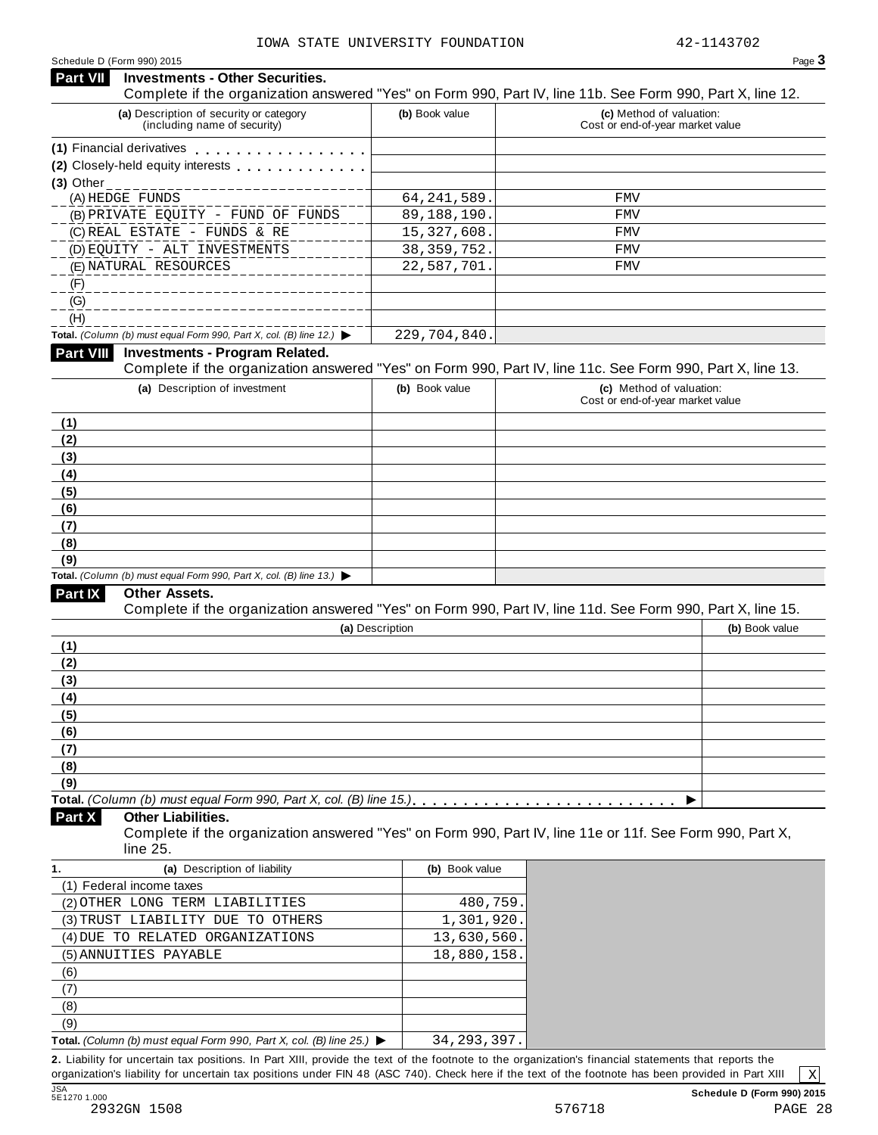#### **Investments - Other Securities. Part VII** Investments - Other Securities.<br>Complete if the organization answered "Yes" on Form 990, Part IV, line 11b. See Form 990, Part X, line 12. **(a)** Description of security or category (including name of security) **(b)** Book value **(c)** Method of valuation: Cost or end-of-year market value **(1)** Financial derivatives **(2)** Closely-held equity interests **(3)** Other (A) HEDGE FUNDS (B) PRIVATE EQUITY - FUND OF FUNDS (89,188,190. (C) REAL ESTATE - FUNDS & RE 15,327,608. FMV (D) EQUITY - ALT INVESTMENTS 38,359,752. FMV (E) NATURAL RESOURCES 22,587,701. FMV (F) (G) (H) **Total.** *(Column (b) must equal Form 990, Part X, col. (B) line 12.)* I **Investments - Program Related.** Complete if the organization answered "Yes" on Form 990, Part IV, line 11c. See Form 990, Part X, line 13. **(a)** Description of investment **(b)** Book value **(c)** Method of valuation: Cost or end-of-year market value **(1) (2) (3) (4) (5) (6) (7) (8) (9) Total.** *(Column (b) must equal Form 990, Part X, col. (B) line 13.)* I **Other Assets.** Complete if the organization answered "Yes" on Form 990, Part IV, line 11d. See Form 990, Part X, line 15. **(a)** Description **(b)** Book value **(1) (2) (3) (4) (5) (6) (7) (8) (9)**  $\blacksquare$   $\blacksquare$   $\blacksquare$   $\blacksquare$   $\lozenge$   $\lozenge$   $\blacksquare$   $\blacksquare$   $\blacksquare$   $\blacksquare$   $\blacksquare$   $\blacksquare$   $\blacksquare$   $\blacksquare$   $\blacksquare$   $\blacksquare$   $\blacksquare$   $\blacksquare$   $\blacksquare$   $\blacksquare$   $\blacksquare$   $\blacksquare$   $\blacksquare$   $\blacksquare$   $\blacksquare$   $\blacksquare$   $\blacksquare$   $\blacksquare$   $\blacksquare$   $\blacksquare$   $\blacksquare$   $\blacks$ **Other Liabilities.** Complete if the organization answered "Yes" on Form 990, Part IV, line 11e or 11f. See Form 990, Part X, line 25. **Part X 1. (a)** Description of liability **(b)** Book value (1) Federal income taxes (2) OTHER LONG TERM LIABILITIES 480,759. (3) TRUST LIABILITY DUE TO OTHERS 1,301,920. (4) DUE TO RELATED ORGANIZATIONS  $\begin{array}{|c|c|c|c|c|}\n\hline\n\text{(4) DUE} & \text{TO} & \text{RELATED} & \text{ORGANIZATIONS} & & & & \text{(13,630,560.)}\n\hline\n\end{array}$ (5) ANNUITIES PAYABLE 18,880,158. (6) (7) (8)  $64,241,589.$  FMV 229,704,840.

**Total.** *(Column (b) must equal Form 990, Part X, col. (B) line 25.)* I **2.** Liability for uncertain tax positions. In Part XIII, provide the text of the footnote to the organization's financial statements that reports the 34,293,397.

organization's liability for uncertain tax positions under FIN 48 (ASC 740). Check here if the text of the footnote has been provided in Part XIII

(9)

X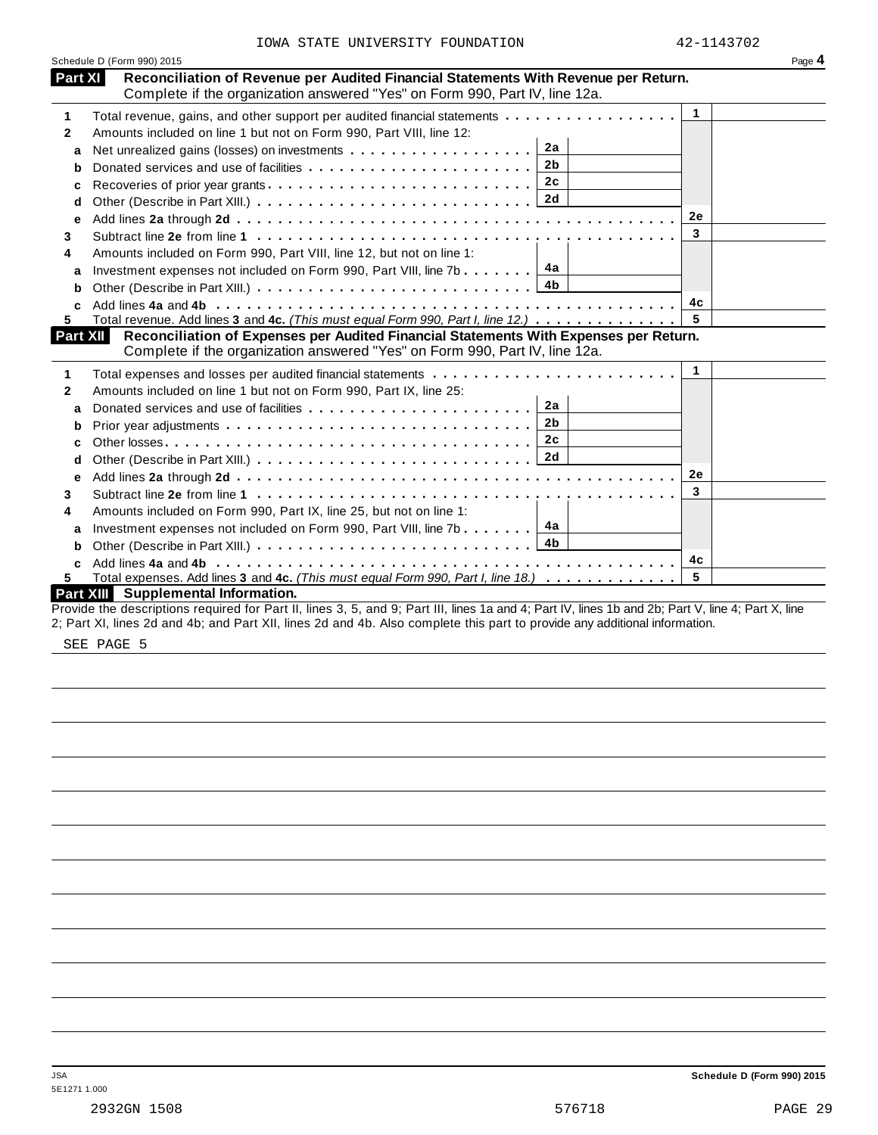|  |  | IOWA STATE UNIVERSITY FOUNDATION |  |
|--|--|----------------------------------|--|
|--|--|----------------------------------|--|

|                | Schedule D (Form 990) 2015                                                                                                                                                                                                                                                       |                 | Page 4 |
|----------------|----------------------------------------------------------------------------------------------------------------------------------------------------------------------------------------------------------------------------------------------------------------------------------|-----------------|--------|
| <b>Part XI</b> | Reconciliation of Revenue per Audited Financial Statements With Revenue per Return.<br>Complete if the organization answered "Yes" on Form 990, Part IV, line 12a.                                                                                                               |                 |        |
| 1              | Total revenue, gains, and other support per audited financial statements                                                                                                                                                                                                         | $\mathbf{1}$    |        |
| $\mathbf{2}$   | Amounts included on line 1 but not on Form 990, Part VIII, line 12:                                                                                                                                                                                                              |                 |        |
| a              | 2a                                                                                                                                                                                                                                                                               |                 |        |
| b              | 2 <sub>b</sub>                                                                                                                                                                                                                                                                   |                 |        |
| с              |                                                                                                                                                                                                                                                                                  |                 |        |
| d              |                                                                                                                                                                                                                                                                                  |                 |        |
| e              |                                                                                                                                                                                                                                                                                  | <b>2e</b>       |        |
| 3              |                                                                                                                                                                                                                                                                                  | 3               |        |
| 4              | Amounts included on Form 990, Part VIII, line 12, but not on line 1:                                                                                                                                                                                                             |                 |        |
| a              | 4a<br>Investment expenses not included on Form 990, Part VIII, line 7b $\ldots$ .                                                                                                                                                                                                |                 |        |
| b              |                                                                                                                                                                                                                                                                                  |                 |        |
| c              |                                                                                                                                                                                                                                                                                  | 4c              |        |
| 5.             | Total revenue. Add lines 3 and 4c. (This must equal Form 990, Part I, line 12.)                                                                                                                                                                                                  | 5               |        |
| Part XII       | Reconciliation of Expenses per Audited Financial Statements With Expenses per Return.<br>Complete if the organization answered "Yes" on Form 990, Part IV, line 12a.                                                                                                             |                 |        |
| 1              |                                                                                                                                                                                                                                                                                  | 1               |        |
| 2              | Amounts included on line 1 but not on Form 990, Part IX, line 25:                                                                                                                                                                                                                |                 |        |
| a              | 2a                                                                                                                                                                                                                                                                               |                 |        |
| b              | 2 <sub>b</sub>                                                                                                                                                                                                                                                                   |                 |        |
| c              | 2c                                                                                                                                                                                                                                                                               |                 |        |
| d              |                                                                                                                                                                                                                                                                                  |                 |        |
| е              |                                                                                                                                                                                                                                                                                  | <b>2e</b>       |        |
| 3              |                                                                                                                                                                                                                                                                                  | 3               |        |
| 4              | Amounts included on Form 990, Part IX, line 25, but not on line 1:                                                                                                                                                                                                               |                 |        |
| a              | Investment expenses not included on Form 990, Part VIII, line 7b $\boxed{4a}$                                                                                                                                                                                                    |                 |        |
| b              |                                                                                                                                                                                                                                                                                  |                 |        |
| C              |                                                                                                                                                                                                                                                                                  | 4c              |        |
| 5.             | Total expenses. Add lines 3 and 4c. (This must equal Form 990, Part I, line 18.)                                                                                                                                                                                                 | $5\phantom{.0}$ |        |
|                | Part XIII Supplemental Information.                                                                                                                                                                                                                                              |                 |        |
|                | Provide the descriptions required for Part II, lines 3, 5, and 9; Part III, lines 1a and 4; Part IV, lines 1b and 2b; Part V, line 4; Part X, line<br>2; Part XI, lines 2d and 4b; and Part XII, lines 2d and 4b. Also complete this part to provide any additional information. |                 |        |
|                | SEE PAGE 5                                                                                                                                                                                                                                                                       |                 |        |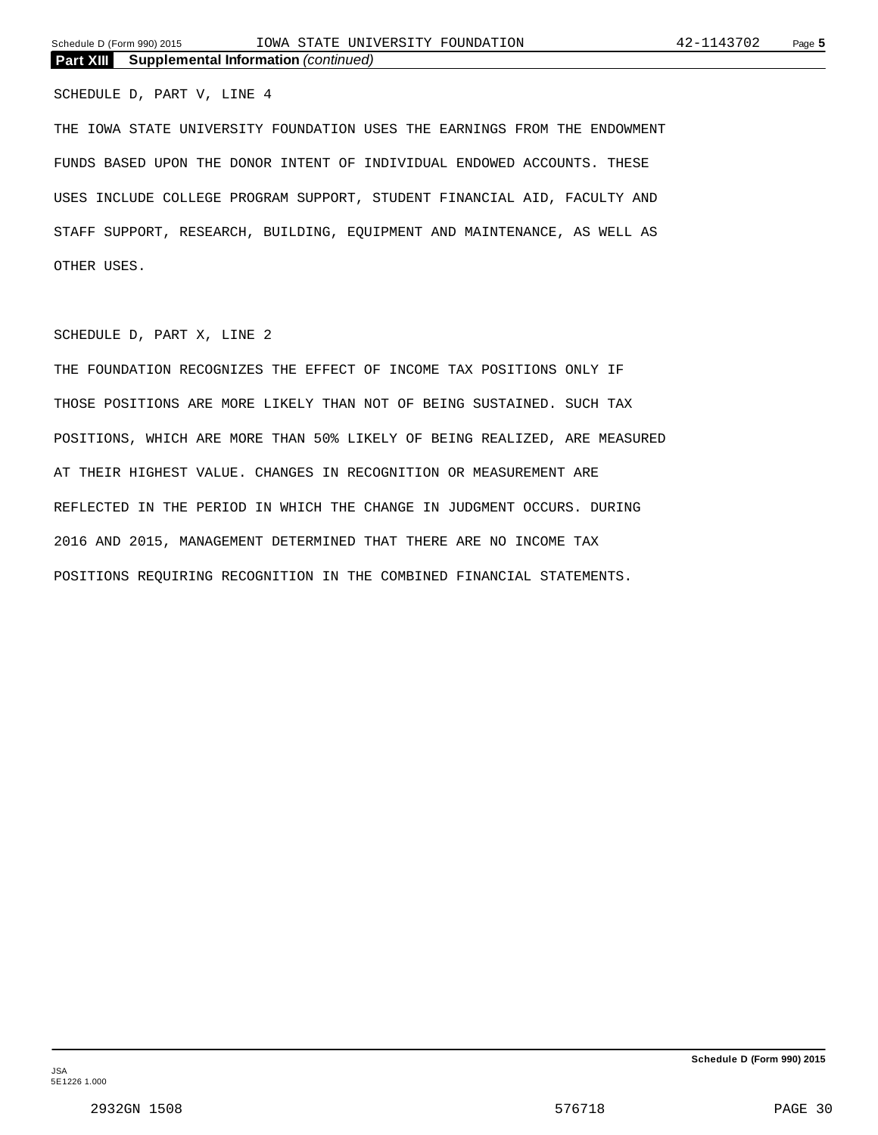#### SCHEDULE D, PART V, LINE 4

THE IOWA STATE UNIVERSITY FOUNDATION USES THE EARNINGS FROM THE ENDOWMENT FUNDS BASED UPON THE DONOR INTENT OF INDIVIDUAL ENDOWED ACCOUNTS. THESE USES INCLUDE COLLEGE PROGRAM SUPPORT, STUDENT FINANCIAL AID, FACULTY AND STAFF SUPPORT, RESEARCH, BUILDING, EQUIPMENT AND MAINTENANCE, AS WELL AS OTHER USES.

#### SCHEDULE D, PART X, LINE 2

THE FOUNDATION RECOGNIZES THE EFFECT OF INCOME TAX POSITIONS ONLY IF THOSE POSITIONS ARE MORE LIKELY THAN NOT OF BEING SUSTAINED. SUCH TAX POSITIONS, WHICH ARE MORE THAN 50% LIKELY OF BEING REALIZED, ARE MEASURED AT THEIR HIGHEST VALUE. CHANGES IN RECOGNITION OR MEASUREMENT ARE REFLECTED IN THE PERIOD IN WHICH THE CHANGE IN JUDGMENT OCCURS. DURING 2016 AND 2015, MANAGEMENT DETERMINED THAT THERE ARE NO INCOME TAX POSITIONS REQUIRING RECOGNITION IN THE COMBINED FINANCIAL STATEMENTS.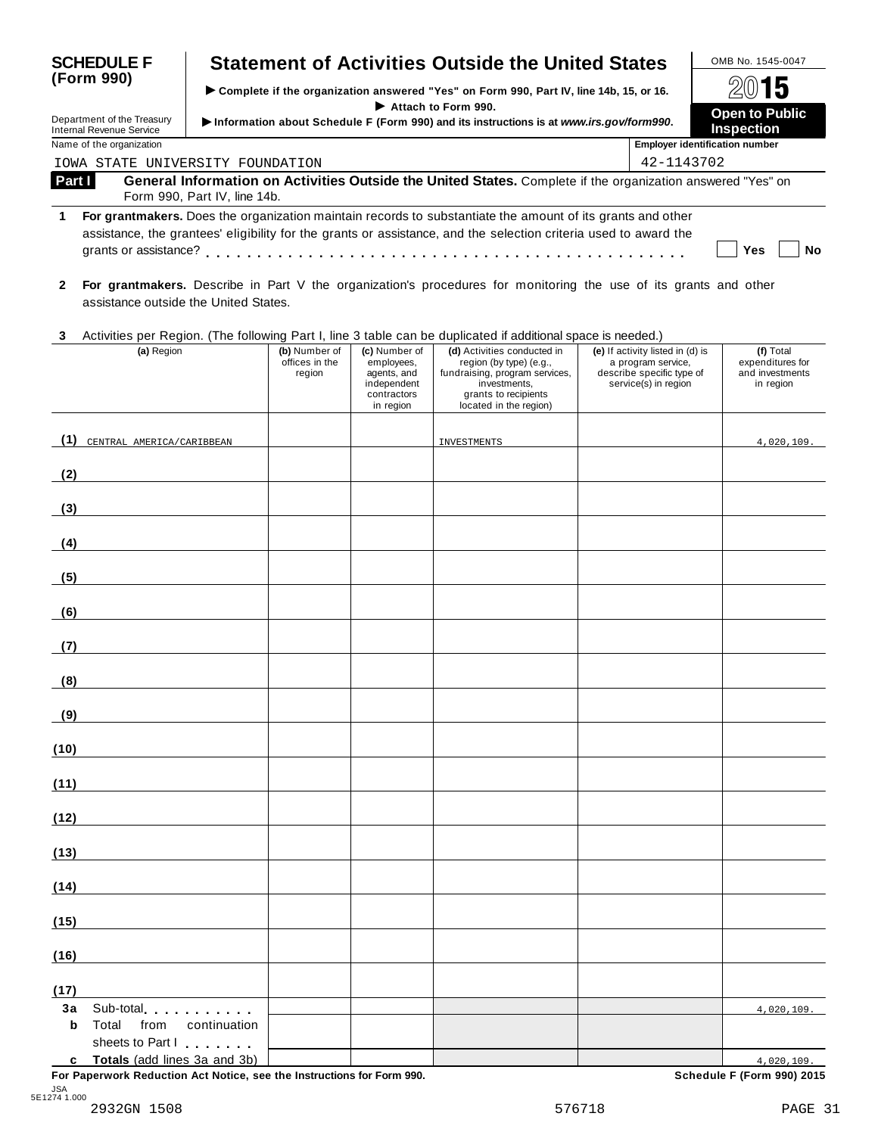| <b>SCHEDULE F</b>                                                                                                                       | <b>Statement of Activities Outside the United States</b>                                |                                           |                                                                                       |                                                                                                                                                                                                                                |  |                                                                                                             | OMB No. 1545-0047                                             |  |  |
|-----------------------------------------------------------------------------------------------------------------------------------------|-----------------------------------------------------------------------------------------|-------------------------------------------|---------------------------------------------------------------------------------------|--------------------------------------------------------------------------------------------------------------------------------------------------------------------------------------------------------------------------------|--|-------------------------------------------------------------------------------------------------------------|---------------------------------------------------------------|--|--|
| (Form 990)<br>Complete if the organization answered "Yes" on Form 990, Part IV, line 14b, 15, or 16.<br>Attach to Form 990.             |                                                                                         |                                           |                                                                                       |                                                                                                                                                                                                                                |  |                                                                                                             | 15                                                            |  |  |
| Department of the Treasury<br><b>Internal Revenue Service</b>                                                                           | Information about Schedule F (Form 990) and its instructions is at www.irs.gov/form990. | Open to Public<br><b>Inspection</b>       |                                                                                       |                                                                                                                                                                                                                                |  |                                                                                                             |                                                               |  |  |
| Name of the organization                                                                                                                |                                                                                         |                                           |                                                                                       |                                                                                                                                                                                                                                |  |                                                                                                             | <b>Employer identification number</b>                         |  |  |
| IOWA STATE UNIVERSITY FOUNDATION                                                                                                        |                                                                                         |                                           |                                                                                       |                                                                                                                                                                                                                                |  | 42-1143702                                                                                                  |                                                               |  |  |
| Part I                                                                                                                                  | Form 990, Part IV, line 14b.                                                            |                                           |                                                                                       | General Information on Activities Outside the United States. Complete if the organization answered "Yes" on                                                                                                                    |  |                                                                                                             |                                                               |  |  |
| 1                                                                                                                                       |                                                                                         |                                           |                                                                                       | For grantmakers. Does the organization maintain records to substantiate the amount of its grants and other<br>assistance, the grantees' eligibility for the grants or assistance, and the selection criteria used to award the |  |                                                                                                             | Yes<br>No                                                     |  |  |
| 2                                                                                                                                       | assistance outside the United States.                                                   |                                           |                                                                                       | For grantmakers. Describe in Part V the organization's procedures for monitoring the use of its grants and other                                                                                                               |  |                                                                                                             |                                                               |  |  |
| 3                                                                                                                                       |                                                                                         |                                           |                                                                                       | Activities per Region. (The following Part I, line 3 table can be duplicated if additional space is needed.)                                                                                                                   |  |                                                                                                             |                                                               |  |  |
| (a) Region                                                                                                                              |                                                                                         | (b) Number of<br>offices in the<br>region | (c) Number of<br>employees,<br>agents, and<br>independent<br>contractors<br>in region | (d) Activities conducted in<br>region (by type) (e.g.,<br>fundraising, program services,<br>investments,<br>grants to recipients<br>located in the region)                                                                     |  | (e) If activity listed in (d) is<br>a program service,<br>describe specific type of<br>service(s) in region | (f) Total<br>expenditures for<br>and investments<br>in region |  |  |
|                                                                                                                                         |                                                                                         |                                           |                                                                                       |                                                                                                                                                                                                                                |  |                                                                                                             |                                                               |  |  |
| (1) CENTRAL AMERICA/CARIBBEAN                                                                                                           |                                                                                         |                                           |                                                                                       | INVESTMENTS                                                                                                                                                                                                                    |  |                                                                                                             | 4,020,109.                                                    |  |  |
| (2)                                                                                                                                     |                                                                                         |                                           |                                                                                       |                                                                                                                                                                                                                                |  |                                                                                                             |                                                               |  |  |
| (3)<br><u> 1989 - Jan Stein Stein Stein Stein Stein Stein Stein Stein Stein Stein Stein Stein Stein Stein Stein Stein S</u>             |                                                                                         |                                           |                                                                                       |                                                                                                                                                                                                                                |  |                                                                                                             |                                                               |  |  |
| (4)                                                                                                                                     |                                                                                         |                                           |                                                                                       |                                                                                                                                                                                                                                |  |                                                                                                             |                                                               |  |  |
| (5)                                                                                                                                     |                                                                                         |                                           |                                                                                       |                                                                                                                                                                                                                                |  |                                                                                                             |                                                               |  |  |
| (6)<br><u> 1990 - Andrea State Barbara, poeta esp</u>                                                                                   |                                                                                         |                                           |                                                                                       |                                                                                                                                                                                                                                |  |                                                                                                             |                                                               |  |  |
| (7)                                                                                                                                     |                                                                                         |                                           |                                                                                       |                                                                                                                                                                                                                                |  |                                                                                                             |                                                               |  |  |
| (8)                                                                                                                                     |                                                                                         |                                           |                                                                                       |                                                                                                                                                                                                                                |  |                                                                                                             |                                                               |  |  |
| (9)                                                                                                                                     |                                                                                         |                                           |                                                                                       |                                                                                                                                                                                                                                |  |                                                                                                             |                                                               |  |  |
| (10)                                                                                                                                    |                                                                                         |                                           |                                                                                       |                                                                                                                                                                                                                                |  |                                                                                                             |                                                               |  |  |
| (11)                                                                                                                                    |                                                                                         |                                           |                                                                                       |                                                                                                                                                                                                                                |  |                                                                                                             |                                                               |  |  |
| (12)                                                                                                                                    |                                                                                         |                                           |                                                                                       |                                                                                                                                                                                                                                |  |                                                                                                             |                                                               |  |  |
| (13)                                                                                                                                    |                                                                                         |                                           |                                                                                       |                                                                                                                                                                                                                                |  |                                                                                                             |                                                               |  |  |
|                                                                                                                                         |                                                                                         |                                           |                                                                                       |                                                                                                                                                                                                                                |  |                                                                                                             |                                                               |  |  |
| (14)                                                                                                                                    |                                                                                         |                                           |                                                                                       |                                                                                                                                                                                                                                |  |                                                                                                             |                                                               |  |  |
| (15)                                                                                                                                    |                                                                                         |                                           |                                                                                       |                                                                                                                                                                                                                                |  |                                                                                                             |                                                               |  |  |
| (16)                                                                                                                                    |                                                                                         |                                           |                                                                                       |                                                                                                                                                                                                                                |  |                                                                                                             |                                                               |  |  |
| (17)                                                                                                                                    |                                                                                         |                                           |                                                                                       |                                                                                                                                                                                                                                |  |                                                                                                             |                                                               |  |  |
| Sub-total entering the set of the set of the set of the set of the set of the set of the set of the set of the<br>3a<br>b<br>Total from | continuation                                                                            |                                           |                                                                                       |                                                                                                                                                                                                                                |  |                                                                                                             | 4,020,109                                                     |  |  |
| sheets to Part I<br>c Totals (add lines 3a and 3b)                                                                                      |                                                                                         |                                           |                                                                                       |                                                                                                                                                                                                                                |  |                                                                                                             | 4,020,109                                                     |  |  |

**For Paperwork Reduction Act Notice, see the Instructions for Form 990. Schedule F (Form 990) 2015**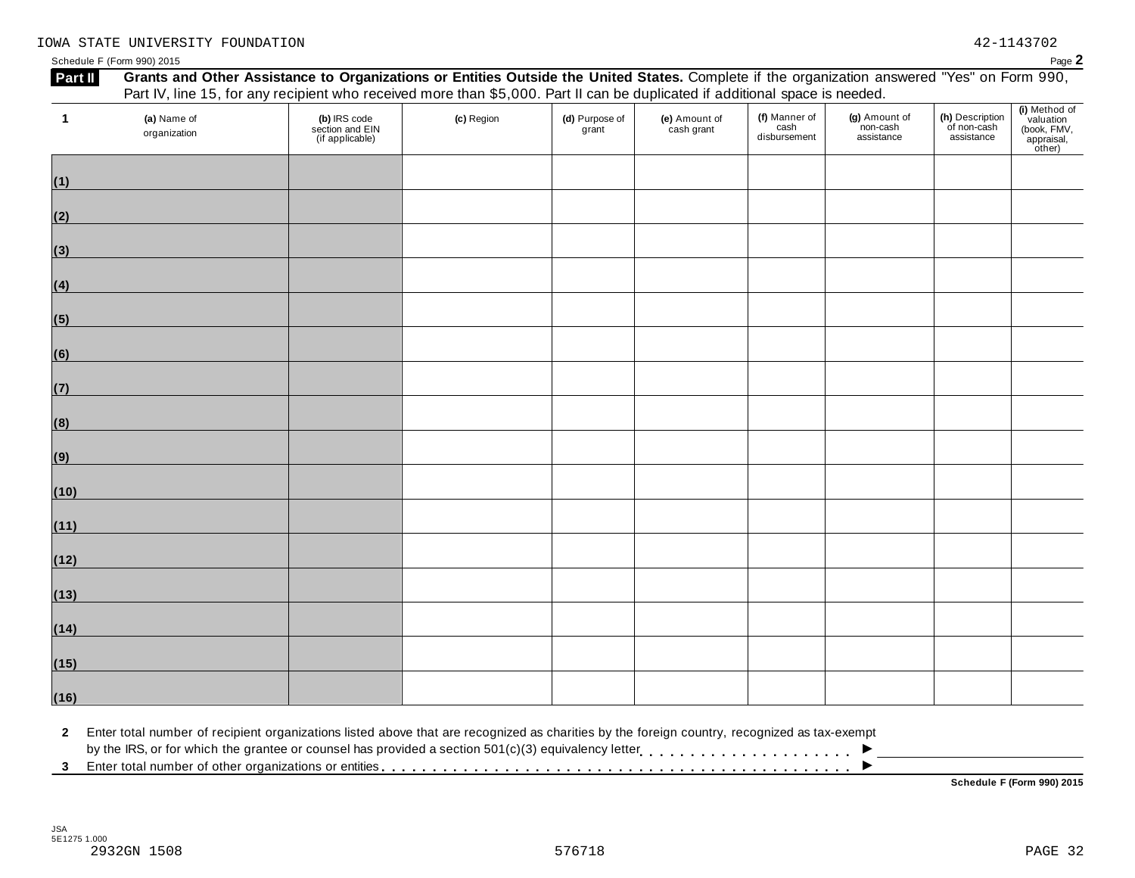| Part II | Grants and Other Assistance to Organizations or Entities Outside the United States. Complete if the organization answered "Yes" on Form 990,<br>Part IV, line 15, for any recipient who received more than \$5,000. Part II can be duplicated if additional space is needed. |                                                    |            |                         |                             |                                       |                                         |                                              |                                                                   |
|---------|------------------------------------------------------------------------------------------------------------------------------------------------------------------------------------------------------------------------------------------------------------------------------|----------------------------------------------------|------------|-------------------------|-----------------------------|---------------------------------------|-----------------------------------------|----------------------------------------------|-------------------------------------------------------------------|
| 1       | (a) Name of<br>organization                                                                                                                                                                                                                                                  | (b) IRS code<br>section and EIN<br>(if applicable) | (c) Region | (d) Purpose of<br>grant | (e) Amount of<br>cash grant | (f) Manner of<br>cash<br>disbursement | (g) Amount of<br>non-cash<br>assistance | (h) Description<br>of non-cash<br>assistance | (i) Method of<br>valuation<br>(book, FMV,<br>appraisal,<br>other) |
| (1)     |                                                                                                                                                                                                                                                                              |                                                    |            |                         |                             |                                       |                                         |                                              |                                                                   |
| (2)     |                                                                                                                                                                                                                                                                              |                                                    |            |                         |                             |                                       |                                         |                                              |                                                                   |
| (3)     |                                                                                                                                                                                                                                                                              |                                                    |            |                         |                             |                                       |                                         |                                              |                                                                   |
| (4)     |                                                                                                                                                                                                                                                                              |                                                    |            |                         |                             |                                       |                                         |                                              |                                                                   |
| (5)     |                                                                                                                                                                                                                                                                              |                                                    |            |                         |                             |                                       |                                         |                                              |                                                                   |
| (6)     |                                                                                                                                                                                                                                                                              |                                                    |            |                         |                             |                                       |                                         |                                              |                                                                   |
| (7)     |                                                                                                                                                                                                                                                                              |                                                    |            |                         |                             |                                       |                                         |                                              |                                                                   |
| (8)     |                                                                                                                                                                                                                                                                              |                                                    |            |                         |                             |                                       |                                         |                                              |                                                                   |
| (9)     |                                                                                                                                                                                                                                                                              |                                                    |            |                         |                             |                                       |                                         |                                              |                                                                   |
| (10)    |                                                                                                                                                                                                                                                                              |                                                    |            |                         |                             |                                       |                                         |                                              |                                                                   |
| (11)    |                                                                                                                                                                                                                                                                              |                                                    |            |                         |                             |                                       |                                         |                                              |                                                                   |
| (12)    |                                                                                                                                                                                                                                                                              |                                                    |            |                         |                             |                                       |                                         |                                              |                                                                   |
| (13)    |                                                                                                                                                                                                                                                                              |                                                    |            |                         |                             |                                       |                                         |                                              |                                                                   |
| (14)    |                                                                                                                                                                                                                                                                              |                                                    |            |                         |                             |                                       |                                         |                                              |                                                                   |
| (15)    |                                                                                                                                                                                                                                                                              |                                                    |            |                         |                             |                                       |                                         |                                              |                                                                   |
| (16)    |                                                                                                                                                                                                                                                                              |                                                    |            |                         |                             |                                       |                                         |                                              |                                                                   |

**2** Enter total number of recipient organizations listed above that are recognized as charities by the foreign country, recognized as tax-exempt

2 Enter total number of recipient organizations listed above that are recognized as charities by the foreign country, recognized as tax-exempt<br>by the IRS, or for which the grantee or counsel has provided a section 501(c)(

**Schedule F (Form 990) 2015**

 $\overline{\phantom{a}}$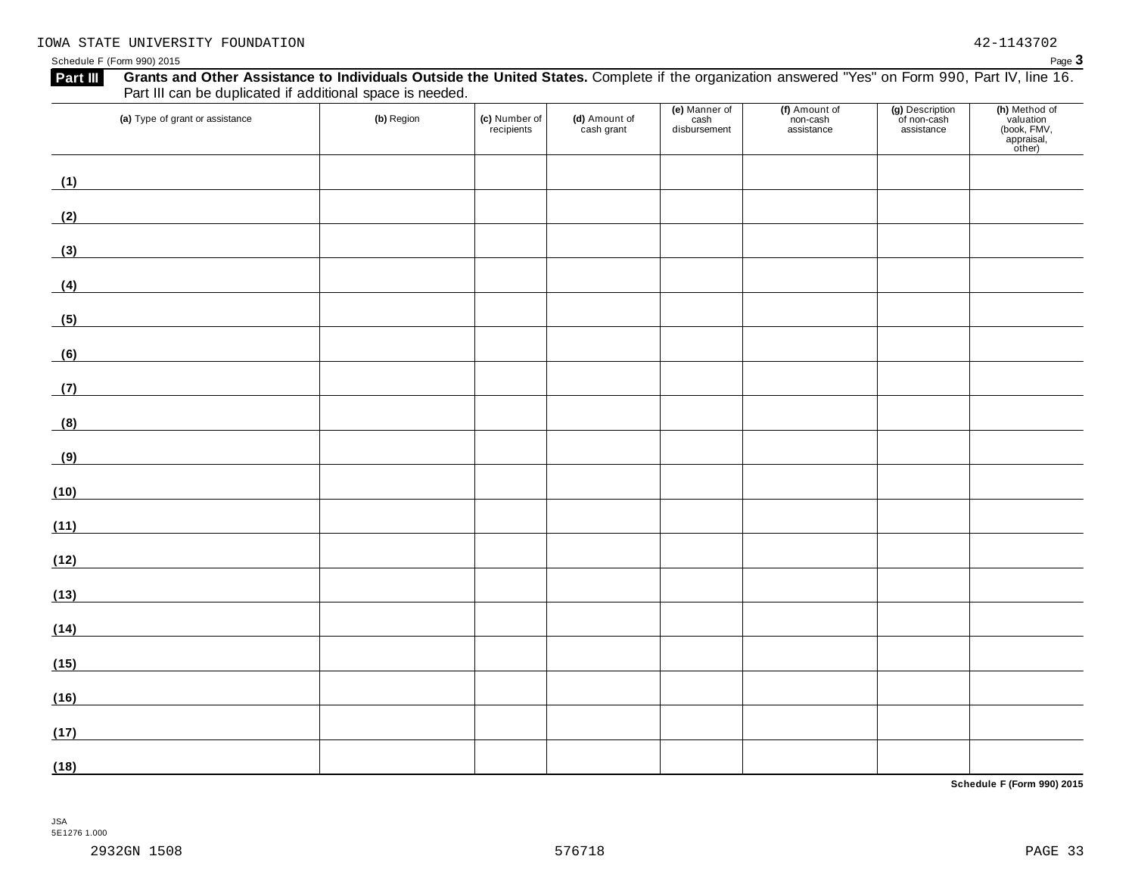| Part III can be duplicated if additional space is needed.                                                                   |            |                             |                             |                                       |                                         |                                              |                                                                   |
|-----------------------------------------------------------------------------------------------------------------------------|------------|-----------------------------|-----------------------------|---------------------------------------|-----------------------------------------|----------------------------------------------|-------------------------------------------------------------------|
| (a) Type of grant or assistance                                                                                             | (b) Region | (c) Number of<br>recipients | (d) Amount of<br>cash grant | (e) Manner of<br>cash<br>disbursement | (f) Amount of<br>non-cash<br>assistance | (g) Description<br>of non-cash<br>assistance | (h) Method of<br>valuation<br>(book, FMV,<br>appraisal,<br>other) |
| (1)<br><u> 1980 - Andrea Stadt, fransk politik (d. 1980)</u>                                                                |            |                             |                             |                                       |                                         |                                              |                                                                   |
| (2)<br><u> 1989 - Johann Barn, fransk politik (</u>                                                                         |            |                             |                             |                                       |                                         |                                              |                                                                   |
| (3)<br><u> 1980 - Johann Barbara, martxa alemaniar a</u>                                                                    |            |                             |                             |                                       |                                         |                                              |                                                                   |
| (4)                                                                                                                         |            |                             |                             |                                       |                                         |                                              |                                                                   |
| (5)<br><u> 1980 - Johann Barbara, martxa alemaniar a</u>                                                                    |            |                             |                             |                                       |                                         |                                              |                                                                   |
| (6)<br><u> 1980 - Johann Barbara, martxa alemaniar a</u>                                                                    |            |                             |                             |                                       |                                         |                                              |                                                                   |
| (7)<br><u> 1980 - Johann Barn, mars ann an t-Amhain Aonaich an t-Aonaich an t-Aonaich ann an t-Aonaich ann an t-Aonaich</u> |            |                             |                             |                                       |                                         |                                              |                                                                   |
| (8)<br><u> 1980 - Andrea Andrew Maria (b. 1980)</u>                                                                         |            |                             |                             |                                       |                                         |                                              |                                                                   |
| (9)                                                                                                                         |            |                             |                             |                                       |                                         |                                              |                                                                   |
| (10)                                                                                                                        |            |                             |                             |                                       |                                         |                                              |                                                                   |
| (11)                                                                                                                        |            |                             |                             |                                       |                                         |                                              |                                                                   |
| (12)<br><u> 1980 - Johann Barbara, martxa alemaniar a</u>                                                                   |            |                             |                             |                                       |                                         |                                              |                                                                   |
| (13)<br><u> 1980 - Johann Barbara, martxa alemaniar a</u>                                                                   |            |                             |                             |                                       |                                         |                                              |                                                                   |
| (14)                                                                                                                        |            |                             |                             |                                       |                                         |                                              |                                                                   |
| (15)                                                                                                                        |            |                             |                             |                                       |                                         |                                              |                                                                   |
| (16)                                                                                                                        |            |                             |                             |                                       |                                         |                                              |                                                                   |
| (17)                                                                                                                        |            |                             |                             |                                       |                                         |                                              |                                                                   |
| (18)                                                                                                                        |            |                             |                             |                                       |                                         |                                              |                                                                   |

**Schedule F (Form 990) 2015**

E<sub>age</sub> 3<br>**Part III Grants and Other Assistance to Individuals Outside the United States.** Complete if the organization answered "Yes" on Form 990, Part IV, line 16. **Part III** Grants and Other Assistance to Individuals Outside the United States. Complete if the organization answered "Yes" on Form 990, Part IV, line 16.<br>Part III can be duplicated if additional space is needed.

JSA 5E1276 1.000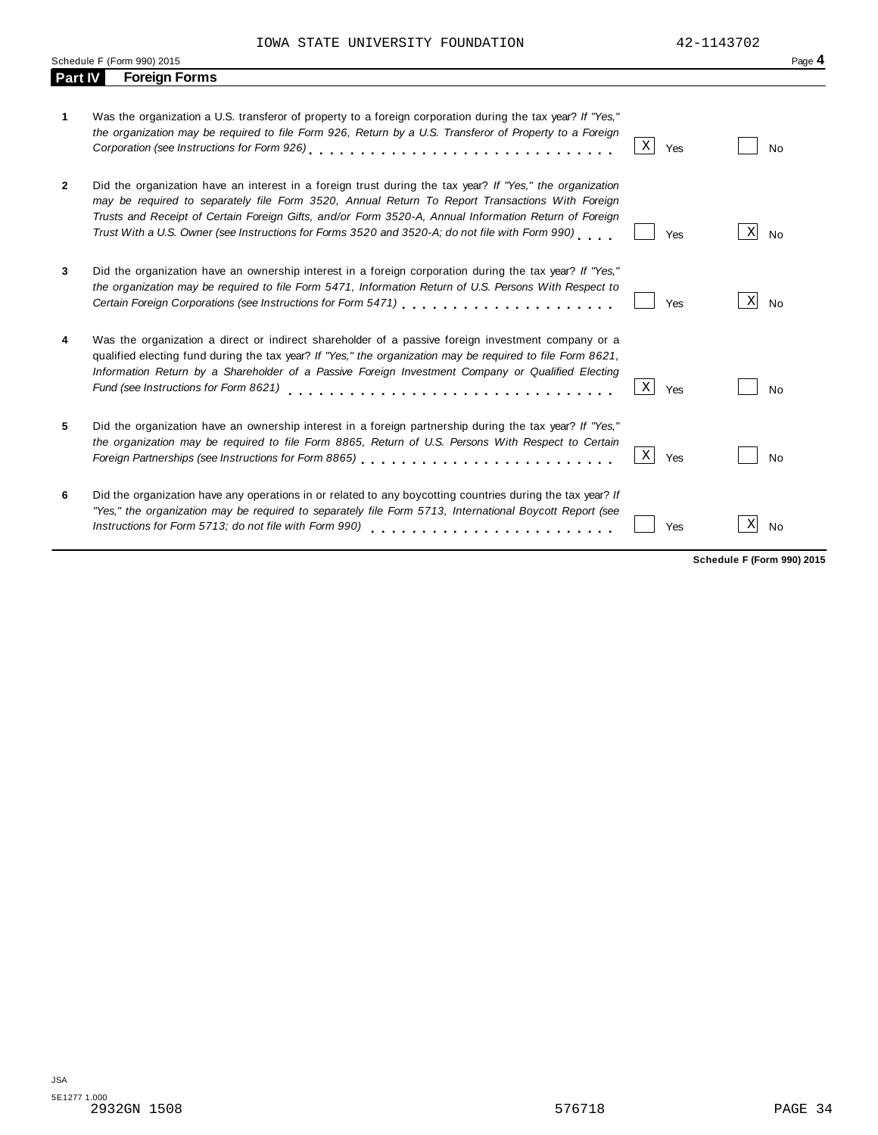IOWA STATE UNIVERSITY FOUNDATION 42-1143702

|              | Schedule F (Form 990) 2015                                                                                                                                                                                                                                                                                                                                                                                              |             |     | Page 4          |  |
|--------------|-------------------------------------------------------------------------------------------------------------------------------------------------------------------------------------------------------------------------------------------------------------------------------------------------------------------------------------------------------------------------------------------------------------------------|-------------|-----|-----------------|--|
| Part IV      | <b>Foreign Forms</b>                                                                                                                                                                                                                                                                                                                                                                                                    |             |     |                 |  |
| 1.           | Was the organization a U.S. transferor of property to a foreign corporation during the tax year? If "Yes,"<br>the organization may be required to file Form 926, Return by a U.S. Transferor of Property to a Foreign                                                                                                                                                                                                   | $\mathbf X$ | Yes | <b>No</b>       |  |
| $\mathbf{2}$ | Did the organization have an interest in a foreign trust during the tax year? If "Yes," the organization<br>may be required to separately file Form 3520, Annual Return To Report Transactions With Foreign<br>Trusts and Receipt of Certain Foreign Gifts, and/or Form 3520-A, Annual Information Return of Foreign<br>Trust With a U.S. Owner (see Instructions for Forms 3520 and 3520-A; do not file with Form 990) |             | Yes | X <br><b>No</b> |  |
| 3            | Did the organization have an ownership interest in a foreign corporation during the tax year? If "Yes,"<br>the organization may be required to file Form 5471, Information Return of U.S. Persons With Respect to                                                                                                                                                                                                       |             | Yes | X <br><b>No</b> |  |
| 4            | Was the organization a direct or indirect shareholder of a passive foreign investment company or a<br>qualified electing fund during the tax year? If "Yes," the organization may be required to file Form 8621,<br>Information Return by a Shareholder of a Passive Foreign Investment Company or Qualified Electing<br>Fund (see Instructions for Form 8621)                                                          | X           | Yes | <b>No</b>       |  |
| 5            | Did the organization have an ownership interest in a foreign partnership during the tax year? If "Yes,"<br>the organization may be required to file Form 8865, Return of U.S. Persons With Respect to Certain<br>Foreign Partnerships (see Instructions for Form 8865)                                                                                                                                                  | Χ           | Yes | <b>No</b>       |  |
| 6            | Did the organization have any operations in or related to any boycotting countries during the tax year? If<br>"Yes," the organization may be required to separately file Form 5713, International Boycott Report (see<br>Instructions for Form 5713; do not file with Form 990)                                                                                                                                         |             | Yes | X<br>No         |  |

**Schedule F (Form 990) 2015**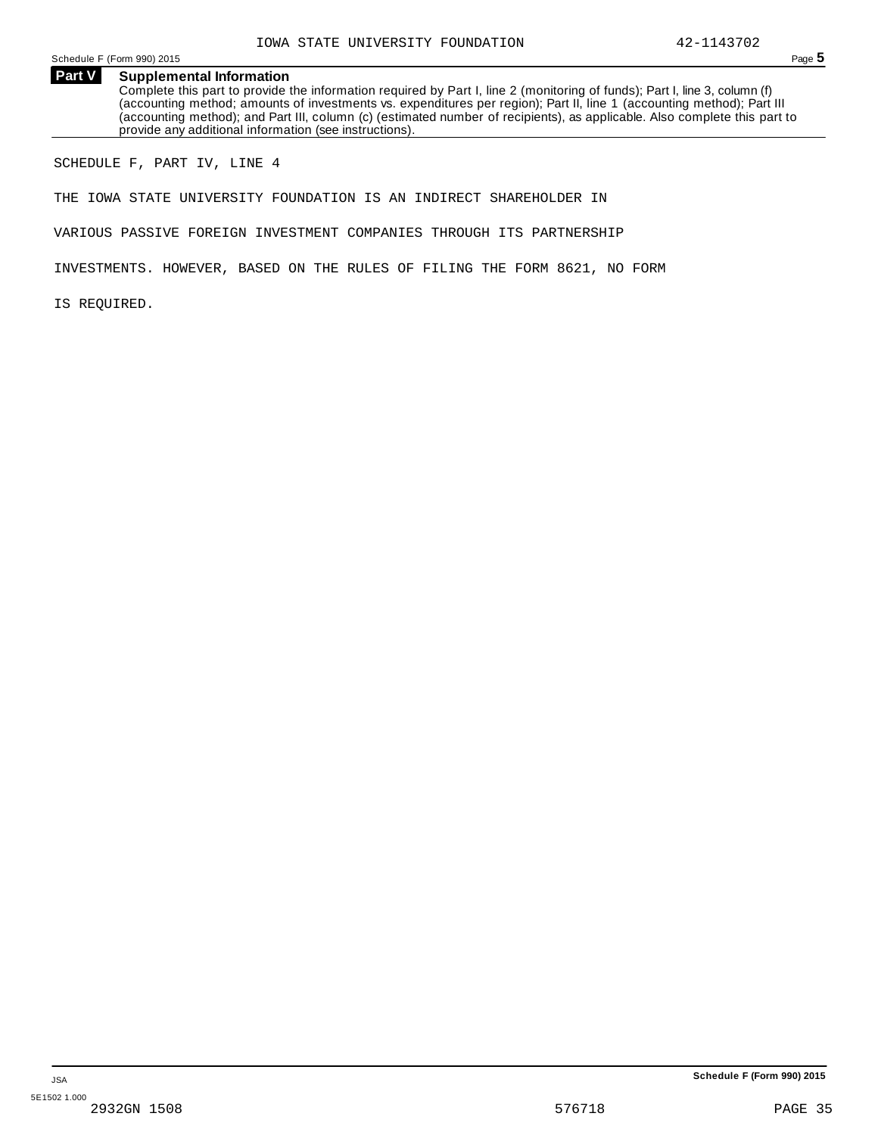**Supplemental Information** Complete this part to provide the information required by Part I, line 2 (monitoring of funds); Part I, line 3, column (f) **Part V** (accounting method; amounts of investments vs. expenditures per region); Part II, line 1 (accounting method); Part III (accounting method); and Part III, column (c) (estimated number of recipients), as applicable. Also complete this part to provide any additional information (see instructions).

SCHEDULE F, PART IV, LINE 4

THE IOWA STATE UNIVERSITY FOUNDATION IS AN INDIRECT SHAREHOLDER IN

VARIOUS PASSIVE FOREIGN INVESTMENT COMPANIES THROUGH ITS PARTNERSHIP

INVESTMENTS. HOWEVER, BASED ON THE RULES OF FILING THE FORM 8621, NO FORM

IS REQUIRED.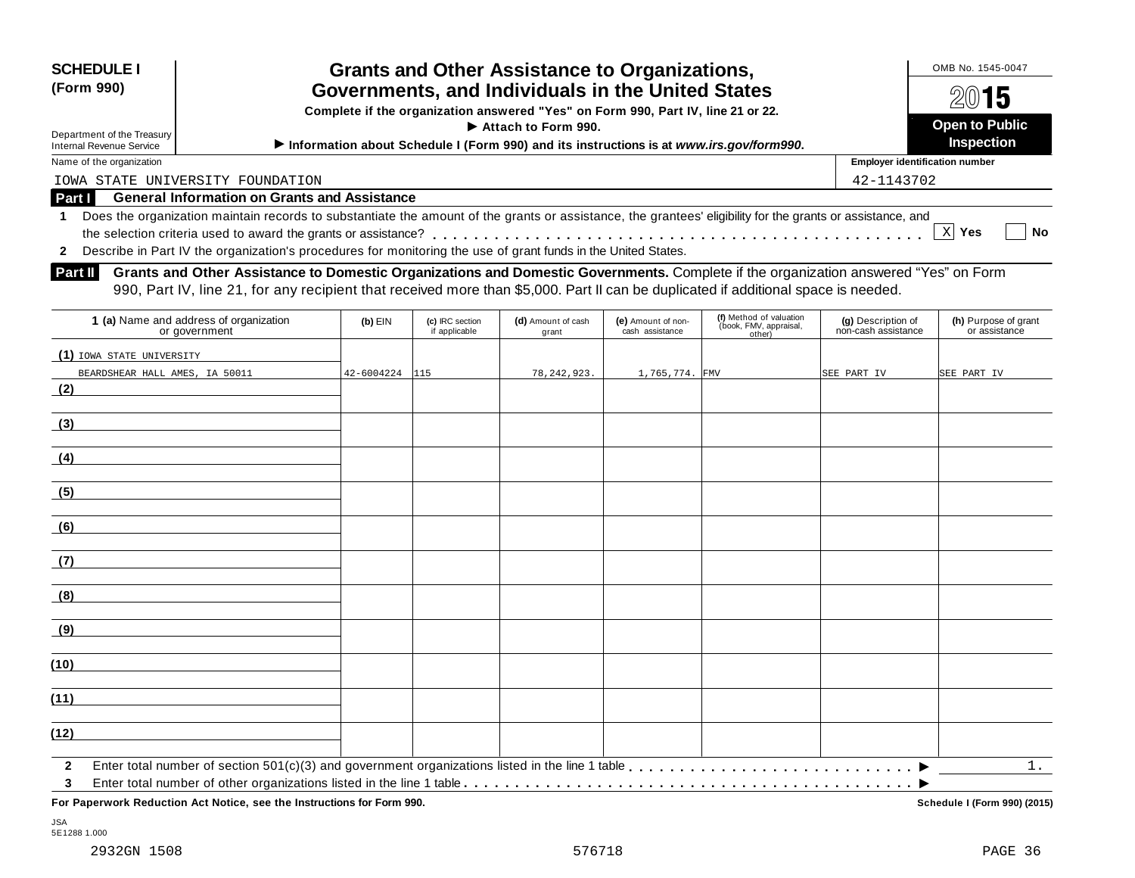| <b>SCHEDULE I</b><br>(Form 990)<br>Department of the Treasury<br>Internal Revenue Service | <b>Grants and Other Assistance to Organizations,</b><br>Governments, and Individuals in the United States<br>Complete if the organization answered "Yes" on Form 990, Part IV, line 21 or 22.<br>Attach to Form 990.<br>Information about Schedule I (Form 990) and its instructions is at www.irs.gov/form990. | OMB No. 1545-0047<br>2015<br><b>Open to Public</b><br><b>Inspection</b> |  |  |  |  |  |
|-------------------------------------------------------------------------------------------|-----------------------------------------------------------------------------------------------------------------------------------------------------------------------------------------------------------------------------------------------------------------------------------------------------------------|-------------------------------------------------------------------------|--|--|--|--|--|
| Name of the organization                                                                  |                                                                                                                                                                                                                                                                                                                 | <b>Employer identification number</b>                                   |  |  |  |  |  |
| STATE UNIVERSITY FOUNDATION<br>IOWA                                                       | 42-1143702                                                                                                                                                                                                                                                                                                      |                                                                         |  |  |  |  |  |
| I Part I                                                                                  | <b>General Information on Grants and Assistance</b>                                                                                                                                                                                                                                                             |                                                                         |  |  |  |  |  |
|                                                                                           | Does the organization maintain records to substantiate the amount of the grants or assistance, the grantees' eligibility for the grants or assistance, and<br>No<br>Yes                                                                                                                                         |                                                                         |  |  |  |  |  |

**2** the selection criteria used to award the grants or assistance? Describe in Part IV the organization's procedures for monitoring the use of grant funds in the United States.

**Grants and Other Assistance to Domestic Organizations and Domestic Governments.** Complete if the organization answered "Yes" on Form **Part II** Grants and Other Assistance to Domestic Organizations and Domestic Governments. Complete if the organization answere 990, Part IV, line 21, for any recipient that received more than \$5,000. Part II can be duplica

| 1 (a) Name and address of organization<br>or government | $(b)$ EIN          | (c) IRC section<br>if applicable | (d) Amount of cash<br>grant | (e) Amount of non-<br>cash assistance | (f) Method of valuation<br>(book, FMV, appraisal,<br>other) | (g) Description of<br>non-cash assistance | (h) Purpose of grant<br>or assistance |
|---------------------------------------------------------|--------------------|----------------------------------|-----------------------------|---------------------------------------|-------------------------------------------------------------|-------------------------------------------|---------------------------------------|
| (1) IOWA STATE UNIVERSITY                               |                    |                                  |                             |                                       |                                                             |                                           |                                       |
| BEARDSHEAR HALL AMES, IA 50011                          | $42 - 6004224$ 115 |                                  | 78, 242, 923.               | 1,765,774. FMV                        |                                                             | SEE PART IV                               | SEE PART IV                           |
| (2)                                                     |                    |                                  |                             |                                       |                                                             |                                           |                                       |
| (3)                                                     |                    |                                  |                             |                                       |                                                             |                                           |                                       |
| (4)                                                     |                    |                                  |                             |                                       |                                                             |                                           |                                       |
| (5)                                                     |                    |                                  |                             |                                       |                                                             |                                           |                                       |
| (6)                                                     |                    |                                  |                             |                                       |                                                             |                                           |                                       |
| (7)                                                     |                    |                                  |                             |                                       |                                                             |                                           |                                       |
| (8)                                                     |                    |                                  |                             |                                       |                                                             |                                           |                                       |
| (9)                                                     |                    |                                  |                             |                                       |                                                             |                                           |                                       |
| (10)                                                    |                    |                                  |                             |                                       |                                                             |                                           |                                       |
| (11)                                                    |                    |                                  |                             |                                       |                                                             |                                           |                                       |
| (12)                                                    |                    |                                  |                             |                                       |                                                             |                                           |                                       |
| $\overline{2}$<br>$\mathbf{3}$                          |                    |                                  |                             |                                       |                                                             |                                           | 1.                                    |

**For Paperwork Reduction Act Notice, see the Instructions for Form 990. Schedule I (Form 990) (2015)**

JSA 5E1288 1.000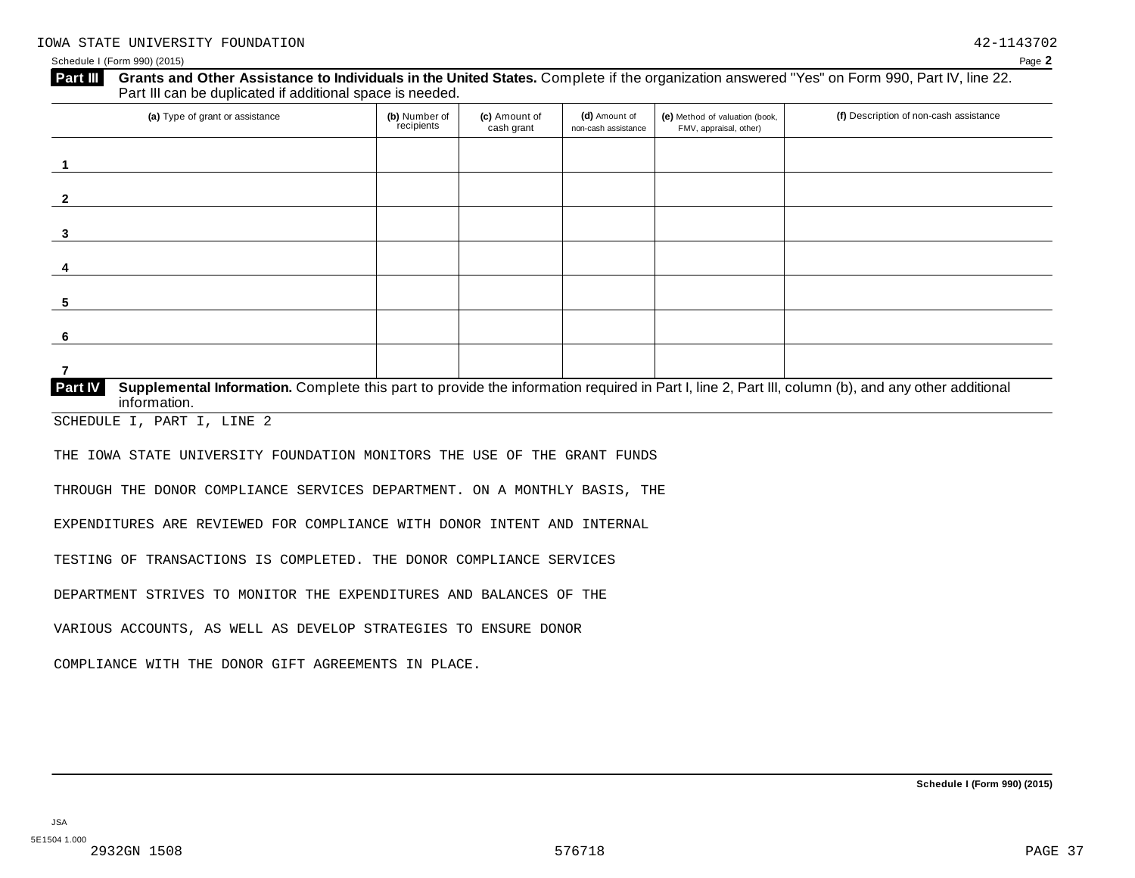| (a) Type of grant or assistance | (b) Number of<br>recipients | (c) Amount of<br>cash grant | (d) Amount of<br>non-cash assistance | (e) Method of valuation (book,<br>FMV, appraisal, other) | (f) Description of non-cash assistance |
|---------------------------------|-----------------------------|-----------------------------|--------------------------------------|----------------------------------------------------------|----------------------------------------|
|                                 |                             |                             |                                      |                                                          |                                        |
|                                 |                             |                             |                                      |                                                          |                                        |
|                                 |                             |                             |                                      |                                                          |                                        |
|                                 |                             |                             |                                      |                                                          |                                        |
|                                 |                             |                             |                                      |                                                          |                                        |
|                                 |                             |                             |                                      |                                                          |                                        |
|                                 |                             |                             |                                      |                                                          |                                        |

SCHEDULE I, PART I, LINE 2

THE IOWA STATE UNIVERSITY FOUNDATION MONITORS THE USE OF THE GRANT FUNDS

THROUGH THE DONOR COMPLIANCE SERVICES DEPARTMENT. ON A MONTHLY BASIS, THE

EXPENDITURES ARE REVIEWED FOR COMPLIANCE WITH DONOR INTENT AND INTERNAL

TESTING OF TRANSACTIONS IS COMPLETED. THE DONOR COMPLIANCE SERVICES

DEPARTMENT STRIVES TO MONITOR THE EXPENDITURES AND BALANCES OF THE

VARIOUS ACCOUNTS, AS WELL AS DEVELOP STRATEGIES TO ENSURE DONOR

COMPLIANCE WITH THE DONOR GIFT AGREEMENTS IN PLACE.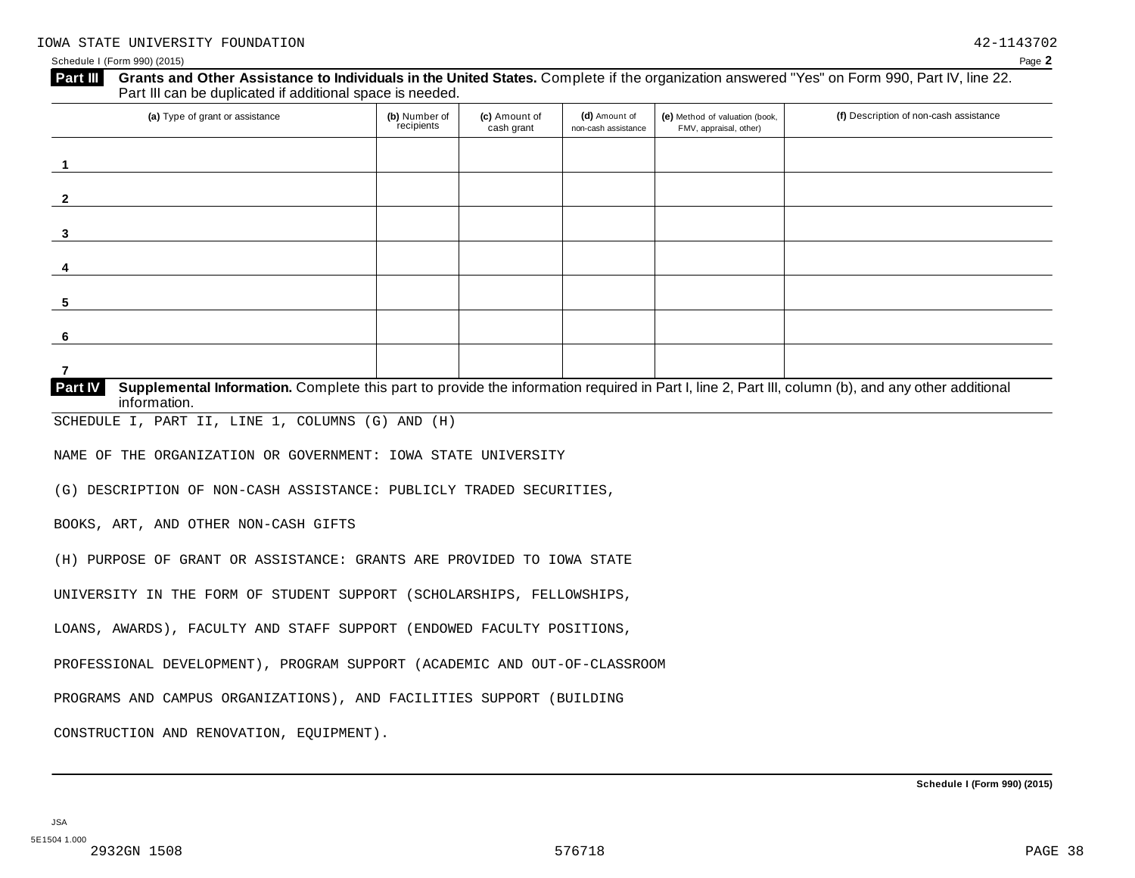| (a) Type of grant or assistance                                                                                                                                                                                                                                                                                                                                                                      | (b) Number of<br>recipients | (c) Amount of<br>cash grant | (d) Amount of<br>non-cash assistance | (e) Method of valuation (book,<br>FMV, appraisal, other) | (f) Description of non-cash assistance |
|------------------------------------------------------------------------------------------------------------------------------------------------------------------------------------------------------------------------------------------------------------------------------------------------------------------------------------------------------------------------------------------------------|-----------------------------|-----------------------------|--------------------------------------|----------------------------------------------------------|----------------------------------------|
| 1                                                                                                                                                                                                                                                                                                                                                                                                    |                             |                             |                                      |                                                          |                                        |
| $\mathbf{2}$                                                                                                                                                                                                                                                                                                                                                                                         |                             |                             |                                      |                                                          |                                        |
| 3                                                                                                                                                                                                                                                                                                                                                                                                    |                             |                             |                                      |                                                          |                                        |
| 4                                                                                                                                                                                                                                                                                                                                                                                                    |                             |                             |                                      |                                                          |                                        |
| 5                                                                                                                                                                                                                                                                                                                                                                                                    |                             |                             |                                      |                                                          |                                        |
| 6                                                                                                                                                                                                                                                                                                                                                                                                    |                             |                             |                                      |                                                          |                                        |
| $\overline{7}$                                                                                                                                                                                                                                                                                                                                                                                       |                             |                             |                                      |                                                          |                                        |
|                                                                                                                                                                                                                                                                                                                                                                                                      |                             |                             |                                      |                                                          |                                        |
| Supplemental Information. Complete this part to provide the information required in Part I, line 2, Part III, column (b), and any other additional<br>information.                                                                                                                                                                                                                                   |                             |                             |                                      |                                                          |                                        |
|                                                                                                                                                                                                                                                                                                                                                                                                      |                             |                             |                                      |                                                          |                                        |
|                                                                                                                                                                                                                                                                                                                                                                                                      |                             |                             |                                      |                                                          |                                        |
|                                                                                                                                                                                                                                                                                                                                                                                                      |                             |                             |                                      |                                                          |                                        |
|                                                                                                                                                                                                                                                                                                                                                                                                      |                             |                             |                                      |                                                          |                                        |
|                                                                                                                                                                                                                                                                                                                                                                                                      |                             |                             |                                      |                                                          |                                        |
| <b>Part IV</b><br>SCHEDULE I, PART II, LINE 1, COLUMNS (G) AND (H)<br>NAME OF THE ORGANIZATION OR GOVERNMENT: IOWA STATE UNIVERSITY<br>(G) DESCRIPTION OF NON-CASH ASSISTANCE: PUBLICLY TRADED SECURITIES,<br>BOOKS, ART, AND OTHER NON-CASH GIFTS<br>(H) PURPOSE OF GRANT OR ASSISTANCE: GRANTS ARE PROVIDED TO IOWA STATE<br>UNIVERSITY IN THE FORM OF STUDENT SUPPORT (SCHOLARSHIPS, FELLOWSHIPS, |                             |                             |                                      |                                                          |                                        |
| LOANS, AWARDS), FACULTY AND STAFF SUPPORT (ENDOWED FACULTY POSITIONS,                                                                                                                                                                                                                                                                                                                                |                             |                             |                                      |                                                          |                                        |
| PROFESSIONAL DEVELOPMENT), PROGRAM SUPPORT (ACADEMIC AND OUT-OF-CLASSROOM                                                                                                                                                                                                                                                                                                                            |                             |                             |                                      |                                                          |                                        |
| PROGRAMS AND CAMPUS ORGANIZATIONS), AND FACILITIES SUPPORT (BUILDING                                                                                                                                                                                                                                                                                                                                 |                             |                             |                                      |                                                          |                                        |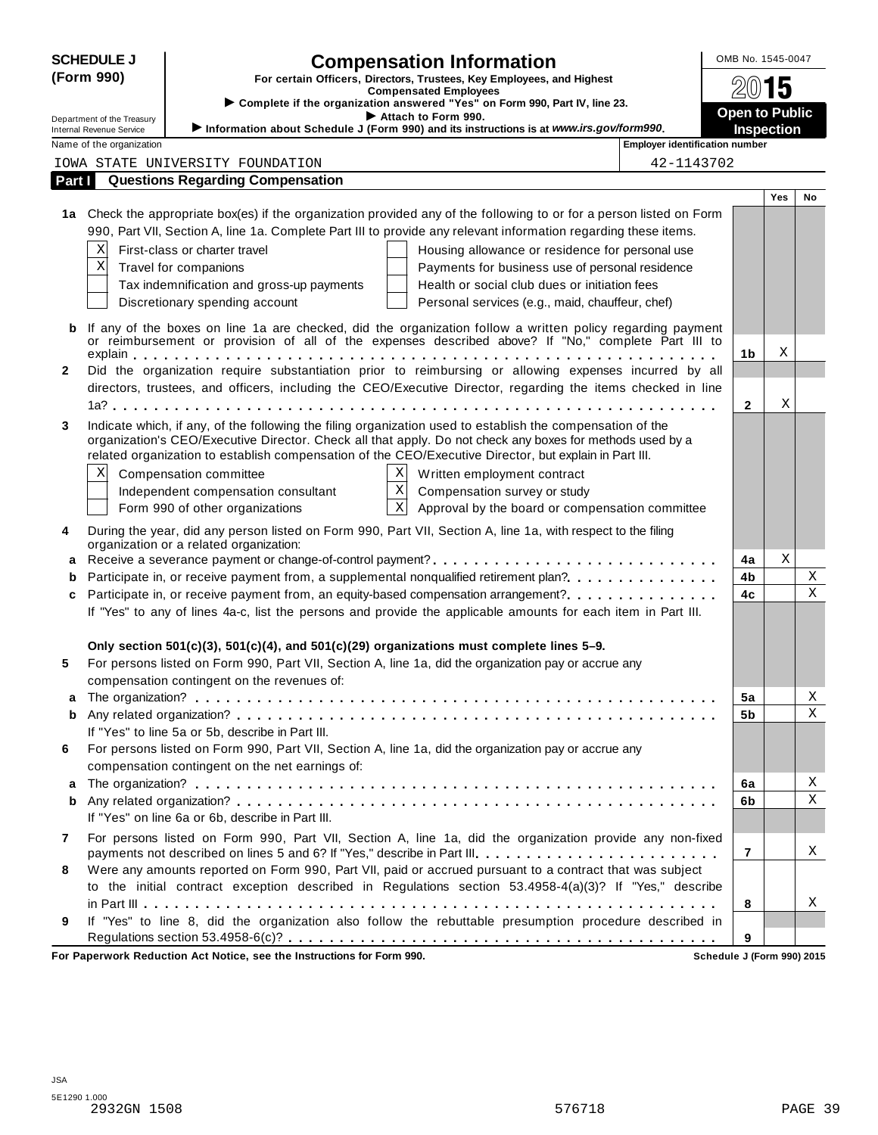|              | <b>SCHEDULE J</b>                                           | <b>Compensation Information</b>                                                                                                                                                                                    |                                       | OMB No. 1545-0047     |            |    |
|--------------|-------------------------------------------------------------|--------------------------------------------------------------------------------------------------------------------------------------------------------------------------------------------------------------------|---------------------------------------|-----------------------|------------|----|
|              | (Form 990)                                                  | For certain Officers, Directors, Trustees, Key Employees, and Highest                                                                                                                                              |                                       |                       |            |    |
|              |                                                             | <b>Compensated Employees</b><br>Complete if the organization answered "Yes" on Form 990, Part IV, line 23.                                                                                                         |                                       |                       | 5          |    |
|              | Department of the Treasury                                  | Attach to Form 990.                                                                                                                                                                                                |                                       | <b>Open to Public</b> |            |    |
|              | <b>Internal Revenue Service</b><br>Name of the organization | Information about Schedule J (Form 990) and its instructions is at www.irs.gov/form990.                                                                                                                            | <b>Employer identification number</b> | <b>Inspection</b>     |            |    |
|              |                                                             | IOWA STATE UNIVERSITY FOUNDATION                                                                                                                                                                                   | 42-1143702                            |                       |            |    |
| Part I       |                                                             | <b>Questions Regarding Compensation</b>                                                                                                                                                                            |                                       |                       |            |    |
|              |                                                             |                                                                                                                                                                                                                    |                                       |                       | <b>Yes</b> | No |
|              |                                                             | 1a Check the appropriate box(es) if the organization provided any of the following to or for a person listed on Form                                                                                               |                                       |                       |            |    |
|              |                                                             | 990, Part VII, Section A, line 1a. Complete Part III to provide any relevant information regarding these items.                                                                                                    |                                       |                       |            |    |
|              | Χ                                                           | First-class or charter travel<br>Housing allowance or residence for personal use                                                                                                                                   |                                       |                       |            |    |
|              | $\mathbf X$                                                 | Payments for business use of personal residence<br>Travel for companions                                                                                                                                           |                                       |                       |            |    |
|              |                                                             | Health or social club dues or initiation fees<br>Tax indemnification and gross-up payments                                                                                                                         |                                       |                       |            |    |
|              |                                                             | Discretionary spending account<br>Personal services (e.g., maid, chauffeur, chef)                                                                                                                                  |                                       |                       |            |    |
|              |                                                             |                                                                                                                                                                                                                    |                                       |                       |            |    |
| b            |                                                             | If any of the boxes on line 1a are checked, did the organization follow a written policy regarding payment<br>or reimbursement or provision of all of the expenses described above? If "No," complete Part III to  |                                       |                       |            |    |
|              |                                                             |                                                                                                                                                                                                                    |                                       | 1 <sub>b</sub>        | Χ          |    |
| $\mathbf{2}$ |                                                             | Did the organization require substantiation prior to reimbursing or allowing expenses incurred by all                                                                                                              |                                       |                       |            |    |
|              |                                                             | directors, trustees, and officers, including the CEO/Executive Director, regarding the items checked in line                                                                                                       |                                       |                       |            |    |
|              |                                                             |                                                                                                                                                                                                                    |                                       | $\mathbf{2}$          | Χ          |    |
| 3            |                                                             | Indicate which, if any, of the following the filing organization used to establish the compensation of the                                                                                                         |                                       |                       |            |    |
|              |                                                             | organization's CEO/Executive Director. Check all that apply. Do not check any boxes for methods used by a                                                                                                          |                                       |                       |            |    |
|              |                                                             | related organization to establish compensation of the CEO/Executive Director, but explain in Part III.                                                                                                             |                                       |                       |            |    |
|              | Χ                                                           | $\mathbf{x}$<br>Compensation committee<br>Written employment contract<br>$\mathbf X$                                                                                                                               |                                       |                       |            |    |
|              |                                                             | Independent compensation consultant<br>Compensation survey or study<br>$\mathbf{x}$                                                                                                                                |                                       |                       |            |    |
|              |                                                             | Approval by the board or compensation committee<br>Form 990 of other organizations                                                                                                                                 |                                       |                       |            |    |
| 4            |                                                             | During the year, did any person listed on Form 990, Part VII, Section A, line 1a, with respect to the filing                                                                                                       |                                       |                       |            |    |
| а            |                                                             | organization or a related organization:                                                                                                                                                                            |                                       | 4a                    | Χ          |    |
| b            |                                                             | Participate in, or receive payment from, a supplemental nonqualified retirement plan?.                                                                                                                             |                                       | 4b                    |            | Χ  |
| c            |                                                             | Participate in, or receive payment from, an equity-based compensation arrangement?                                                                                                                                 |                                       | 4c                    |            | X  |
|              |                                                             | If "Yes" to any of lines 4a-c, list the persons and provide the applicable amounts for each item in Part III.                                                                                                      |                                       |                       |            |    |
|              |                                                             |                                                                                                                                                                                                                    |                                       |                       |            |    |
|              |                                                             | Only section $501(c)(3)$ , $501(c)(4)$ , and $501(c)(29)$ organizations must complete lines 5-9.                                                                                                                   |                                       |                       |            |    |
| 5            |                                                             | For persons listed on Form 990, Part VII, Section A, line 1a, did the organization pay or accrue any                                                                                                               |                                       |                       |            |    |
|              |                                                             | compensation contingent on the revenues of:                                                                                                                                                                        |                                       |                       |            |    |
| а            |                                                             |                                                                                                                                                                                                                    |                                       | 5a                    |            | Χ  |
| b            |                                                             |                                                                                                                                                                                                                    |                                       | 5b                    |            | Χ  |
|              |                                                             | If "Yes" to line 5a or 5b, describe in Part III.                                                                                                                                                                   |                                       |                       |            |    |
| 6            |                                                             | For persons listed on Form 990, Part VII, Section A, line 1a, did the organization pay or accrue any                                                                                                               |                                       |                       |            |    |
|              |                                                             | compensation contingent on the net earnings of:                                                                                                                                                                    |                                       |                       |            |    |
| а            |                                                             |                                                                                                                                                                                                                    |                                       | 6a                    |            | Χ  |
| b            |                                                             |                                                                                                                                                                                                                    |                                       | 6b                    |            | Χ  |
|              |                                                             | If "Yes" on line 6a or 6b, describe in Part III.                                                                                                                                                                   |                                       |                       |            |    |
| 7            |                                                             | For persons listed on Form 990, Part VII, Section A, line 1a, did the organization provide any non-fixed                                                                                                           |                                       |                       |            |    |
|              |                                                             | payments not described on lines 5 and 6? If "Yes," describe in Part III.                                                                                                                                           |                                       | 7                     |            | X  |
| 8            |                                                             | Were any amounts reported on Form 990, Part VII, paid or accrued pursuant to a contract that was subject<br>to the initial contract exception described in Regulations section 53.4958-4(a)(3)? If "Yes," describe |                                       |                       |            |    |
|              |                                                             |                                                                                                                                                                                                                    |                                       | 8                     |            | X  |
| 9            |                                                             | If "Yes" to line 8, did the organization also follow the rebuttable presumption procedure described in                                                                                                             |                                       |                       |            |    |
|              |                                                             |                                                                                                                                                                                                                    |                                       | 9                     |            |    |
|              |                                                             |                                                                                                                                                                                                                    |                                       |                       |            |    |

**For Paperwork Reduction Act Notice, see the Instructions for Form 990. Schedule J (Form 990) 2015**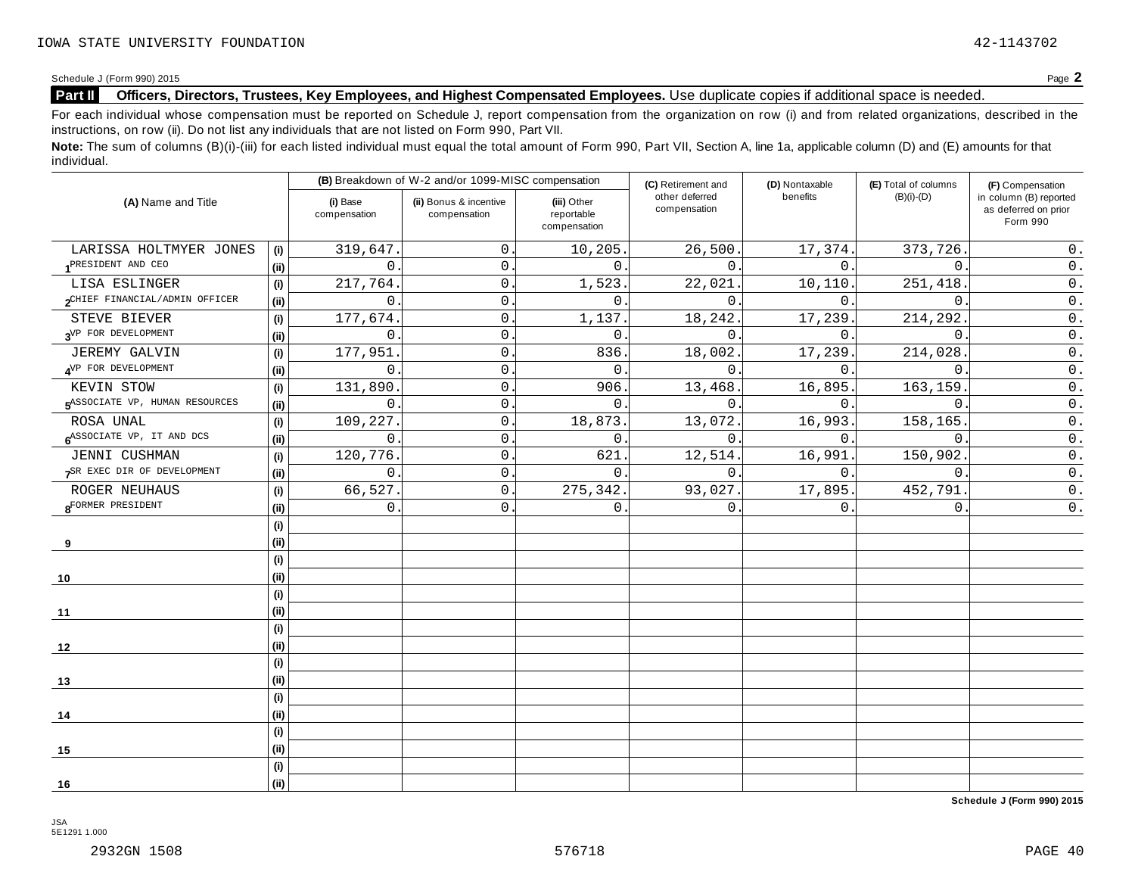## **Part II Officers, Directors, Trustees, Key Employees, and Highest Compensated Employees.** Use duplicate copies ifadditional space is needed.

For each individual whose compensation must be reported on Schedule J, report compensation from the organization on row (i) and from related organizations, described in the instructions, on row (ii). Do not list any individuals that are not listed on Form 990, Part VII.

Note: The sum of columns (B)(i)-(iii) for each listed individual must equal the total amount of Form 990, Part VII, Section A, line 1a, applicable column (D) and (E) amounts for that individual.

| (A) Name and Title                |      |                          | (B) Breakdown of W-2 and/or 1099-MISC compensation |                                           | (C) Retirement and             | (D) Nontaxable | (E) Total of columns | (F) Compensation                                           |
|-----------------------------------|------|--------------------------|----------------------------------------------------|-------------------------------------------|--------------------------------|----------------|----------------------|------------------------------------------------------------|
|                                   |      | (i) Base<br>compensation | (ii) Bonus & incentive<br>compensation             | (iii) Other<br>reportable<br>compensation | other deferred<br>compensation | benefits       | $(B)(i)-(D)$         | in column (B) reported<br>as deferred on prior<br>Form 990 |
| LARISSA HOLTMYER JONES            | (i)  | 319,647                  | $\mathbf 0$                                        | 10, 205.                                  | 26,500.                        | 17,374.        | 373,726.             | 0.                                                         |
| 1PRESIDENT AND CEO                | (ii) | $\Omega$                 | $\mathsf{O}$ .                                     | $\Omega$ .                                | $\Omega$ .                     | 0.             | $\Omega$ .           | $0$ .                                                      |
| LISA ESLINGER                     | (i)  | 217,764.                 | $\mathsf{0}$ .                                     | 1,523.                                    | 22,021                         | 10,110.        | 251,418              | $\mathsf 0$ .                                              |
| 2CHIEF FINANCIAL/ADMIN OFFICER    | (i)  | $\mathbf 0$              | $\mathsf{O}$                                       | $\mathbf{0}$ .                            | $\mathbf 0$                    | $\mathbf 0$ .  | $\mathbf{0}$ .       | $\mathsf 0$ .                                              |
| STEVE BIEVER                      | (i)  | 177,674                  | 0                                                  | 1,137.                                    | 18,242                         | 17,239.        | 214,292              | $\mathsf{0}$ .                                             |
| 3VP FOR DEVELOPMENT               | (i)  | $\mathbf 0$              | $\overline{0}$                                     | $\mathbf{0}$ .                            | $\Omega$                       | 0.             | $\Omega$             | $\mathsf{0}$ .                                             |
| <b>JEREMY GALVIN</b>              | (i)  | 177,951                  | 0                                                  | 836                                       | 18,002.                        | 17,239.        | 214,028              | $\mathsf 0$ .                                              |
| 4 <sup>VP</sup> FOR DEVELOPMENT   | (ii) | $\mathsf{O}$             | 0                                                  | $\mathbf 0$                               | 0.                             | 0.             | $\mathbf 0$          | $\mathsf{0}$ .                                             |
| KEVIN STOW                        | (i)  | 131,890                  | $\mathsf{O}$                                       | 906                                       | 13,468                         | 16,895.        | 163,159.             | $\overline{0}$ .                                           |
| RASSOCIATE VP, HUMAN RESOURCES    | (ii) | 0                        | $\mathsf{O}$                                       | $\mathbf 0$                               | $\overline{0}$                 | 0.             | $\mathbf{0}$ .       | $0$ .                                                      |
| ROSA UNAL                         | (i)  | 109,227.                 | $\mathbf 0$                                        | 18,873.                                   | 13,072.                        | 16,993.        | 158,165.             | $\mathsf{0}$ .                                             |
| <b>6</b> ASSOCIATE VP, IT AND DCS | (i)  | $\mathbf 0$              | $\mathsf{O}$                                       | $\mathbf{0}$ .                            | $\mathbf{0}$ .                 | 0.             | $\mathbf{0}$ .       | $0$ .                                                      |
| JENNI CUSHMAN                     | (i)  | 120,776.                 | 0.                                                 | 621                                       | 12,514.                        | 16,991.        | 150,902.             | $0$ .                                                      |
| 7SR EXEC DIR OF DEVELOPMENT       | (ii) | $\Omega$                 | $\mathsf{O}$                                       | $\Omega$ .                                | $\Omega$ .                     | 0.             | $\Omega$             | $\mathsf 0$ .                                              |
| ROGER NEUHAUS                     | (i)  | 66,527                   | $\mathsf{0}$ .                                     | 275, 342.                                 | 93,027                         | 17,895.        | 452,791              | $0$ .                                                      |
| 8FORMER PRESIDENT                 | (ii) | 0                        | $\mathbf{0}$ .                                     | $\mathbf 0$                               | 0                              | 0.             | $\mathbf{0}$ .       | $0$ .                                                      |
|                                   | (i)  |                          |                                                    |                                           |                                |                |                      |                                                            |
| 9                                 | (i)  |                          |                                                    |                                           |                                |                |                      |                                                            |
|                                   | (i)  |                          |                                                    |                                           |                                |                |                      |                                                            |
| 10                                | (i)  |                          |                                                    |                                           |                                |                |                      |                                                            |
|                                   | (i)  |                          |                                                    |                                           |                                |                |                      |                                                            |
| 11                                | (i)  |                          |                                                    |                                           |                                |                |                      |                                                            |
|                                   | (i)  |                          |                                                    |                                           |                                |                |                      |                                                            |
| 12                                | (i)  |                          |                                                    |                                           |                                |                |                      |                                                            |
|                                   | (i)  |                          |                                                    |                                           |                                |                |                      |                                                            |
| 13                                | (ii) |                          |                                                    |                                           |                                |                |                      |                                                            |
|                                   | (i)  |                          |                                                    |                                           |                                |                |                      |                                                            |
| 14                                | (i)  |                          |                                                    |                                           |                                |                |                      |                                                            |
|                                   | (i)  |                          |                                                    |                                           |                                |                |                      |                                                            |
| 15                                | (i)  |                          |                                                    |                                           |                                |                |                      |                                                            |
|                                   | (i)  |                          |                                                    |                                           |                                |                |                      |                                                            |
| 16                                | (i)  |                          |                                                    |                                           |                                |                |                      |                                                            |

**Schedule J (Form 990) 2015**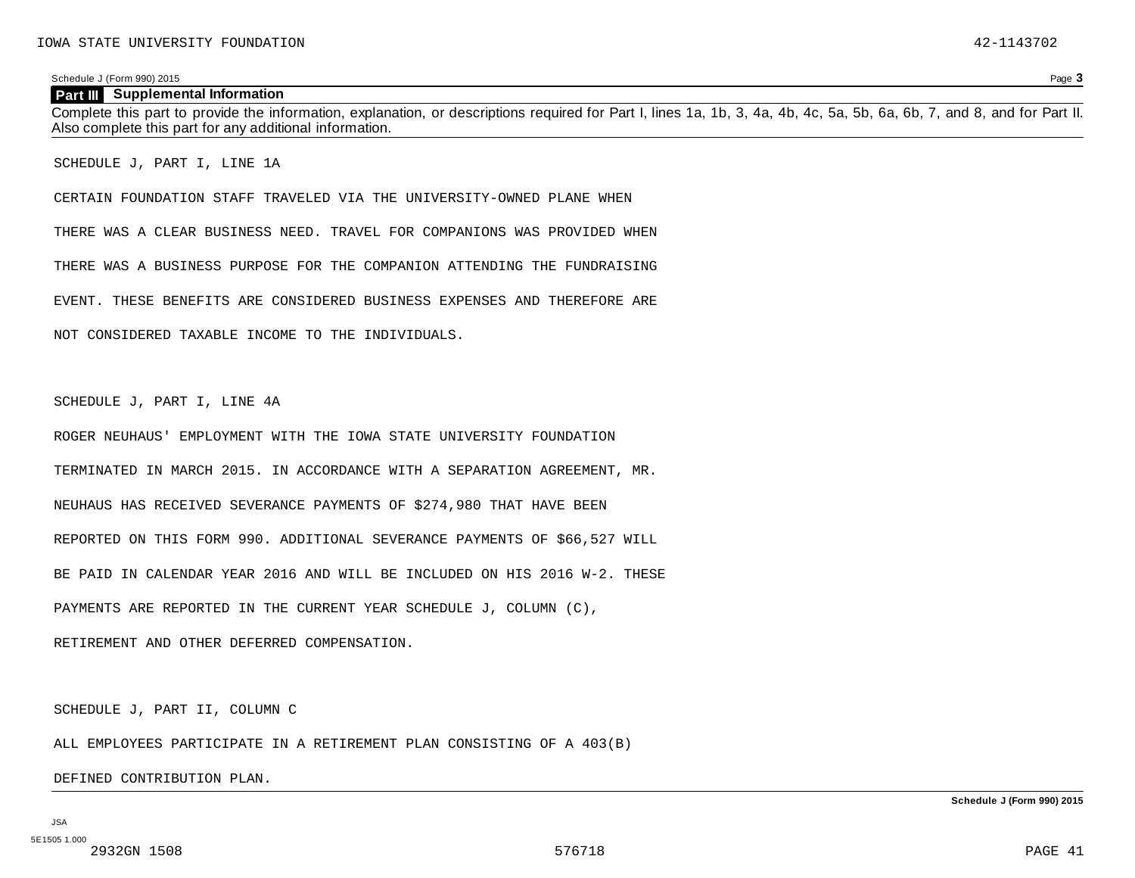#### **Part III Supplemental Information**

Complete this part to provide the information, explanation, or descriptions required for Part I, lines 1a, 1b, 3, 4a, 4b, 4c, 5a, 5b, 6a, 6b, 7, and 8, and for Part II. Also complete this part for any additional information.

SCHEDULE J, PART I, LINE 1A

CERTAIN FOUNDATION STAFF TRAVELED VIA THE UNIVERSITY-OWNED PLANE WHEN

THERE WAS A CLEAR BUSINESS NEED. TRAVEL FOR COMPANIONS WAS PROVIDED WHEN

THERE WAS A BUSINESS PURPOSE FOR THE COMPANION ATTENDING THE FUNDRAISING

EVENT. THESE BENEFITS ARE CONSIDERED BUSINESS EXPENSES AND THEREFORE ARE

NOT CONSIDERED TAXABLE INCOME TO THE INDIVIDUALS.

SCHEDULE J, PART I, LINE 4A

ROGER NEUHAUS' EMPLOYMENT WITH THE IOWA STATE UNIVERSITY FOUNDATION TERMINATED IN MARCH 2015. IN ACCORDANCE WITH A SEPARATION AGREEMENT, MR. NEUHAUS HAS RECEIVED SEVERANCE PAYMENTS OF \$274,980 THAT HAVE BEEN REPORTED ON THIS FORM 990. ADDITIONAL SEVERANCE PAYMENTS OF \$66,527 WILL BE PAID IN CALENDAR YEAR 2016 AND WILL BE INCLUDED ON HIS 2016 W-2. THESE PAYMENTS ARE REPORTED IN THE CURRENT YEAR SCHEDULE J, COLUMN (C), RETIREMENT AND OTHER DEFERRED COMPENSATION.

SCHEDULE J, PART II, COLUMN C

ALL EMPLOYEES PARTICIPATE IN A RETIREMENT PLAN CONSISTING OF A 403(B)

DEFINED CONTRIBUTION PLAN.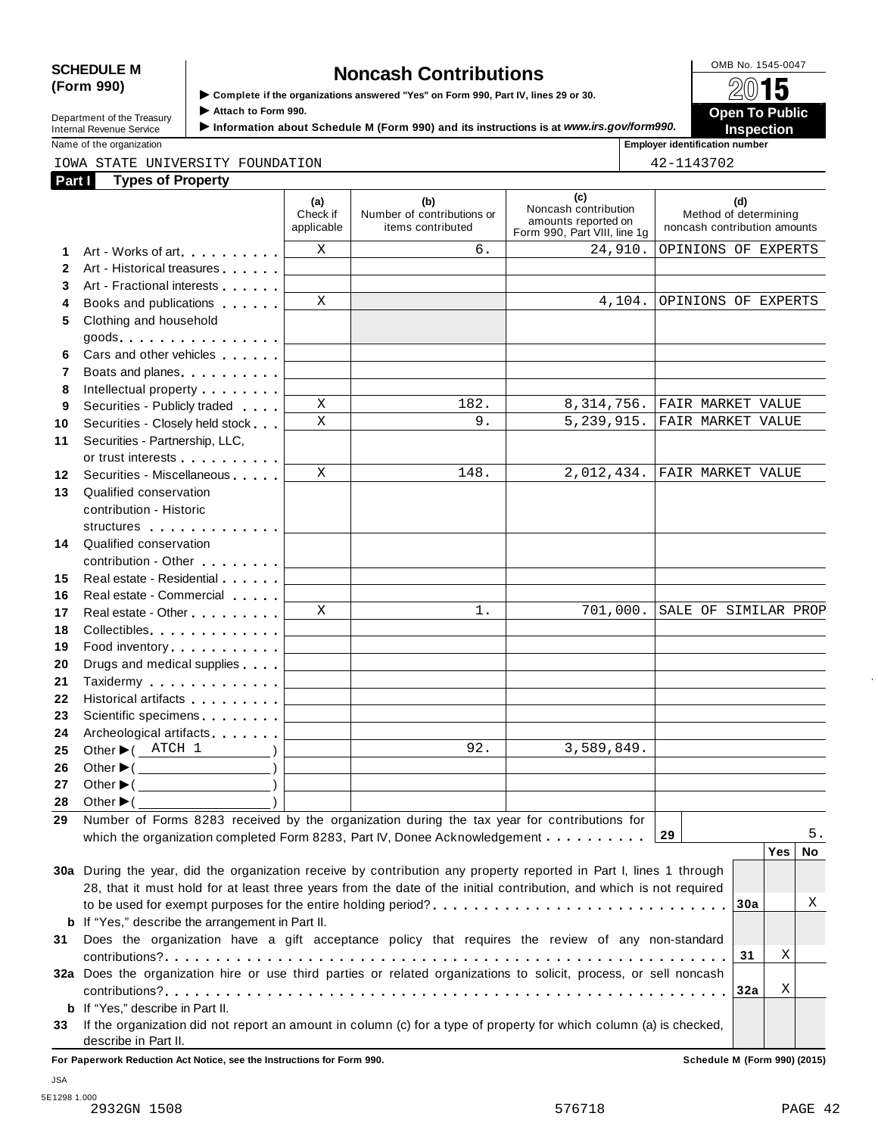# SCHEDULE M
<br> **SCHEDULE** M
<br> **SCOMB No. 1545-0047**<br> **SCOMB No. 1545-0047**<br> **SCOMB No. 1545-0047**<br> **SCOMB No. 1545-0047**<br> **SCOMB No. 1545-0047**<br> **SCOMB No. 1545-0047**<br> **SCOMB No. 1545-0047**

| Department of the Treasury |  |
|----------------------------|--|
| Internal Revenue Service   |  |

**(Form 990)** I **Complete if the organizations answered "Yes" on Form 990, Part IV, lines <sup>29</sup> or 30.** À¾µ¹ I ► Complete if the organizations answered "Yes" on Form 990, Part IV, lines 29 or 30.<br>Department of the Treasury Attach to Form 990.<br>Department of the Treasury **Department of the Treasury Property of the Complete of the** 

■ Attach to Form 990.<br>■ Information about Schedule M (Form 990) and its instructions is at *www.irs.gov/form990.* Inspection<br>Employer identification number

**Name of the organization** 

#### IOWA STATE UNIVERSITY FOUNDATION 42-1143702

|  | <b>Employer identification</b> |
|--|--------------------------------|
|--|--------------------------------|

| Part I   | <b>Types of Property</b>                                                                                                                                                                                                       |                               |                                                        |                                                                                    |                                                              |
|----------|--------------------------------------------------------------------------------------------------------------------------------------------------------------------------------------------------------------------------------|-------------------------------|--------------------------------------------------------|------------------------------------------------------------------------------------|--------------------------------------------------------------|
|          |                                                                                                                                                                                                                                | (a)<br>Check if<br>applicable | (b)<br>Number of contributions or<br>items contributed | (c)<br>Noncash contribution<br>amounts reported on<br>Form 990, Part VIII, line 1g | (d)<br>Method of determining<br>noncash contribution amounts |
| 1        |                                                                                                                                                                                                                                | X                             | б.                                                     | 24,910.                                                                            | OPINIONS OF EXPERTS                                          |
| 2        | Art - Historical treasures                                                                                                                                                                                                     |                               |                                                        |                                                                                    |                                                              |
| 3        | Art - Fractional interests                                                                                                                                                                                                     |                               |                                                        |                                                                                    |                                                              |
| 4        | Books and publications <b>contains</b>                                                                                                                                                                                         | X                             |                                                        | 4,104.                                                                             | OPINIONS OF EXPERTS                                          |
| 5        | Clothing and household                                                                                                                                                                                                         |                               |                                                        |                                                                                    |                                                              |
|          | $goods$                                                                                                                                                                                                                        |                               |                                                        |                                                                                    |                                                              |
| 6        | Cars and other vehicles <b>Cars</b>                                                                                                                                                                                            |                               |                                                        |                                                                                    |                                                              |
| 7        | Boats and planes experience in the set of the set of the set of the set of the set of the set of the set of the set of the set of the set of the set of the set of the set of the set of the set of the set of the set of the  |                               |                                                        |                                                                                    |                                                              |
| 8        | Intellectual property <b>Algebra</b>                                                                                                                                                                                           |                               |                                                        |                                                                                    |                                                              |
| 9        | Securities - Publicly traded                                                                                                                                                                                                   | X                             | 182.                                                   | 8,314,756.                                                                         | FAIR MARKET VALUE                                            |
| 10       | Securities - Closely held stock                                                                                                                                                                                                | X                             | 9.                                                     | 5, 239, 915.                                                                       | FAIR MARKET VALUE                                            |
| 11       | Securities - Partnership, LLC,                                                                                                                                                                                                 |                               |                                                        |                                                                                    |                                                              |
|          | or trust interests                                                                                                                                                                                                             |                               |                                                        |                                                                                    |                                                              |
| 12       | Securities - Miscellaneous                                                                                                                                                                                                     | X                             | 148.                                                   | 2,012,434.                                                                         | FAIR MARKET VALUE                                            |
| 13       | Qualified conservation                                                                                                                                                                                                         |                               |                                                        |                                                                                    |                                                              |
|          | contribution - Historic                                                                                                                                                                                                        |                               |                                                        |                                                                                    |                                                              |
|          | structures                                                                                                                                                                                                                     |                               |                                                        |                                                                                    |                                                              |
| 14       | Qualified conservation                                                                                                                                                                                                         |                               |                                                        |                                                                                    |                                                              |
|          | contribution - Other <b>Canada and Taylor</b>                                                                                                                                                                                  |                               |                                                        |                                                                                    |                                                              |
| 15       | Real estate - Residential                                                                                                                                                                                                      |                               |                                                        |                                                                                    |                                                              |
| 16       | Real estate - Commercial                                                                                                                                                                                                       |                               |                                                        |                                                                                    |                                                              |
| 17       |                                                                                                                                                                                                                                | X                             | 1.                                                     | 701,000.                                                                           | SALE OF SIMILAR PROP                                         |
| 18       | Collectibles                                                                                                                                                                                                                   |                               |                                                        |                                                                                    |                                                              |
| 19       | Food inventory entertainment of the state of the state of the state of the state of the state of the state of the state of the state of the state of the state of the state of the state of the state of the state of the stat |                               |                                                        |                                                                                    |                                                              |
| 20       | Drugs and medical supplies                                                                                                                                                                                                     |                               |                                                        |                                                                                    |                                                              |
| 21       | Taxidermy                                                                                                                                                                                                                      |                               |                                                        |                                                                                    |                                                              |
| 22       | Historical artifacts <b>All Accords</b>                                                                                                                                                                                        |                               |                                                        |                                                                                    |                                                              |
| 23       | Scientific specimens <b>Scientific specimens</b>                                                                                                                                                                               |                               |                                                        |                                                                                    |                                                              |
| 24       | Archeological artifacts                                                                                                                                                                                                        |                               | 92.                                                    | 3,589,849.                                                                         |                                                              |
| 25       | Other $\blacktriangleright$ ( $\blacktriangle$ ATCH 1                                                                                                                                                                          |                               |                                                        |                                                                                    |                                                              |
| 26       | Other $\blacktriangleright$ ( $\_\_\_\_\_\_\_\_$ )<br>$\overline{\phantom{a}}$<br>Other $\blacktriangleright$ (                                                                                                                |                               |                                                        |                                                                                    |                                                              |
| 27<br>28 | Other $\blacktriangleright$ (                                                                                                                                                                                                  |                               |                                                        |                                                                                    |                                                              |
|          | Number of Forms 8283 received by the organization during the tax year for contributions for                                                                                                                                    |                               |                                                        |                                                                                    |                                                              |
| 29       | which the organization completed Form 8283, Part IV, Donee Acknowledgement                                                                                                                                                     |                               |                                                        |                                                                                    | 5.<br>29                                                     |
|          |                                                                                                                                                                                                                                |                               |                                                        |                                                                                    | No<br>Yes                                                    |
|          | 30a During the year, did the organization receive by contribution any property reported in Part I, lines 1 through                                                                                                             |                               |                                                        |                                                                                    |                                                              |
|          | 28, that it must hold for at least three years from the date of the initial contribution, and which is not required                                                                                                            |                               |                                                        |                                                                                    |                                                              |
|          | to be used for exempt purposes for the entire holding period?                                                                                                                                                                  |                               |                                                        |                                                                                    | Χ<br>30a                                                     |
|          | <b>b</b> If "Yes," describe the arrangement in Part II.                                                                                                                                                                        |                               |                                                        |                                                                                    |                                                              |
| 31       | Does the organization have a gift acceptance policy that requires the review of any non-standard                                                                                                                               |                               |                                                        |                                                                                    |                                                              |
|          |                                                                                                                                                                                                                                |                               |                                                        |                                                                                    | Χ<br>31                                                      |
|          | 32a Does the organization hire or use third parties or related organizations to solicit, process, or sell noncash                                                                                                              |                               |                                                        |                                                                                    |                                                              |
|          |                                                                                                                                                                                                                                |                               |                                                        |                                                                                    | Χ<br>32a                                                     |
|          | <b>b</b> If "Yes," describe in Part II.                                                                                                                                                                                        |                               |                                                        |                                                                                    |                                                              |
| 33       | If the organization did not report an amount in column (c) for a type of property for which column (a) is checked,                                                                                                             |                               |                                                        |                                                                                    |                                                              |
|          | describe in Part II.                                                                                                                                                                                                           |                               |                                                        |                                                                                    |                                                              |
|          | For Paperwork Reduction Act Notice, see the Instructions for Form 990.                                                                                                                                                         |                               |                                                        |                                                                                    | <b>Schedule M (Form 990) (2015)</b>                          |

JSA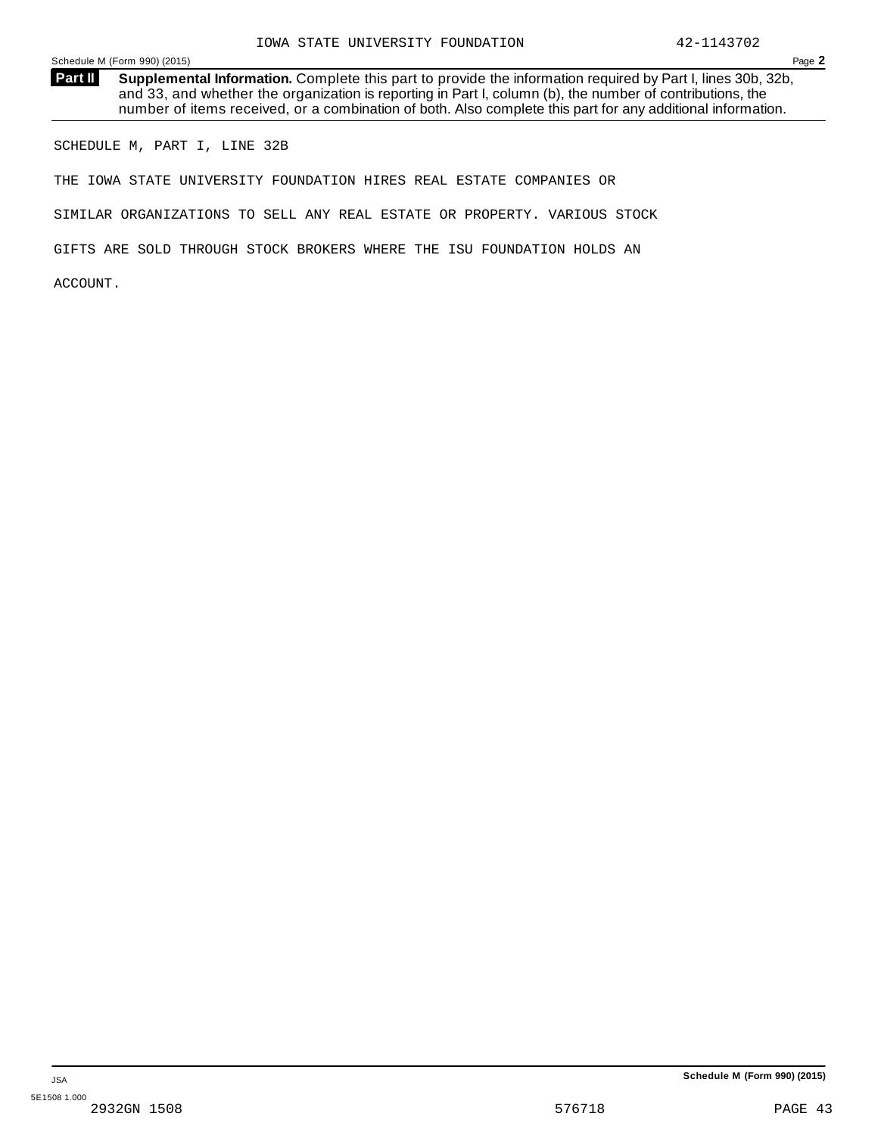**Supplemental Information.** Complete this part to provide the information required by Part I, lines 30b, 32b, and 33, and whether the organization is reporting in Part I, column (b), the number of contributions, the number of items received, or a combination of both. Also complete this part for any additional information. **Part II**

SCHEDULE M, PART I, LINE 32B

THE IOWA STATE UNIVERSITY FOUNDATION HIRES REAL ESTATE COMPANIES OR

SIMILAR ORGANIZATIONS TO SELL ANY REAL ESTATE OR PROPERTY. VARIOUS STOCK

GIFTS ARE SOLD THROUGH STOCK BROKERS WHERE THE ISU FOUNDATION HOLDS AN

ACCOUNT.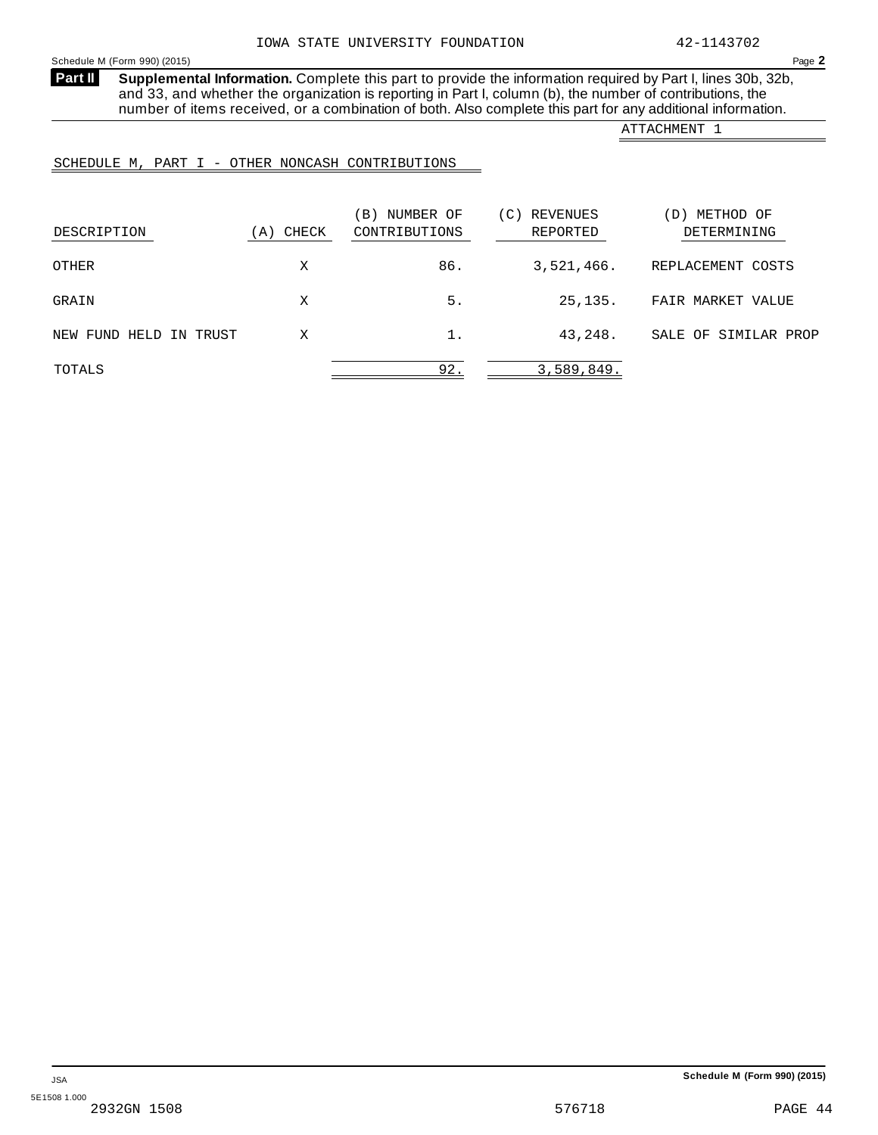<span id="page-42-0"></span>**Supplemental Information.** Complete this part to provide the information required by Part I, lines 30b, 32b, and 33, and whether the organization is reporting in Part I, column (b), the number of contributions, the number of items received, or a combination of both. Also complete this part for any additional information. **Part II**

ATTACHMENT 1

SCHEDULE M, PART I - OTHER NONCASH CONTRIBUTIONS

| DESCRIPTION            | CHECK<br>(A) | NUMBER OF<br>$\vert B \rangle$<br>CONTRIBUTIONS | REVENUES<br>(C)<br>REPORTED | METHOD OF<br>D)<br>DETERMINING |
|------------------------|--------------|-------------------------------------------------|-----------------------------|--------------------------------|
| OTHER                  | Χ            | 86.                                             | 3,521,466.                  | REPLACEMENT COSTS              |
| GRAIN                  | Χ            | 5.                                              | 25,135.                     | FAIR MARKET VALUE              |
| NEW FUND HELD IN TRUST | Χ            | 1.                                              | 43,248.                     | SALE OF SIMILAR PROP           |
| TOTALS                 |              | 92.                                             | 3,589,849.                  |                                |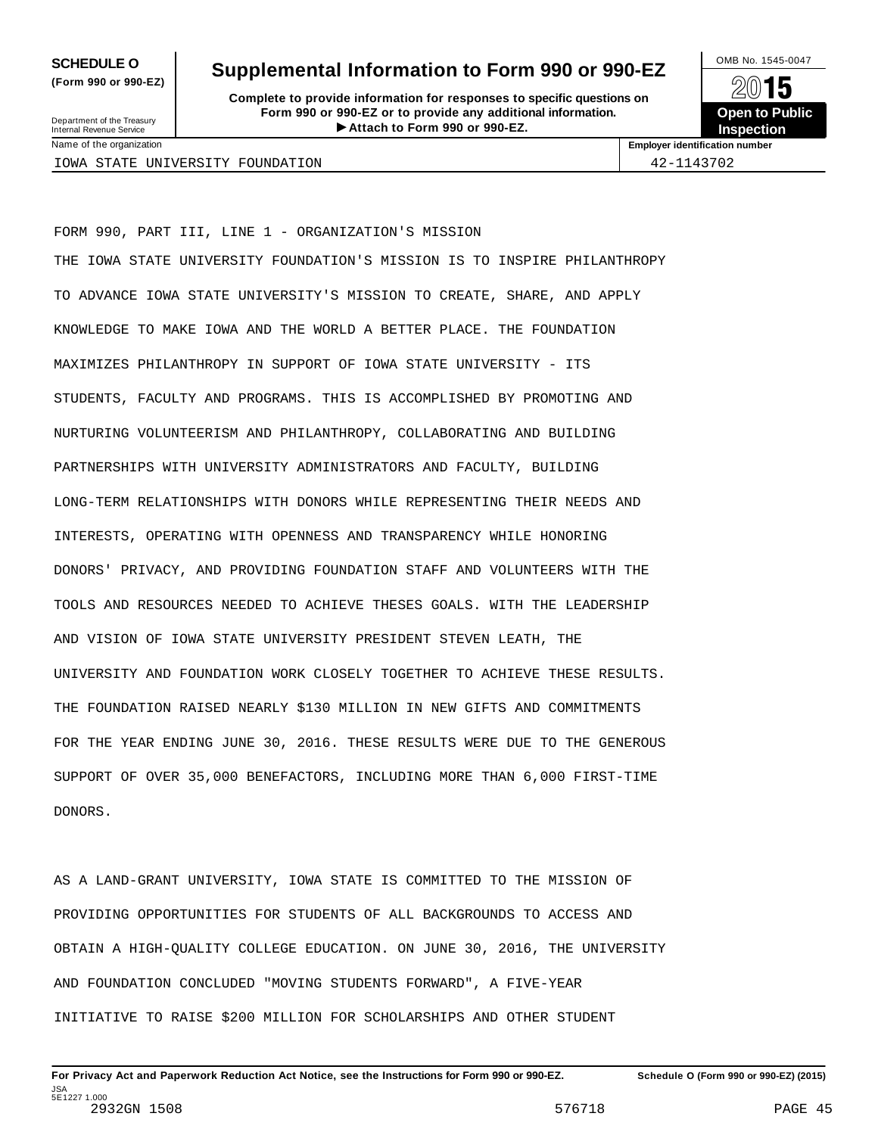**(Form 990 or 990-EZ)**

## **SCHEDULE O** Supplemental Information to Form 990 or 990-EZ  $\frac{100\text{dB No. }1545-0047}{\text{O}}$

**Complete to provide information for responses to specific questions on Form 990 or 990-EZ or to provide any additional information.** Fristen **Attach to Form 1990** or 990-EZ.<br>
Attach to Form 990 or 990-EZ.<br>
Attach to Form 990 or 990-EZ.<br> **Attach to Form 990 or 990-EZ.** Department of the Treasury Internal Revenue Service I

**Open to Public Inspection**

IOWA STATE UNIVERSITY FOUNDATION 42-1143702

Name of the organization **Employer identification number**

FORM 990, PART III, LINE 1 - ORGANIZATION'S MISSION THE IOWA STATE UNIVERSITY FOUNDATION'S MISSION IS TO INSPIRE PHILANTHROPY TO ADVANCE IOWA STATE UNIVERSITY'S MISSION TO CREATE, SHARE, AND APPLY KNOWLEDGE TO MAKE IOWA AND THE WORLD A BETTER PLACE. THE FOUNDATION MAXIMIZES PHILANTHROPY IN SUPPORT OF IOWA STATE UNIVERSITY - ITS STUDENTS, FACULTY AND PROGRAMS. THIS IS ACCOMPLISHED BY PROMOTING AND NURTURING VOLUNTEERISM AND PHILANTHROPY, COLLABORATING AND BUILDING PARTNERSHIPS WITH UNIVERSITY ADMINISTRATORS AND FACULTY, BUILDING LONG-TERM RELATIONSHIPS WITH DONORS WHILE REPRESENTING THEIR NEEDS AND INTERESTS, OPERATING WITH OPENNESS AND TRANSPARENCY WHILE HONORING DONORS' PRIVACY, AND PROVIDING FOUNDATION STAFF AND VOLUNTEERS WITH THE TOOLS AND RESOURCES NEEDED TO ACHIEVE THESES GOALS. WITH THE LEADERSHIP AND VISION OF IOWA STATE UNIVERSITY PRESIDENT STEVEN LEATH, THE UNIVERSITY AND FOUNDATION WORK CLOSELY TOGETHER TO ACHIEVE THESE RESULTS. THE FOUNDATION RAISED NEARLY \$130 MILLION IN NEW GIFTS AND COMMITMENTS FOR THE YEAR ENDING JUNE 30, 2016. THESE RESULTS WERE DUE TO THE GENEROUS SUPPORT OF OVER 35,000 BENEFACTORS, INCLUDING MORE THAN 6,000 FIRST-TIME DONORS.

AS A LAND-GRANT UNIVERSITY, IOWA STATE IS COMMITTED TO THE MISSION OF PROVIDING OPPORTUNITIES FOR STUDENTS OF ALL BACKGROUNDS TO ACCESS AND OBTAIN A HIGH-QUALITY COLLEGE EDUCATION. ON JUNE 30, 2016, THE UNIVERSITY AND FOUNDATION CONCLUDED "MOVING STUDENTS FORWARD", A FIVE-YEAR INITIATIVE TO RAISE \$200 MILLION FOR SCHOLARSHIPS AND OTHER STUDENT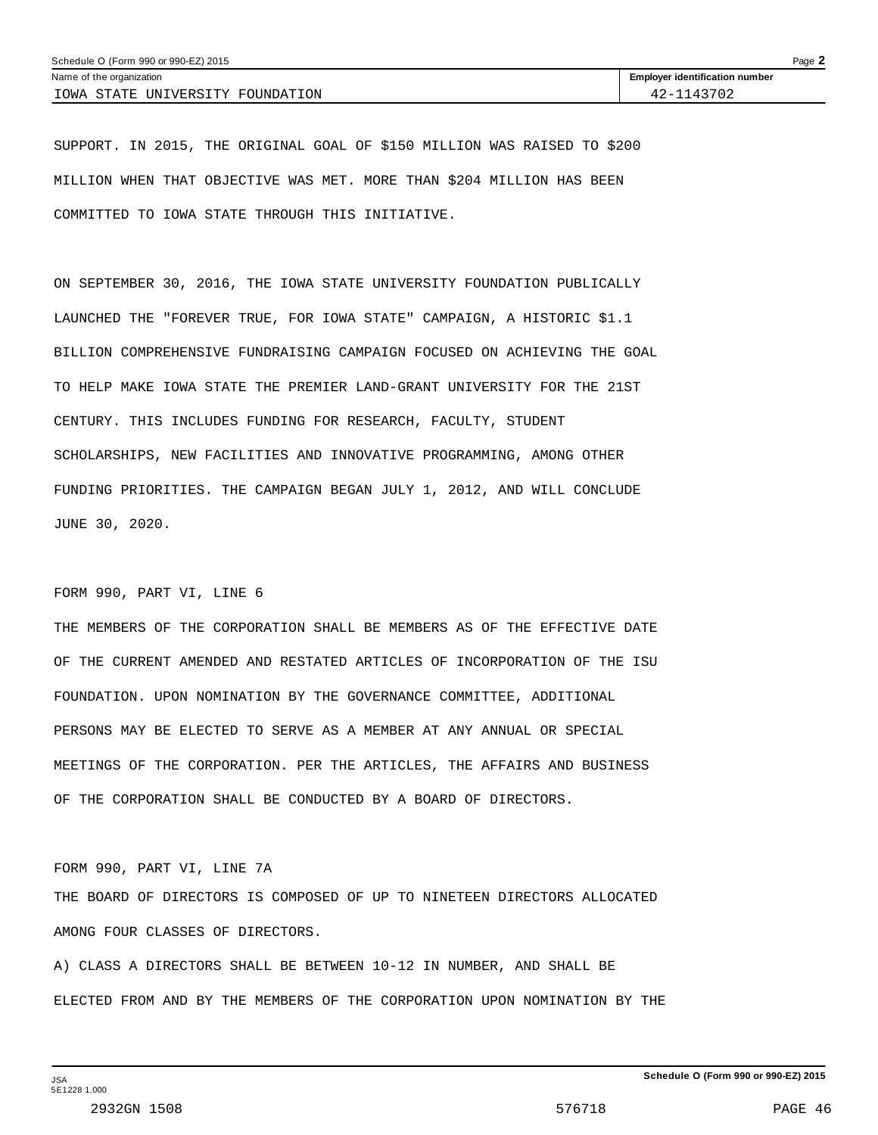SUPPORT. IN 2015, THE ORIGINAL GOAL OF \$150 MILLION WAS RAISED TO \$200 MILLION WHEN THAT OBJECTIVE WAS MET. MORE THAN \$204 MILLION HAS BEEN COMMITTED TO IOWA STATE THROUGH THIS INITIATIVE.

ON SEPTEMBER 30, 2016, THE IOWA STATE UNIVERSITY FOUNDATION PUBLICALLY LAUNCHED THE "FOREVER TRUE, FOR IOWA STATE" CAMPAIGN, A HISTORIC \$1.1 BILLION COMPREHENSIVE FUNDRAISING CAMPAIGN FOCUSED ON ACHIEVING THE GOAL TO HELP MAKE IOWA STATE THE PREMIER LAND-GRANT UNIVERSITY FOR THE 21ST CENTURY. THIS INCLUDES FUNDING FOR RESEARCH, FACULTY, STUDENT SCHOLARSHIPS, NEW FACILITIES AND INNOVATIVE PROGRAMMING, AMONG OTHER FUNDING PRIORITIES. THE CAMPAIGN BEGAN JULY 1, 2012, AND WILL CONCLUDE JUNE 30, 2020.

#### FORM 990, PART VI, LINE 6

THE MEMBERS OF THE CORPORATION SHALL BE MEMBERS AS OF THE EFFECTIVE DATE OF THE CURRENT AMENDED AND RESTATED ARTICLES OF INCORPORATION OF THE ISU FOUNDATION. UPON NOMINATION BY THE GOVERNANCE COMMITTEE, ADDITIONAL PERSONS MAY BE ELECTED TO SERVE AS A MEMBER AT ANY ANNUAL OR SPECIAL MEETINGS OF THE CORPORATION. PER THE ARTICLES, THE AFFAIRS AND BUSINESS OF THE CORPORATION SHALL BE CONDUCTED BY A BOARD OF DIRECTORS.

FORM 990, PART VI, LINE 7A THE BOARD OF DIRECTORS IS COMPOSED OF UP TO NINETEEN DIRECTORS ALLOCATED AMONG FOUR CLASSES OF DIRECTORS.

A) CLASS A DIRECTORS SHALL BE BETWEEN 10-12 IN NUMBER, AND SHALL BE ELECTED FROM AND BY THE MEMBERS OF THE CORPORATION UPON NOMINATION BY THE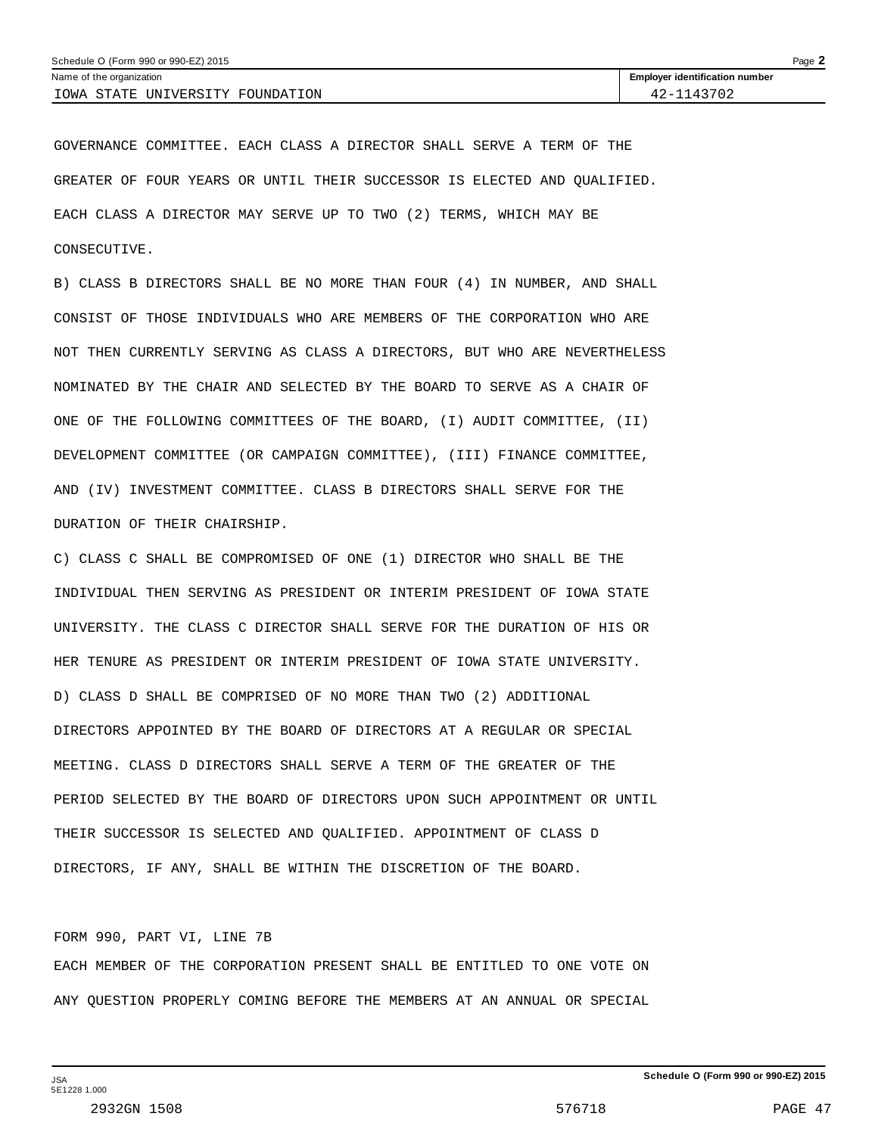IOWA STATE UNIVERSITY FOUNDATION 42-1143702

GOVERNANCE COMMITTEE. EACH CLASS A DIRECTOR SHALL SERVE A TERM OF THE GREATER OF FOUR YEARS OR UNTIL THEIR SUCCESSOR IS ELECTED AND QUALIFIED. EACH CLASS A DIRECTOR MAY SERVE UP TO TWO (2) TERMS, WHICH MAY BE CONSECUTIVE.

B) CLASS B DIRECTORS SHALL BE NO MORE THAN FOUR (4) IN NUMBER, AND SHALL CONSIST OF THOSE INDIVIDUALS WHO ARE MEMBERS OF THE CORPORATION WHO ARE NOT THEN CURRENTLY SERVING AS CLASS A DIRECTORS, BUT WHO ARE NEVERTHELESS NOMINATED BY THE CHAIR AND SELECTED BY THE BOARD TO SERVE AS A CHAIR OF ONE OF THE FOLLOWING COMMITTEES OF THE BOARD, (I) AUDIT COMMITTEE, (II) DEVELOPMENT COMMITTEE (OR CAMPAIGN COMMITTEE), (III) FINANCE COMMITTEE, AND (IV) INVESTMENT COMMITTEE. CLASS B DIRECTORS SHALL SERVE FOR THE DURATION OF THEIR CHAIRSHIP.

C) CLASS C SHALL BE COMPROMISED OF ONE (1) DIRECTOR WHO SHALL BE THE INDIVIDUAL THEN SERVING AS PRESIDENT OR INTERIM PRESIDENT OF IOWA STATE UNIVERSITY. THE CLASS C DIRECTOR SHALL SERVE FOR THE DURATION OF HIS OR HER TENURE AS PRESIDENT OR INTERIM PRESIDENT OF IOWA STATE UNIVERSITY. D) CLASS D SHALL BE COMPRISED OF NO MORE THAN TWO (2) ADDITIONAL DIRECTORS APPOINTED BY THE BOARD OF DIRECTORS AT A REGULAR OR SPECIAL MEETING. CLASS D DIRECTORS SHALL SERVE A TERM OF THE GREATER OF THE PERIOD SELECTED BY THE BOARD OF DIRECTORS UPON SUCH APPOINTMENT OR UNTIL THEIR SUCCESSOR IS SELECTED AND QUALIFIED. APPOINTMENT OF CLASS D DIRECTORS, IF ANY, SHALL BE WITHIN THE DISCRETION OF THE BOARD.

#### FORM 990, PART VI, LINE 7B

EACH MEMBER OF THE CORPORATION PRESENT SHALL BE ENTITLED TO ONE VOTE ON ANY QUESTION PROPERLY COMING BEFORE THE MEMBERS AT AN ANNUAL OR SPECIAL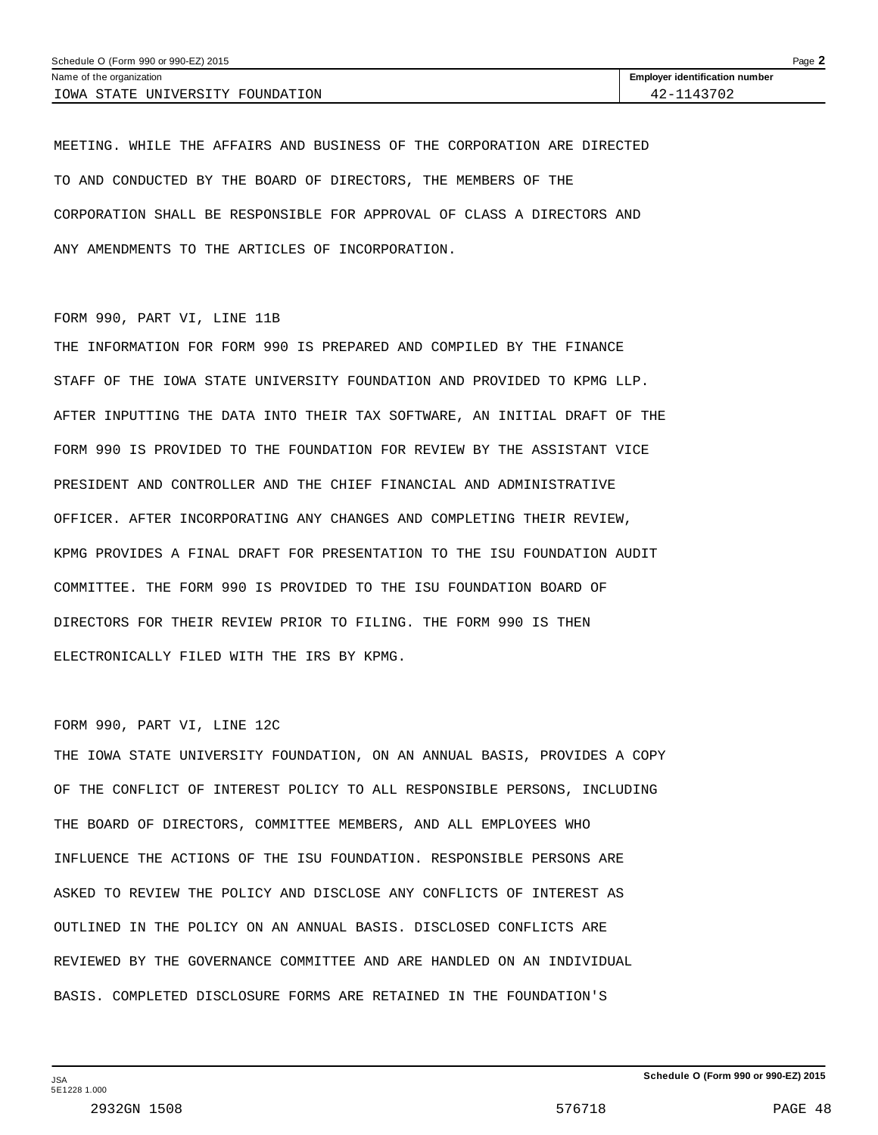MEETING. WHILE THE AFFAIRS AND BUSINESS OF THE CORPORATION ARE DIRECTED TO AND CONDUCTED BY THE BOARD OF DIRECTORS, THE MEMBERS OF THE CORPORATION SHALL BE RESPONSIBLE FOR APPROVAL OF CLASS A DIRECTORS AND ANY AMENDMENTS TO THE ARTICLES OF INCORPORATION.

#### FORM 990, PART VI, LINE 11B

THE INFORMATION FOR FORM 990 IS PREPARED AND COMPILED BY THE FINANCE STAFF OF THE IOWA STATE UNIVERSITY FOUNDATION AND PROVIDED TO KPMG LLP. AFTER INPUTTING THE DATA INTO THEIR TAX SOFTWARE, AN INITIAL DRAFT OF THE FORM 990 IS PROVIDED TO THE FOUNDATION FOR REVIEW BY THE ASSISTANT VICE PRESIDENT AND CONTROLLER AND THE CHIEF FINANCIAL AND ADMINISTRATIVE OFFICER. AFTER INCORPORATING ANY CHANGES AND COMPLETING THEIR REVIEW, KPMG PROVIDES A FINAL DRAFT FOR PRESENTATION TO THE ISU FOUNDATION AUDIT COMMITTEE. THE FORM 990 IS PROVIDED TO THE ISU FOUNDATION BOARD OF DIRECTORS FOR THEIR REVIEW PRIOR TO FILING. THE FORM 990 IS THEN ELECTRONICALLY FILED WITH THE IRS BY KPMG.

#### FORM 990, PART VI, LINE 12C

THE IOWA STATE UNIVERSITY FOUNDATION, ON AN ANNUAL BASIS, PROVIDES A COPY OF THE CONFLICT OF INTEREST POLICY TO ALL RESPONSIBLE PERSONS, INCLUDING THE BOARD OF DIRECTORS, COMMITTEE MEMBERS, AND ALL EMPLOYEES WHO INFLUENCE THE ACTIONS OF THE ISU FOUNDATION. RESPONSIBLE PERSONS ARE ASKED TO REVIEW THE POLICY AND DISCLOSE ANY CONFLICTS OF INTEREST AS OUTLINED IN THE POLICY ON AN ANNUAL BASIS. DISCLOSED CONFLICTS ARE REVIEWED BY THE GOVERNANCE COMMITTEE AND ARE HANDLED ON AN INDIVIDUAL BASIS. COMPLETED DISCLOSURE FORMS ARE RETAINED IN THE FOUNDATION'S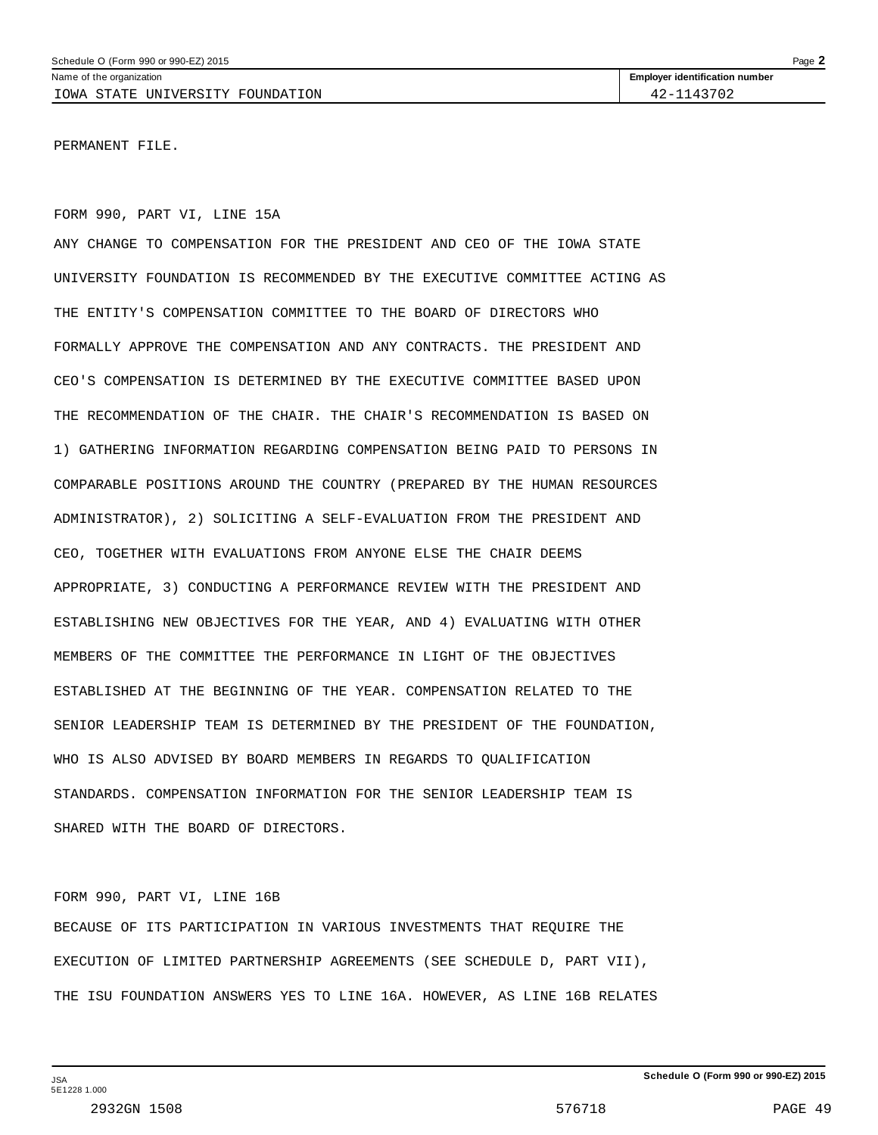Name of the organization **intervalse of the organization number intervalse of the organization number intervalse of the organization number** IOWA STATE UNIVERSITY FOUNDATION 42-1143702

PERMANENT FILE.

#### FORM 990, PART VI, LINE 15A

ANY CHANGE TO COMPENSATION FOR THE PRESIDENT AND CEO OF THE IOWA STATE UNIVERSITY FOUNDATION IS RECOMMENDED BY THE EXECUTIVE COMMITTEE ACTING AS THE ENTITY'S COMPENSATION COMMITTEE TO THE BOARD OF DIRECTORS WHO FORMALLY APPROVE THE COMPENSATION AND ANY CONTRACTS. THE PRESIDENT AND CEO'S COMPENSATION IS DETERMINED BY THE EXECUTIVE COMMITTEE BASED UPON THE RECOMMENDATION OF THE CHAIR. THE CHAIR'S RECOMMENDATION IS BASED ON 1) GATHERING INFORMATION REGARDING COMPENSATION BEING PAID TO PERSONS IN COMPARABLE POSITIONS AROUND THE COUNTRY (PREPARED BY THE HUMAN RESOURCES ADMINISTRATOR), 2) SOLICITING A SELF-EVALUATION FROM THE PRESIDENT AND CEO, TOGETHER WITH EVALUATIONS FROM ANYONE ELSE THE CHAIR DEEMS APPROPRIATE, 3) CONDUCTING A PERFORMANCE REVIEW WITH THE PRESIDENT AND ESTABLISHING NEW OBJECTIVES FOR THE YEAR, AND 4) EVALUATING WITH OTHER MEMBERS OF THE COMMITTEE THE PERFORMANCE IN LIGHT OF THE OBJECTIVES ESTABLISHED AT THE BEGINNING OF THE YEAR. COMPENSATION RELATED TO THE SENIOR LEADERSHIP TEAM IS DETERMINED BY THE PRESIDENT OF THE FOUNDATION, WHO IS ALSO ADVISED BY BOARD MEMBERS IN REGARDS TO QUALIFICATION STANDARDS. COMPENSATION INFORMATION FOR THE SENIOR LEADERSHIP TEAM IS SHARED WITH THE BOARD OF DIRECTORS.

#### FORM 990, PART VI, LINE 16B

BECAUSE OF ITS PARTICIPATION IN VARIOUS INVESTMENTS THAT REQUIRE THE EXECUTION OF LIMITED PARTNERSHIP AGREEMENTS (SEE SCHEDULE D, PART VII), THE ISU FOUNDATION ANSWERS YES TO LINE 16A. HOWEVER, AS LINE 16B RELATES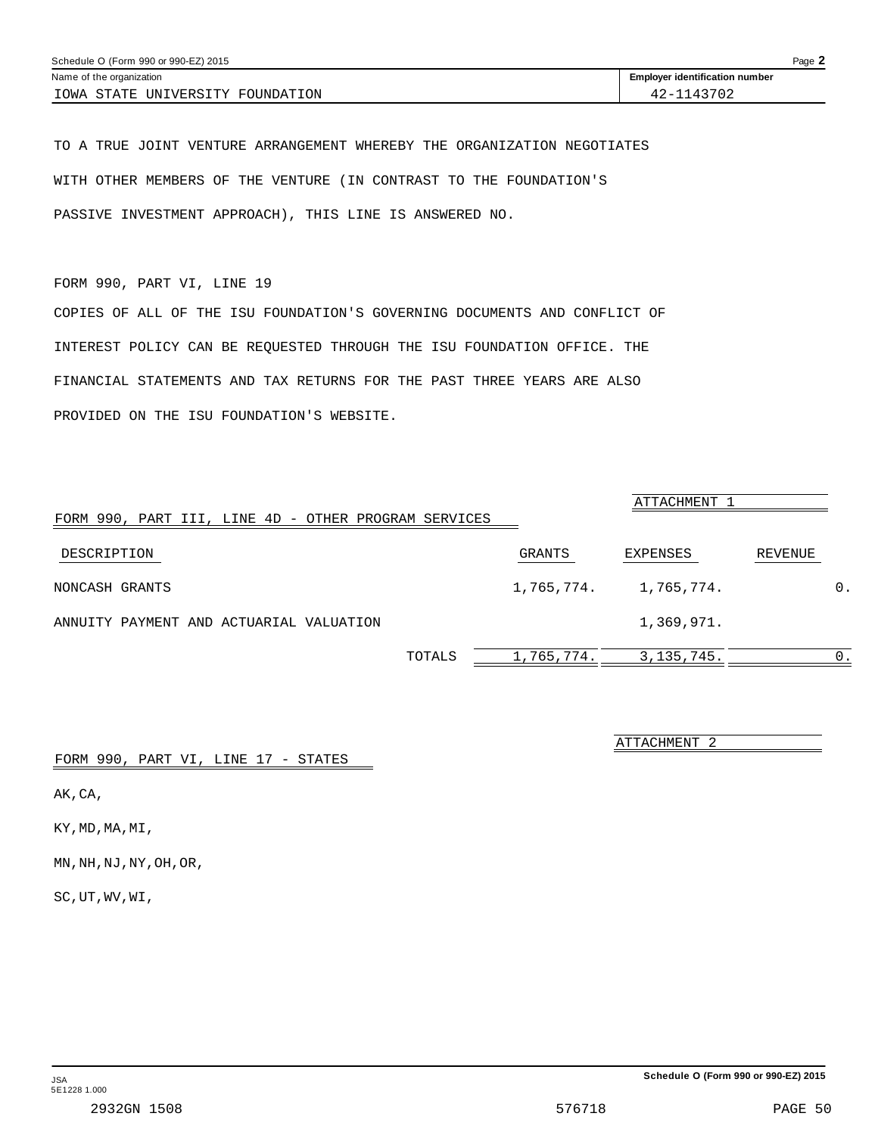<span id="page-48-0"></span>

| Page $\blacktriangle$<br>Schedule O (Form 990 or 990-EZ) 2015 |                                       |  |  |  |
|---------------------------------------------------------------|---------------------------------------|--|--|--|
| Name of the organization                                      | <b>Employer identification number</b> |  |  |  |
| IOWA STATE UNIVERSITY FOUNDATION                              | 42-1143702                            |  |  |  |

TO A TRUE JOINT VENTURE ARRANGEMENT WHEREBY THE ORGANIZATION NEGOTIATES WITH OTHER MEMBERS OF THE VENTURE (IN CONTRAST TO THE FOUNDATION'S PASSIVE INVESTMENT APPROACH), THIS LINE IS ANSWERED NO.

FORM 990, PART VI, LINE 19

COPIES OF ALL OF THE ISU FOUNDATION'S GOVERNING DOCUMENTS AND CONFLICT OF INTEREST POLICY CAN BE REQUESTED THROUGH THE ISU FOUNDATION OFFICE. THE FINANCIAL STATEMENTS AND TAX RETURNS FOR THE PAST THREE YEARS ARE ALSO PROVIDED ON THE ISU FOUNDATION'S WEBSITE.

| FORM 990, PART III, LINE 4D - OTHER PROGRAM SERVICES |        |            | ATTACHMENT 1 |         |  |
|------------------------------------------------------|--------|------------|--------------|---------|--|
| DESCRIPTION                                          |        | GRANTS     | EXPENSES     | REVENUE |  |
| NONCASH GRANTS                                       |        | 1,765,774. | 1,765,774.   | 0.      |  |
| ANNUITY PAYMENT AND ACTUARIAL VALUATION              |        |            | 1,369,971.   |         |  |
|                                                      | TOTALS | 1,765,774. | 3, 135, 745. | 0       |  |

FORM 990, PART VI, LINE 17 - STATES

ATTACHMENT 2

AK,CA,

KY,MD,MA,MI,

MN,NH,NJ,NY,OH,OR,

SC,UT,WV,WI,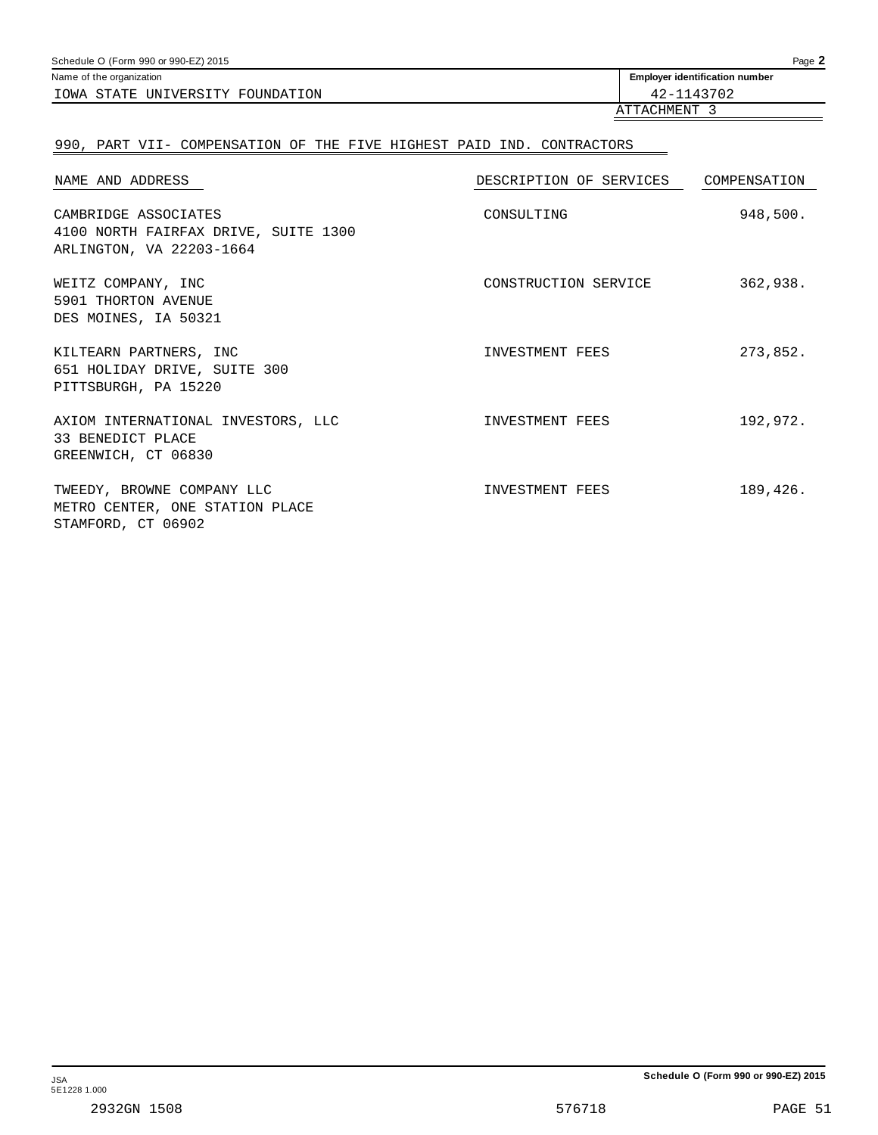<span id="page-49-0"></span>

| Schedule O (Form 990 or 990-EZ) 2015 | Page $\mathbf{\dot{z}}$               |
|--------------------------------------|---------------------------------------|
| Name of the organization             | <b>Employer identification number</b> |
| IOWA STATE UNIVERSITY FOUNDATION     | 42-1143702                            |
|                                      | ATTACHMENT                            |

## 990, PART VII- COMPENSATION OF THE FIVE HIGHEST PAID IND. CONTRACTORS

| NAME AND ADDRESS                                                                         | DESCRIPTION OF SERVICES COMPENSATION |          |
|------------------------------------------------------------------------------------------|--------------------------------------|----------|
| CAMBRIDGE ASSOCIATES<br>4100 NORTH FAIRFAX DRIVE, SUITE 1300<br>ARLINGTON, VA 22203-1664 | CONSULTING                           | 948,500. |
| WEITZ COMPANY, INC<br>5901 THORTON AVENUE<br>DES MOINES, IA 50321                        | CONSTRUCTION SERVICE                 | 362,938. |
| KILTEARN PARTNERS, INC<br>651 HOLIDAY DRIVE, SUITE 300<br>PITTSBURGH, PA 15220           | INVESTMENT FEES                      | 273,852. |
| AXIOM INTERNATIONAL INVESTORS, LLC<br>33 BENEDICT PLACE<br>GREENWICH, CT 06830           | INVESTMENT FEES                      | 192,972. |
| TWEEDY, BROWNE COMPANY LLC<br>METRO CENTER, ONE STATION PLACE<br>STAMFORD, CT 06902      | INVESTMENT FEES                      | 189,426. |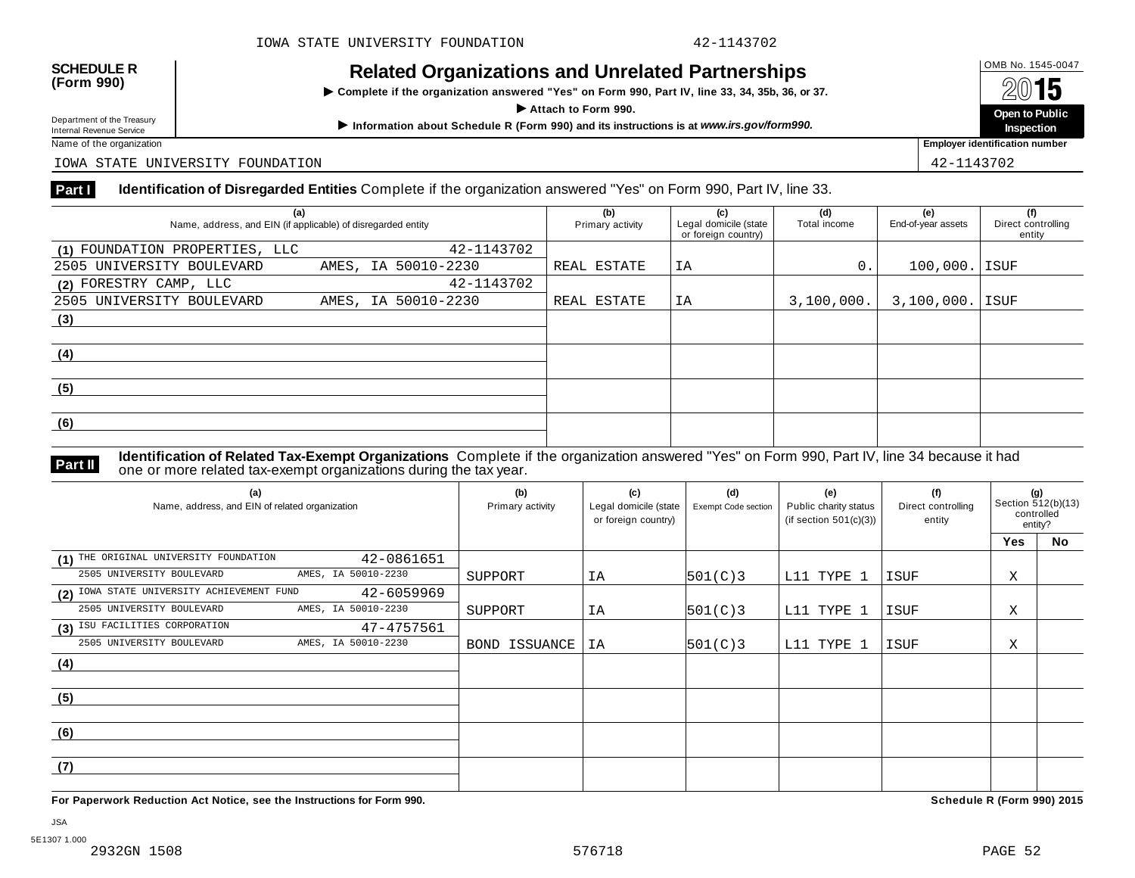## OMB No. 1545-0047 **SCHEDULE R (Form 990) Related Organizations and Unrelated Partnerships**

 $\triangleright$  Complete if the organization answered "Yes" on Form 990, Part IV, line 33, 34, 35b, 36, or 37.

Department of the Treasury

IOWA STATE UNIVERSITY FOUNDATION 42-1143702

#### **Part I Identification of Disregarded Entities** Complete if the organization answered "Yes" on Form 990, Part IV, line 33.

| (a)<br>Name, address, and EIN (if applicable) of disregarded entity |                     | (b)<br>Primary activity | (c)<br>Legal domicile (state<br>or foreign country) | (d)<br>Total income | (e)<br>End-of-year assets | (f)<br>Direct controlling<br>entity |
|---------------------------------------------------------------------|---------------------|-------------------------|-----------------------------------------------------|---------------------|---------------------------|-------------------------------------|
| (1) FOUNDATION PROPERTIES, LLC                                      | 42-1143702          |                         |                                                     |                     |                           |                                     |
| 2505 UNIVERSITY BOULEVARD                                           | AMES, IA 50010-2230 | REAL ESTATE             | ΙA                                                  | $0$ .               | 100,000. ISUF             |                                     |
| (2) FORESTRY CAMP, LLC                                              | 42-1143702          |                         |                                                     |                     |                           |                                     |
| 2505 UNIVERSITY BOULEVARD                                           | AMES, IA 50010-2230 | REAL ESTATE             | IA                                                  | 3,100,000.          | 3,100,000. ISUF           |                                     |
| (3)                                                                 |                     |                         |                                                     |                     |                           |                                     |
|                                                                     |                     |                         |                                                     |                     |                           |                                     |
| (4)                                                                 |                     |                         |                                                     |                     |                           |                                     |
|                                                                     |                     |                         |                                                     |                     |                           |                                     |
| (5)                                                                 |                     |                         |                                                     |                     |                           |                                     |
|                                                                     |                     |                         |                                                     |                     |                           |                                     |
| (6)                                                                 |                     |                         |                                                     |                     |                           |                                     |
|                                                                     |                     |                         |                                                     |                     |                           |                                     |

**Identification of Related Tax-Exempt Organizations** Complete if the organization answered "Yes" on Form 990, Part IV, line 34 because it had **Part II** one or more related tax-exempt organizations during the tax year.

| (a)<br>Name, address, and EIN of related organization    | (b)<br>Primary activity | (c)<br>Legal domicile (state<br>or foreign country) | (d)<br>Exempt Code section | (e)<br>Public charity status<br>(if section $501(c)(3)$ ) | (f)<br>Direct controlling<br>entity | (g)<br>Section 512(b)(13)<br>controlled<br>entity? |    |
|----------------------------------------------------------|-------------------------|-----------------------------------------------------|----------------------------|-----------------------------------------------------------|-------------------------------------|----------------------------------------------------|----|
|                                                          |                         |                                                     |                            |                                                           |                                     | Yes                                                | No |
| (1) THE ORIGINAL UNIVERSITY FOUNDATION<br>42-0861651     |                         |                                                     |                            |                                                           |                                     |                                                    |    |
| AMES, IA 50010-2230<br>2505 UNIVERSITY BOULEVARD         | SUPPORT                 | ΙA                                                  | 501(C)3                    | L11 TYPE 1                                                | <b>ISUF</b>                         | Χ                                                  |    |
| (2) IOWA STATE UNIVERSITY ACHIEVEMENT FUND<br>42-6059969 |                         |                                                     |                            |                                                           |                                     |                                                    |    |
| 2505 UNIVERSITY BOULEVARD<br>AMES, IA 50010-2230         | SUPPORT                 | ΙA                                                  | 501(C)3                    | L11 TYPE 1                                                | ISUF                                | Χ                                                  |    |
| (3) ISU FACILITIES CORPORATION<br>47-4757561             |                         |                                                     |                            |                                                           |                                     |                                                    |    |
| AMES, IA 50010-2230<br>2505 UNIVERSITY BOULEVARD         | BOND ISSUANCE           | ΙA                                                  | 501(C)3                    | L11 TYPE 1                                                | ISUF                                | Χ                                                  |    |
| (4)                                                      |                         |                                                     |                            |                                                           |                                     |                                                    |    |
| (5)                                                      |                         |                                                     |                            |                                                           |                                     |                                                    |    |
| (6)                                                      |                         |                                                     |                            |                                                           |                                     |                                                    |    |
| (7)                                                      |                         |                                                     |                            |                                                           |                                     |                                                    |    |

**For Paperwork Reduction Act Notice, see the Instructions for Form 990. Schedule R (Form 990) 2015**

JSA

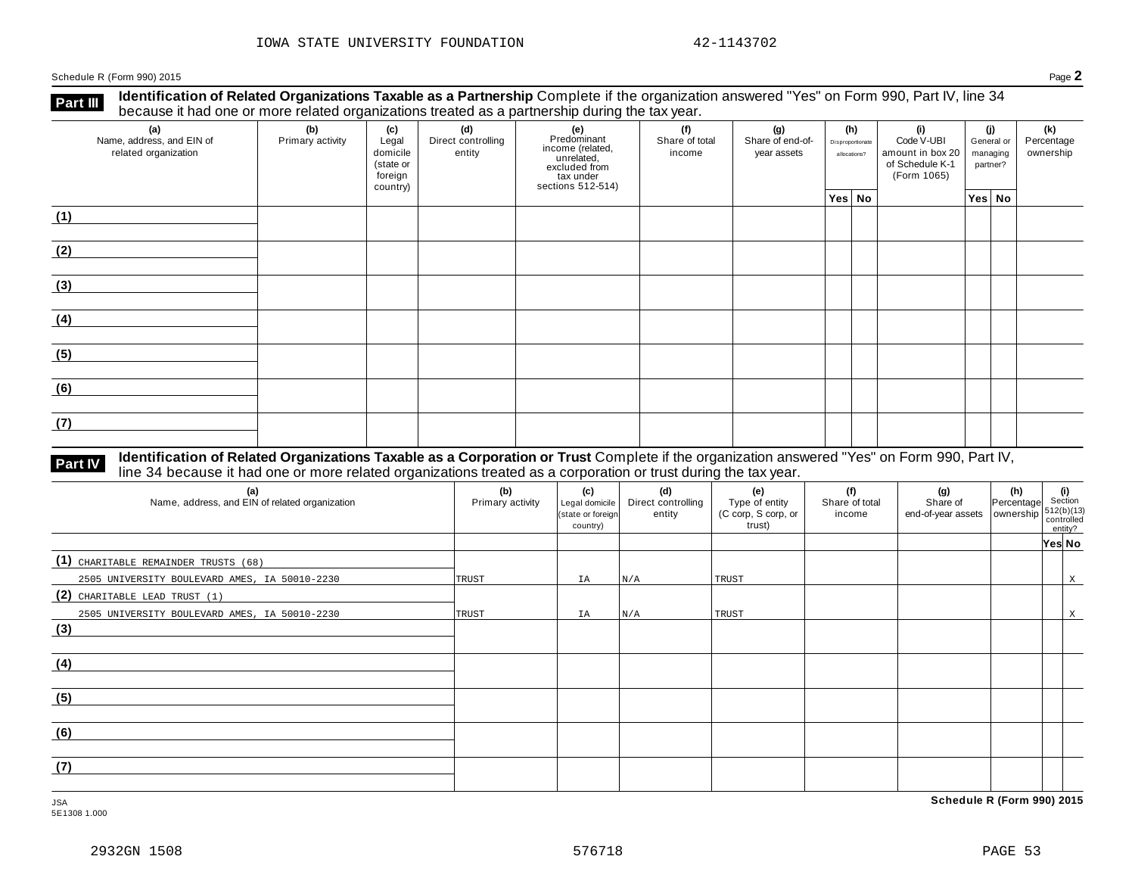**Identification of Related Organizations Taxable as a Partnership** Complete if the organization answered "Yes" on Form 990, Part IV, line 34 **because it had one or more related organizations Taxable as a Partnership** Complete if the organization of more related organizations treated as a partnership during the tax year.

| (a)<br>Name, address, and EIN of<br>related organization | (b)<br>Primary activity | (c)<br>Legal<br>domicile<br>(state or<br>foreign<br>country) | (d)<br>Direct controlling<br>entity | (e)<br>Predominant<br>From (related,<br>income (related,<br>excluded from<br>tax under<br>sections 512-514) | (f)<br>Share of total<br>income | (g)<br>Share of end-of-<br>year assets |        | (h)<br>Disproportionate<br>allocations? | (i)<br>Code V-UBI<br>amount in box 20<br>of Schedule K-1<br>(Form 1065) | (j)<br>General or<br>managing<br>partner? |  | (k)<br>Percentage<br>ownership |
|----------------------------------------------------------|-------------------------|--------------------------------------------------------------|-------------------------------------|-------------------------------------------------------------------------------------------------------------|---------------------------------|----------------------------------------|--------|-----------------------------------------|-------------------------------------------------------------------------|-------------------------------------------|--|--------------------------------|
|                                                          |                         |                                                              |                                     |                                                                                                             |                                 |                                        | Yes No |                                         |                                                                         | Yes   No                                  |  |                                |
| (1)                                                      |                         |                                                              |                                     |                                                                                                             |                                 |                                        |        |                                         |                                                                         |                                           |  |                                |
| (2)                                                      |                         |                                                              |                                     |                                                                                                             |                                 |                                        |        |                                         |                                                                         |                                           |  |                                |
| (3)                                                      |                         |                                                              |                                     |                                                                                                             |                                 |                                        |        |                                         |                                                                         |                                           |  |                                |
| (4)                                                      |                         |                                                              |                                     |                                                                                                             |                                 |                                        |        |                                         |                                                                         |                                           |  |                                |
| (5)                                                      |                         |                                                              |                                     |                                                                                                             |                                 |                                        |        |                                         |                                                                         |                                           |  |                                |
| (6)                                                      |                         |                                                              |                                     |                                                                                                             |                                 |                                        |        |                                         |                                                                         |                                           |  |                                |
| (7)                                                      |                         |                                                              |                                     |                                                                                                             |                                 |                                        |        |                                         |                                                                         |                                           |  |                                |

# **Part IV** Identification of Related Organizations Taxable as a Corporation or Trust Complete if the organization answered "Yes" on Form 990, Part IV,<br>line 34 because it had one or more related organizations treated as a co

| (a)<br>Name, address, and EIN of related organization | (b)<br>Primary activity | (c)<br>Legal domicile<br>(state or foreign<br>country) | (d)<br>Direct controlling<br>entity | (e)<br>Type of entity<br>(C corp, S corp, or<br>trust) | (f)<br>Share of total<br>income | (g)<br>Share of<br>end-of-year assets   ownership | (h)<br>Percentage | (i)<br>Section<br>$512(b)(13)$<br>controlled<br>entity? |   |
|-------------------------------------------------------|-------------------------|--------------------------------------------------------|-------------------------------------|--------------------------------------------------------|---------------------------------|---------------------------------------------------|-------------------|---------------------------------------------------------|---|
|                                                       |                         |                                                        |                                     |                                                        |                                 |                                                   |                   | Yes No                                                  |   |
| (1) CHARITABLE REMAINDER TRUSTS (68)                  |                         |                                                        |                                     |                                                        |                                 |                                                   |                   |                                                         |   |
| 2505 UNIVERSITY BOULEVARD AMES, IA 50010-2230         | TRUST                   | IA                                                     | N/A                                 | TRUST                                                  |                                 |                                                   |                   |                                                         | X |
| (2) CHARITABLE LEAD TRUST (1)                         |                         |                                                        |                                     |                                                        |                                 |                                                   |                   |                                                         |   |
| 2505 UNIVERSITY BOULEVARD AMES, IA 50010-2230         | TRUST                   | IA                                                     | N/A                                 | TRUST                                                  |                                 |                                                   |                   |                                                         | X |
| (3)                                                   |                         |                                                        |                                     |                                                        |                                 |                                                   |                   |                                                         |   |
| (4)                                                   |                         |                                                        |                                     |                                                        |                                 |                                                   |                   |                                                         |   |
| (5)                                                   |                         |                                                        |                                     |                                                        |                                 |                                                   |                   |                                                         |   |
| (6)                                                   |                         |                                                        |                                     |                                                        |                                 |                                                   |                   |                                                         |   |
| (7)                                                   |                         |                                                        |                                     |                                                        |                                 |                                                   |                   |                                                         |   |

5E1308 1.000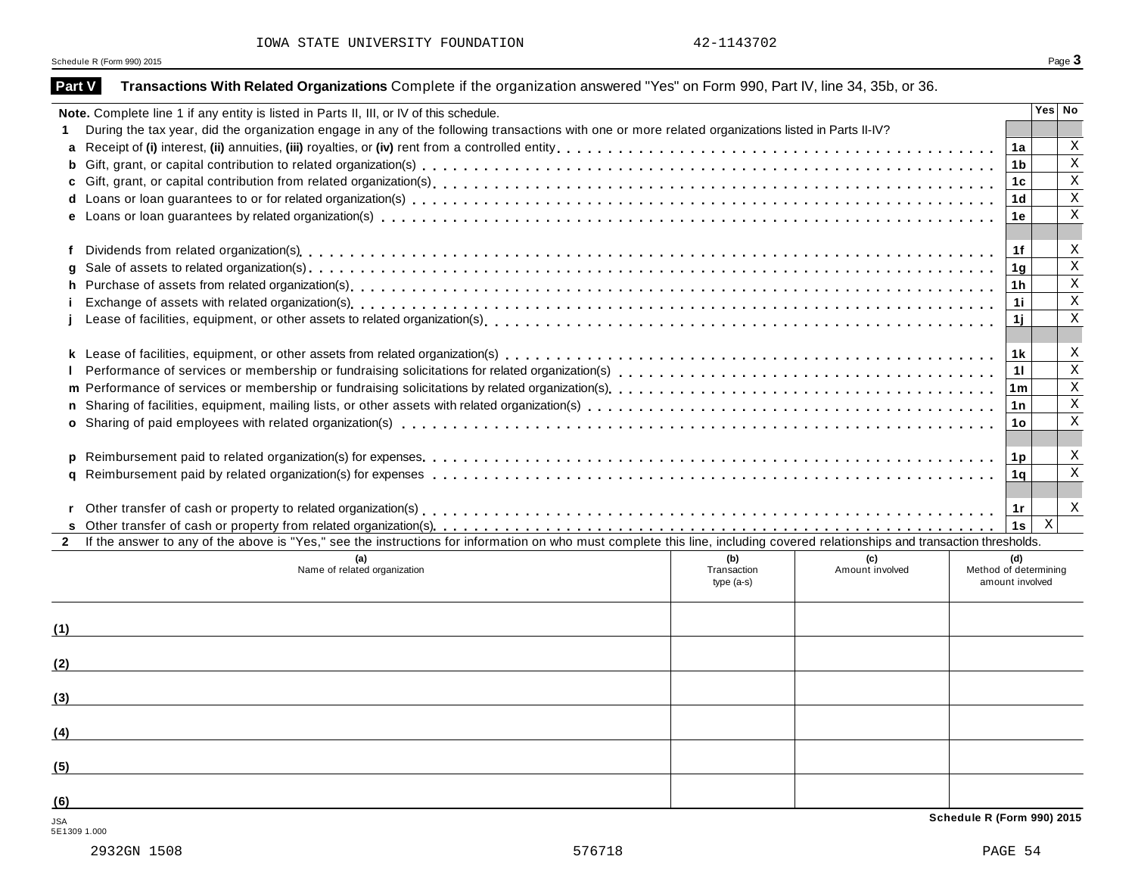|  | IOWA STATE UNIVERSITY FOUNDATION |  |
|--|----------------------------------|--|
|  |                                  |  |

| Part V              | Transactions With Related Organizations Complete if the organization answered "Yes" on Form 990, Part IV, line 34, 35b, or 36.                                               |                            |                 |                                          |                |                           |
|---------------------|------------------------------------------------------------------------------------------------------------------------------------------------------------------------------|----------------------------|-----------------|------------------------------------------|----------------|---------------------------|
|                     | Note. Complete line 1 if any entity is listed in Parts II, III, or IV of this schedule.                                                                                      |                            |                 |                                          |                | Yes   No                  |
|                     | During the tax year, did the organization engage in any of the following transactions with one or more related organizations listed in Parts II-IV?                          |                            |                 |                                          |                |                           |
|                     |                                                                                                                                                                              |                            |                 |                                          | 1a             | X                         |
| b                   |                                                                                                                                                                              |                            |                 |                                          | 1 <sub>b</sub> | $\overline{\mathbf{x}}$   |
| C                   |                                                                                                                                                                              |                            |                 |                                          | 1c             | $\rm X$                   |
|                     |                                                                                                                                                                              |                            |                 |                                          | 1 <sub>d</sub> | $\rm X$                   |
|                     |                                                                                                                                                                              |                            |                 |                                          | 1е             | $\rm X$                   |
|                     |                                                                                                                                                                              |                            |                 |                                          |                |                           |
|                     |                                                                                                                                                                              |                            |                 |                                          | 1f             | Χ                         |
| a                   |                                                                                                                                                                              |                            |                 |                                          | 1 <sub>q</sub> | $\mathbf X$               |
|                     |                                                                                                                                                                              |                            |                 |                                          | 1h             | $\rm X$                   |
|                     |                                                                                                                                                                              |                            |                 |                                          | 1i.            | $\rm X$                   |
|                     |                                                                                                                                                                              |                            |                 |                                          | 1j             | $\rm X$                   |
|                     |                                                                                                                                                                              |                            |                 |                                          | 1 <sub>k</sub> | Χ                         |
|                     |                                                                                                                                                                              |                            |                 |                                          | 11             | $\overline{\mathbf{x}}$   |
|                     |                                                                                                                                                                              |                            |                 |                                          |                | $\rm X$                   |
|                     |                                                                                                                                                                              |                            |                 |                                          | 1m<br>1n       | $\rm X$                   |
|                     |                                                                                                                                                                              |                            |                 |                                          | 1o             | $\rm X$                   |
|                     |                                                                                                                                                                              |                            |                 |                                          |                |                           |
| p                   |                                                                                                                                                                              |                            |                 |                                          | 1p             | X                         |
|                     |                                                                                                                                                                              |                            |                 |                                          | 1 <sub>q</sub> | $\rm X$                   |
|                     |                                                                                                                                                                              |                            |                 |                                          |                |                           |
| $\mathbf{r}$        |                                                                                                                                                                              |                            |                 |                                          | 1r             | Χ                         |
|                     |                                                                                                                                                                              |                            |                 |                                          | 1s             | $\boldsymbol{\mathrm{X}}$ |
| $\mathbf{2}$        | If the answer to any of the above is "Yes," see the instructions for information on who must complete this line, including covered relationships and transaction thresholds. |                            |                 |                                          |                |                           |
|                     |                                                                                                                                                                              | (b)                        | (c)             |                                          | (d)            |                           |
|                     | Name of related organization                                                                                                                                                 | Transaction<br>$type(a-s)$ | Amount involved | Method of determining<br>amount involved |                |                           |
|                     |                                                                                                                                                                              |                            |                 |                                          |                |                           |
|                     |                                                                                                                                                                              |                            |                 |                                          |                |                           |
| (1)                 |                                                                                                                                                                              |                            |                 |                                          |                |                           |
|                     |                                                                                                                                                                              |                            |                 |                                          |                |                           |
| (2)                 |                                                                                                                                                                              |                            |                 |                                          |                |                           |
|                     |                                                                                                                                                                              |                            |                 |                                          |                |                           |
| (3)                 |                                                                                                                                                                              |                            |                 |                                          |                |                           |
|                     |                                                                                                                                                                              |                            |                 |                                          |                |                           |
| (4)                 |                                                                                                                                                                              |                            |                 |                                          |                |                           |
|                     |                                                                                                                                                                              |                            |                 |                                          |                |                           |
| (5)                 |                                                                                                                                                                              |                            |                 |                                          |                |                           |
| (6)                 |                                                                                                                                                                              |                            |                 |                                          |                |                           |
|                     |                                                                                                                                                                              |                            |                 | Schedule R (Form 990) 2015               |                |                           |
| JSA<br>5E1309 1.000 |                                                                                                                                                                              |                            |                 |                                          |                |                           |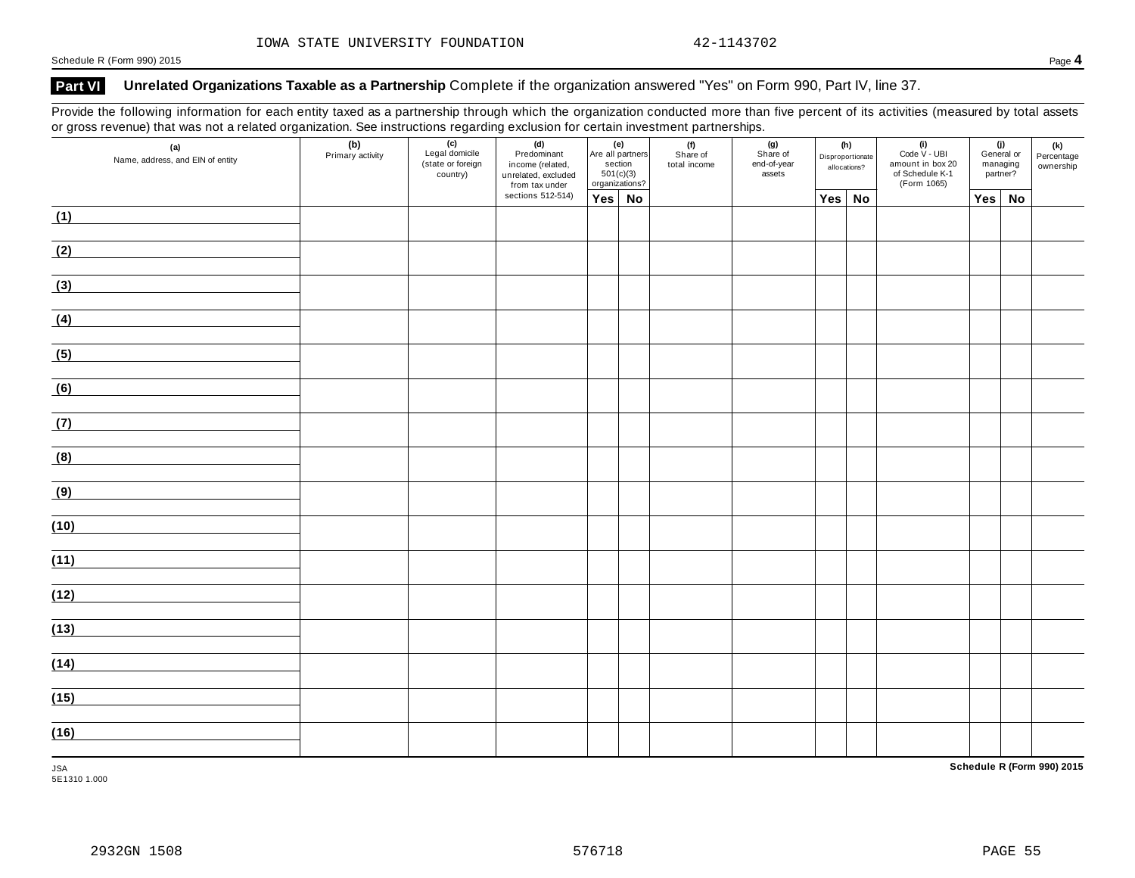## **Part VI Unrelated Organizations Taxable as a Partnership** Complete if the organization answered "Yes" on Form 990, Part IV, line 37.

Provide the following information for each entity taxed as a partnership through which the organization conducted more than five percent of its activities (measured by total assets or gross revenue) that was not a related organization. See instructions regarding exclusion for certain investment partnerships.

| (a)<br>Name, address, and EIN of entity | (b)<br>Primary activity | $\overline{(c)}$<br>Legal domicile<br>(state or foreign<br>country) | (d)<br>Predominant<br>income (related,<br>unrelated, excluded<br>from tax under | (e)<br>Are all partners<br>section<br>501(c)(3)<br>organizations? |  |  |  |            |    |  |     |           |  | (f)<br>Share of<br>total income | (g)<br>Share of<br>end-of-year<br>assets |  | (h)<br>Disproportionate<br>allocations? | $(i)$<br>Code V - UBI<br>amount in box 20<br>of Schedule K-1<br>(Form 1065) | managing<br>partner? | (j)<br>General or | (k)<br>Percentage<br>ownership |
|-----------------------------------------|-------------------------|---------------------------------------------------------------------|---------------------------------------------------------------------------------|-------------------------------------------------------------------|--|--|--|------------|----|--|-----|-----------|--|---------------------------------|------------------------------------------|--|-----------------------------------------|-----------------------------------------------------------------------------|----------------------|-------------------|--------------------------------|
|                                         |                         |                                                                     | sections 512-514)                                                               | Yes No                                                            |  |  |  | <b>Yes</b> | No |  | Yes | <b>No</b> |  |                                 |                                          |  |                                         |                                                                             |                      |                   |                                |
| (1)                                     |                         |                                                                     |                                                                                 |                                                                   |  |  |  |            |    |  |     |           |  |                                 |                                          |  |                                         |                                                                             |                      |                   |                                |
| (2)                                     |                         |                                                                     |                                                                                 |                                                                   |  |  |  |            |    |  |     |           |  |                                 |                                          |  |                                         |                                                                             |                      |                   |                                |
| (3)                                     |                         |                                                                     |                                                                                 |                                                                   |  |  |  |            |    |  |     |           |  |                                 |                                          |  |                                         |                                                                             |                      |                   |                                |
| (4)                                     |                         |                                                                     |                                                                                 |                                                                   |  |  |  |            |    |  |     |           |  |                                 |                                          |  |                                         |                                                                             |                      |                   |                                |
| (5)                                     |                         |                                                                     |                                                                                 |                                                                   |  |  |  |            |    |  |     |           |  |                                 |                                          |  |                                         |                                                                             |                      |                   |                                |
| (6)                                     |                         |                                                                     |                                                                                 |                                                                   |  |  |  |            |    |  |     |           |  |                                 |                                          |  |                                         |                                                                             |                      |                   |                                |
| (7)                                     |                         |                                                                     |                                                                                 |                                                                   |  |  |  |            |    |  |     |           |  |                                 |                                          |  |                                         |                                                                             |                      |                   |                                |
| (8)                                     |                         |                                                                     |                                                                                 |                                                                   |  |  |  |            |    |  |     |           |  |                                 |                                          |  |                                         |                                                                             |                      |                   |                                |
| (9)                                     |                         |                                                                     |                                                                                 |                                                                   |  |  |  |            |    |  |     |           |  |                                 |                                          |  |                                         |                                                                             |                      |                   |                                |
| (10)                                    |                         |                                                                     |                                                                                 |                                                                   |  |  |  |            |    |  |     |           |  |                                 |                                          |  |                                         |                                                                             |                      |                   |                                |
| (11)                                    |                         |                                                                     |                                                                                 |                                                                   |  |  |  |            |    |  |     |           |  |                                 |                                          |  |                                         |                                                                             |                      |                   |                                |
| (12)                                    |                         |                                                                     |                                                                                 |                                                                   |  |  |  |            |    |  |     |           |  |                                 |                                          |  |                                         |                                                                             |                      |                   |                                |
| (13)                                    |                         |                                                                     |                                                                                 |                                                                   |  |  |  |            |    |  |     |           |  |                                 |                                          |  |                                         |                                                                             |                      |                   |                                |
| (14)                                    |                         |                                                                     |                                                                                 |                                                                   |  |  |  |            |    |  |     |           |  |                                 |                                          |  |                                         |                                                                             |                      |                   |                                |
| (15)                                    |                         |                                                                     |                                                                                 |                                                                   |  |  |  |            |    |  |     |           |  |                                 |                                          |  |                                         |                                                                             |                      |                   |                                |
| (16)                                    |                         |                                                                     |                                                                                 |                                                                   |  |  |  |            |    |  |     |           |  |                                 |                                          |  |                                         |                                                                             |                      |                   |                                |

5E1310 1.000

JSA **Schedule R (Form 990) 2015**